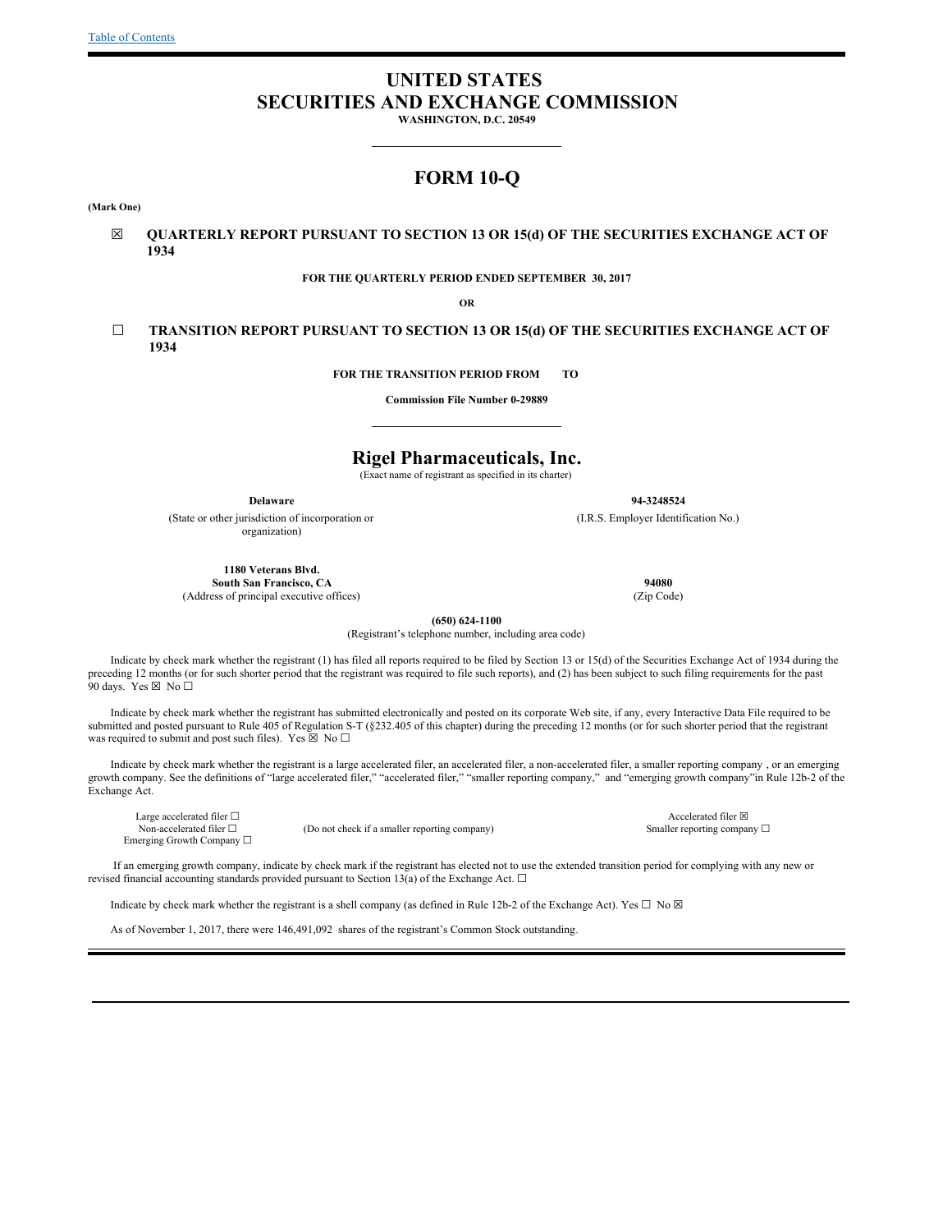# **UNITED STATES SECURITIES AND EXCHANGE COMMISSION**

**WASHINGTON, D.C. 20549**

# **FORM 10-Q**

**(Mark One)**

# **☒ QUARTERLY REPORT PURSUANT TO SECTION 13 OR 15(d) OF THE SECURITIES EXCHANGE ACT OF 1934**

### **FOR THE QUARTERLY PERIOD ENDED SEPTEMBER 30, 2017**

**OR**

# **☐ TRANSITION REPORT PURSUANT TO SECTION 13 OR 15(d) OF THE SECURITIES EXCHANGE ACT OF 1934**

**FOR THE TRANSITION PERIOD FROM TO**

**Commission File Number 0-29889**

# **Rigel Pharmaceuticals, Inc.**

(Exact name of registrant as specified in its charter)

**Delaware 94-3248524**

(State or other jurisdiction of incorporation or (I.R.S. Employer Identification No.)

organization)

**1180 Veterans Blvd.**

**South San Francisco, CA 94080**<br> **South San Francisco, CA 94080**<br> **(Zip Code)** (Zip Code) (Address of principal executive offices)

**(650) 624-1100**

(Registrant's telephone number, including area code)

Indicate by check mark whether the registrant (1) has filed all reports required to be filed by Section 13 or 15(d) of the Securities Exchange Act of 1934 during the preceding 12 months (or for such shorter period that the registrant was required to file such reports), and (2) has been subject to such filing requirements for the past 90 days. Yes  $\boxtimes$  No  $\Box$ 

Indicate by check mark whether the registrant has submitted electronically and posted on its corporate Web site, if any, every Interactive Data File required to be submitted and posted pursuant to Rule 405 of Regulation S-T (§232.405 of this chapter) during the preceding 12 months (or for such shorter period that the registrant was required to submit and post such files). Yes  $\boxtimes$  No  $\Box$ 

Indicate by check mark whether the registrant is a large accelerated filer, an accelerated filer, a non-accelerated filer, a smaller reporting company , or an emerging growth company. See the definitions of "large accelerated filer," "accelerated filer," "smaller reporting company," and "emerging growth company"in Rule 12b-2 of the Exchange Act.

Large accelerated filer □<br>
Non-accelerated filer □<br>
(Do not check if a smaller reporting company) Banaller reporting company □<br>
Smaller reporting company □ Emerging Growth Company  $\Box$ 

(Do not check if a smaller reporting company)

If an emerging growth company, indicate by check mark if the registrant has elected not to use the extended transition period for complying with any new or revised financial accounting standards provided pursuant to Section 13(a) of the Exchange Act.  $\Box$ 

Indicate by check mark whether the registrant is a shell company (as defined in Rule 12b-2 of the Exchange Act). Yes  $\Box$  No  $\boxtimes$ 

As of November 1, 2017, there were 146,491,092 shares of the registrant's Common Stock outstanding.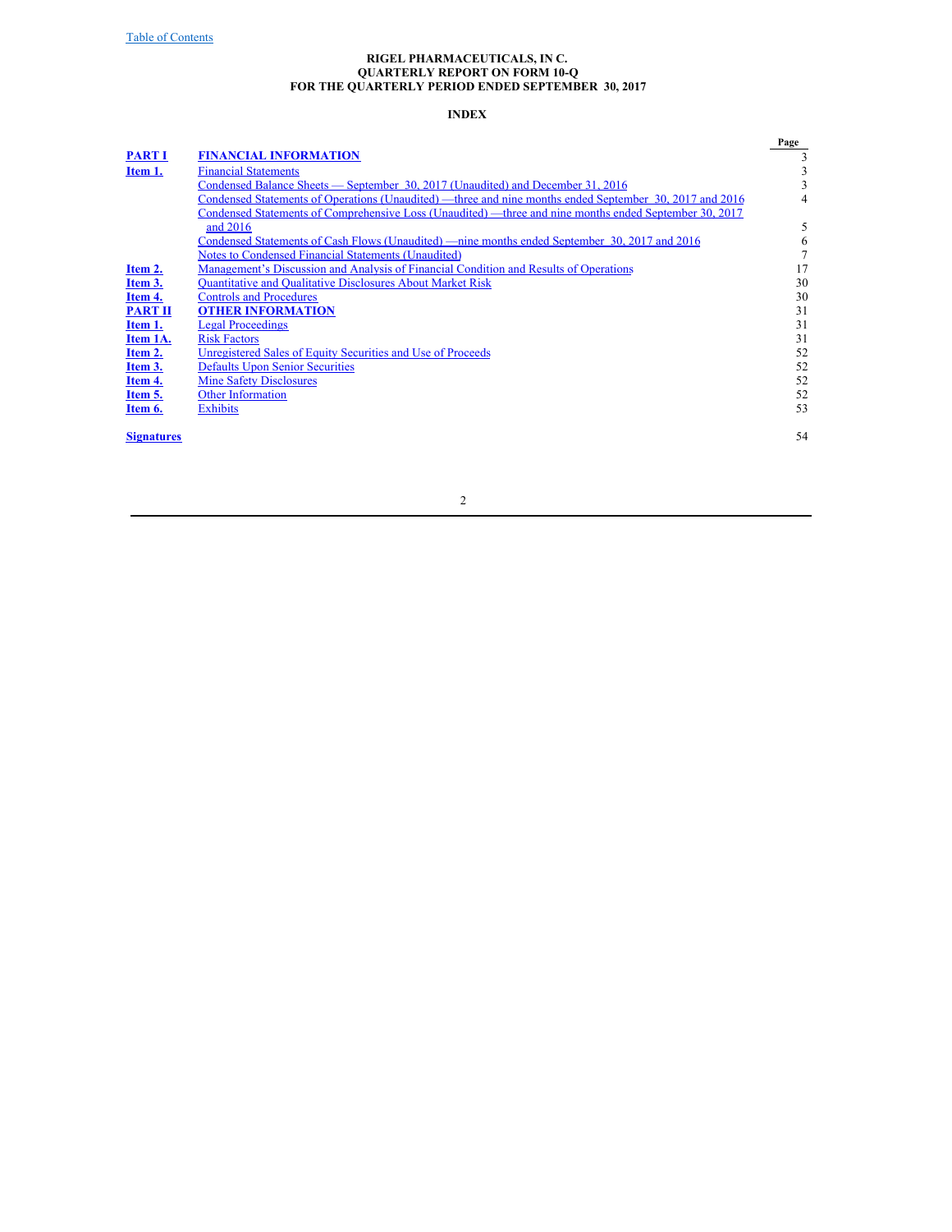### **RIGEL PHARMACEUTICALS, IN C. QUARTERLY REPORT ON FORM 10-Q FOR THE QUARTERLY PERIOD ENDED SEPTEMBER 30, 2017**

# **INDEX**

|                   |                                                                                                         | Page |
|-------------------|---------------------------------------------------------------------------------------------------------|------|
| <b>PART I</b>     | <b>FINANCIAL INFORMATION</b>                                                                            |      |
| Item 1.           | <b>Financial Statements</b>                                                                             | 3    |
|                   | Condensed Balance Sheets — September 30, 2017 (Unaudited) and December 31, 2016                         | 3    |
|                   | Condensed Statements of Operations (Unaudited) —three and nine months ended September 30, 2017 and 2016 | 4    |
|                   | Condensed Statements of Comprehensive Loss (Unaudited) —three and nine months ended September 30, 2017  |      |
|                   | and $2016$                                                                                              | 5    |
|                   | Condensed Statements of Cash Flows (Unaudited) —nine months ended September 30, 2017 and 2016           | 6    |
|                   | Notes to Condensed Financial Statements (Unaudited)                                                     |      |
| Item 2.           | Management's Discussion and Analysis of Financial Condition and Results of Operations                   | 17   |
| Item 3.           | <b>Quantitative and Qualitative Disclosures About Market Risk</b>                                       | 30   |
| Item 4.           | <b>Controls and Procedures</b>                                                                          | 30   |
| <b>PART II</b>    | <b>OTHER INFORMATION</b>                                                                                | 31   |
| Item 1.           | <b>Legal Proceedings</b>                                                                                | 31   |
| Item 1A.          | <b>Risk Factors</b>                                                                                     | 31   |
| Item 2.           | Unregistered Sales of Equity Securities and Use of Proceeds                                             | 52   |
| Item 3.           | <b>Defaults Upon Senior Securities</b>                                                                  | 52   |
| Item 4.           | <b>Mine Safety Disclosures</b>                                                                          | 52   |
| Item 5.           | <b>Other Information</b>                                                                                | 52   |
| Item 6.           | <b>Exhibits</b>                                                                                         | 53   |
|                   |                                                                                                         |      |
| <b>Signatures</b> |                                                                                                         | 54   |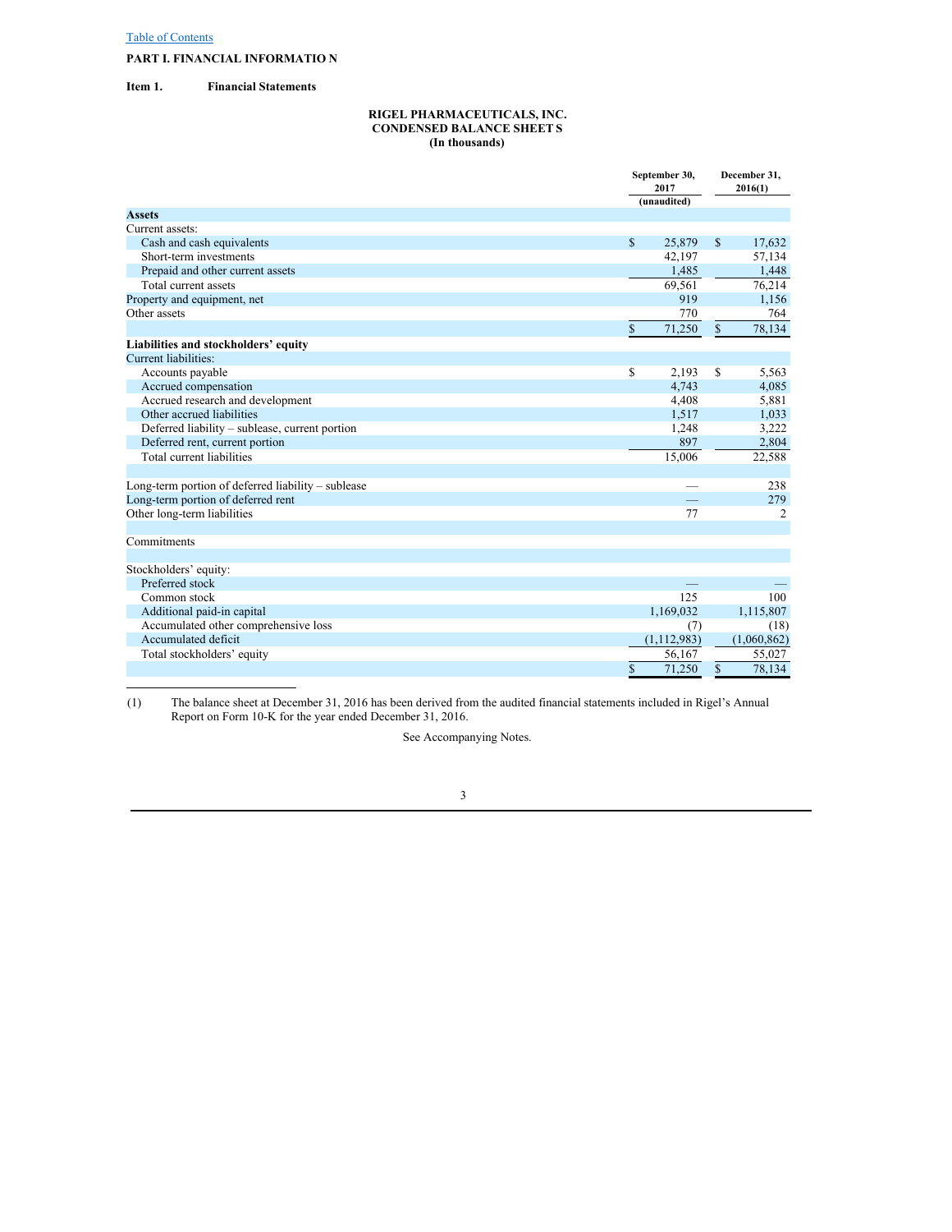# **PART I. FINANCIAL INFORMATIO N**

# **Item 1. Financial Statements**

# <span id="page-2-2"></span><span id="page-2-1"></span><span id="page-2-0"></span>**RIGEL PHARMACEUTICALS, INC. CONDENSED BALANCE SHEET S (In thousands)**

|                                                    | September 30,<br>2017 | December 31,<br>2016(1) |
|----------------------------------------------------|-----------------------|-------------------------|
|                                                    | (unaudited)           |                         |
| <b>Assets</b>                                      |                       |                         |
| Current assets:                                    |                       |                         |
| Cash and cash equivalents                          | \$<br>25,879          | \$<br>17,632            |
| Short-term investments                             | 42,197                | 57,134                  |
| Prepaid and other current assets                   | 1,485                 | 1,448                   |
| Total current assets                               | 69,561                | 76,214                  |
| Property and equipment, net                        | 919                   | 1,156                   |
| Other assets                                       | 770                   | 764                     |
|                                                    | $\mathbf S$<br>71,250 | \$<br>78,134            |
| Liabilities and stockholders' equity               |                       |                         |
| Current liabilities:                               |                       |                         |
| Accounts payable                                   | \$<br>2,193           | \$<br>5,563             |
| Accrued compensation                               | 4,743                 | 4,085                   |
| Accrued research and development                   | 4,408                 | 5,881                   |
| Other accrued liabilities                          | 1,517                 | 1,033                   |
| Deferred liability – sublease, current portion     | 1,248                 | 3,222                   |
| Deferred rent, current portion                     | 897                   | 2,804                   |
| Total current liabilities                          | 15,006                | 22,588                  |
|                                                    |                       |                         |
| Long-term portion of deferred liability – sublease |                       | 238                     |
| Long-term portion of deferred rent                 |                       | 279                     |
| Other long-term liabilities                        | 77                    | $\overline{c}$          |
|                                                    |                       |                         |
| Commitments                                        |                       |                         |
| Stockholders' equity:                              |                       |                         |
| Preferred stock                                    |                       |                         |
| Common stock                                       | 125                   | 100                     |
| Additional paid-in capital                         | 1,169,032             | 1,115,807               |
| Accumulated other comprehensive loss               | (7)                   | (18)                    |
| Accumulated deficit                                | (1, 112, 983)         | (1,060,862)             |
| Total stockholders' equity                         | 56,167                | 55,027                  |
|                                                    | \$<br>71,250          | \$<br>78,134            |

(1) The balance sheet at December 31, 2016 has been derived from the audited financial statements included in Rigel's Annual Report on Form 10-K for the year ended December 31, 2016.

See Accompanying Notes.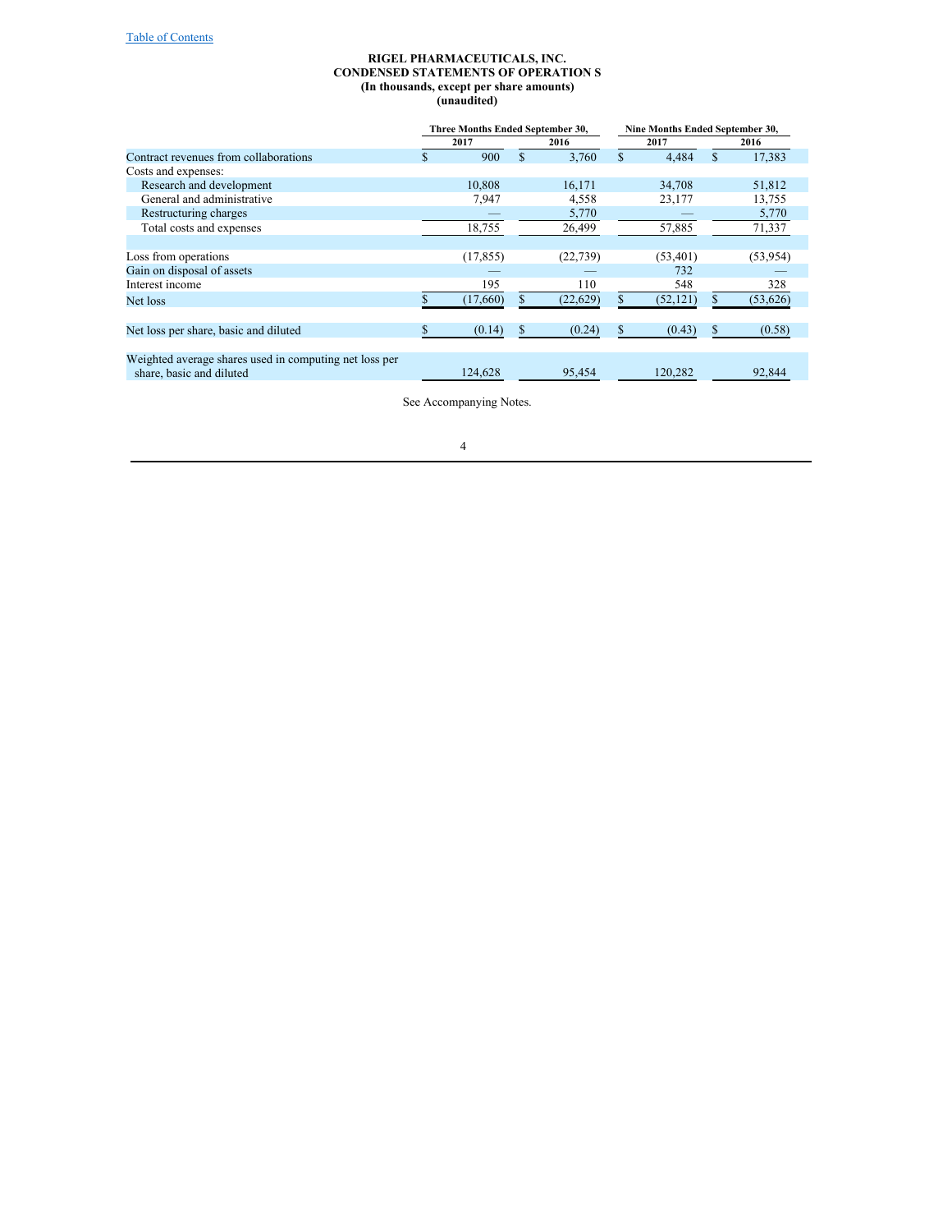# <span id="page-3-0"></span>**RIGEL PHARMACEUTICALS, INC. CONDENSED STATEMENTS OF OPERATION S (In thousands, except per share amounts) (unaudited)**

|                                                        | Three Months Ended September 30, |           |    |           |   | Nine Months Ended September 30, |    |           |      |  |  |
|--------------------------------------------------------|----------------------------------|-----------|----|-----------|---|---------------------------------|----|-----------|------|--|--|
|                                                        |                                  | 2017      |    | 2016      |   |                                 |    | 2017      | 2016 |  |  |
| Contract revenues from collaborations                  | S                                | 900       | \$ | 3.760     | S | 4,484                           |    | 17,383    |      |  |  |
| Costs and expenses:                                    |                                  |           |    |           |   |                                 |    |           |      |  |  |
| Research and development                               |                                  | 10.808    |    | 16,171    |   | 34,708                          |    | 51,812    |      |  |  |
| General and administrative                             |                                  | 7.947     |    | 4,558     |   | 23,177                          |    | 13,755    |      |  |  |
| Restructuring charges                                  |                                  |           |    | 5,770     |   |                                 |    | 5,770     |      |  |  |
| Total costs and expenses                               |                                  | 18.755    |    | 26,499    |   | 57,885                          |    | 71,337    |      |  |  |
|                                                        |                                  |           |    |           |   |                                 |    |           |      |  |  |
| Loss from operations                                   |                                  | (17, 855) |    | (22, 739) |   | (53, 401)                       |    | (53, 954) |      |  |  |
| Gain on disposal of assets                             |                                  |           |    |           |   | 732                             |    |           |      |  |  |
| Interest income                                        |                                  | 195       |    | 110       |   | 548                             |    | 328       |      |  |  |
| Net loss                                               |                                  | (17,660)  |    | (22, 629) |   | (52, 121)                       |    | (53, 626) |      |  |  |
|                                                        |                                  |           |    |           |   |                                 |    |           |      |  |  |
| Net loss per share, basic and diluted                  |                                  | (0.14)    | S  | (0.24)    | S | (0.43)                          | S. | (0.58)    |      |  |  |
|                                                        |                                  |           |    |           |   |                                 |    |           |      |  |  |
| Weighted average shares used in computing net loss per |                                  |           |    |           |   |                                 |    |           |      |  |  |
| share, basic and diluted                               |                                  | 124,628   |    | 95.454    |   | 120.282                         |    | 92,844    |      |  |  |

See Accompanying Notes.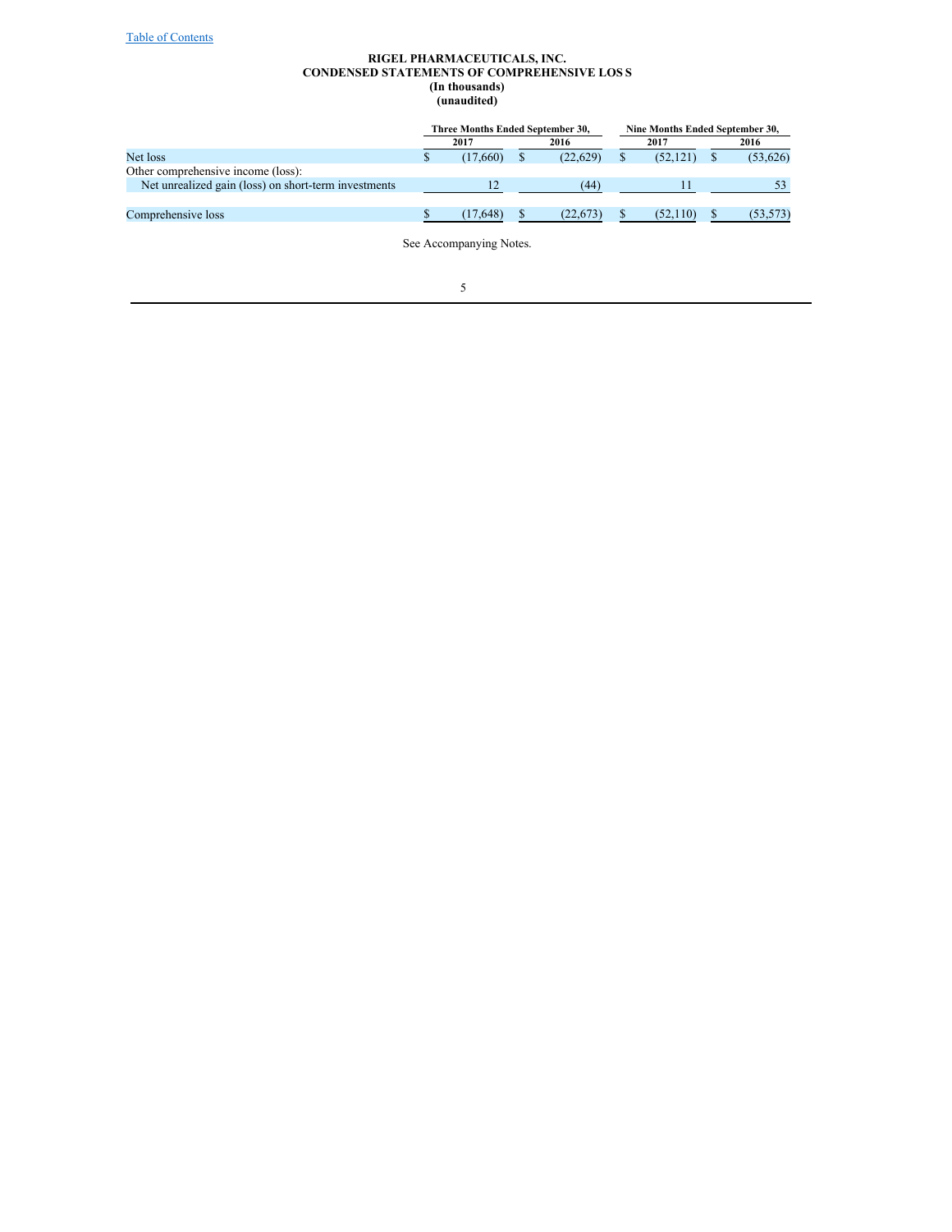# **RIGEL PHARMACEUTICALS, INC. CONDENSED STATEMENTS OF COMPREHENSIVE LOS S (In thousands) (unaudited)**

|                                                      | Three Months Ended September 30, |              |  |          |  |          |  |           |  |  | Nine Months Ended September 30, |  |  |  |  |  |
|------------------------------------------------------|----------------------------------|--------------|--|----------|--|----------|--|-----------|--|--|---------------------------------|--|--|--|--|--|
|                                                      |                                  | 2017<br>2016 |  |          |  | 2017     |  | 2016      |  |  |                                 |  |  |  |  |  |
| Net loss                                             |                                  | (17,660)     |  | (22.629) |  | (52.121) |  | (53,626)  |  |  |                                 |  |  |  |  |  |
| Other comprehensive income (loss):                   |                                  |              |  |          |  |          |  |           |  |  |                                 |  |  |  |  |  |
| Net unrealized gain (loss) on short-term investments |                                  |              |  | (44)     |  |          |  |           |  |  |                                 |  |  |  |  |  |
|                                                      |                                  |              |  |          |  |          |  |           |  |  |                                 |  |  |  |  |  |
| Comprehensive loss                                   |                                  | (17.648)     |  | (22.673) |  | (52,110) |  | (53, 573) |  |  |                                 |  |  |  |  |  |

<span id="page-4-0"></span>See Accompanying Notes.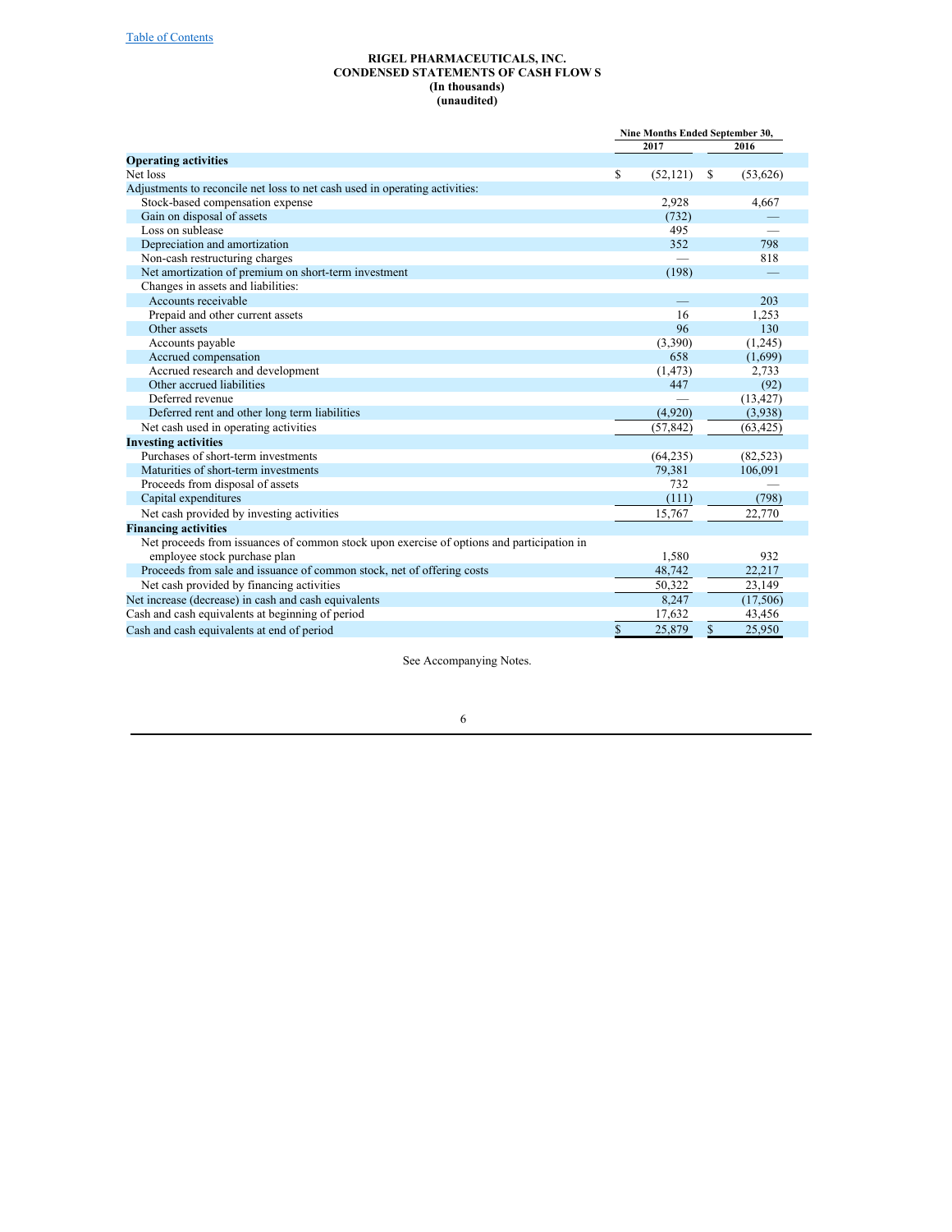### <span id="page-5-0"></span>**RIGEL PHARMACEUTICALS, INC. CONDENSED STATEMENTS OF CASH FLOW S (In thousands) (unaudited)**

|                                                                                           | Nine Months Ended September 30, |           |    |           |  |
|-------------------------------------------------------------------------------------------|---------------------------------|-----------|----|-----------|--|
|                                                                                           |                                 | 2017      |    | 2016      |  |
| <b>Operating activities</b>                                                               |                                 |           |    |           |  |
| Net loss                                                                                  | S                               | (52, 121) | S  | (53, 626) |  |
| Adjustments to reconcile net loss to net cash used in operating activities:               |                                 |           |    |           |  |
| Stock-based compensation expense                                                          |                                 | 2,928     |    | 4,667     |  |
| Gain on disposal of assets                                                                |                                 | (732)     |    |           |  |
| Loss on sublease                                                                          |                                 | 495       |    |           |  |
| Depreciation and amortization                                                             |                                 | 352       |    | 798       |  |
| Non-cash restructuring charges                                                            |                                 |           |    | 818       |  |
| Net amortization of premium on short-term investment                                      |                                 | (198)     |    |           |  |
| Changes in assets and liabilities:                                                        |                                 |           |    |           |  |
| Accounts receivable                                                                       |                                 |           |    | 203       |  |
| Prepaid and other current assets                                                          |                                 | 16        |    | 1,253     |  |
| Other assets                                                                              |                                 | 96        |    | 130       |  |
| Accounts payable                                                                          |                                 | (3,390)   |    | (1,245)   |  |
| Accrued compensation                                                                      |                                 | 658       |    | (1,699)   |  |
| Accrued research and development                                                          |                                 | (1, 473)  |    | 2,733     |  |
| Other accrued liabilities                                                                 |                                 | 447       |    | (92)      |  |
| Deferred revenue                                                                          |                                 |           |    | (13, 427) |  |
| Deferred rent and other long term liabilities                                             |                                 | (4,920)   |    | (3,938)   |  |
| Net cash used in operating activities                                                     |                                 | (57, 842) |    | (63, 425) |  |
| <b>Investing activities</b>                                                               |                                 |           |    |           |  |
| Purchases of short-term investments                                                       |                                 | (64, 235) |    | (82, 523) |  |
| Maturities of short-term investments                                                      |                                 | 79.381    |    | 106,091   |  |
| Proceeds from disposal of assets                                                          |                                 | 732       |    |           |  |
| Capital expenditures                                                                      |                                 | (111)     |    | (798)     |  |
| Net cash provided by investing activities                                                 |                                 | 15,767    |    | 22,770    |  |
| <b>Financing activities</b>                                                               |                                 |           |    |           |  |
| Net proceeds from issuances of common stock upon exercise of options and participation in |                                 |           |    |           |  |
| employee stock purchase plan                                                              |                                 | 1,580     |    | 932       |  |
| Proceeds from sale and issuance of common stock, net of offering costs                    |                                 | 48,742    |    | 22,217    |  |
| Net cash provided by financing activities                                                 |                                 | 50,322    |    | 23,149    |  |
| Net increase (decrease) in cash and cash equivalents                                      |                                 | 8,247     |    | (17,506)  |  |
| Cash and cash equivalents at beginning of period                                          |                                 | 17,632    |    | 43,456    |  |
| Cash and cash equivalents at end of period                                                | \$                              | 25,879    | \$ | 25,950    |  |
|                                                                                           |                                 |           |    |           |  |

See Accompanying Notes.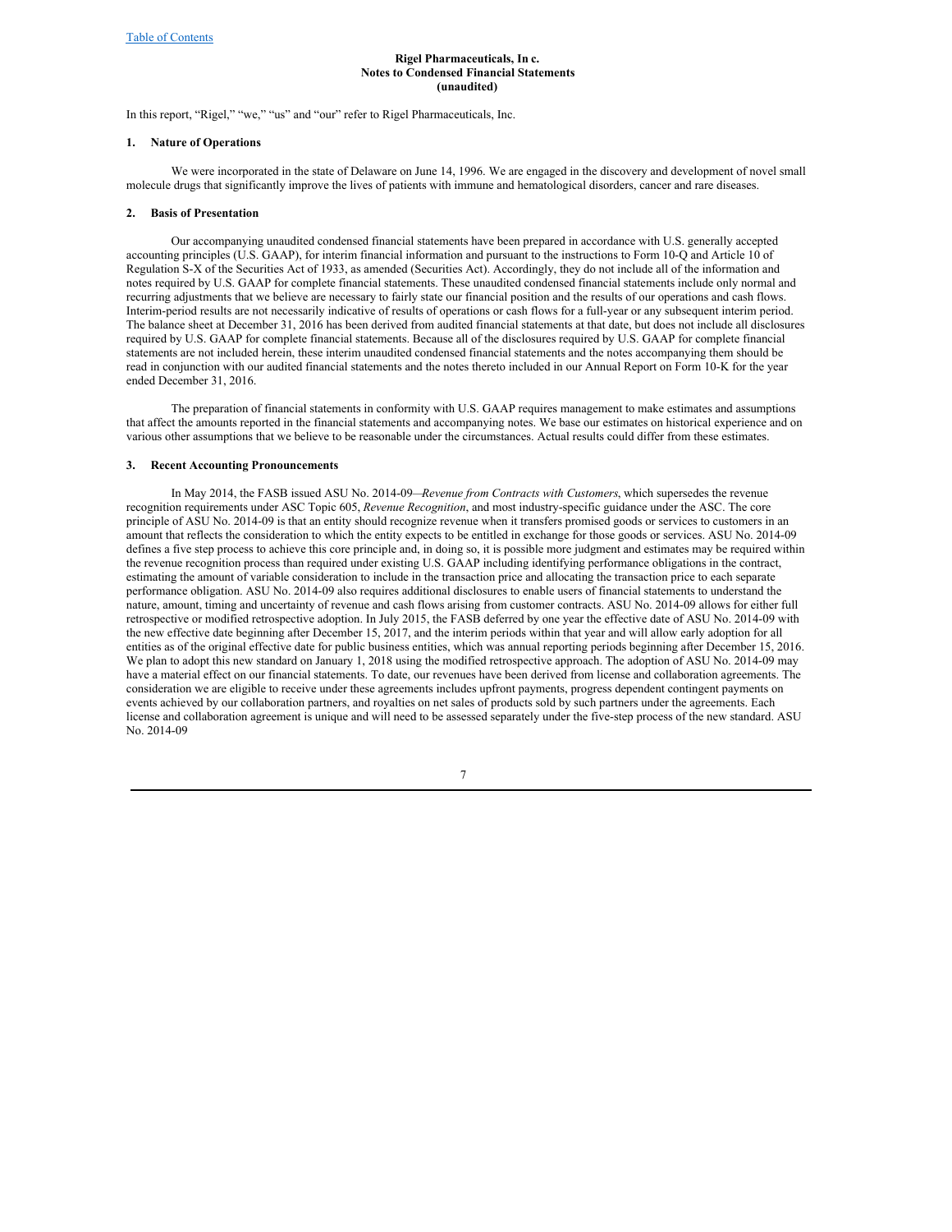# <span id="page-6-0"></span>**Rigel Pharmaceuticals, In c. Notes to Condensed Financial Statements (unaudited)**

In this report, "Rigel," "we," "us" and "our" refer to Rigel Pharmaceuticals, Inc.

# **1. Nature of Operations**

We were incorporated in the state of Delaware on June 14, 1996. We are engaged in the discovery and development of novel small molecule drugs that significantly improve the lives of patients with immune and hematological disorders, cancer and rare diseases.

# **2. Basis of Presentation**

Our accompanying unaudited condensed financial statements have been prepared in accordance with U.S. generally accepted accounting principles (U.S. GAAP), for interim financial information and pursuant to the instructions to Form 10-Q and Article 10 of Regulation S-X of the Securities Act of 1933, as amended (Securities Act). Accordingly, they do not include all of the information and notes required by U.S. GAAP for complete financial statements. These unaudited condensed financial statements include only normal and recurring adjustments that we believe are necessary to fairly state our financial position and the results of our operations and cash flows. Interim-period results are not necessarily indicative of results of operations or cash flows for a full-year or any subsequent interim period. The balance sheet at December 31, 2016 has been derived from audited financial statements at that date, but does not include all disclosures required by U.S. GAAP for complete financial statements. Because all of the disclosures required by U.S. GAAP for complete financial statements are not included herein, these interim unaudited condensed financial statements and the notes accompanying them should be read in conjunction with our audited financial statements and the notes thereto included in our Annual Report on Form 10-K for the year ended December 31, 2016.

The preparation of financial statements in conformity with U.S. GAAP requires management to make estimates and assumptions that affect the amounts reported in the financial statements and accompanying notes. We base our estimates on historical experience and on various other assumptions that we believe to be reasonable under the circumstances. Actual results could differ from these estimates.

# **3. Recent Accounting Pronouncements**

In May 2014, the FASB issued ASU No. 2014-09—*Revenue from Contracts with Customers*, which supersedes the revenue recognition requirements under ASC Topic 605, *Revenue Recognition*, and most industry-specific guidance under the ASC. The core principle of ASU No. 2014-09 is that an entity should recognize revenue when it transfers promised goods or services to customers in an amount that reflects the consideration to which the entity expects to be entitled in exchange for those goods or services. ASU No. 2014-09 defines a five step process to achieve this core principle and, in doing so, it is possible more judgment and estimates may be required within the revenue recognition process than required under existing U.S. GAAP including identifying performance obligations in the contract, estimating the amount of variable consideration to include in the transaction price and allocating the transaction price to each separate performance obligation. ASU No. 2014-09 also requires additional disclosures to enable users of financial statements to understand the nature, amount, timing and uncertainty of revenue and cash flows arising from customer contracts. ASU No. 2014-09 allows for either full retrospective or modified retrospective adoption. In July 2015, the FASB deferred by one year the effective date of ASU No. 2014-09 with the new effective date beginning after December 15, 2017, and the interim periods within that year and will allow early adoption for all entities as of the original effective date for public business entities, which was annual reporting periods beginning after December 15, 2016. We plan to adopt this new standard on January 1, 2018 using the modified retrospective approach. The adoption of ASU No. 2014-09 may have a material effect on our financial statements. To date, our revenues have been derived from license and collaboration agreements. The consideration we are eligible to receive under these agreements includes upfront payments, progress dependent contingent payments on events achieved by our collaboration partners, and royalties on net sales of products sold by such partners under the agreements. Each license and collaboration agreement is unique and will need to be assessed separately under the five-step process of the new standard. ASU No. 2014-09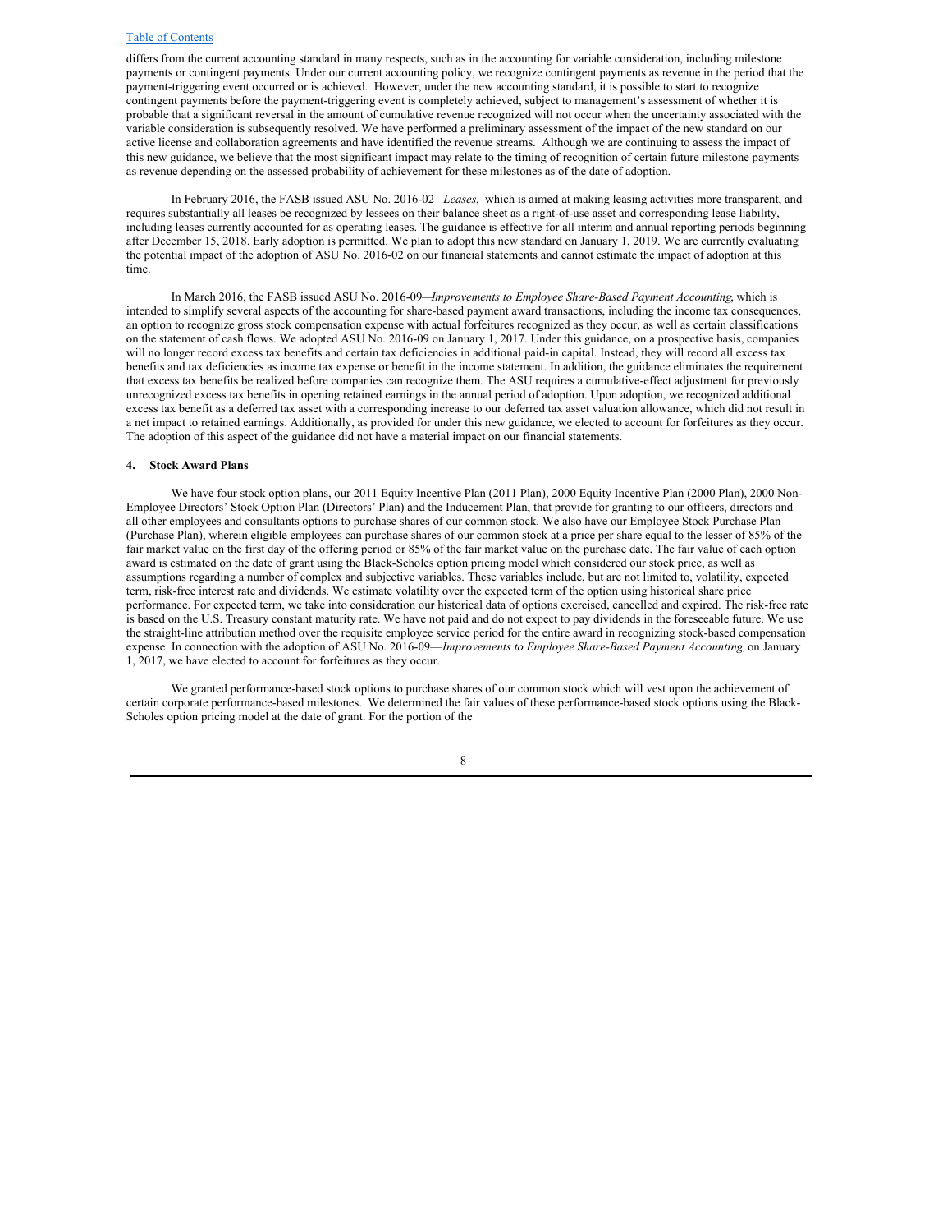differs from the current accounting standard in many respects, such as in the accounting for variable consideration, including milestone payments or contingent payments. Under our current accounting policy, we recognize contingent payments as revenue in the period that the payment-triggering event occurred or is achieved. However, under the new accounting standard, it is possible to start to recognize contingent payments before the payment-triggering event is completely achieved, subject to management's assessment of whether it is probable that a significant reversal in the amount of cumulative revenue recognized will not occur when the uncertainty associated with the variable consideration is subsequently resolved. We have performed a preliminary assessment of the impact of the new standard on our active license and collaboration agreements and have identified the revenue streams. Although we are continuing to assess the impact of this new guidance, we believe that the most significant impact may relate to the timing of recognition of certain future milestone payments as revenue depending on the assessed probability of achievement for these milestones as of the date of adoption.

In February 2016, the FASB issued ASU No. 2016-02—*Leases*, which is aimed at making leasing activities more transparent, and requires substantially all leases be recognized by lessees on their balance sheet as a right-of-use asset and corresponding lease liability, including leases currently accounted for as operating leases. The guidance is effective for all interim and annual reporting periods beginning after December 15, 2018. Early adoption is permitted. We plan to adopt this new standard on January 1, 2019. We are currently evaluating the potential impact of the adoption of ASU No. 2016-02 on our financial statements and cannot estimate the impact of adoption at this time.

In March 2016, the FASB issued ASU No. 2016-09—*Improvements to Employee Share-Based Payment Accounting*, which is intended to simplify several aspects of the accounting for share-based payment award transactions, including the income tax consequences, an option to recognize gross stock compensation expense with actual forfeitures recognized as they occur, as well as certain classifications on the statement of cash flows. We adopted ASU No. 2016-09 on January 1, 2017. Under this guidance, on a prospective basis, companies will no longer record excess tax benefits and certain tax deficiencies in additional paid-in capital. Instead, they will record all excess tax benefits and tax deficiencies as income tax expense or benefit in the income statement. In addition, the guidance eliminates the requirement that excess tax benefits be realized before companies can recognize them. The ASU requires a cumulative-effect adjustment for previously unrecognized excess tax benefits in opening retained earnings in the annual period of adoption. Upon adoption, we recognized additional excess tax benefit as a deferred tax asset with a corresponding increase to our deferred tax asset valuation allowance, which did not result in a net impact to retained earnings. Additionally, as provided for under this new guidance, we elected to account for forfeitures as they occur. The adoption of this aspect of the guidance did not have a material impact on our financial statements.

# **4. Stock Award Plans**

We have four stock option plans, our 2011 Equity Incentive Plan (2011 Plan), 2000 Equity Incentive Plan (2000 Plan), 2000 Non-Employee Directors' Stock Option Plan (Directors' Plan) and the Inducement Plan, that provide for granting to our officers, directors and all other employees and consultants options to purchase shares of our common stock. We also have our Employee Stock Purchase Plan (Purchase Plan), wherein eligible employees can purchase shares of our common stock at a price per share equal to the lesser of 85% of the fair market value on the first day of the offering period or 85% of the fair market value on the purchase date. The fair value of each option award is estimated on the date of grant using the Black-Scholes option pricing model which considered our stock price, as well as assumptions regarding a number of complex and subjective variables. These variables include, but are not limited to, volatility, expected term, risk-free interest rate and dividends. We estimate volatility over the expected term of the option using historical share price performance. For expected term, we take into consideration our historical data of options exercised, cancelled and expired. The risk-free rate is based on the U.S. Treasury constant maturity rate. We have not paid and do not expect to pay dividends in the foreseeable future. We use the straight-line attribution method over the requisite employee service period for the entire award in recognizing stock-based compensation expense. In connection with the adoption of ASU No. 2016-09—*Improvements to Employee Share-Based Payment Accounting,* on January 1, 2017, we have elected to account for forfeitures as they occur.

We granted performance-based stock options to purchase shares of our common stock which will vest upon the achievement of certain corporate performance-based milestones. We determined the fair values of these performance-based stock options using the Black-Scholes option pricing model at the date of grant. For the portion of the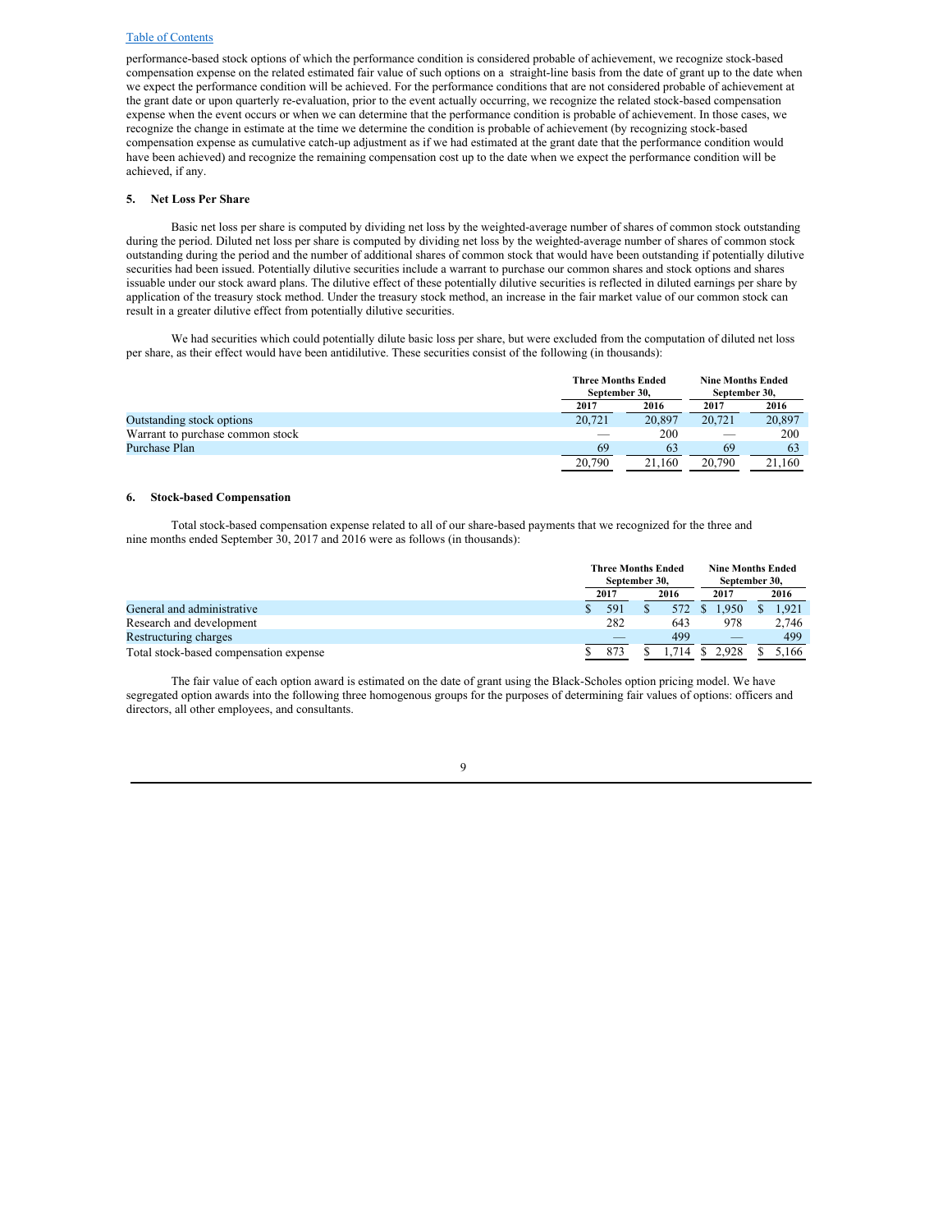performance-based stock options of which the performance condition is considered probable of achievement, we recognize stock-based compensation expense on the related estimated fair value of such options on a straight-line basis from the date of grant up to the date when we expect the performance condition will be achieved. For the performance conditions that are not considered probable of achievement at the grant date or upon quarterly re-evaluation, prior to the event actually occurring, we recognize the related stock-based compensation expense when the event occurs or when we can determine that the performance condition is probable of achievement. In those cases, we recognize the change in estimate at the time we determine the condition is probable of achievement (by recognizing stock-based compensation expense as cumulative catch-up adjustment as if we had estimated at the grant date that the performance condition would have been achieved) and recognize the remaining compensation cost up to the date when we expect the performance condition will be achieved, if any.

### **5. Net Loss Per Share**

Basic net loss per share is computed by dividing net loss by the weighted-average number of shares of common stock outstanding during the period. Diluted net loss per share is computed by dividing net loss by the weighted-average number of shares of common stock outstanding during the period and the number of additional shares of common stock that would have been outstanding if potentially dilutive securities had been issued. Potentially dilutive securities include a warrant to purchase our common shares and stock options and shares issuable under our stock award plans. The dilutive effect of these potentially dilutive securities is reflected in diluted earnings per share by application of the treasury stock method. Under the treasury stock method, an increase in the fair market value of our common stock can result in a greater dilutive effect from potentially dilutive securities.

We had securities which could potentially dilute basic loss per share, but were excluded from the computation of diluted net loss per share, as their effect would have been antidilutive. These securities consist of the following (in thousands):

|                                  | <b>Three Months Ended</b><br>September 30, |        |                          | <b>Nine Months Ended</b><br>September 30, |
|----------------------------------|--------------------------------------------|--------|--------------------------|-------------------------------------------|
|                                  | 2017                                       | 2016   | 2017                     | 2016                                      |
| Outstanding stock options        | 20.721                                     | 20,897 | 20.721                   | 20,897                                    |
| Warrant to purchase common stock |                                            | 200    | $\overline{\phantom{a}}$ | 200                                       |
| Purchase Plan                    | 69                                         | 63     | 69                       | 63                                        |
|                                  | 20,790                                     | 21.160 | 20,790                   | 21.160                                    |

# **6. Stock-based Compensation**

Total stock-based compensation expense related to all of our share-based payments that we recognized for the three and nine months ended September 30, 2017 and 2016 were as follows (in thousands):

|                                        | <b>Three Months Ended</b> |                          |  |     |               |       | <b>Nine Months Ended</b> |       |      |  |  |      |
|----------------------------------------|---------------------------|--------------------------|--|-----|---------------|-------|--------------------------|-------|------|--|--|------|
|                                        |                           | September 30,            |  |     | September 30, |       |                          |       |      |  |  |      |
|                                        |                           | 2017                     |  |     |               |       |                          | 2016  | 2017 |  |  | 2016 |
| General and administrative             |                           | 591                      |  | 572 |               | 1.950 |                          | 1,921 |      |  |  |      |
| Research and development               |                           | 282                      |  | 643 |               | 978   |                          | 2,746 |      |  |  |      |
| Restructuring charges                  |                           | $\overline{\phantom{a}}$ |  | 499 |               | $-$   |                          | 499   |      |  |  |      |
| Total stock-based compensation expense |                           | 873                      |  | '14 |               | 2.928 |                          | 5.166 |      |  |  |      |

The fair value of each option award is estimated on the date of grant using the Black-Scholes option pricing model. We have segregated option awards into the following three homogenous groups for the purposes of determining fair values of options: officers and directors, all other employees, and consultants.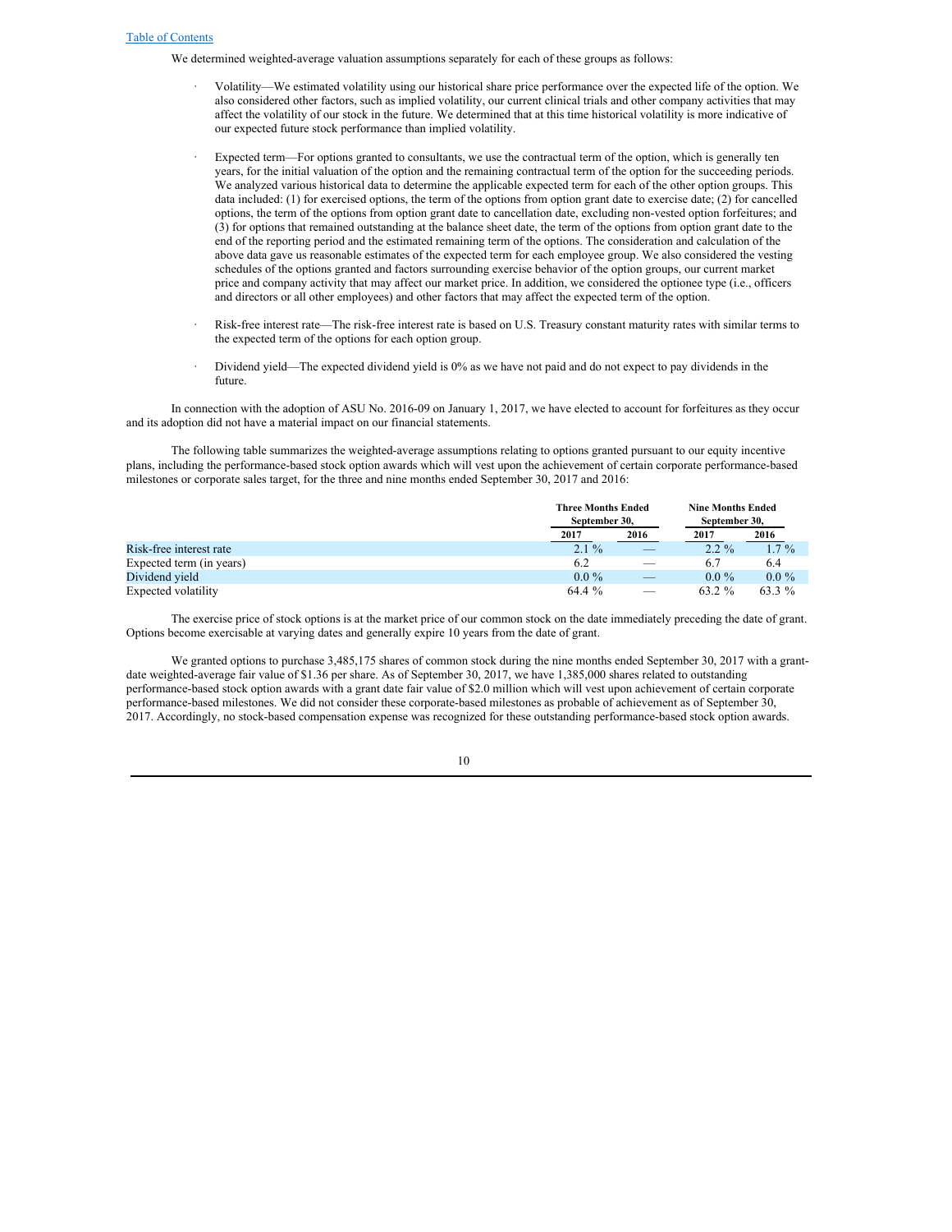We determined weighted-average valuation assumptions separately for each of these groups as follows:

- · Volatility—We estimated volatility using our historical share price performance over the expected life of the option. We also considered other factors, such as implied volatility, our current clinical trials and other company activities that may affect the volatility of our stock in the future. We determined that at this time historical volatility is more indicative of our expected future stock performance than implied volatility.
- Expected term—For options granted to consultants, we use the contractual term of the option, which is generally ten years, for the initial valuation of the option and the remaining contractual term of the option for the succeeding periods. We analyzed various historical data to determine the applicable expected term for each of the other option groups. This data included: (1) for exercised options, the term of the options from option grant date to exercise date; (2) for cancelled options, the term of the options from option grant date to cancellation date, excluding non-vested option forfeitures; and (3) for options that remained outstanding at the balance sheet date, the term of the options from option grant date to the end of the reporting period and the estimated remaining term of the options. The consideration and calculation of the above data gave us reasonable estimates of the expected term for each employee group. We also considered the vesting schedules of the options granted and factors surrounding exercise behavior of the option groups, our current market price and company activity that may affect our market price. In addition, we considered the optionee type (i.e., officers and directors or all other employees) and other factors that may affect the expected term of the option.
- Risk-free interest rate—The risk-free interest rate is based on U.S. Treasury constant maturity rates with similar terms to the expected term of the options for each option group.
- Dividend yield—The expected dividend yield is 0% as we have not paid and do not expect to pay dividends in the future.

In connection with the adoption of ASU No. 2016-09 on January 1, 2017, we have elected to account for forfeitures as they occur and its adoption did not have a material impact on our financial statements.

The following table summarizes the weighted-average assumptions relating to options granted pursuant to our equity incentive plans, including the performance-based stock option awards which will vest upon the achievement of certain corporate performance-based milestones or corporate sales target, for the three and nine months ended September 30, 2017 and 2016:

|                          | <b>Three Months Ended</b><br>September 30, |      | <b>Nine Months Ended</b><br>September 30. |         |
|--------------------------|--------------------------------------------|------|-------------------------------------------|---------|
|                          | 2017                                       | 2016 | 2017                                      | 2016    |
| Risk-free interest rate  | $2.1\%$                                    | _    | $2.2\%$                                   | $1.7\%$ |
| Expected term (in years) | 6.2                                        | -    | 6.7                                       | 6.4     |
| Dividend yield           | $0.0\%$                                    |      | $0.0\%$                                   | $0.0\%$ |
| Expected volatility      | 64.4 %                                     |      | 63.2 %                                    | 63.3 %  |

The exercise price of stock options is at the market price of our common stock on the date immediately preceding the date of grant. Options become exercisable at varying dates and generally expire 10 years from the date of grant.

We granted options to purchase 3,485,175 shares of common stock during the nine months ended September 30, 2017 with a grantdate weighted-average fair value of \$1.36 per share. As of September 30, 2017, we have 1,385,000 shares related to outstanding performance-based stock option awards with a grant date fair value of \$2.0 million which will vest upon achievement of certain corporate performance-based milestones. We did not consider these corporate-based milestones as probable of achievement as of September 30, 2017. Accordingly, no stock-based compensation expense was recognized for these outstanding performance-based stock option awards.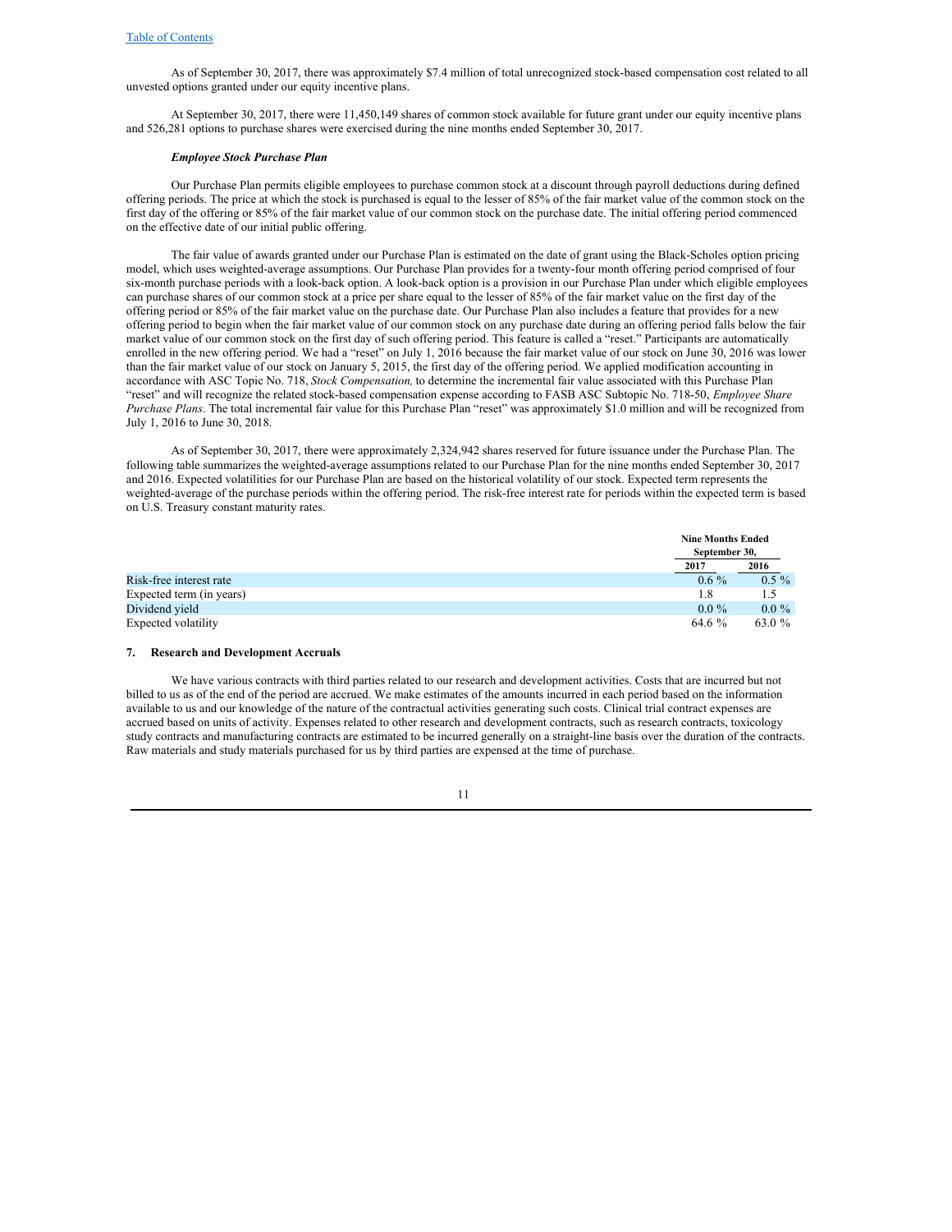As of September 30, 2017, there was approximately \$7.4 million of total unrecognized stock-based compensation cost related to all unvested options granted under our equity incentive plans.

At September 30, 2017, there were 11,450,149 shares of common stock available for future grant under our equity incentive plans and 526,281 options to purchase shares were exercised during the nine months ended September 30, 2017.

### *Employee Stock Purchase Plan*

Our Purchase Plan permits eligible employees to purchase common stock at a discount through payroll deductions during defined offering periods. The price at which the stock is purchased is equal to the lesser of 85% of the fair market value of the common stock on the first day of the offering or 85% of the fair market value of our common stock on the purchase date. The initial offering period commenced on the effective date of our initial public offering.

The fair value of awards granted under our Purchase Plan is estimated on the date of grant using the Black-Scholes option pricing model, which uses weighted-average assumptions. Our Purchase Plan provides for a twenty-four month offering period comprised of four six-month purchase periods with a look-back option. A look-back option is a provision in our Purchase Plan under which eligible employees can purchase shares of our common stock at a price per share equal to the lesser of 85% of the fair market value on the first day of the offering period or 85% of the fair market value on the purchase date. Our Purchase Plan also includes a feature that provides for a new offering period to begin when the fair market value of our common stock on any purchase date during an offering period falls below the fair market value of our common stock on the first day of such offering period. This feature is called a "reset." Participants are automatically enrolled in the new offering period. We had a "reset" on July 1, 2016 because the fair market value of our stock on June 30, 2016 was lower than the fair market value of our stock on January 5, 2015, the first day of the offering period. We applied modification accounting in accordance with ASC Topic No. 718, *Stock Compensation,* to determine the incremental fair value associated with this Purchase Plan "reset" and will recognize the related stock-based compensation expense according to FASB ASC Subtopic No. 718-50, *Employee Share Purchase Plans*. The total incremental fair value for this Purchase Plan "reset" was approximately \$1.0 million and will be recognized from July 1, 2016 to June 30, 2018.

As of September 30, 2017, there were approximately 2,324,942 shares reserved for future issuance under the Purchase Plan. The following table summarizes the weighted-average assumptions related to our Purchase Plan for the nine months ended September 30, 2017 and 2016. Expected volatilities for our Purchase Plan are based on the historical volatility of our stock. Expected term represents the weighted-average of the purchase periods within the offering period. The risk-free interest rate for periods within the expected term is based on U.S. Treasury constant maturity rates.

|                          | <b>Nine Months Ended</b> |         |
|--------------------------|--------------------------|---------|
|                          | September 30,            |         |
|                          | 2017                     | 2016    |
| Risk-free interest rate  | $0.6\%$                  | $0.5\%$ |
| Expected term (in years) | 1.8                      | 1.5     |
| Dividend yield           | $0.0\%$                  | $0.0\%$ |
| Expected volatility      | $64.6 \%$                | 63.0 %  |

#### **7. Research and Development Accruals**

We have various contracts with third parties related to our research and development activities. Costs that are incurred but not billed to us as of the end of the period are accrued. We make estimates of the amounts incurred in each period based on the information available to us and our knowledge of the nature of the contractual activities generating such costs. Clinical trial contract expenses are accrued based on units of activity. Expenses related to other research and development contracts, such as research contracts, toxicology study contracts and manufacturing contracts are estimated to be incurred generally on a straight-line basis over the duration of the contracts. Raw materials and study materials purchased for us by third parties are expensed at the time of purchase.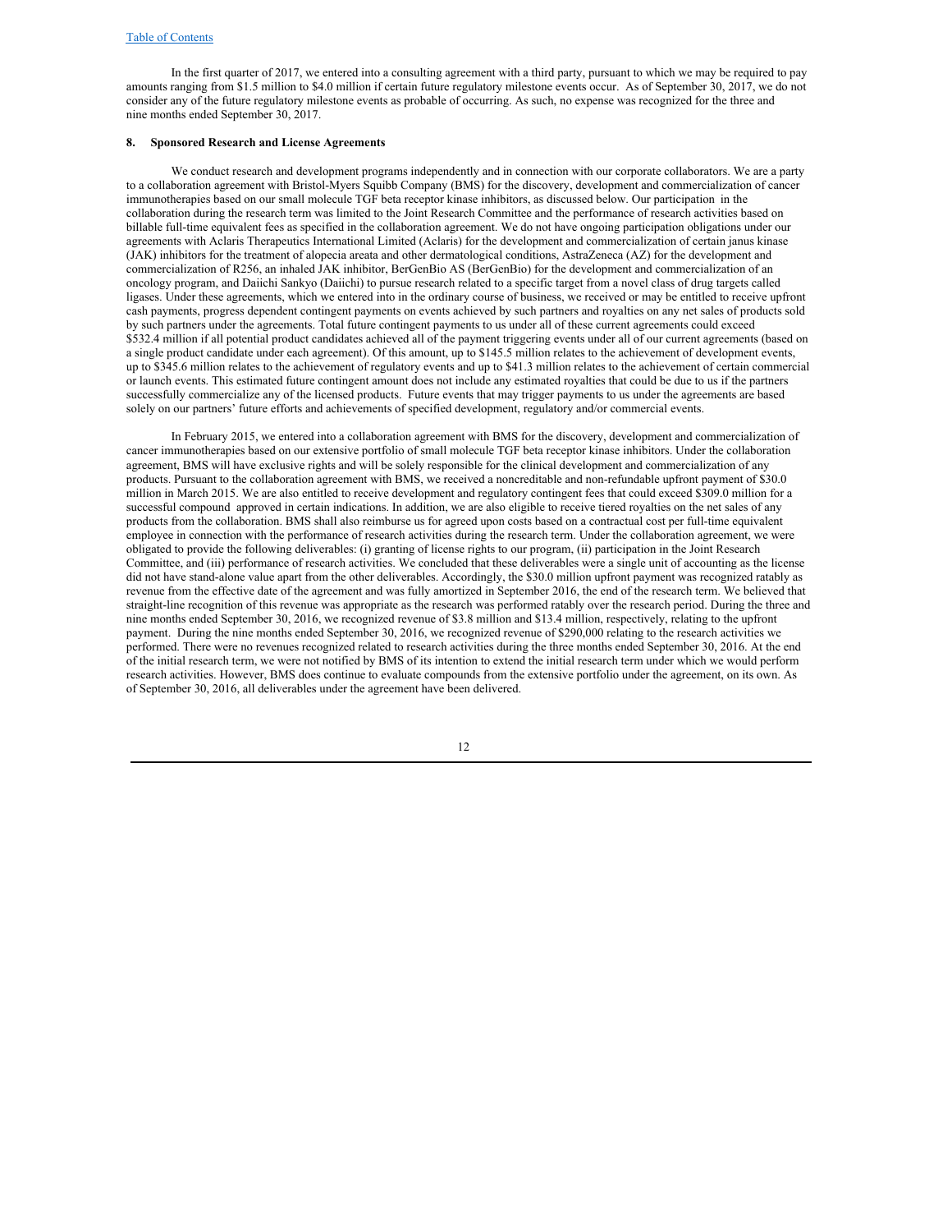In the first quarter of 2017, we entered into a consulting agreement with a third party, pursuant to which we may be required to pay amounts ranging from \$1.5 million to \$4.0 million if certain future regulatory milestone events occur. As of September 30, 2017, we do not consider any of the future regulatory milestone events as probable of occurring. As such, no expense was recognized for the three and nine months ended September 30, 2017.

# **8. Sponsored Research and License Agreements**

We conduct research and development programs independently and in connection with our corporate collaborators. We are a party to a collaboration agreement with Bristol-Myers Squibb Company (BMS) for the discovery, development and commercialization of cancer immunotherapies based on our small molecule TGF beta receptor kinase inhibitors, as discussed below. Our participation in the collaboration during the research term was limited to the Joint Research Committee and the performance of research activities based on billable full-time equivalent fees as specified in the collaboration agreement. We do not have ongoing participation obligations under our agreements with Aclaris Therapeutics International Limited (Aclaris) for the development and commercialization of certain janus kinase (JAK) inhibitors for the treatment of alopecia areata and other dermatological conditions, AstraZeneca (AZ) for the development and commercialization of R256, an inhaled JAK inhibitor, BerGenBio AS (BerGenBio) for the development and commercialization of an oncology program, and Daiichi Sankyo (Daiichi) to pursue research related to a specific target from a novel class of drug targets called ligases. Under these agreements, which we entered into in the ordinary course of business, we received or may be entitled to receive upfront cash payments, progress dependent contingent payments on events achieved by such partners and royalties on any net sales of products sold by such partners under the agreements. Total future contingent payments to us under all of these current agreements could exceed \$532.4 million if all potential product candidates achieved all of the payment triggering events under all of our current agreements (based on a single product candidate under each agreement). Of this amount, up to \$145.5 million relates to the achievement of development events, up to \$345.6 million relates to the achievement of regulatory events and up to \$41.3 million relates to the achievement of certain commercial or launch events. This estimated future contingent amount does not include any estimated royalties that could be due to us if the partners successfully commercialize any of the licensed products. Future events that may trigger payments to us under the agreements are based solely on our partners' future efforts and achievements of specified development, regulatory and/or commercial events.

In February 2015, we entered into a collaboration agreement with BMS for the discovery, development and commercialization of cancer immunotherapies based on our extensive portfolio of small molecule TGF beta receptor kinase inhibitors. Under the collaboration agreement, BMS will have exclusive rights and will be solely responsible for the clinical development and commercialization of any products. Pursuant to the collaboration agreement with BMS, we received a noncreditable and non-refundable upfront payment of \$30.0 million in March 2015. We are also entitled to receive development and regulatory contingent fees that could exceed \$309.0 million for a successful compound approved in certain indications. In addition, we are also eligible to receive tiered royalties on the net sales of any products from the collaboration. BMS shall also reimburse us for agreed upon costs based on a contractual cost per full-time equivalent employee in connection with the performance of research activities during the research term. Under the collaboration agreement, we were obligated to provide the following deliverables: (i) granting of license rights to our program, (ii) participation in the Joint Research Committee, and (iii) performance of research activities. We concluded that these deliverables were a single unit of accounting as the license did not have stand-alone value apart from the other deliverables. Accordingly, the \$30.0 million upfront payment was recognized ratably as revenue from the effective date of the agreement and was fully amortized in September 2016, the end of the research term. We believed that straight-line recognition of this revenue was appropriate as the research was performed ratably over the research period. During the three and nine months ended September 30, 2016, we recognized revenue of \$3.8 million and \$13.4 million, respectively, relating to the upfront payment. During the nine months ended September 30, 2016, we recognized revenue of \$290,000 relating to the research activities we performed. There were no revenues recognized related to research activities during the three months ended September 30, 2016. At the end of the initial research term, we were not notified by BMS of its intention to extend the initial research term under which we would perform research activities. However, BMS does continue to evaluate compounds from the extensive portfolio under the agreement, on its own. As of September 30, 2016, all deliverables under the agreement have been delivered.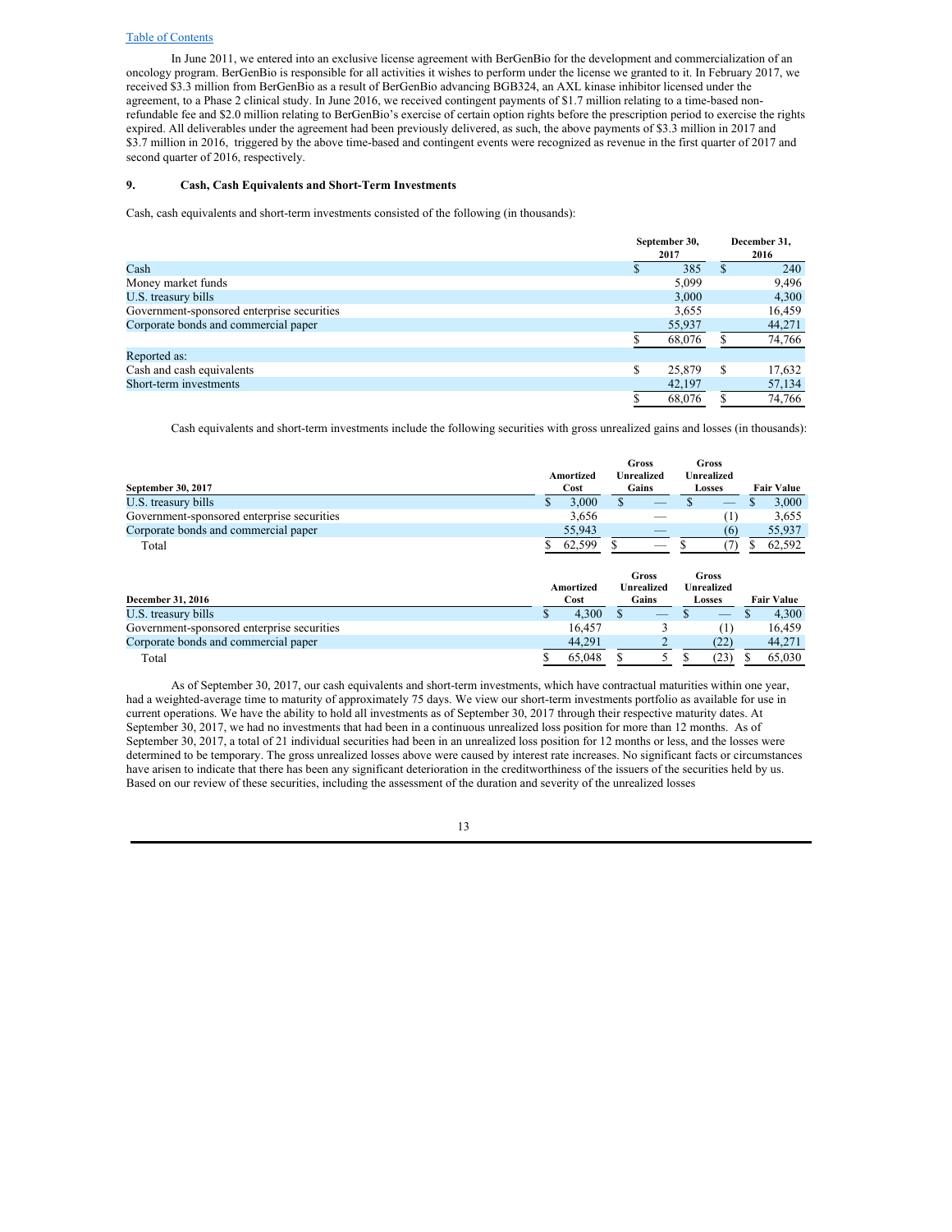In June 2011, we entered into an exclusive license agreement with BerGenBio for the development and commercialization of an oncology program. BerGenBio is responsible for all activities it wishes to perform under the license we granted to it. In February 2017, we received \$3.3 million from BerGenBio as a result of BerGenBio advancing BGB324, an AXL kinase inhibitor licensed under the agreement, to a Phase 2 clinical study. In June 2016, we received contingent payments of \$1.7 million relating to a time-based nonrefundable fee and \$2.0 million relating to BerGenBio's exercise of certain option rights before the prescription period to exercise the rights expired. All deliverables under the agreement had been previously delivered, as such, the above payments of \$3.3 million in 2017 and \$3.7 million in 2016, triggered by the above time-based and contingent events were recognized as revenue in the first quarter of 2017 and second quarter of 2016, respectively.

# **9. Cash, Cash Equivalents and Short-Term Investments**

Cash, cash equivalents and short-term investments consisted of the following (in thousands):

|                                            | September 30, |          | December 31, |
|--------------------------------------------|---------------|----------|--------------|
|                                            | 2017          |          | 2016         |
| Cash                                       |               | 385<br>S | 240          |
| Money market funds                         | 5.099         |          | 9,496        |
| U.S. treasury bills                        | 3,000         |          | 4,300        |
| Government-sponsored enterprise securities | 3,655         |          | 16,459       |
| Corporate bonds and commercial paper       | 55,937        |          | 44,271       |
|                                            | 68,076        |          | 74,766       |
| Reported as:                               |               |          |              |
| Cash and cash equivalents                  | S<br>25,879   | S        | 17,632       |
| Short-term investments                     | 42,197        |          | 57,134       |
|                                            | 68,076        |          | 74.766       |

Cash equivalents and short-term investments include the following securities with gross unrealized gains and losses (in thousands):

| September 30, 2017                         | Amortized<br>Cost | Gross<br>Unrealized<br>Gains | Gross<br>Unrealized<br><b>Losses</b> | <b>Fair Value</b> |
|--------------------------------------------|-------------------|------------------------------|--------------------------------------|-------------------|
| U.S. treasury bills                        | \$<br>3.000       |                              | _                                    | 3,000             |
| Government-sponsored enterprise securities | 3,656             |                              | Τ.                                   | 3,655             |
| Corporate bonds and commercial paper       | 55,943            |                              | (6)                                  | 55,937            |
| Total                                      | 62,599            | $-$                          |                                      | 62.592            |

| <b>December 31, 2016</b>                   | Amortized<br>Cost |        |  |                          |      |        | Gross<br>Unrealized<br>Gains |  |  | Gross<br>Unrealized<br>Losses | <b>Fair Value</b> |
|--------------------------------------------|-------------------|--------|--|--------------------------|------|--------|------------------------------|--|--|-------------------------------|-------------------|
| U.S. treasury bills                        |                   | 4.300  |  | $\overline{\phantom{a}}$ |      | 4.300  |                              |  |  |                               |                   |
| Government-sponsored enterprise securities |                   | 16.457 |  |                          |      | 16.459 |                              |  |  |                               |                   |
| Corporate bonds and commercial paper       |                   | 44.291 |  |                          | (22) | 44.271 |                              |  |  |                               |                   |
| Total                                      |                   | 65,048 |  |                          | (23) | 65,030 |                              |  |  |                               |                   |

As of September 30, 2017, our cash equivalents and short-term investments, which have contractual maturities within one year, had a weighted-average time to maturity of approximately 75 days. We view our short-term investments portfolio as available for use in current operations. We have the ability to hold all investments as of September 30, 2017 through their respective maturity dates. At September 30, 2017, we had no investments that had been in a continuous unrealized loss position for more than 12 months. As of September 30, 2017, a total of 21 individual securities had been in an unrealized loss position for 12 months or less, and the losses were determined to be temporary. The gross unrealized losses above were caused by interest rate increases. No significant facts or circumstances have arisen to indicate that there has been any significant deterioration in the creditworthiness of the issuers of the securities held by us. Based on our review of these securities, including the assessment of the duration and severity of the unrealized losses

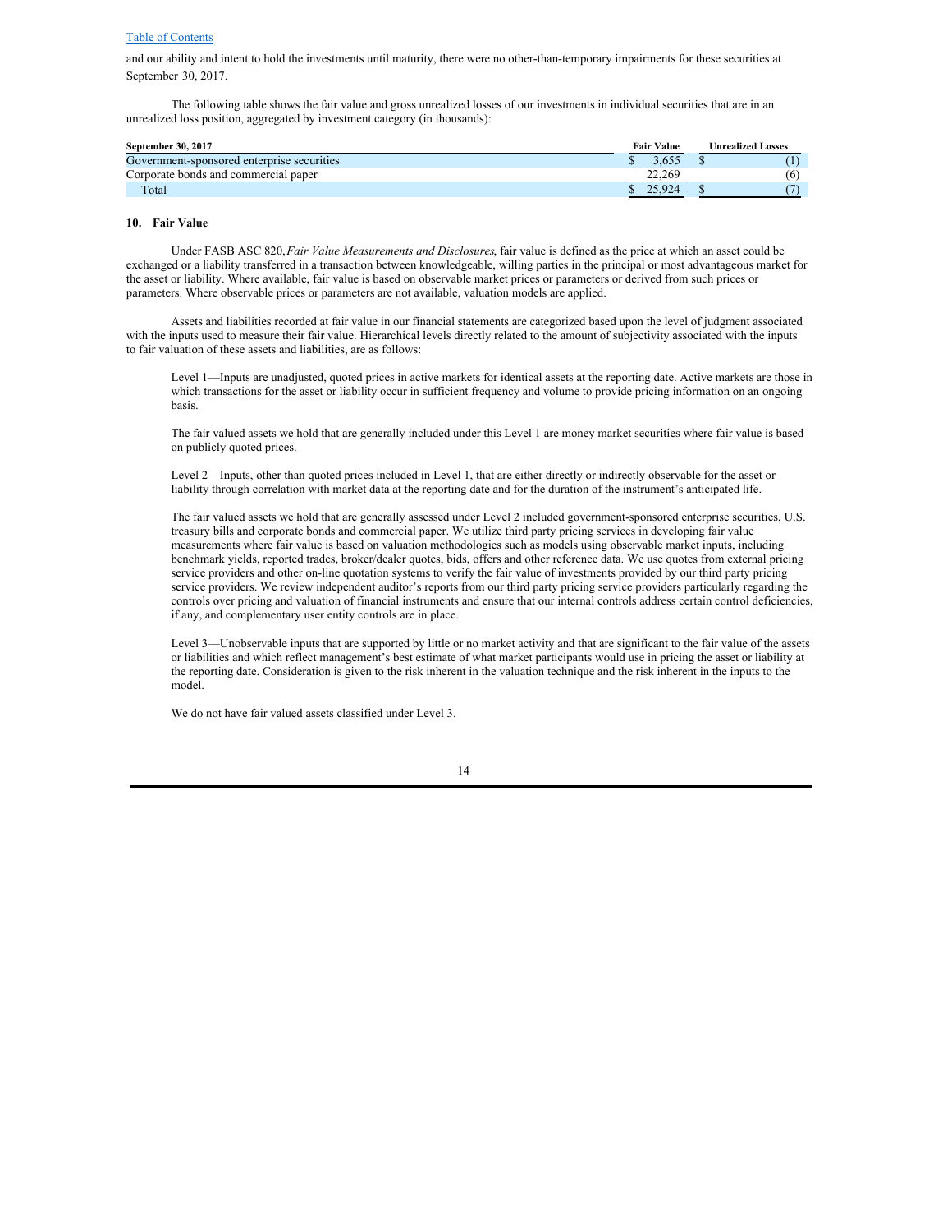and our ability and intent to hold the investments until maturity, there were no other-than-temporary impairments for these securities at September 30, 2017.

The following table shows the fair value and gross unrealized losses of our investments in individual securities that are in an unrealized loss position, aggregated by investment category (in thousands):

| September 30, 2017                         | <b>Fair Value</b> | <b>Unrealized Losses</b> |
|--------------------------------------------|-------------------|--------------------------|
| Government-sponsored enterprise securities | 3.655             |                          |
| Corporate bonds and commercial paper       | 22.269            |                          |
| Total                                      | 25.924            |                          |

# **10. Fair Value**

Under FASB ASC 820,*Fair Value Measurements and Disclosures*, fair value is defined as the price at which an asset could be exchanged or a liability transferred in a transaction between knowledgeable, willing parties in the principal or most advantageous market for the asset or liability. Where available, fair value is based on observable market prices or parameters or derived from such prices or parameters. Where observable prices or parameters are not available, valuation models are applied.

Assets and liabilities recorded at fair value in our financial statements are categorized based upon the level of judgment associated with the inputs used to measure their fair value. Hierarchical levels directly related to the amount of subjectivity associated with the inputs to fair valuation of these assets and liabilities, are as follows:

Level 1—Inputs are unadjusted, quoted prices in active markets for identical assets at the reporting date. Active markets are those in which transactions for the asset or liability occur in sufficient frequency and volume to provide pricing information on an ongoing basis.

The fair valued assets we hold that are generally included under this Level 1 are money market securities where fair value is based on publicly quoted prices.

Level 2—Inputs, other than quoted prices included in Level 1, that are either directly or indirectly observable for the asset or liability through correlation with market data at the reporting date and for the duration of the instrument's anticipated life.

The fair valued assets we hold that are generally assessed under Level 2 included government-sponsored enterprise securities, U.S. treasury bills and corporate bonds and commercial paper. We utilize third party pricing services in developing fair value measurements where fair value is based on valuation methodologies such as models using observable market inputs, including benchmark yields, reported trades, broker/dealer quotes, bids, offers and other reference data. We use quotes from external pricing service providers and other on-line quotation systems to verify the fair value of investments provided by our third party pricing service providers. We review independent auditor's reports from our third party pricing service providers particularly regarding the controls over pricing and valuation of financial instruments and ensure that our internal controls address certain control deficiencies, if any, and complementary user entity controls are in place.

Level 3—Unobservable inputs that are supported by little or no market activity and that are significant to the fair value of the assets or liabilities and which reflect management's best estimate of what market participants would use in pricing the asset or liability at the reporting date. Consideration is given to the risk inherent in the valuation technique and the risk inherent in the inputs to the model.

We do not have fair valued assets classified under Level 3.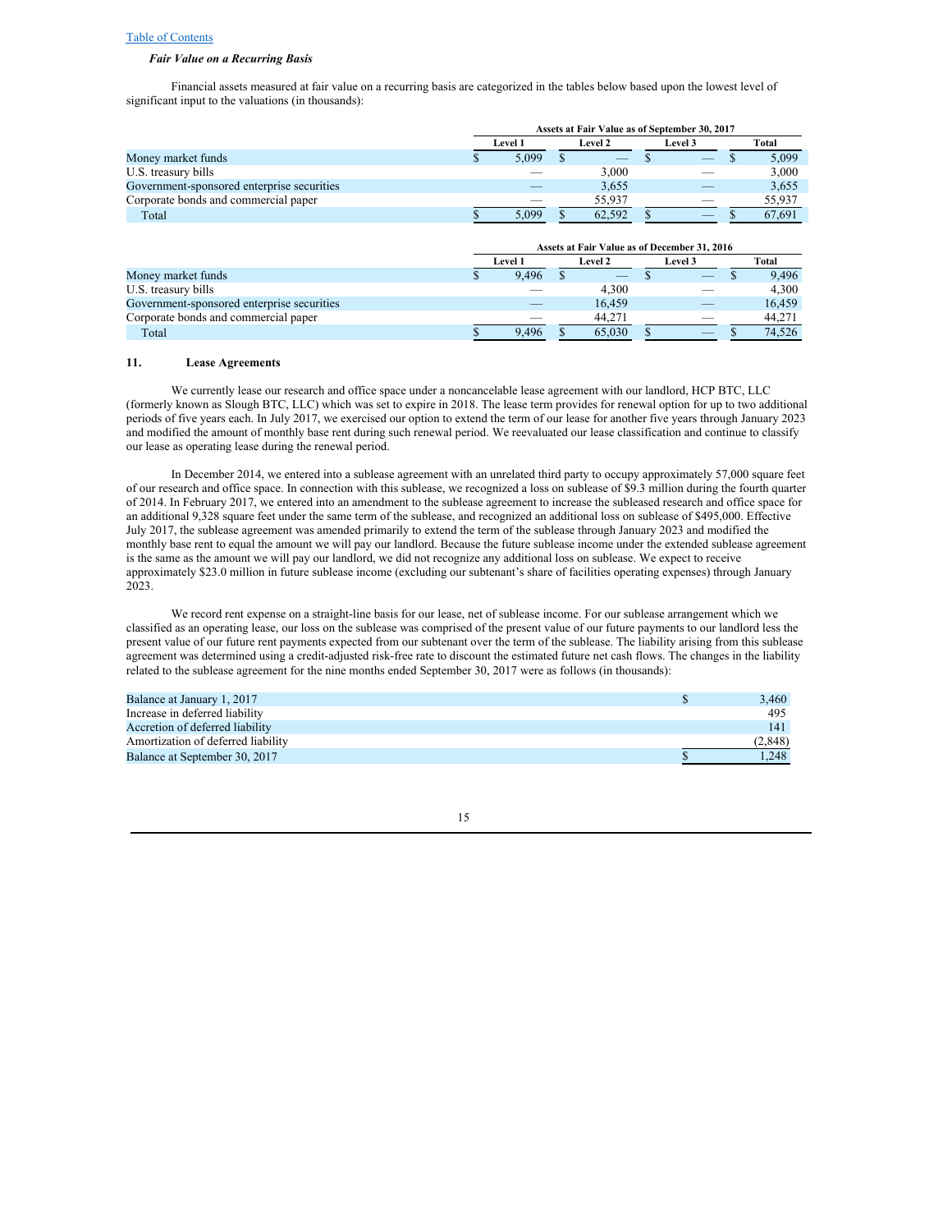# *Fair Value on a Recurring Basis*

Financial assets measured at fair value on a recurring basis are categorized in the tables below based upon the lowest level of significant input to the valuations (in thousands):

|                                                        |             |                |            | Assets at Fair Value as of September 30, 2017 |            |         |            |        |
|--------------------------------------------------------|-------------|----------------|------------|-----------------------------------------------|------------|---------|------------|--------|
|                                                        |             | <b>Level 1</b> |            | <b>Level 2</b>                                |            | Level 3 |            | Total  |
| Money market funds                                     |             | 5,099          | S          |                                               |            | $-$     | D          | 5,099  |
| U.S. treasury bills                                    |             |                |            | 3,000                                         |            |         |            | 3,000  |
| Government-sponsored enterprise securities             |             | _              |            | 3,655                                         |            |         |            | 3,655  |
| Corporate bonds and commercial paper                   |             | __             |            | 55,937                                        |            | _       |            | 55,937 |
| Total                                                  |             | 5,099          |            | 62,592                                        |            |         |            | 67,691 |
|                                                        |             |                |            |                                               |            |         |            |        |
|                                                        |             |                |            | Assets at Fair Value as of December 31, 2016  |            |         |            |        |
|                                                        |             | <b>Level 1</b> |            | <b>Level 2</b>                                |            | Level 3 |            | Total  |
| $\mathbf{r}$<br>$\mathbf{1}$ $\mathbf{2}$ $\mathbf{3}$ | $\triangle$ | 0.105          | $\sqrt{2}$ |                                               | $\sqrt{2}$ |         | $\sqrt{2}$ | 0.105  |

|                                            | ее н<br>Level 4<br>еет э |  |        |  |                          | TUTAI  |
|--------------------------------------------|--------------------------|--|--------|--|--------------------------|--------|
| Money market funds                         | 9.496                    |  | $-$    |  |                          | 9.496  |
| U.S. treasury bills                        |                          |  | 4.300  |  | $\overline{\phantom{a}}$ | 4.300  |
| Government-sponsored enterprise securities |                          |  | 16.459 |  | __                       | 16.459 |
| Corporate bonds and commercial paper       |                          |  | 44.271 |  |                          | 44.271 |
| Total                                      | 9.496                    |  | 65,030 |  |                          | 74.526 |

# **11. Lease Agreements**

We currently lease our research and office space under a noncancelable lease agreement with our landlord, HCP BTC, LLC (formerly known as Slough BTC, LLC) which was set to expire in 2018. The lease term provides for renewal option for up to two additional periods of five years each. In July 2017, we exercised our option to extend the term of our lease for another five years through January 2023 and modified the amount of monthly base rent during such renewal period. We reevaluated our lease classification and continue to classify our lease as operating lease during the renewal period.

In December 2014, we entered into a sublease agreement with an unrelated third party to occupy approximately 57,000 square feet of our research and office space. In connection with this sublease, we recognized a loss on sublease of \$9.3 million during the fourth quarter of 2014. In February 2017, we entered into an amendment to the sublease agreement to increase the subleased research and office space for an additional 9,328 square feet under the same term of the sublease, and recognized an additional loss on sublease of \$495,000. Effective July 2017, the sublease agreement was amended primarily to extend the term of the sublease through January 2023 and modified the monthly base rent to equal the amount we will pay our landlord. Because the future sublease income under the extended sublease agreement is the same as the amount we will pay our landlord, we did not recognize any additional loss on sublease. We expect to receive approximately \$23.0 million in future sublease income (excluding our subtenant's share of facilities operating expenses) through January 2023.

We record rent expense on a straight-line basis for our lease, net of sublease income. For our sublease arrangement which we classified as an operating lease, our loss on the sublease was comprised of the present value of our future payments to our landlord less the present value of our future rent payments expected from our subtenant over the term of the sublease. The liability arising from this sublease agreement was determined using a credit-adjusted risk-free rate to discount the estimated future net cash flows. The changes in the liability related to the sublease agreement for the nine months ended September 30, 2017 were as follows (in thousands):

| Balance at January 1, 2017         | 3.460   |
|------------------------------------|---------|
| Increase in deferred liability     | 495     |
| Accretion of deferred liability    | 141     |
| Amortization of deferred liability | (2.848) |
| Balance at September 30, 2017      | 1.248   |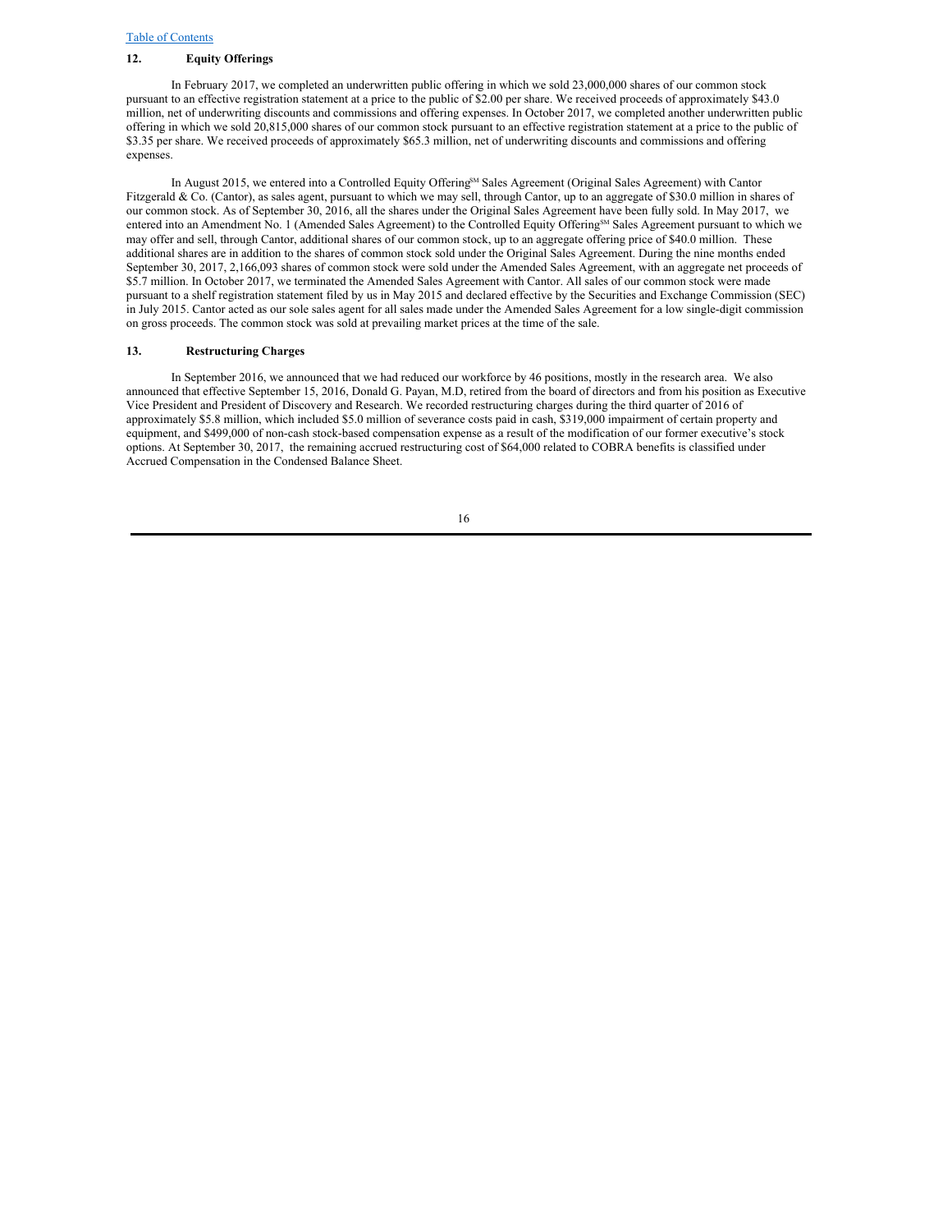# **12. Equity Offerings**

In February 2017, we completed an underwritten public offering in which we sold 23,000,000 shares of our common stock pursuant to an effective registration statement at a price to the public of \$2.00 per share. We received proceeds of approximately \$43.0 million, net of underwriting discounts and commissions and offering expenses. In October 2017, we completed another underwritten public offering in which we sold 20,815,000 shares of our common stock pursuant to an effective registration statement at a price to the public of \$3.35 per share. We received proceeds of approximately \$65.3 million, net of underwriting discounts and commissions and offering expenses.

In August 2015, we entered into a Controlled Equity Offering<sup>SM</sup> Sales Agreement (Original Sales Agreement) with Cantor Fitzgerald & Co. (Cantor), as sales agent, pursuant to which we may sell, through Cantor, up to an aggregate of \$30.0 million in shares of our common stock. As of September 30, 2016, all the shares under the Original Sales Agreement have been fully sold. In May 2017, we entered into an Amendment No. 1 (Amended Sales Agreement) to the Controlled Equity Offering<sup>SM</sup> Sales Agreement pursuant to which we may offer and sell, through Cantor, additional shares of our common stock, up to an aggregate offering price of \$40.0 million. These additional shares are in addition to the shares of common stock sold under the Original Sales Agreement. During the nine months ended September 30, 2017, 2,166,093 shares of common stock were sold under the Amended Sales Agreement, with an aggregate net proceeds of \$5.7 million. In October 2017, we terminated the Amended Sales Agreement with Cantor. All sales of our common stock were made pursuant to a shelf registration statement filed by us in May 2015 and declared effective by the Securities and Exchange Commission (SEC) in July 2015. Cantor acted as our sole sales agent for all sales made under the Amended Sales Agreement for a low single-digit commission on gross proceeds. The common stock was sold at prevailing market prices at the time of the sale.

# **13. Restructuring Charges**

In September 2016, we announced that we had reduced our workforce by 46 positions, mostly in the research area. We also announced that effective September 15, 2016, Donald G. Payan, M.D, retired from the board of directors and from his position as Executive Vice President and President of Discovery and Research. We recorded restructuring charges during the third quarter of 2016 of approximately \$5.8 million, which included \$5.0 million of severance costs paid in cash, \$319,000 impairment of certain property and equipment, and \$499,000 of non-cash stock-based compensation expense as a result of the modification of our former executive's stock options. At September 30, 2017, the remaining accrued restructuring cost of \$64,000 related to COBRA benefits is classified under Accrued Compensation in the Condensed Balance Sheet.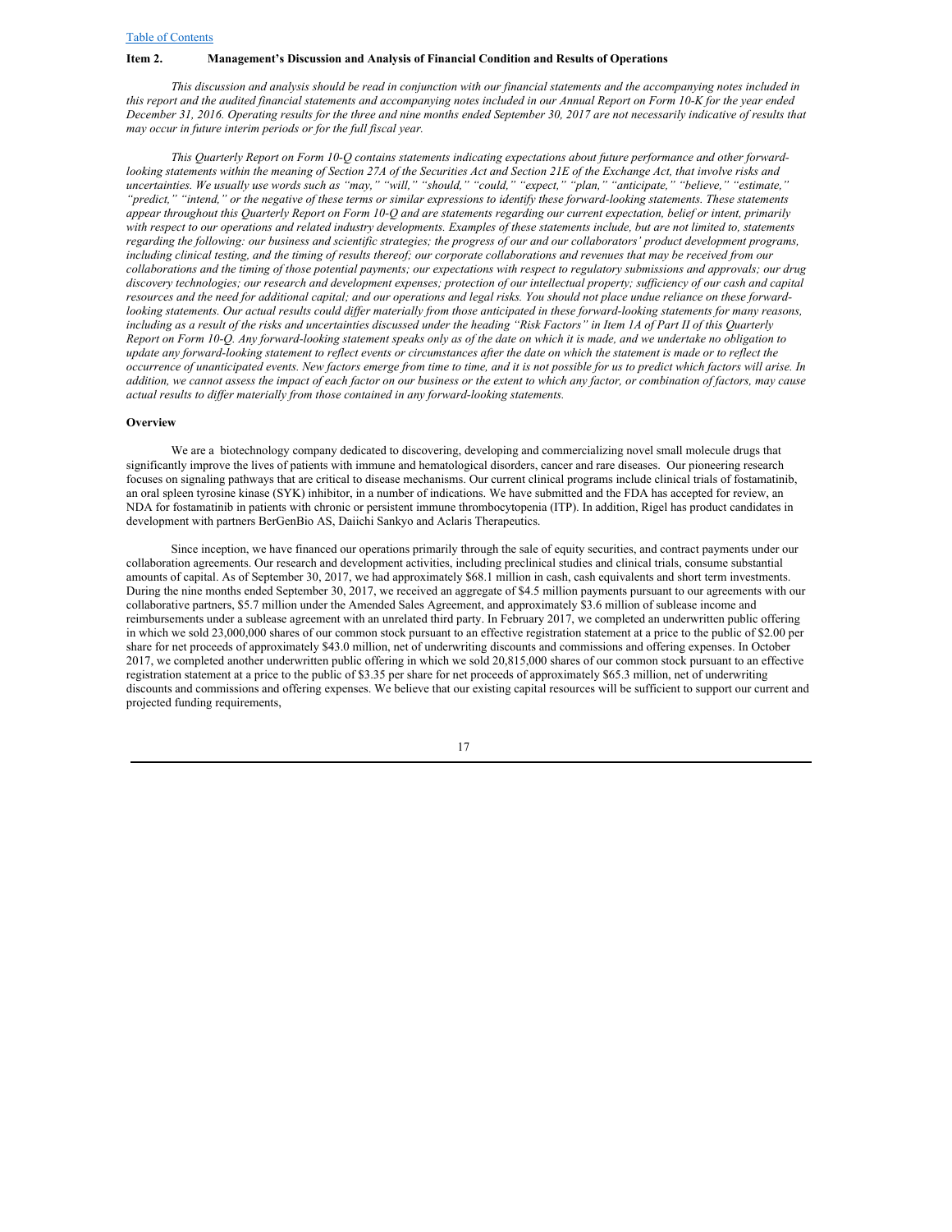# <span id="page-16-0"></span>**Item 2. Management's Discussion and Analysis of Financial Condition and Results of Operations**

This discussion and analysis should be read in conjunction with our financial statements and the accompanying notes included in this report and the audited financial statements and accompanying notes included in our Annual Report on Form 10-K for the year ended December 31, 2016. Operating results for the three and nine months ended September 30, 2017 are not necessarily indicative of results that *may occur in future interim periods or for the full fiscal year.*

This Quarterly Report on Form 10-Q contains statements indicating expectations about future performance and other forwardlooking statements within the meaning of Section 27A of the Securities Act and Section 21E of the Exchange Act, that involve risks and uncertainties. We usually use words such as "may," "will," "should," "could," "expect," "plan," "anticipate," "believe," "estimate," "predict," "intend," or the negative of these terms or similar expressions to identify these forward-looking statements. These statements appear throughout this Quarterly Report on Form 10-Q and are statements regarding our current expectation, belief or intent, primarily with respect to our operations and related industry developments. Examples of these statements include, but are not limited to, statements regarding the following: our business and scientific strategies; the progress of our and our collaborators' product development programs, including clinical testing, and the timing of results thereof; our corporate collaborations and revenues that may be received from our collaborations and the timing of those potential payments; our expectations with respect to regulatory submissions and approvals; our drug discovery technologies; our research and development expenses; protection of our intellectual property; sufficiency of our cash and capital resources and the need for additional capital; and our operations and legal risks. You should not place undue reliance on these forwardlooking statements. Our actual results could differ materially from those anticipated in these forward-looking statements for many reasons, including as a result of the risks and uncertainties discussed under the heading "Risk Factors" in Item 1A of Part II of this Quarterly Report on Form 10-Q. Any forward-looking statement speaks only as of the date on which it is made, and we undertake no obligation to update any forward-looking statement to reflect events or circumstances after the date on which the statement is made or to reflect the occurrence of unanticipated events. New factors emerge from time to time, and it is not possible for us to predict which factors will arise. In addition, we cannot assess the impact of each factor on our business or the extent to which any factor, or combination of factors, may cause *actual results to dif er materially from those contained in any forward-looking statements.*

#### **Overview**

We are a biotechnology company dedicated to discovering, developing and commercializing novel small molecule drugs that significantly improve the lives of patients with immune and hematological disorders, cancer and rare diseases. Our pioneering research focuses on signaling pathways that are critical to disease mechanisms. Our current clinical programs include clinical trials of fostamatinib, an oral spleen tyrosine kinase (SYK) inhibitor, in a number of indications. We have submitted and the FDA has accepted for review, an NDA for fostamatinib in patients with chronic or persistent immune thrombocytopenia (ITP). In addition, Rigel has product candidates in development with partners BerGenBio AS, Daiichi Sankyo and Aclaris Therapeutics.

Since inception, we have financed our operations primarily through the sale of equity securities, and contract payments under our collaboration agreements. Our research and development activities, including preclinical studies and clinical trials, consume substantial amounts of capital. As of September 30, 2017, we had approximately \$68.1 million in cash, cash equivalents and short term investments. During the nine months ended September 30, 2017, we received an aggregate of \$4.5 million payments pursuant to our agreements with our collaborative partners, \$5.7 million under the Amended Sales Agreement, and approximately \$3.6 million of sublease income and reimbursements under a sublease agreement with an unrelated third party. In February 2017, we completed an underwritten public offering in which we sold 23,000,000 shares of our common stock pursuant to an effective registration statement at a price to the public of \$2.00 per share for net proceeds of approximately \$43.0 million, net of underwriting discounts and commissions and offering expenses. In October 2017, we completed another underwritten public offering in which we sold 20,815,000 shares of our common stock pursuant to an effective registration statement at a price to the public of \$3.35 per share for net proceeds of approximately \$65.3 million, net of underwriting discounts and commissions and offering expenses. We believe that our existing capital resources will be sufficient to support our current and projected funding requirements,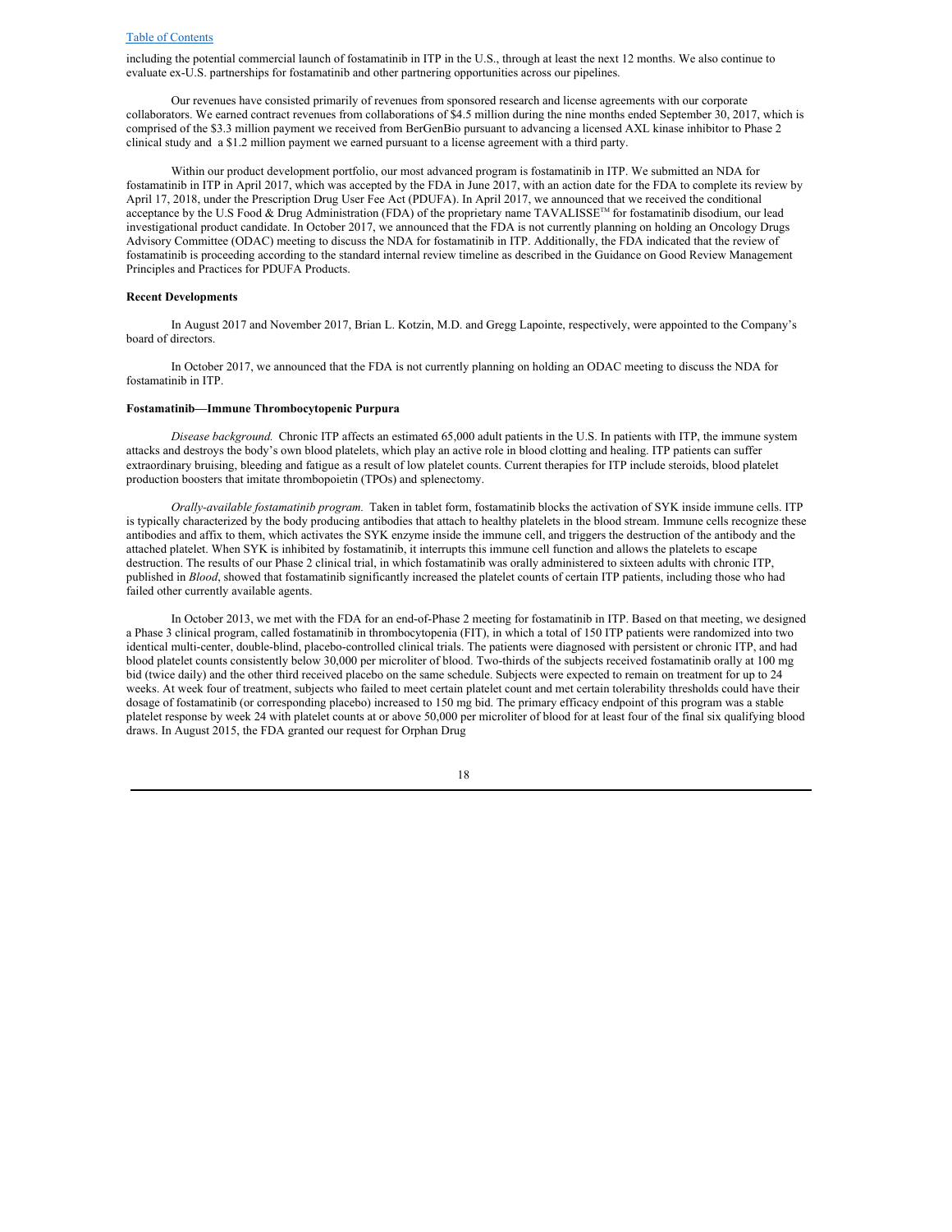including the potential commercial launch of fostamatinib in ITP in the U.S., through at least the next 12 months. We also continue to evaluate ex-U.S. partnerships for fostamatinib and other partnering opportunities across our pipelines.

Our revenues have consisted primarily of revenues from sponsored research and license agreements with our corporate collaborators. We earned contract revenues from collaborations of \$4.5 million during the nine months ended September 30, 2017, which is comprised of the \$3.3 million payment we received from BerGenBio pursuant to advancing a licensed AXL kinase inhibitor to Phase 2 clinical study and a \$1.2 million payment we earned pursuant to a license agreement with a third party.

Within our product development portfolio, our most advanced program is fostamatinib in ITP. We submitted an NDA for fostamatinib in ITP in April 2017, which was accepted by the FDA in June 2017, with an action date for the FDA to complete its review by April 17, 2018, under the Prescription Drug User Fee Act (PDUFA). In April 2017, we announced that we received the conditional acceptance by the U.S Food & Drug Administration (FDA) of the proprietary name TAVALISSE<sup>TM</sup> for fostamatinib disodium, our lead investigational product candidate. In October 2017, we announced that the FDA is not currently planning on holding an Oncology Drugs Advisory Committee (ODAC) meeting to discuss the NDA for fostamatinib in ITP. Additionally, the FDA indicated that the review of fostamatinib is proceeding according to the standard internal review timeline as described in the Guidance on Good Review Management Principles and Practices for PDUFA Products.

### **Recent Developments**

In August 2017 and November 2017, Brian L. Kotzin, M.D. and Gregg Lapointe, respectively, were appointed to the Company's board of directors.

In October 2017, we announced that the FDA is not currently planning on holding an ODAC meeting to discuss the NDA for fostamatinib in ITP.

### **Fostamatinib—Immune Thrombocytopenic Purpura**

*Disease background.* Chronic ITP affects an estimated 65,000 adult patients in the U.S. In patients with ITP, the immune system attacks and destroys the body's own blood platelets, which play an active role in blood clotting and healing. ITP patients can suffer extraordinary bruising, bleeding and fatigue as a result of low platelet counts. Current therapies for ITP include steroids, blood platelet production boosters that imitate thrombopoietin (TPOs) and splenectomy.

*Orally-available fostamatinib program.* Taken in tablet form, fostamatinib blocks the activation of SYK inside immune cells. ITP is typically characterized by the body producing antibodies that attach to healthy platelets in the blood stream. Immune cells recognize these antibodies and affix to them, which activates the SYK enzyme inside the immune cell, and triggers the destruction of the antibody and the attached platelet. When SYK is inhibited by fostamatinib, it interrupts this immune cell function and allows the platelets to escape destruction. The results of our Phase 2 clinical trial, in which fostamatinib was orally administered to sixteen adults with chronic ITP, published in *Blood*, showed that fostamatinib significantly increased the platelet counts of certain ITP patients, including those who had failed other currently available agents.

In October 2013, we met with the FDA for an end-of-Phase 2 meeting for fostamatinib in ITP. Based on that meeting, we designed a Phase 3 clinical program, called fostamatinib in thrombocytopenia (FIT), in which a total of 150 ITP patients were randomized into two identical multi-center, double-blind, placebo-controlled clinical trials. The patients were diagnosed with persistent or chronic ITP, and had blood platelet counts consistently below 30,000 per microliter of blood. Two-thirds of the subjects received fostamatinib orally at 100 mg bid (twice daily) and the other third received placebo on the same schedule. Subjects were expected to remain on treatment for up to 24 weeks. At week four of treatment, subjects who failed to meet certain platelet count and met certain tolerability thresholds could have their dosage of fostamatinib (or corresponding placebo) increased to 150 mg bid. The primary efficacy endpoint of this program was a stable platelet response by week 24 with platelet counts at or above 50,000 per microliter of blood for at least four of the final six qualifying blood draws. In August 2015, the FDA granted our request for Orphan Drug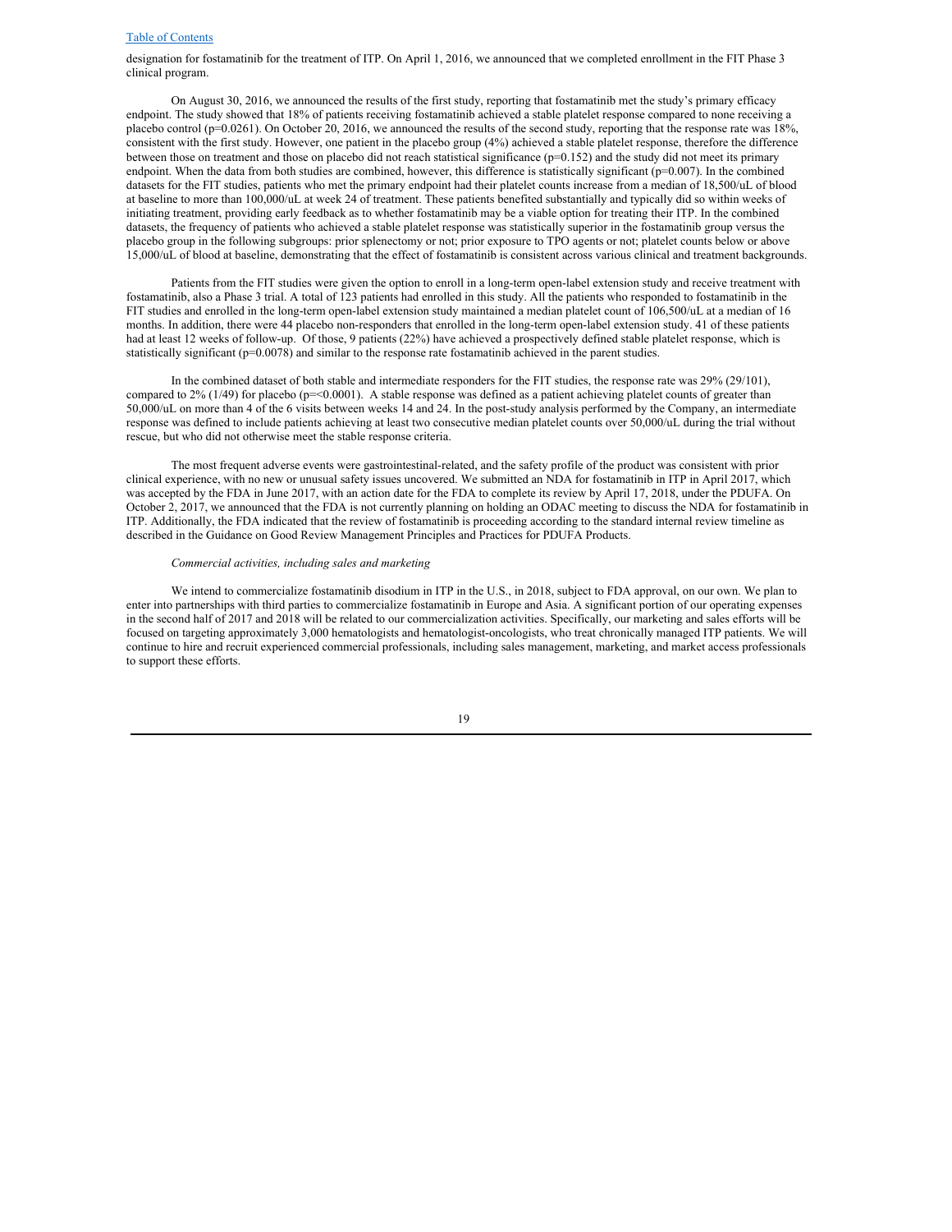designation for fostamatinib for the treatment of ITP. On April 1, 2016, we announced that we completed enrollment in the FIT Phase 3 clinical program.

On August 30, 2016, we announced the results of the first study, reporting that fostamatinib met the study's primary efficacy endpoint. The study showed that 18% of patients receiving fostamatinib achieved a stable platelet response compared to none receiving a placebo control (p=0.0261). On October 20, 2016, we announced the results of the second study, reporting that the response rate was 18%, consistent with the first study. However, one patient in the placebo group (4%) achieved a stable platelet response, therefore the difference between those on treatment and those on placebo did not reach statistical significance (p=0.152) and the study did not meet its primary endpoint. When the data from both studies are combined, however, this difference is statistically significant ( $p=0.007$ ). In the combined datasets for the FIT studies, patients who met the primary endpoint had their platelet counts increase from a median of 18,500/uL of blood at baseline to more than 100,000/uL at week 24 of treatment. These patients benefited substantially and typically did so within weeks of initiating treatment, providing early feedback as to whether fostamatinib may be a viable option for treating their ITP. In the combined datasets, the frequency of patients who achieved a stable platelet response was statistically superior in the fostamatinib group versus the placebo group in the following subgroups: prior splenectomy or not; prior exposure to TPO agents or not; platelet counts below or above 15,000/uL of blood at baseline, demonstrating that the effect of fostamatinib is consistent across various clinical and treatment backgrounds.

Patients from the FIT studies were given the option to enroll in a long-term open-label extension study and receive treatment with fostamatinib, also a Phase 3 trial. A total of 123 patients had enrolled in this study. All the patients who responded to fostamatinib in the FIT studies and enrolled in the long-term open-label extension study maintained a median platelet count of 106,500/uL at a median of 16 months. In addition, there were 44 placebo non-responders that enrolled in the long-term open-label extension study. 41 of these patients had at least 12 weeks of follow-up. Of those, 9 patients (22%) have achieved a prospectively defined stable platelet response, which is statistically significant ( $p=0.0078$ ) and similar to the response rate fostamatinib achieved in the parent studies.

In the combined dataset of both stable and intermediate responders for the FIT studies, the response rate was 29% (29/101), compared to 2% (1/49) for placebo (p=<0.0001). A stable response was defined as a patient achieving platelet counts of greater than 50,000/uL on more than 4 of the 6 visits between weeks 14 and 24. In the post-study analysis performed by the Company, an intermediate response was defined to include patients achieving at least two consecutive median platelet counts over 50,000/uL during the trial without rescue, but who did not otherwise meet the stable response criteria.

The most frequent adverse events were gastrointestinal-related, and the safety profile of the product was consistent with prior clinical experience, with no new or unusual safety issues uncovered. We submitted an NDA for fostamatinib in ITP in April 2017, which was accepted by the FDA in June 2017, with an action date for the FDA to complete its review by April 17, 2018, under the PDUFA. On October 2, 2017, we announced that the FDA is not currently planning on holding an ODAC meeting to discuss the NDA for fostamatinib in ITP. Additionally, the FDA indicated that the review of fostamatinib is proceeding according to the standard internal review timeline as described in the Guidance on Good Review Management Principles and Practices for PDUFA Products.

### *Commercial activities, including sales and marketing*

We intend to commercialize fostamatinib disodium in ITP in the U.S., in 2018, subject to FDA approval, on our own. We plan to enter into partnerships with third parties to commercialize fostamatinib in Europe and Asia. A significant portion of our operating expenses in the second half of 2017 and 2018 will be related to our commercialization activities. Specifically, our marketing and sales efforts will be focused on targeting approximately 3,000 hematologists and hematologist-oncologists, who treat chronically managed ITP patients. We will continue to hire and recruit experienced commercial professionals, including sales management, marketing, and market access professionals to support these efforts.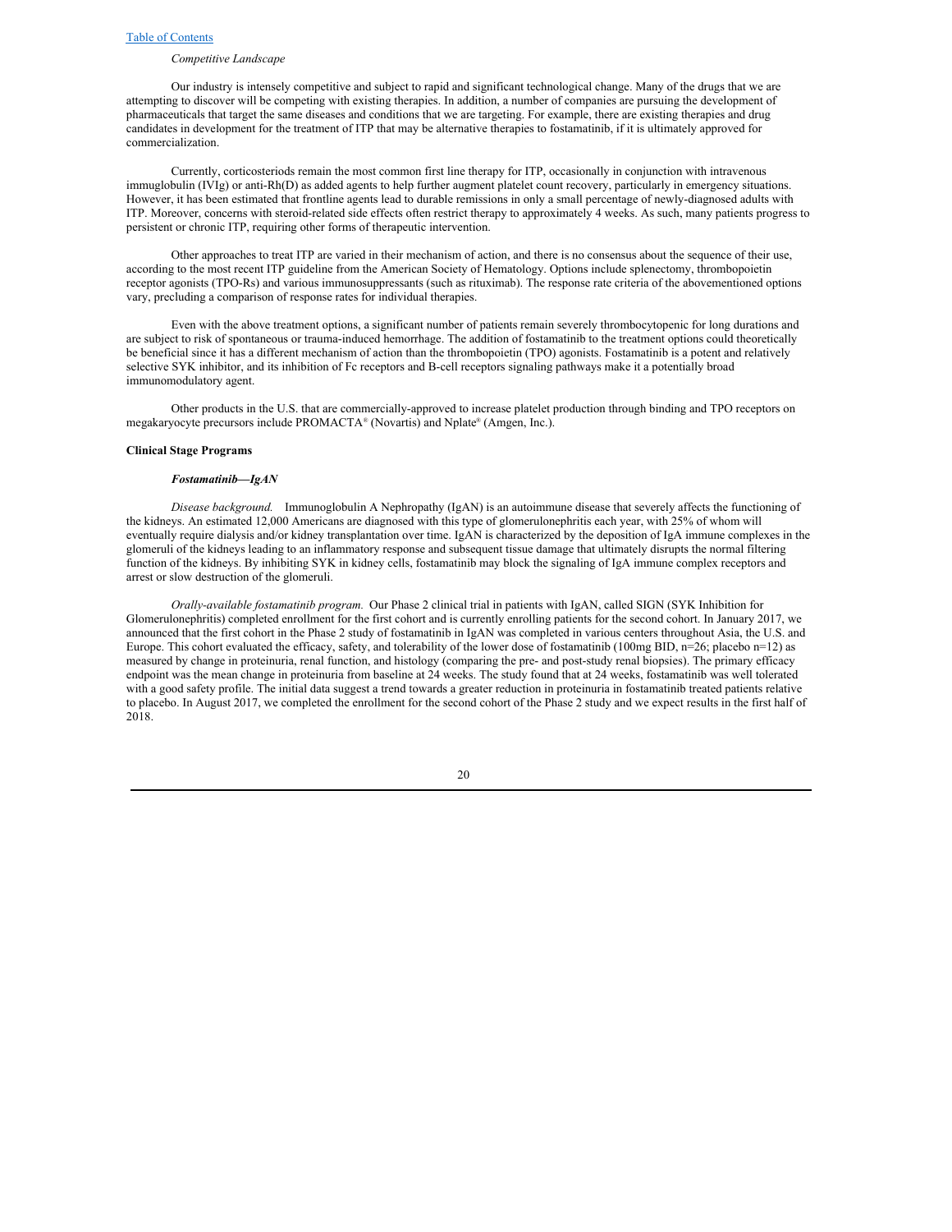## *Competitive Landscape*

Our industry is intensely competitive and subject to rapid and significant technological change. Many of the drugs that we are attempting to discover will be competing with existing therapies. In addition, a number of companies are pursuing the development of pharmaceuticals that target the same diseases and conditions that we are targeting. For example, there are existing therapies and drug candidates in development for the treatment of ITP that may be alternative therapies to fostamatinib, if it is ultimately approved for commercialization.

Currently, corticosteriods remain the most common first line therapy for ITP, occasionally in conjunction with intravenous immuglobulin (IVIg) or anti-Rh(D) as added agents to help further augment platelet count recovery, particularly in emergency situations. However, it has been estimated that frontline agents lead to durable remissions in only a small percentage of newly-diagnosed adults with ITP. Moreover, concerns with steroid-related side effects often restrict therapy to approximately 4 weeks. As such, many patients progress to persistent or chronic ITP, requiring other forms of therapeutic intervention.

Other approaches to treat ITP are varied in their mechanism of action, and there is no consensus about the sequence of their use, according to the most recent ITP guideline from the American Society of Hematology. Options include splenectomy, thrombopoietin receptor agonists (TPO-Rs) and various immunosuppressants (such as rituximab). The response rate criteria of the abovementioned options vary, precluding a comparison of response rates for individual therapies.

Even with the above treatment options, a significant number of patients remain severely thrombocytopenic for long durations and are subject to risk of spontaneous or trauma-induced hemorrhage. The addition of fostamatinib to the treatment options could theoretically be beneficial since it has a different mechanism of action than the thrombopoietin (TPO) agonists. Fostamatinib is a potent and relatively selective SYK inhibitor, and its inhibition of Fc receptors and B-cell receptors signaling pathways make it a potentially broad immunomodulatory agent.

Other products in the U.S. that are commercially-approved to increase platelet production through binding and TPO receptors on megakaryocyte precursors include PROMACTA® (Novartis) and Nplate® (Amgen, Inc.).

# **Clinical Stage Programs**

### *Fostamatinib—IgAN*

*Disease background.* Immunoglobulin A Nephropathy (IgAN) is an autoimmune disease that severely affects the functioning of the kidneys. An estimated 12,000 Americans are diagnosed with this type of glomerulonephritis each year, with 25% of whom will eventually require dialysis and/or kidney transplantation over time. IgAN is characterized by the deposition of IgA immune complexes in the glomeruli of the kidneys leading to an inflammatory response and subsequent tissue damage that ultimately disrupts the normal filtering function of the kidneys. By inhibiting SYK in kidney cells, fostamatinib may block the signaling of IgA immune complex receptors and arrest or slow destruction of the glomeruli.

*Orally-available fostamatinib program.* Our Phase 2 clinical trial in patients with IgAN, called SIGN (SYK Inhibition for Glomerulonephritis) completed enrollment for the first cohort and is currently enrolling patients for the second cohort. In January 2017, we announced that the first cohort in the Phase 2 study of fostamatinib in IgAN was completed in various centers throughout Asia, the U.S. and Europe. This cohort evaluated the efficacy, safety, and tolerability of the lower dose of fostamatinib (100mg BID,  $n=26$ ; placebo  $n=12$ ) as measured by change in proteinuria, renal function, and histology (comparing the pre- and post-study renal biopsies). The primary efficacy endpoint was the mean change in proteinuria from baseline at 24 weeks. The study found that at 24 weeks, fostamatinib was well tolerated with a good safety profile. The initial data suggest a trend towards a greater reduction in proteinuria in fostamatinib treated patients relative to placebo. In August 2017, we completed the enrollment for the second cohort of the Phase 2 study and we expect results in the first half of 2018.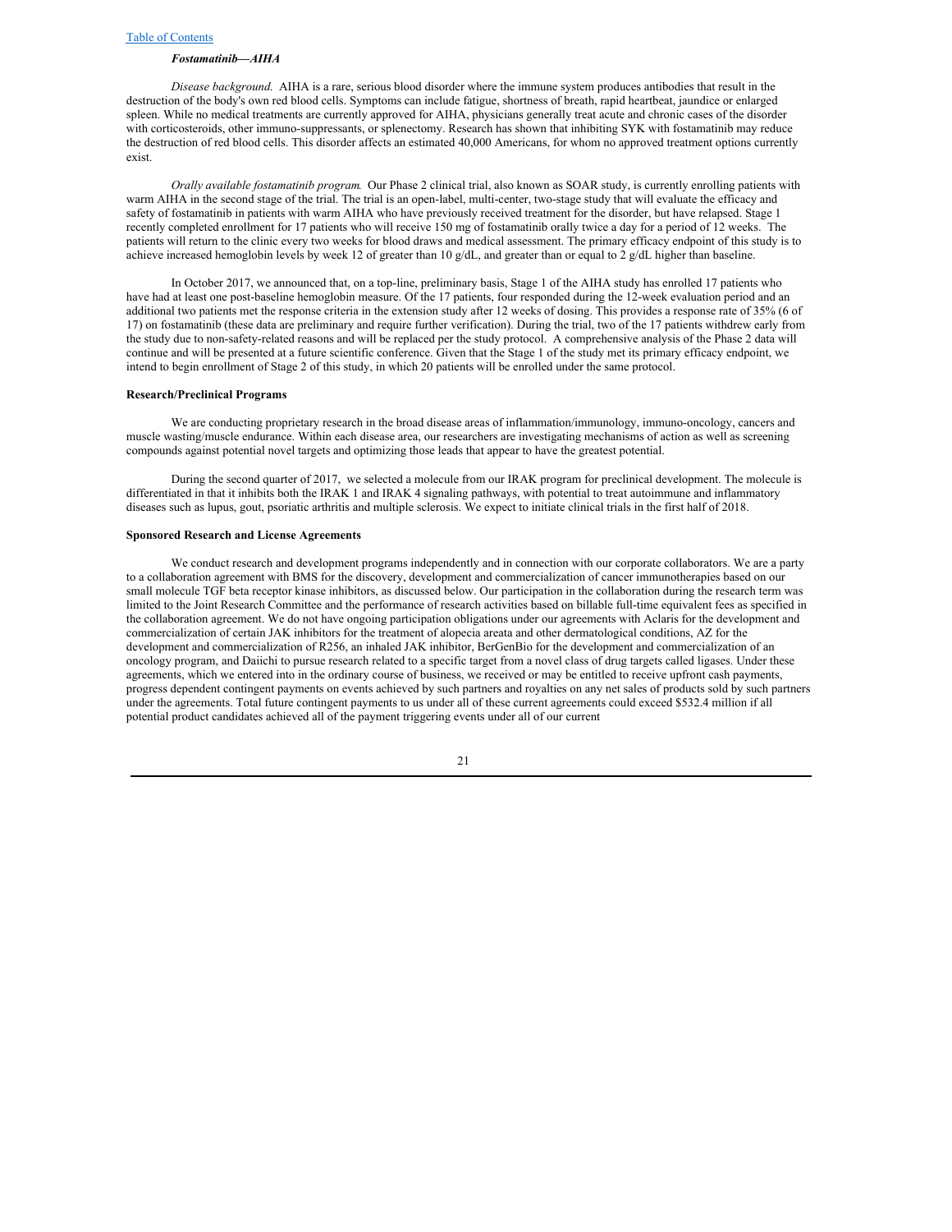# *Fostamatinib—AIHA*

*Disease background*. AIHA is a rare, serious blood disorder where the immune system produces antibodies that result in the destruction of the body's own red blood cells. Symptoms can include fatigue, shortness of breath, rapid heartbeat, jaundice or enlarged spleen. While no medical treatments are currently approved for AIHA, physicians generally treat acute and chronic cases of the disorder with corticosteroids, other immuno-suppressants, or splenectomy. Research has shown that inhibiting SYK with fostamatinib may reduce the destruction of red blood cells. This disorder affects an estimated 40,000 Americans, for whom no approved treatment options currently exist.

*Orally available fostamatinib program*. Our Phase 2 clinical trial, also known as SOAR study, is currently enrolling patients with warm AIHA in the second stage of the trial. The trial is an open-label, multi-center, two-stage study that will evaluate the efficacy and safety of fostamatinib in patients with warm AIHA who have previously received treatment for the disorder, but have relapsed. Stage 1 recently completed enrollment for 17 patients who will receive 150 mg of fostamatinib orally twice a day for a period of 12 weeks. The patients will return to the clinic every two weeks for blood draws and medical assessment. The primary efficacy endpoint of this study is to achieve increased hemoglobin levels by week 12 of greater than 10  $g/dL$ , and greater than or equal to 2  $g/dL$  higher than baseline.

In October 2017, we announced that, on a top-line, preliminary basis, Stage 1 of the AIHA study has enrolled 17 patients who have had at least one post-baseline hemoglobin measure. Of the 17 patients, four responded during the 12-week evaluation period and an additional two patients met the response criteria in the extension study after 12 weeks of dosing. This provides a response rate of 35% (6 of 17) on fostamatinib (these data are preliminary and require further verification). During the trial, two of the 17 patients withdrew early from the study due to non-safety-related reasons and will be replaced per the study protocol. A comprehensive analysis of the Phase 2 data will continue and will be presented at a future scientific conference. Given that the Stage 1 of the study met its primary efficacy endpoint, we intend to begin enrollment of Stage 2 of this study, in which 20 patients will be enrolled under the same protocol.

### **Research/Preclinical Programs**

We are conducting proprietary research in the broad disease areas of inflammation/immunology, immuno-oncology, cancers and muscle wasting/muscle endurance. Within each disease area, our researchers are investigating mechanisms of action as well as screening compounds against potential novel targets and optimizing those leads that appear to have the greatest potential.

During the second quarter of 2017, we selected a molecule from our IRAK program for preclinical development. The molecule is differentiated in that it inhibits both the IRAK 1 and IRAK 4 signaling pathways, with potential to treat autoimmune and inflammatory diseases such as lupus, gout, psoriatic arthritis and multiple sclerosis. We expect to initiate clinical trials in the first half of 2018.

### **Sponsored Research and License Agreements**

We conduct research and development programs independently and in connection with our corporate collaborators. We are a party to a collaboration agreement with BMS for the discovery, development and commercialization of cancer immunotherapies based on our small molecule TGF beta receptor kinase inhibitors, as discussed below. Our participation in the collaboration during the research term was limited to the Joint Research Committee and the performance of research activities based on billable full-time equivalent fees as specified in the collaboration agreement. We do not have ongoing participation obligations under our agreements with Aclaris for the development and commercialization of certain JAK inhibitors for the treatment of alopecia areata and other dermatological conditions, AZ for the development and commercialization of R256, an inhaled JAK inhibitor, BerGenBio for the development and commercialization of an oncology program, and Daiichi to pursue research related to a specific target from a novel class of drug targets called ligases. Under these agreements, which we entered into in the ordinary course of business, we received or may be entitled to receive upfront cash payments, progress dependent contingent payments on events achieved by such partners and royalties on any net sales of products sold by such partners under the agreements. Total future contingent payments to us under all of these current agreements could exceed \$532.4 million if all potential product candidates achieved all of the payment triggering events under all of our current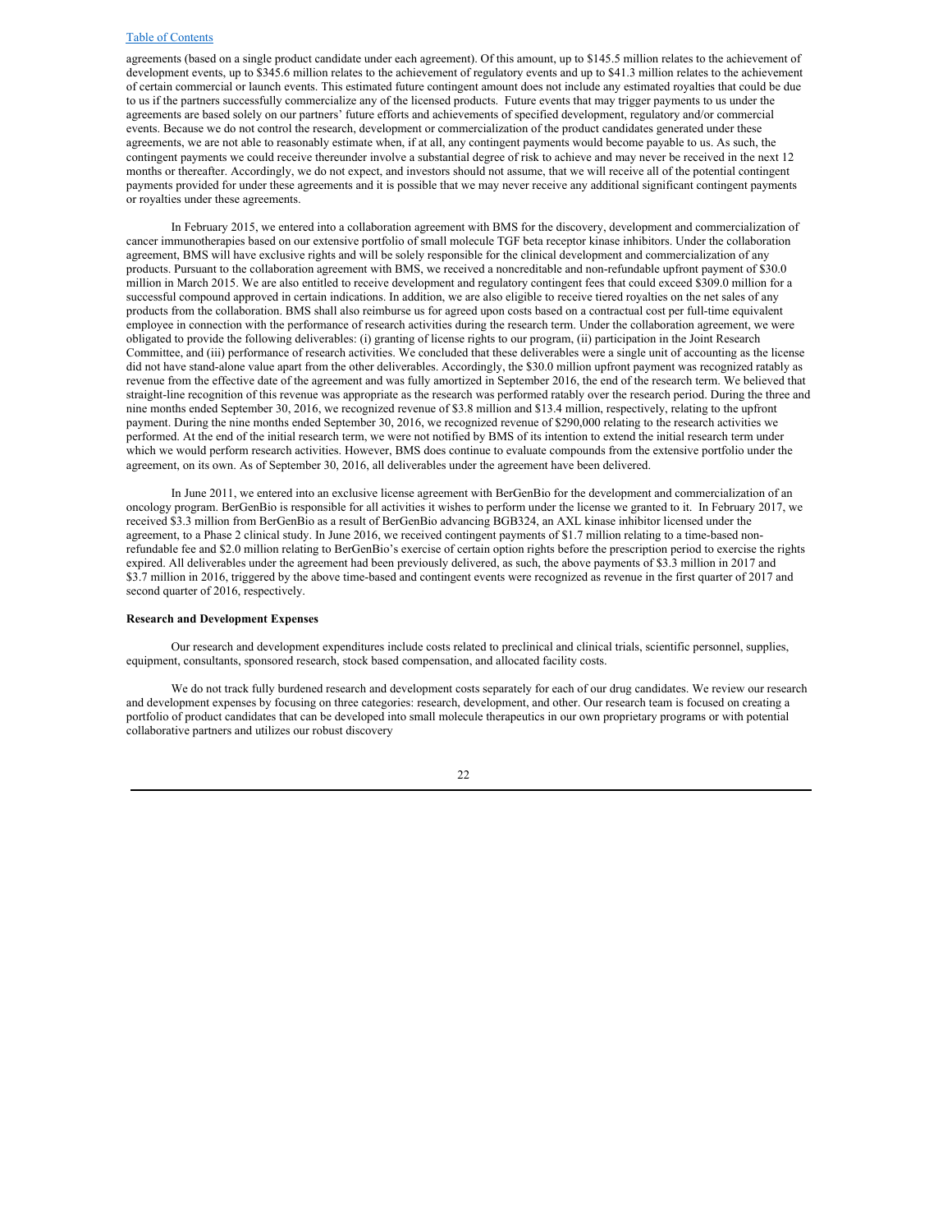agreements (based on a single product candidate under each agreement). Of this amount, up to \$145.5 million relates to the achievement of development events, up to \$345.6 million relates to the achievement of regulatory events and up to \$41.3 million relates to the achievement of certain commercial or launch events. This estimated future contingent amount does not include any estimated royalties that could be due to us if the partners successfully commercialize any of the licensed products. Future events that may trigger payments to us under the agreements are based solely on our partners' future efforts and achievements of specified development, regulatory and/or commercial events. Because we do not control the research, development or commercialization of the product candidates generated under these agreements, we are not able to reasonably estimate when, if at all, any contingent payments would become payable to us. As such, the contingent payments we could receive thereunder involve a substantial degree of risk to achieve and may never be received in the next 12 months or thereafter. Accordingly, we do not expect, and investors should not assume, that we will receive all of the potential contingent payments provided for under these agreements and it is possible that we may never receive any additional significant contingent payments or royalties under these agreements.

In February 2015, we entered into a collaboration agreement with BMS for the discovery, development and commercialization of cancer immunotherapies based on our extensive portfolio of small molecule TGF beta receptor kinase inhibitors. Under the collaboration agreement, BMS will have exclusive rights and will be solely responsible for the clinical development and commercialization of any products. Pursuant to the collaboration agreement with BMS, we received a noncreditable and non-refundable upfront payment of \$30.0 million in March 2015. We are also entitled to receive development and regulatory contingent fees that could exceed \$309.0 million for a successful compound approved in certain indications. In addition, we are also eligible to receive tiered royalties on the net sales of any products from the collaboration. BMS shall also reimburse us for agreed upon costs based on a contractual cost per full-time equivalent employee in connection with the performance of research activities during the research term. Under the collaboration agreement, we were obligated to provide the following deliverables: (i) granting of license rights to our program, (ii) participation in the Joint Research Committee, and (iii) performance of research activities. We concluded that these deliverables were a single unit of accounting as the license did not have stand-alone value apart from the other deliverables. Accordingly, the \$30.0 million upfront payment was recognized ratably as revenue from the effective date of the agreement and was fully amortized in September 2016, the end of the research term. We believed that straight-line recognition of this revenue was appropriate as the research was performed ratably over the research period. During the three and nine months ended September 30, 2016, we recognized revenue of \$3.8 million and \$13.4 million, respectively, relating to the upfront payment. During the nine months ended September 30, 2016, we recognized revenue of \$290,000 relating to the research activities we performed. At the end of the initial research term, we were not notified by BMS of its intention to extend the initial research term under which we would perform research activities. However, BMS does continue to evaluate compounds from the extensive portfolio under the agreement, on its own. As of September 30, 2016, all deliverables under the agreement have been delivered.

In June 2011, we entered into an exclusive license agreement with BerGenBio for the development and commercialization of an oncology program. BerGenBio is responsible for all activities it wishes to perform under the license we granted to it. In February 2017, we received \$3.3 million from BerGenBio as a result of BerGenBio advancing BGB324, an AXL kinase inhibitor licensed under the agreement, to a Phase 2 clinical study. In June 2016, we received contingent payments of \$1.7 million relating to a time-based nonrefundable fee and \$2.0 million relating to BerGenBio's exercise of certain option rights before the prescription period to exercise the rights expired. All deliverables under the agreement had been previously delivered, as such, the above payments of \$3.3 million in 2017 and \$3.7 million in 2016, triggered by the above time-based and contingent events were recognized as revenue in the first quarter of 2017 and second quarter of 2016, respectively.

### **Research and Development Expenses**

Our research and development expenditures include costs related to preclinical and clinical trials, scientific personnel, supplies, equipment, consultants, sponsored research, stock based compensation, and allocated facility costs.

We do not track fully burdened research and development costs separately for each of our drug candidates. We review our research and development expenses by focusing on three categories: research, development, and other. Our research team is focused on creating a portfolio of product candidates that can be developed into small molecule therapeutics in our own proprietary programs or with potential collaborative partners and utilizes our robust discovery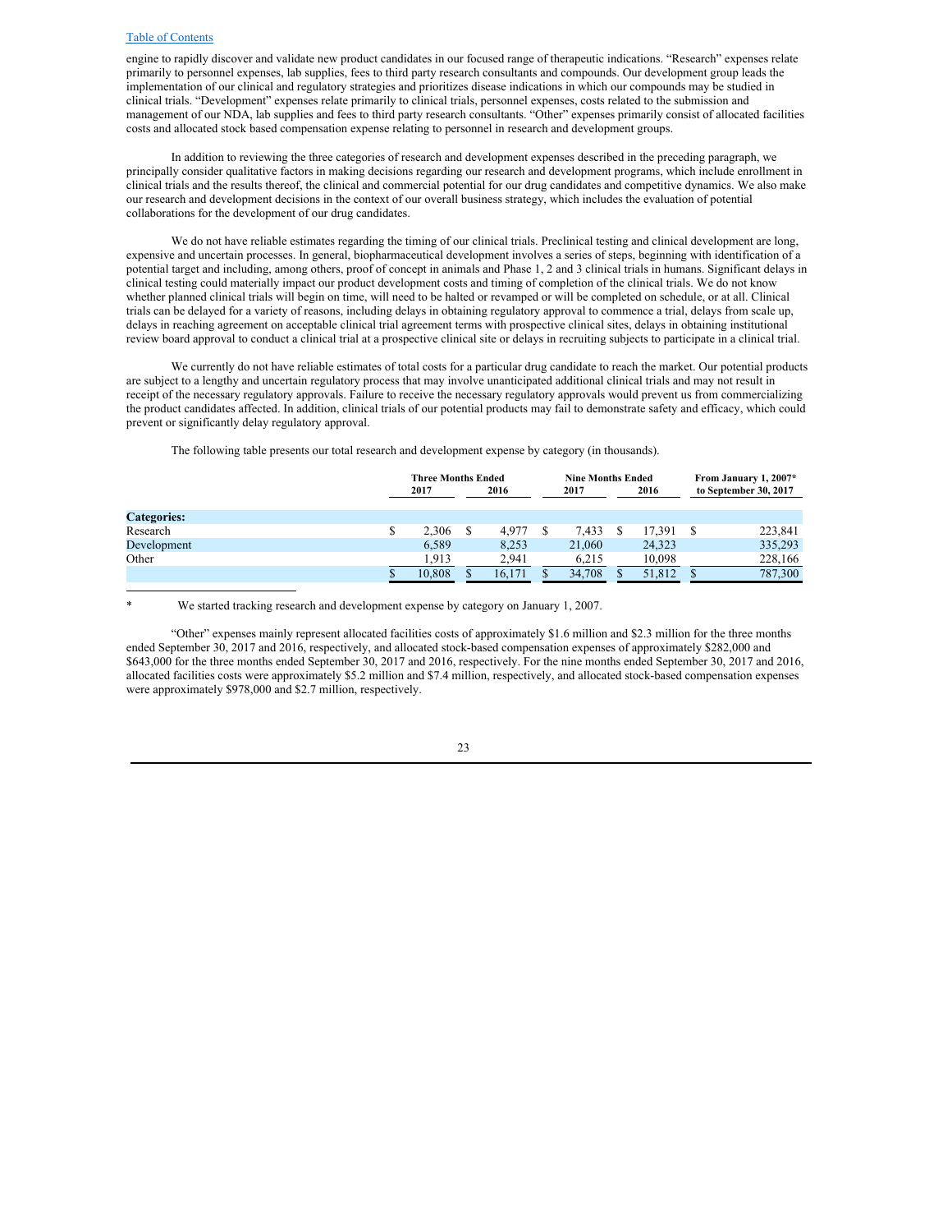engine to rapidly discover and validate new product candidates in our focused range of therapeutic indications. "Research" expenses relate primarily to personnel expenses, lab supplies, fees to third party research consultants and compounds. Our development group leads the implementation of our clinical and regulatory strategies and prioritizes disease indications in which our compounds may be studied in clinical trials. "Development" expenses relate primarily to clinical trials, personnel expenses, costs related to the submission and management of our NDA, lab supplies and fees to third party research consultants. "Other" expenses primarily consist of allocated facilities costs and allocated stock based compensation expense relating to personnel in research and development groups.

In addition to reviewing the three categories of research and development expenses described in the preceding paragraph, we principally consider qualitative factors in making decisions regarding our research and development programs, which include enrollment in clinical trials and the results thereof, the clinical and commercial potential for our drug candidates and competitive dynamics. We also make our research and development decisions in the context of our overall business strategy, which includes the evaluation of potential collaborations for the development of our drug candidates.

We do not have reliable estimates regarding the timing of our clinical trials. Preclinical testing and clinical development are long, expensive and uncertain processes. In general, biopharmaceutical development involves a series of steps, beginning with identification of a potential target and including, among others, proof of concept in animals and Phase 1, 2 and 3 clinical trials in humans. Significant delays in clinical testing could materially impact our product development costs and timing of completion of the clinical trials. We do not know whether planned clinical trials will begin on time, will need to be halted or revamped or will be completed on schedule, or at all. Clinical trials can be delayed for a variety of reasons, including delays in obtaining regulatory approval to commence a trial, delays from scale up, delays in reaching agreement on acceptable clinical trial agreement terms with prospective clinical sites, delays in obtaining institutional review board approval to conduct a clinical trial at a prospective clinical site or delays in recruiting subjects to participate in a clinical trial.

We currently do not have reliable estimates of total costs for a particular drug candidate to reach the market. Our potential products are subject to a lengthy and uncertain regulatory process that may involve unanticipated additional clinical trials and may not result in receipt of the necessary regulatory approvals. Failure to receive the necessary regulatory approvals would prevent us from commercializing the product candidates affected. In addition, clinical trials of our potential products may fail to demonstrate safety and efficacy, which could prevent or significantly delay regulatory approval.

The following table presents our total research and development expense by category (in thousands).

|                    | 2017   |  | <b>Three Months Ended</b><br>2016 |  | 2017   |  | <b>Nine Months Ended</b><br>2016 |  | From January 1, 2007*<br>to September 30, 2017 |
|--------------------|--------|--|-----------------------------------|--|--------|--|----------------------------------|--|------------------------------------------------|
| <b>Categories:</b> |        |  |                                   |  |        |  |                                  |  |                                                |
| Research           | 2.306  |  | 4.977                             |  | 7.433  |  | 17,391                           |  | 223.841                                        |
| Development        | 6.589  |  | 8.253                             |  | 21,060 |  | 24.323                           |  | 335,293                                        |
| Other              | 1.913  |  | 2.941                             |  | 6.215  |  | 10.098                           |  | 228,166                                        |
|                    | 10,808 |  | 16.171                            |  | 34,708 |  | 51.812                           |  | 787,300                                        |

We started tracking research and development expense by category on January 1, 2007.

"Other" expenses mainly represent allocated facilities costs of approximately \$1.6 million and \$2.3 million for the three months ended September 30, 2017 and 2016, respectively, and allocated stock-based compensation expenses of approximately \$282,000 and \$643,000 for the three months ended September 30, 2017 and 2016, respectively. For the nine months ended September 30, 2017 and 2016, allocated facilities costs were approximately \$5.2 million and \$7.4 million, respectively, and allocated stock-based compensation expenses were approximately \$978,000 and \$2.7 million, respectively.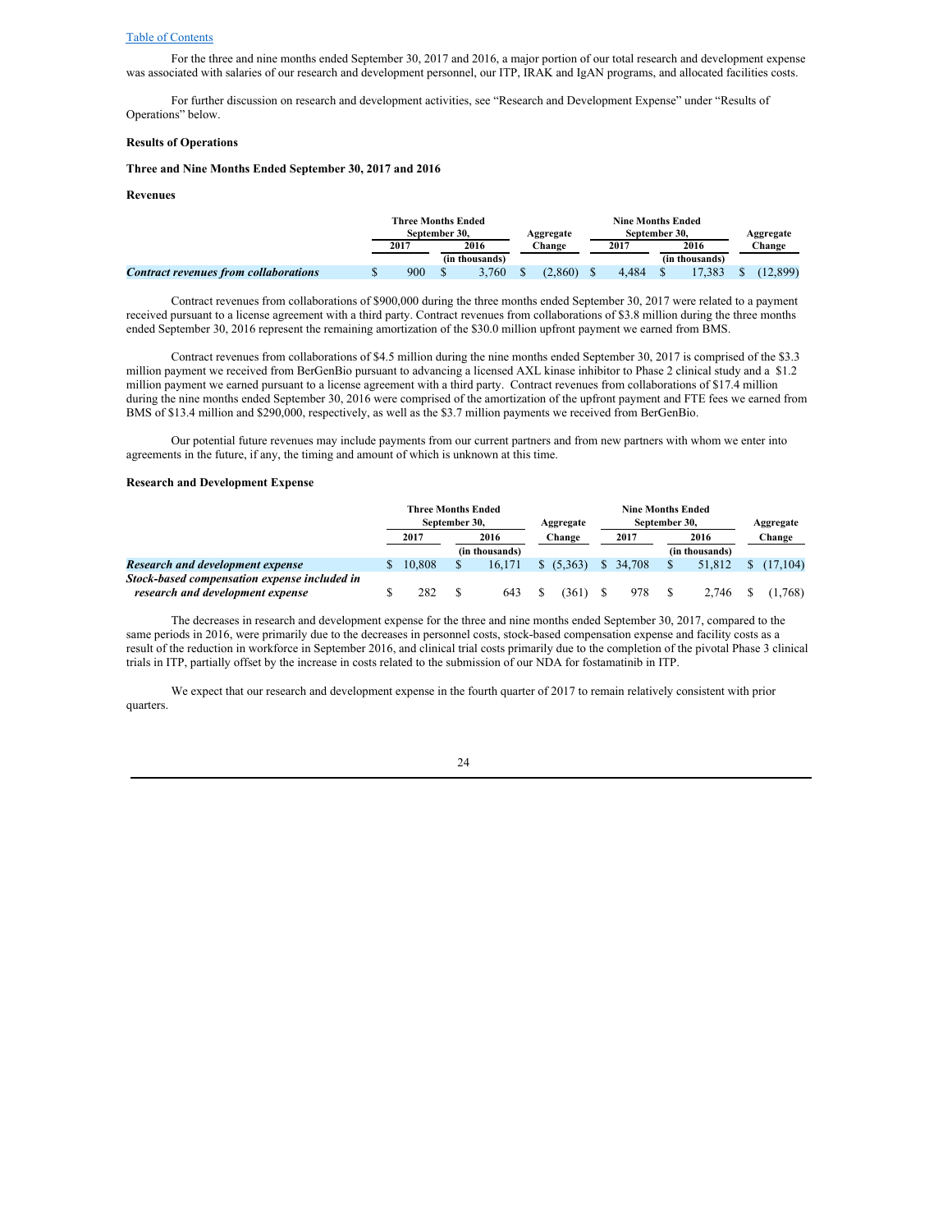For the three and nine months ended September 30, 2017 and 2016, a major portion of our total research and development expense was associated with salaries of our research and development personnel, our ITP, IRAK and IgAN programs, and allocated facilities costs.

For further discussion on research and development activities, see "Research and Development Expense" under "Results of Operations" below.

# **Results of Operations**

# **Three and Nine Months Ended September 30, 2017 and 2016**

### **Revenues**

|                                              | <b>Three Months Ended</b> | September 30. |                | Aggregate | <b>Nine Months Ended</b><br>September 30. |                | Aggregate |
|----------------------------------------------|---------------------------|---------------|----------------|-----------|-------------------------------------------|----------------|-----------|
|                                              | 2017                      |               | 2016           | Change    | 2017                                      | 2016           | Change    |
|                                              |                           |               | (in thousands) |           |                                           | (in thousands) |           |
| <b>Contract revenues from collaborations</b> | 900                       |               | 3.760          | (2,860)   | 4.484                                     | 17.383         | (2.899)   |

Contract revenues from collaborations of \$900,000 during the three months ended September 30, 2017 were related to a payment received pursuant to a license agreement with a third party. Contract revenues from collaborations of \$3.8 million during the three months ended September 30, 2016 represent the remaining amortization of the \$30.0 million upfront payment we earned from BMS.

Contract revenues from collaborations of \$4.5 million during the nine months ended September 30, 2017 is comprised of the \$3.3 million payment we received from BerGenBio pursuant to advancing a licensed AXL kinase inhibitor to Phase 2 clinical study and a \$1.2 million payment we earned pursuant to a license agreement with a third party. Contract revenues from collaborations of \$17.4 million during the nine months ended September 30, 2016 were comprised of the amortization of the upfront payment and FTE fees we earned from BMS of \$13.4 million and \$290,000, respectively, as well as the \$3.7 million payments we received from BerGenBio.

Our potential future revenues may include payments from our current partners and from new partners with whom we enter into agreements in the future, if any, the timing and amount of which is unknown at this time.

### **Research and Development Expense**

|                                              | <b>Three Months Ended</b> |               |  |                |  | <b>Nine Months Ended</b> |  |           |               |                |           |          |
|----------------------------------------------|---------------------------|---------------|--|----------------|--|--------------------------|--|-----------|---------------|----------------|-----------|----------|
|                                              |                           | September 30. |  |                |  | Aggregate                |  |           | September 30. |                | Aggregate |          |
|                                              |                           | 2017          |  | 2016           |  | Change                   |  | 2017      |               | 2016           |           | Change   |
|                                              |                           |               |  | (in thousands) |  |                          |  |           |               | (in thousands) |           |          |
| Research and development expense             |                           | 10.808        |  | 16.171         |  | \$ (5.363)               |  | \$ 34,708 |               | 51,812         |           | (17.104) |
| Stock-based compensation expense included in |                           |               |  |                |  |                          |  |           |               |                |           |          |
| research and development expense             |                           | 282           |  | 643            |  | (361)                    |  | 978       |               | 2.746          |           | (1,768)  |

The decreases in research and development expense for the three and nine months ended September 30, 2017, compared to the same periods in 2016, were primarily due to the decreases in personnel costs, stock-based compensation expense and facility costs as a result of the reduction in workforce in September 2016, and clinical trial costs primarily due to the completion of the pivotal Phase 3 clinical trials in ITP, partially offset by the increase in costs related to the submission of our NDA for fostamatinib in ITP.

We expect that our research and development expense in the fourth quarter of 2017 to remain relatively consistent with prior quarters.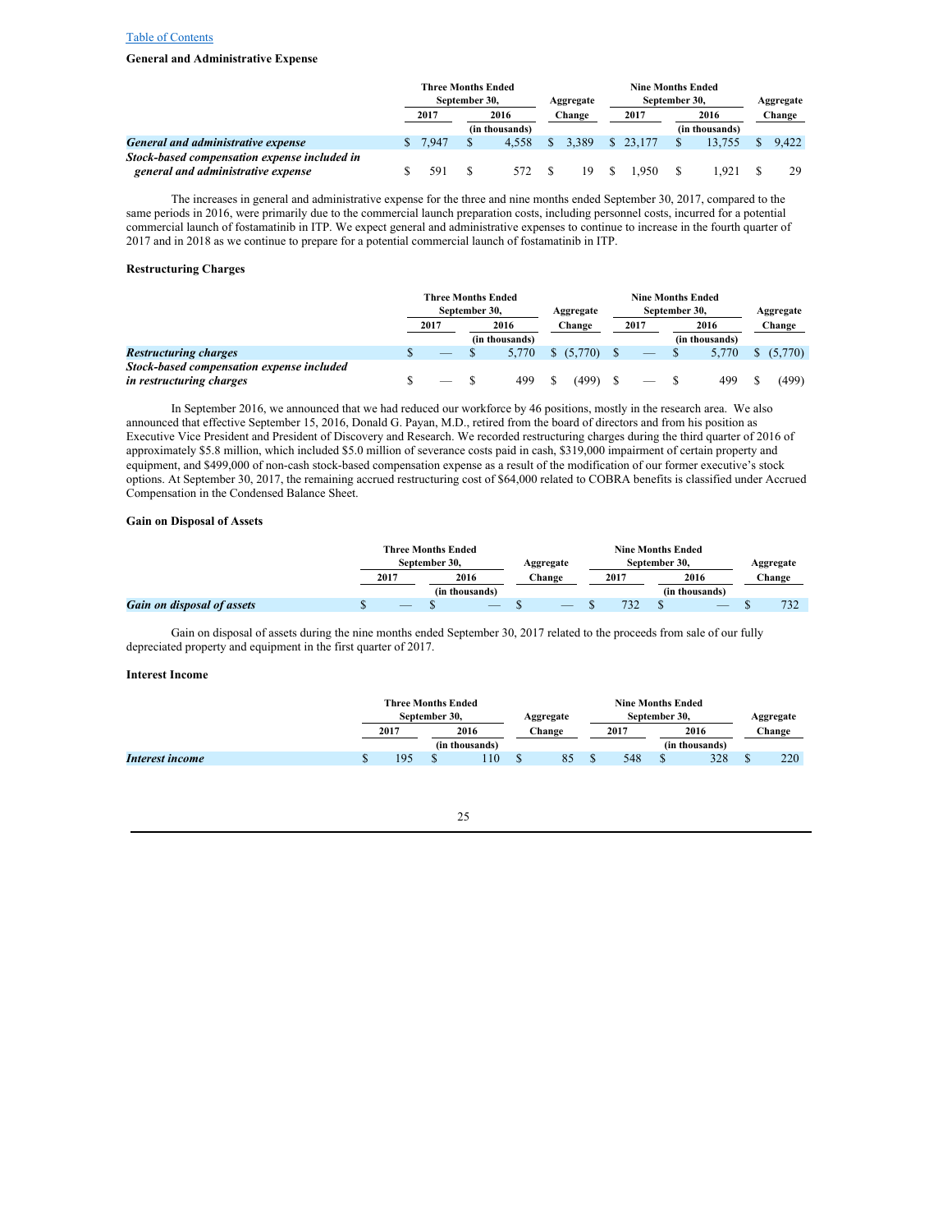# **General and Administrative Expense**

|                                              | <b>Three Months Ended</b><br>September 30, |  | Aggregate      |        | <b>Nine Months Ended</b> | September 30, |  | Aggregate      |        |
|----------------------------------------------|--------------------------------------------|--|----------------|--------|--------------------------|---------------|--|----------------|--------|
|                                              | 2017                                       |  | 2016           | Change |                          | 2017          |  | 2016           | Change |
|                                              |                                            |  | (in thousands) |        |                          |               |  | (in thousands) |        |
| General and administrative expense           | \$7.947                                    |  | 4.558          | 3.389  | $\mathbf{S}$             | 23,177        |  | 13.755         | 9.422  |
| Stock-based compensation expense included in |                                            |  |                |        |                          |               |  |                |        |
| general and administrative expense           | 591                                        |  | 572.           | 19     |                          | .950          |  | .921           | 29     |

The increases in general and administrative expense for the three and nine months ended September 30, 2017, compared to the same periods in 2016, were primarily due to the commercial launch preparation costs, including personnel costs, incurred for a potential commercial launch of fostamatinib in ITP. We expect general and administrative expenses to continue to increase in the fourth quarter of 2017 and in 2018 as we continue to prepare for a potential commercial launch of fostamatinib in ITP.

### **Restructuring Charges**

|                                           | <b>Three Months Ended</b><br>September 30, |      |  |                |  | Aggregate  | <b>Nine Months Ended</b><br>September 30, |  |                |  | Aggregate  |
|-------------------------------------------|--------------------------------------------|------|--|----------------|--|------------|-------------------------------------------|--|----------------|--|------------|
|                                           |                                            | 2017 |  | 2016           |  | Change     | 2017                                      |  | 2016           |  | Change     |
|                                           |                                            |      |  | (in thousands) |  |            |                                           |  | (in thousands) |  |            |
| <b>Restructuring charges</b>              |                                            |      |  | 5.770          |  | \$ (5.770) |                                           |  | 5.770          |  | \$ (5,770) |
| Stock-based compensation expense included |                                            |      |  |                |  |            |                                           |  |                |  |            |
| <i>in restructuring charges</i>           |                                            |      |  | 499            |  | (499)      |                                           |  | 499            |  | (499)      |

In September 2016, we announced that we had reduced our workforce by 46 positions, mostly in the research area. We also announced that effective September 15, 2016, Donald G. Payan, M.D., retired from the board of directors and from his position as Executive Vice President and President of Discovery and Research. We recorded restructuring charges during the third quarter of 2016 of approximately \$5.8 million, which included \$5.0 million of severance costs paid in cash, \$319,000 impairment of certain property and equipment, and \$499,000 of non-cash stock-based compensation expense as a result of the modification of our former executive's stock options. At September 30, 2017, the remaining accrued restructuring cost of \$64,000 related to COBRA benefits is classified under Accrued Compensation in the Condensed Balance Sheet.

# **Gain on Disposal of Assets**

|                                   |      | <b>Three Months Ended</b><br>September 30. |                   | Aggregate     | <b>Nine Months Ended</b> | September 30. |                | Aggregate  |
|-----------------------------------|------|--------------------------------------------|-------------------|---------------|--------------------------|---------------|----------------|------------|
|                                   | 2017 |                                            | 2016              | <b>Change</b> | 2017                     |               | 2016           | Change     |
|                                   |      |                                            | (in thousands)    |               |                          |               | (in thousands) |            |
| <b>Gain on disposal of assets</b> |      |                                            | $\qquad \qquad -$ | _             |                          |               | $-$            | 722<br>ے د |

Gain on disposal of assets during the nine months ended September 30, 2017 related to the proceeds from sale of our fully depreciated property and equipment in the first quarter of 2017.

# **Interest Income**

|                 | <b>Three Months Ended</b> | September 30. |                |        | Aggregate |      | <b>Nine Months Ended</b> | September 30. |                |        | Aggregate |  |
|-----------------|---------------------------|---------------|----------------|--------|-----------|------|--------------------------|---------------|----------------|--------|-----------|--|
|                 | 2017                      |               | 2016           | Change |           | 2017 |                          |               | 2016           | Change |           |  |
|                 |                           |               | (in thousands) |        |           |      |                          |               | (in thousands) |        |           |  |
| Interest income | 195                       |               | 10             |        | 85        |      | 548                      |               | 328            |        | 220       |  |

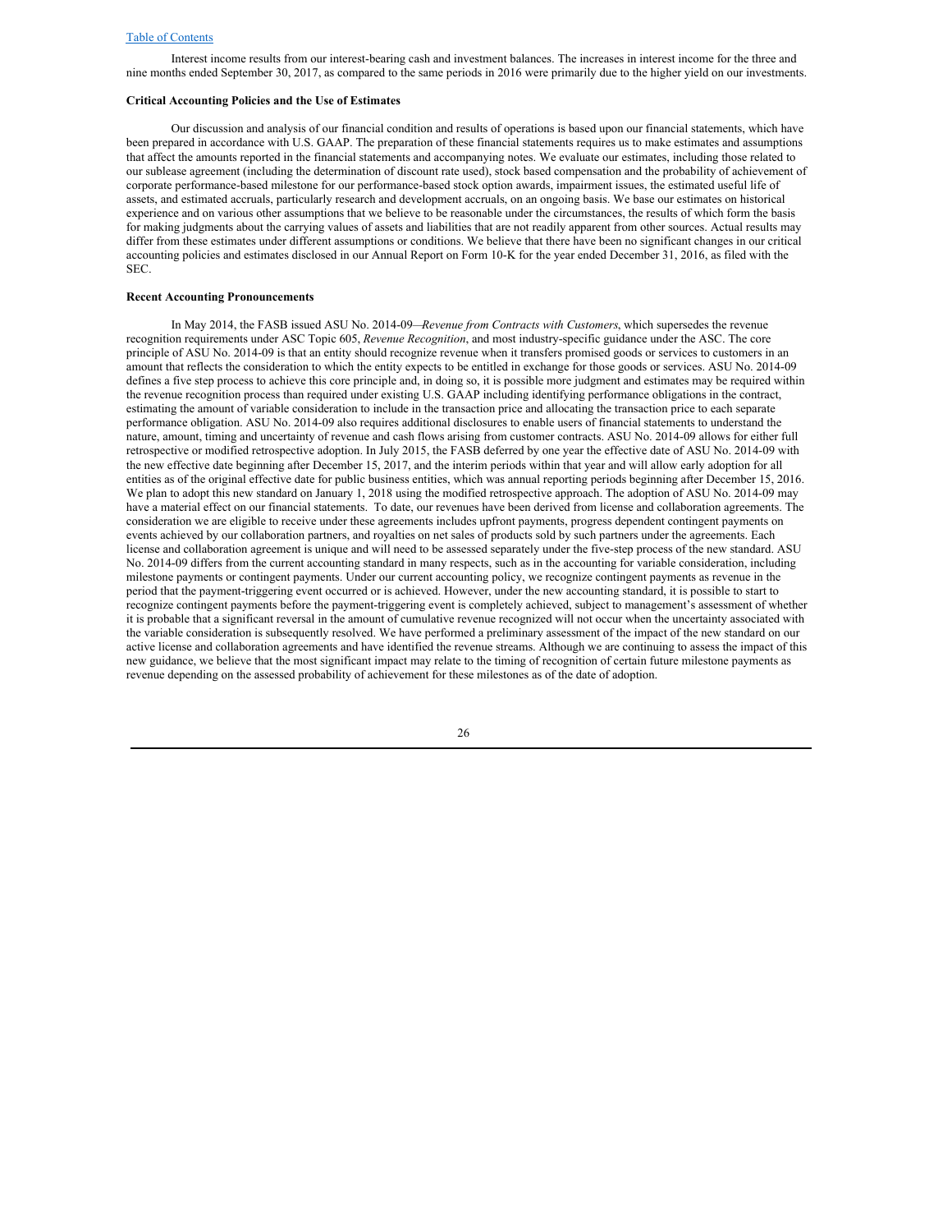Interest income results from our interest-bearing cash and investment balances. The increases in interest income for the three and nine months ended September 30, 2017, as compared to the same periods in 2016 were primarily due to the higher yield on our investments.

### **Critical Accounting Policies and the Use of Estimates**

Our discussion and analysis of our financial condition and results of operations is based upon our financial statements, which have been prepared in accordance with U.S. GAAP. The preparation of these financial statements requires us to make estimates and assumptions that affect the amounts reported in the financial statements and accompanying notes. We evaluate our estimates, including those related to our sublease agreement (including the determination of discount rate used), stock based compensation and the probability of achievement of corporate performance-based milestone for our performance-based stock option awards, impairment issues, the estimated useful life of assets, and estimated accruals, particularly research and development accruals, on an ongoing basis. We base our estimates on historical experience and on various other assumptions that we believe to be reasonable under the circumstances, the results of which form the basis for making judgments about the carrying values of assets and liabilities that are not readily apparent from other sources. Actual results may differ from these estimates under different assumptions or conditions. We believe that there have been no significant changes in our critical accounting policies and estimates disclosed in our Annual Report on Form 10-K for the year ended December 31, 2016, as filed with the SEC.

# **Recent Accounting Pronouncements**

In May 2014, the FASB issued ASU No. 2014-09—*Revenue from Contracts with Customers*, which supersedes the revenue recognition requirements under ASC Topic 605, *Revenue Recognition*, and most industry-specific guidance under the ASC. The core principle of ASU No. 2014-09 is that an entity should recognize revenue when it transfers promised goods or services to customers in an amount that reflects the consideration to which the entity expects to be entitled in exchange for those goods or services. ASU No. 2014-09 defines a five step process to achieve this core principle and, in doing so, it is possible more judgment and estimates may be required within the revenue recognition process than required under existing U.S. GAAP including identifying performance obligations in the contract, estimating the amount of variable consideration to include in the transaction price and allocating the transaction price to each separate performance obligation. ASU No. 2014-09 also requires additional disclosures to enable users of financial statements to understand the nature, amount, timing and uncertainty of revenue and cash flows arising from customer contracts. ASU No. 2014-09 allows for either full retrospective or modified retrospective adoption. In July 2015, the FASB deferred by one year the effective date of ASU No. 2014-09 with the new effective date beginning after December 15, 2017, and the interim periods within that year and will allow early adoption for all entities as of the original effective date for public business entities, which was annual reporting periods beginning after December 15, 2016. We plan to adopt this new standard on January 1, 2018 using the modified retrospective approach. The adoption of ASU No. 2014-09 may have a material effect on our financial statements. To date, our revenues have been derived from license and collaboration agreements. The consideration we are eligible to receive under these agreements includes upfront payments, progress dependent contingent payments on events achieved by our collaboration partners, and royalties on net sales of products sold by such partners under the agreements. Each license and collaboration agreement is unique and will need to be assessed separately under the five-step process of the new standard. ASU No. 2014-09 differs from the current accounting standard in many respects, such as in the accounting for variable consideration, including milestone payments or contingent payments. Under our current accounting policy, we recognize contingent payments as revenue in the period that the payment-triggering event occurred or is achieved. However, under the new accounting standard, it is possible to start to recognize contingent payments before the payment-triggering event is completely achieved, subject to management's assessment of whether it is probable that a significant reversal in the amount of cumulative revenue recognized will not occur when the uncertainty associated with the variable consideration is subsequently resolved. We have performed a preliminary assessment of the impact of the new standard on our active license and collaboration agreements and have identified the revenue streams. Although we are continuing to assess the impact of this new guidance, we believe that the most significant impact may relate to the timing of recognition of certain future milestone payments as revenue depending on the assessed probability of achievement for these milestones as of the date of adoption.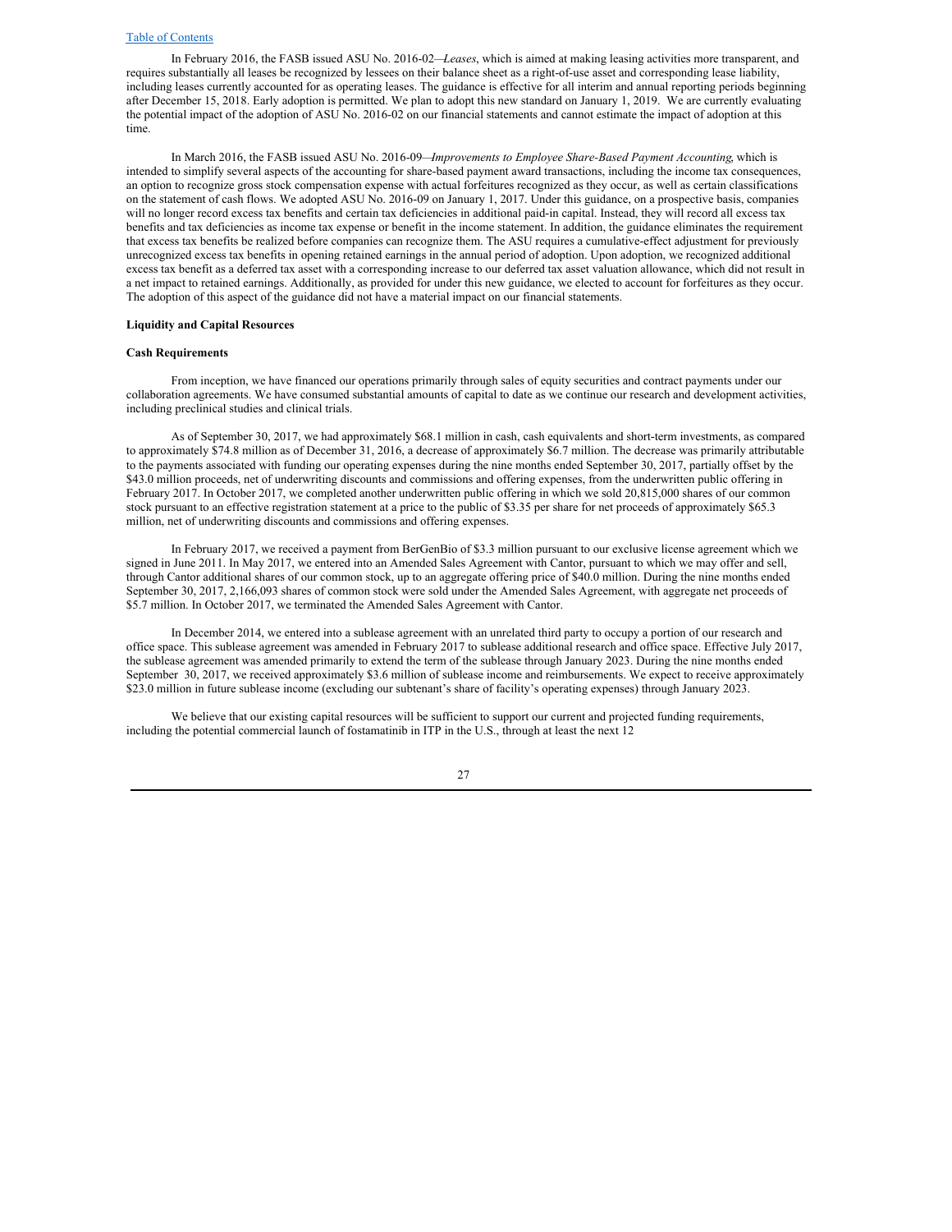In February 2016, the FASB issued ASU No. 2016-02—*Leases*, which is aimed at making leasing activities more transparent, and requires substantially all leases be recognized by lessees on their balance sheet as a right-of-use asset and corresponding lease liability, including leases currently accounted for as operating leases. The guidance is effective for all interim and annual reporting periods beginning after December 15, 2018. Early adoption is permitted. We plan to adopt this new standard on January 1, 2019. We are currently evaluating the potential impact of the adoption of ASU No. 2016-02 on our financial statements and cannot estimate the impact of adoption at this time.

In March 2016, the FASB issued ASU No. 2016-09—*Improvements to Employee Share-Based Payment Accounting*, which is intended to simplify several aspects of the accounting for share-based payment award transactions, including the income tax consequences, an option to recognize gross stock compensation expense with actual forfeitures recognized as they occur, as well as certain classifications on the statement of cash flows. We adopted ASU No. 2016-09 on January 1, 2017. Under this guidance, on a prospective basis, companies will no longer record excess tax benefits and certain tax deficiencies in additional paid-in capital. Instead, they will record all excess tax benefits and tax deficiencies as income tax expense or benefit in the income statement. In addition, the guidance eliminates the requirement that excess tax benefits be realized before companies can recognize them. The ASU requires a cumulative-effect adjustment for previously unrecognized excess tax benefits in opening retained earnings in the annual period of adoption. Upon adoption, we recognized additional excess tax benefit as a deferred tax asset with a corresponding increase to our deferred tax asset valuation allowance, which did not result in a net impact to retained earnings. Additionally, as provided for under this new guidance, we elected to account for forfeitures as they occur. The adoption of this aspect of the guidance did not have a material impact on our financial statements.

# **Liquidity and Capital Resources**

### **Cash Requirements**

From inception, we have financed our operations primarily through sales of equity securities and contract payments under our collaboration agreements. We have consumed substantial amounts of capital to date as we continue our research and development activities, including preclinical studies and clinical trials.

As of September 30, 2017, we had approximately \$68.1 million in cash, cash equivalents and short-term investments, as compared to approximately \$74.8 million as of December 31, 2016, a decrease of approximately \$6.7 million. The decrease was primarily attributable to the payments associated with funding our operating expenses during the nine months ended September 30, 2017, partially offset by the \$43.0 million proceeds, net of underwriting discounts and commissions and offering expenses, from the underwritten public offering in February 2017. In October 2017, we completed another underwritten public offering in which we sold 20,815,000 shares of our common stock pursuant to an effective registration statement at a price to the public of \$3.35 per share for net proceeds of approximately \$65.3 million, net of underwriting discounts and commissions and offering expenses.

In February 2017, we received a payment from BerGenBio of \$3.3 million pursuant to our exclusive license agreement which we signed in June 2011. In May 2017, we entered into an Amended Sales Agreement with Cantor, pursuant to which we may offer and sell, through Cantor additional shares of our common stock, up to an aggregate offering price of \$40.0 million. During the nine months ended September 30, 2017, 2,166,093 shares of common stock were sold under the Amended Sales Agreement, with aggregate net proceeds of \$5.7 million. In October 2017, we terminated the Amended Sales Agreement with Cantor.

In December 2014, we entered into a sublease agreement with an unrelated third party to occupy a portion of our research and office space. This sublease agreement was amended in February 2017 to sublease additional research and office space. Effective July 2017, the sublease agreement was amended primarily to extend the term of the sublease through January 2023. During the nine months ended September 30, 2017, we received approximately \$3.6 million of sublease income and reimbursements. We expect to receive approximately \$23.0 million in future sublease income (excluding our subtenant's share of facility's operating expenses) through January 2023.

We believe that our existing capital resources will be sufficient to support our current and projected funding requirements, including the potential commercial launch of fostamatinib in ITP in the U.S., through at least the next 12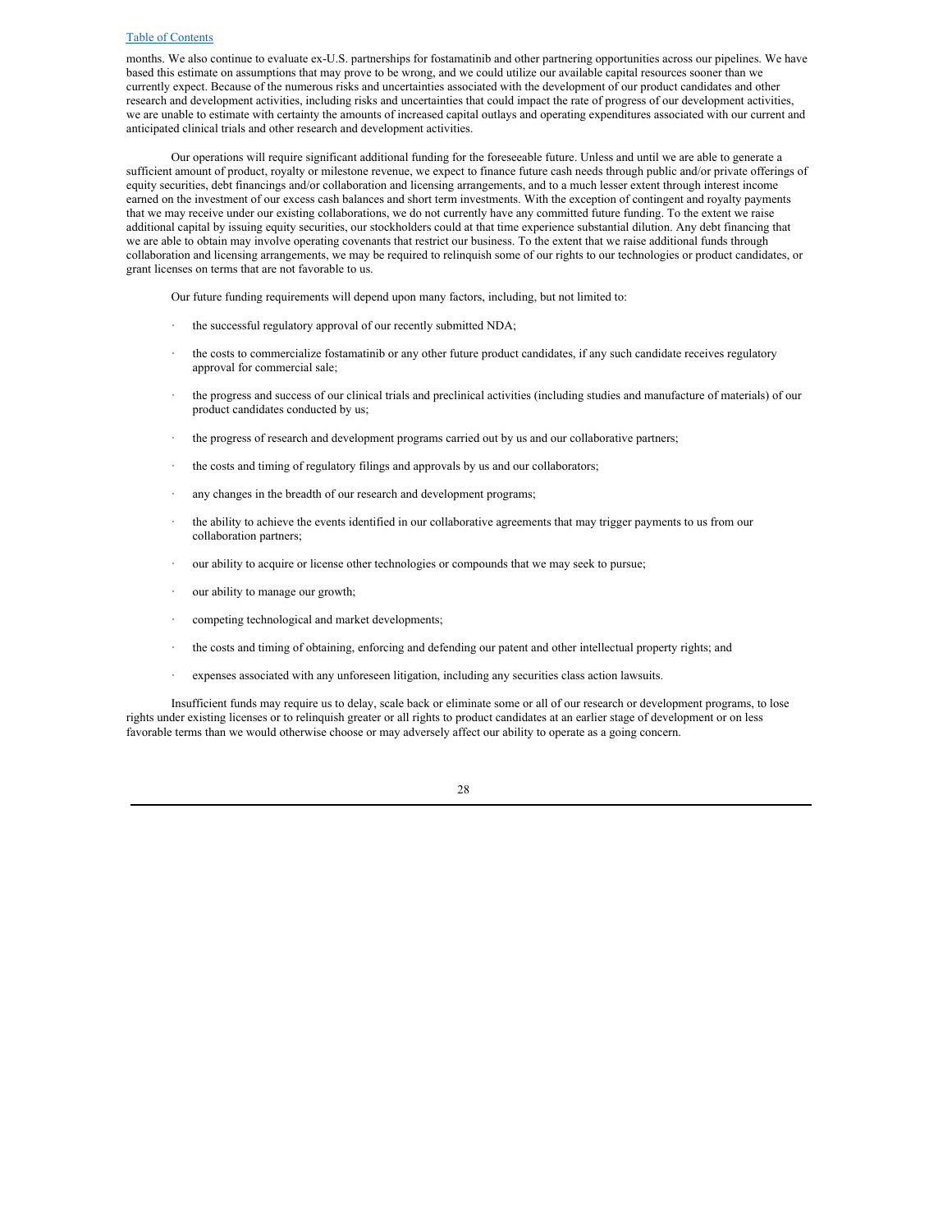months. We also continue to evaluate ex-U.S. partnerships for fostamatinib and other partnering opportunities across our pipelines. We have based this estimate on assumptions that may prove to be wrong, and we could utilize our available capital resources sooner than we currently expect. Because of the numerous risks and uncertainties associated with the development of our product candidates and other research and development activities, including risks and uncertainties that could impact the rate of progress of our development activities, we are unable to estimate with certainty the amounts of increased capital outlays and operating expenditures associated with our current and anticipated clinical trials and other research and development activities.

Our operations will require significant additional funding for the foreseeable future. Unless and until we are able to generate a sufficient amount of product, royalty or milestone revenue, we expect to finance future cash needs through public and/or private offerings of equity securities, debt financings and/or collaboration and licensing arrangements, and to a much lesser extent through interest income earned on the investment of our excess cash balances and short term investments. With the exception of contingent and royalty payments that we may receive under our existing collaborations, we do not currently have any committed future funding. To the extent we raise additional capital by issuing equity securities, our stockholders could at that time experience substantial dilution. Any debt financing that we are able to obtain may involve operating covenants that restrict our business. To the extent that we raise additional funds through collaboration and licensing arrangements, we may be required to relinquish some of our rights to our technologies or product candidates, or grant licenses on terms that are not favorable to us.

Our future funding requirements will depend upon many factors, including, but not limited to:

- the successful regulatory approval of our recently submitted NDA;
- the costs to commercialize fostamatinib or any other future product candidates, if any such candidate receives regulatory approval for commercial sale;
- · the progress and success of our clinical trials and preclinical activities (including studies and manufacture of materials) of our product candidates conducted by us;
- the progress of research and development programs carried out by us and our collaborative partners;
- the costs and timing of regulatory filings and approvals by us and our collaborators;
- any changes in the breadth of our research and development programs;
- the ability to achieve the events identified in our collaborative agreements that may trigger payments to us from our collaboration partners;
- our ability to acquire or license other technologies or compounds that we may seek to pursue;
- our ability to manage our growth;
- competing technological and market developments;
- the costs and timing of obtaining, enforcing and defending our patent and other intellectual property rights; and
- expenses associated with any unforeseen litigation, including any securities class action lawsuits.

Insufficient funds may require us to delay, scale back or eliminate some or all of our research or development programs, to lose rights under existing licenses or to relinquish greater or all rights to product candidates at an earlier stage of development or on less favorable terms than we would otherwise choose or may adversely affect our ability to operate as a going concern.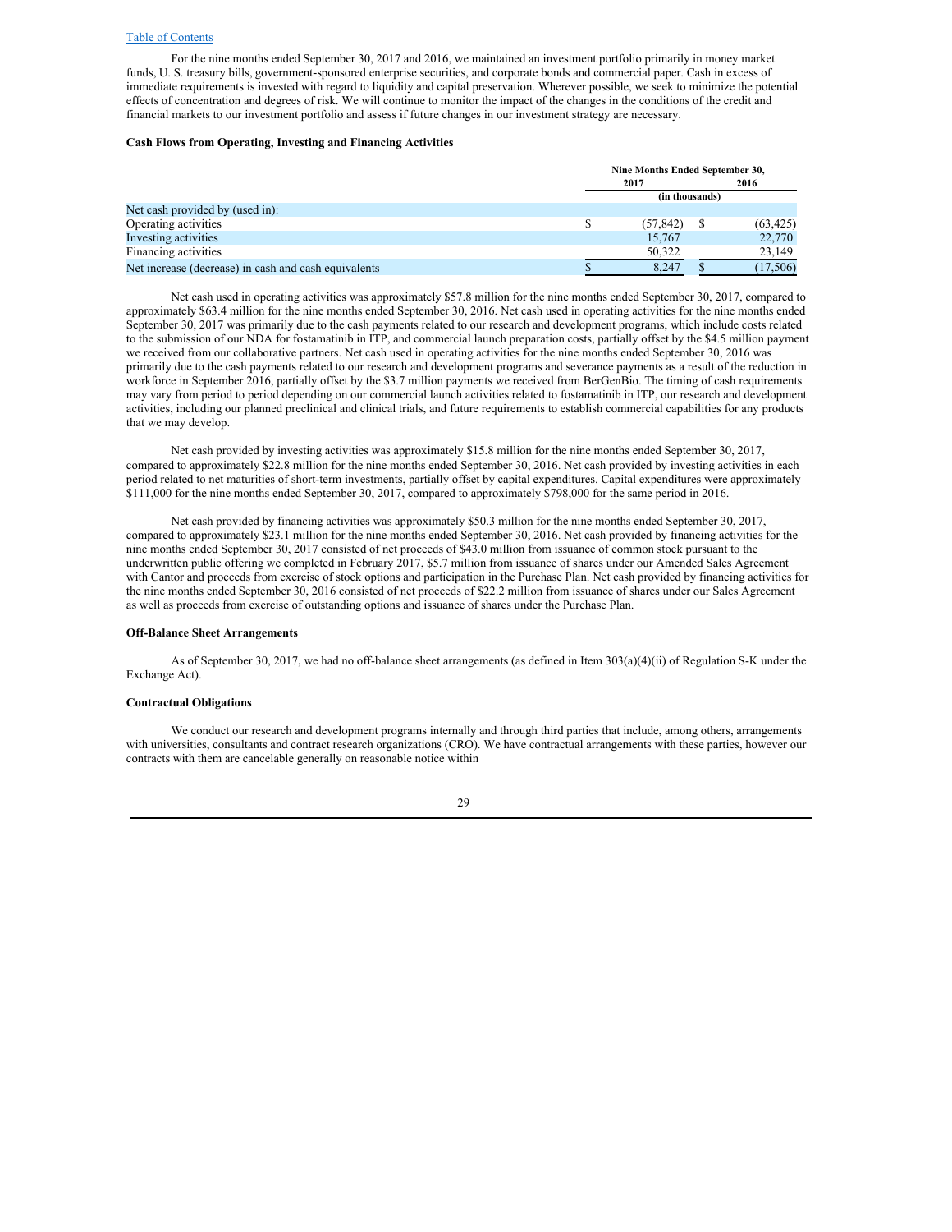For the nine months ended September 30, 2017 and 2016, we maintained an investment portfolio primarily in money market funds, U. S. treasury bills, government-sponsored enterprise securities, and corporate bonds and commercial paper. Cash in excess of immediate requirements is invested with regard to liquidity and capital preservation. Wherever possible, we seek to minimize the potential effects of concentration and degrees of risk. We will continue to monitor the impact of the changes in the conditions of the credit and financial markets to our investment portfolio and assess if future changes in our investment strategy are necessary.

# **Cash Flows from Operating, Investing and Financing Activities**

|                                                      | Nine Months Ended September 30, |  |           |  |  |  |  |  |
|------------------------------------------------------|---------------------------------|--|-----------|--|--|--|--|--|
|                                                      | 2017<br>2016                    |  |           |  |  |  |  |  |
|                                                      | (in thousands)                  |  |           |  |  |  |  |  |
| Net cash provided by (used in):                      |                                 |  |           |  |  |  |  |  |
| Operating activities                                 | (57, 842)                       |  | (63, 425) |  |  |  |  |  |
| Investing activities                                 | 15,767                          |  | 22,770    |  |  |  |  |  |
| Financing activities                                 | 50.322                          |  | 23,149    |  |  |  |  |  |
| Net increase (decrease) in cash and cash equivalents | 8.247                           |  | (17, 506) |  |  |  |  |  |

Net cash used in operating activities was approximately \$57.8 million for the nine months ended September 30, 2017, compared to approximately \$63.4 million for the nine months ended September 30, 2016. Net cash used in operating activities for the nine months ended September 30, 2017 was primarily due to the cash payments related to our research and development programs, which include costs related to the submission of our NDA for fostamatinib in ITP, and commercial launch preparation costs, partially offset by the \$4.5 million payment we received from our collaborative partners. Net cash used in operating activities for the nine months ended September 30, 2016 was primarily due to the cash payments related to our research and development programs and severance payments as a result of the reduction in workforce in September 2016, partially offset by the \$3.7 million payments we received from BerGenBio. The timing of cash requirements may vary from period to period depending on our commercial launch activities related to fostamatinib in ITP, our research and development activities, including our planned preclinical and clinical trials, and future requirements to establish commercial capabilities for any products that we may develop.

Net cash provided by investing activities was approximately \$15.8 million for the nine months ended September 30, 2017, compared to approximately \$22.8 million for the nine months ended September 30, 2016. Net cash provided by investing activities in each period related to net maturities of short-term investments, partially offset by capital expenditures. Capital expenditures were approximately \$111,000 for the nine months ended September 30, 2017, compared to approximately \$798,000 for the same period in 2016.

Net cash provided by financing activities was approximately \$50.3 million for the nine months ended September 30, 2017, compared to approximately \$23.1 million for the nine months ended September 30, 2016. Net cash provided by financing activities for the nine months ended September 30, 2017 consisted of net proceeds of \$43.0 million from issuance of common stock pursuant to the underwritten public offering we completed in February 2017, \$5.7 million from issuance of shares under our Amended Sales Agreement with Cantor and proceeds from exercise of stock options and participation in the Purchase Plan. Net cash provided by financing activities for the nine months ended September 30, 2016 consisted of net proceeds of \$22.2 million from issuance of shares under our Sales Agreement as well as proceeds from exercise of outstanding options and issuance of shares under the Purchase Plan.

# **Off-Balance Sheet Arrangements**

As of September 30, 2017, we had no off-balance sheet arrangements (as defined in Item 303(a)(4)(ii) of Regulation S-K under the Exchange Act).

# **Contractual Obligations**

We conduct our research and development programs internally and through third parties that include, among others, arrangements with universities, consultants and contract research organizations (CRO). We have contractual arrangements with these parties, however our contracts with them are cancelable generally on reasonable notice within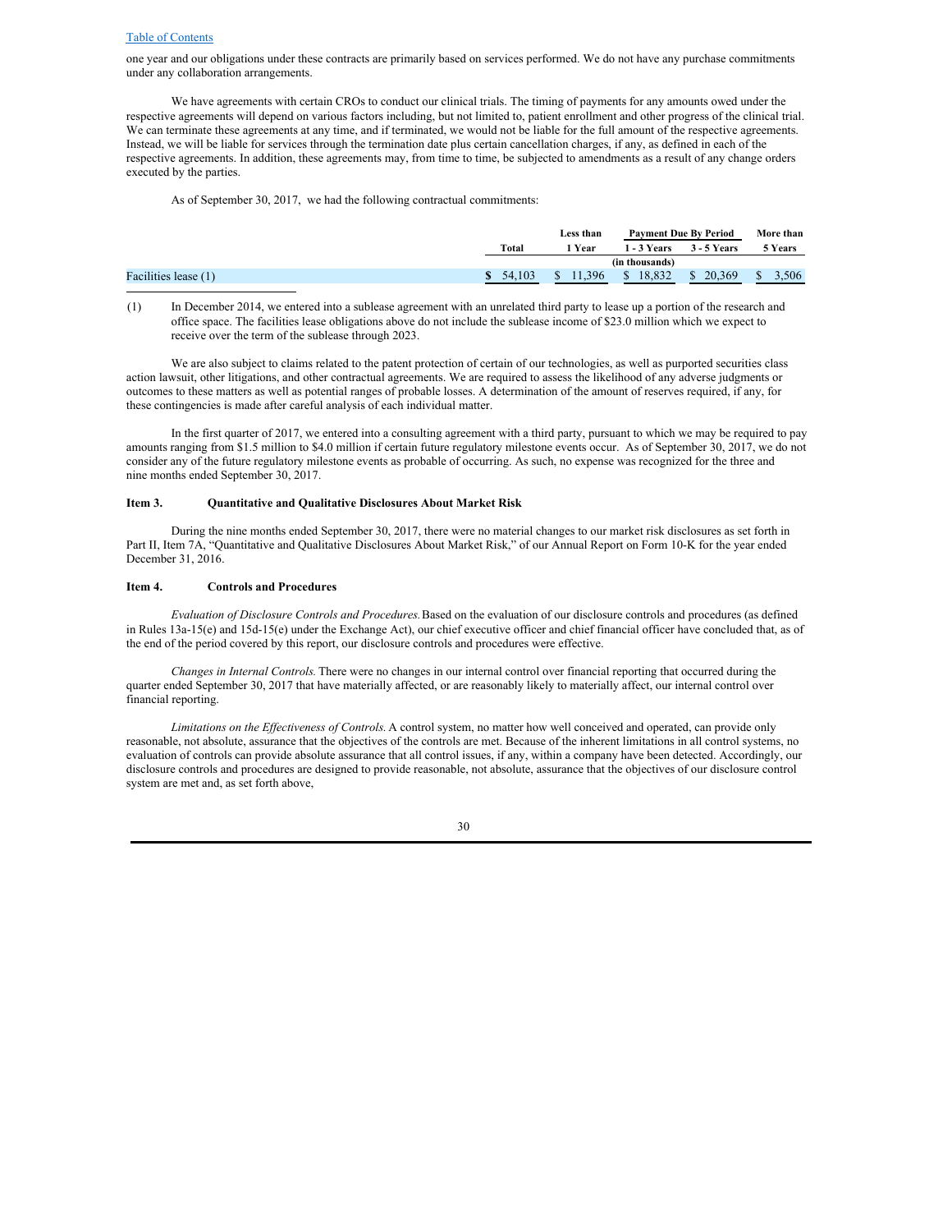one year and our obligations under these contracts are primarily based on services performed. We do not have any purchase commitments under any collaboration arrangements.

We have agreements with certain CROs to conduct our clinical trials. The timing of payments for any amounts owed under the respective agreements will depend on various factors including, but not limited to, patient enrollment and other progress of the clinical trial. We can terminate these agreements at any time, and if terminated, we would not be liable for the full amount of the respective agreements. Instead, we will be liable for services through the termination date plus certain cancellation charges, if any, as defined in each of the respective agreements. In addition, these agreements may, from time to time, be subjected to amendments as a result of any change orders executed by the parties.

As of September 30, 2017, we had the following contractual commitments:

|                      |           | Less than | <b>Payment Due By Period</b> |             | More than |  |
|----------------------|-----------|-----------|------------------------------|-------------|-----------|--|
|                      | Total     | Year      | 1 - 3 Years                  | 3 - 5 Years | 5 Years   |  |
|                      |           |           | (in thousands)               |             |           |  |
| Facilities lease (1) | \$ 54,103 | 11.396    | 18.832                       | \$20.369    | 3.506     |  |

(1) In December 2014, we entered into a sublease agreement with an unrelated third party to lease up a portion of the research and office space. The facilities lease obligations above do not include the sublease income of \$23.0 million which we expect to receive over the term of the sublease through 2023.

We are also subject to claims related to the patent protection of certain of our technologies, as well as purported securities class action lawsuit, other litigations, and other contractual agreements. We are required to assess the likelihood of any adverse judgments or outcomes to these matters as well as potential ranges of probable losses. A determination of the amount of reserves required, if any, for these contingencies is made after careful analysis of each individual matter.

In the first quarter of 2017, we entered into a consulting agreement with a third party, pursuant to which we may be required to pay amounts ranging from \$1.5 million to \$4.0 million if certain future regulatory milestone events occur. As of September 30, 2017, we do not consider any of the future regulatory milestone events as probable of occurring. As such, no expense was recognized for the three and nine months ended September 30, 2017.

# <span id="page-29-0"></span>**Item 3. Quantitative and Qualitative Disclosures About Market Risk**

During the nine months ended September 30, 2017, there were no material changes to our market risk disclosures as set forth in Part II, Item 7A, "Quantitative and Qualitative Disclosures About Market Risk," of our Annual Report on Form 10-K for the year ended December 31, 2016.

# <span id="page-29-1"></span>**Item 4. Controls and Procedures**

*Evaluation of Disclosure Controls and Procedures.*Based on the evaluation of our disclosure controls and procedures (as defined in Rules 13a-15(e) and 15d-15(e) under the Exchange Act), our chief executive officer and chief financial officer have concluded that, as of the end of the period covered by this report, our disclosure controls and procedures were effective.

*Changes in Internal Controls.* There were no changes in our internal control over financial reporting that occurred during the quarter ended September 30, 2017 that have materially affected, or are reasonably likely to materially affect, our internal control over financial reporting.

*Limitations on the Ef ectiveness of Controls.* A control system, no matter how well conceived and operated, can provide only reasonable, not absolute, assurance that the objectives of the controls are met. Because of the inherent limitations in all control systems, no evaluation of controls can provide absolute assurance that all control issues, if any, within a company have been detected. Accordingly, our disclosure controls and procedures are designed to provide reasonable, not absolute, assurance that the objectives of our disclosure control system are met and, as set forth above,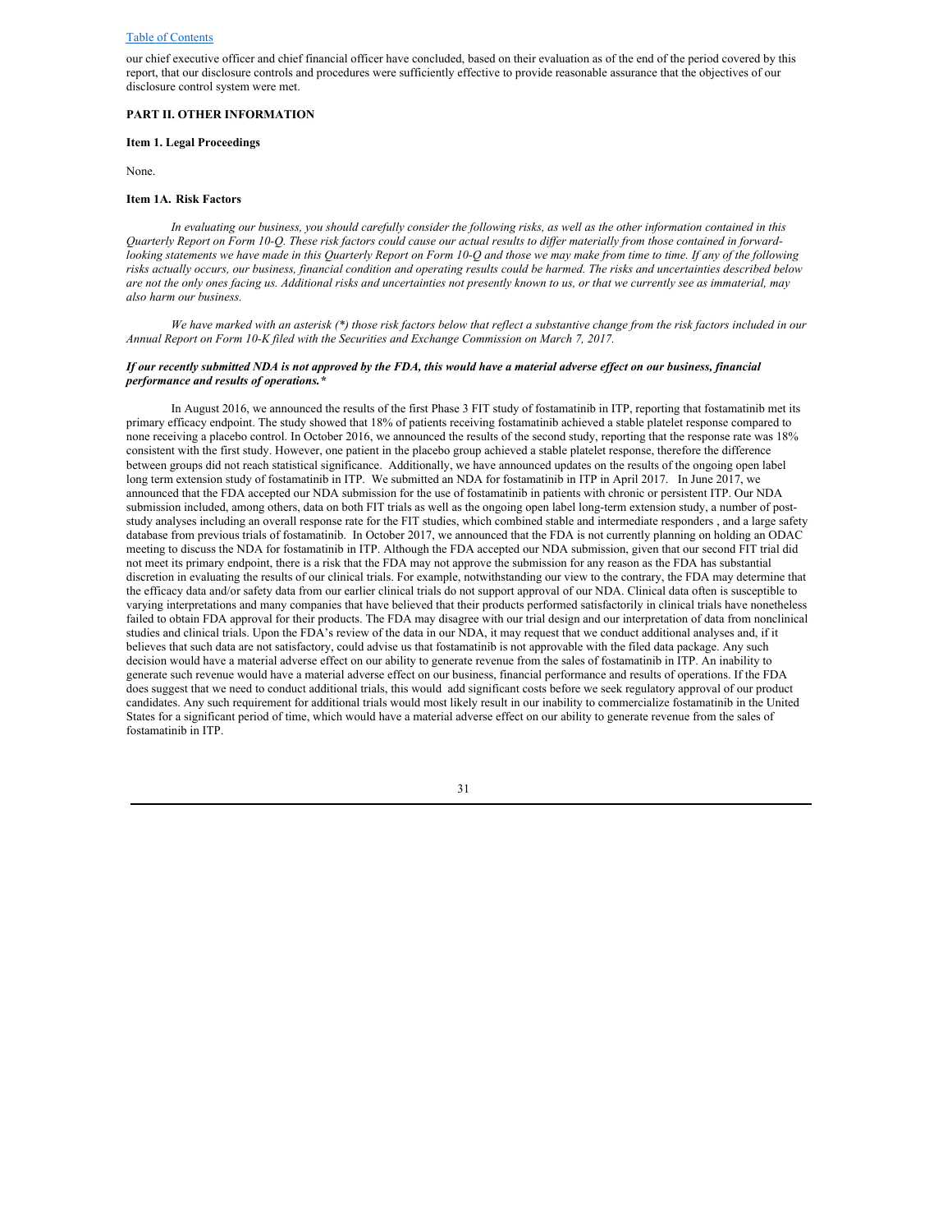our chief executive officer and chief financial officer have concluded, based on their evaluation as of the end of the period covered by this report, that our disclosure controls and procedures were sufficiently effective to provide reasonable assurance that the objectives of our disclosure control system were met.

# <span id="page-30-0"></span>**PART II. OTHER INFORMATION**

# <span id="page-30-1"></span>**Item 1. Legal Proceedings**

None.

### <span id="page-30-2"></span>**Item 1A. Risk Factors**

In evaluating our business, you should carefully consider the following risks, as well as the other information contained in this Quarterly Report on Form 10-Q. These risk factors could cause our actual results to differ materially from those contained in forwardlooking statements we have made in this Quarterly Report on Form 10-Q and those we may make from time to time. If any of the following risks actually occurs, our business, financial condition and operating results could be harmed. The risks and uncertainties described below are not the only ones facing us. Additional risks and uncertainties not presently known to us, or that we currently see as immaterial, may *also harm our business.*

We have marked with an asterisk (\*) those risk factors below that reflect a substantive change from the risk factors included in our *Annual Report on Form 10-K filed with the Securities and Exchange Commission on March 7, 2017.*

### If our recently submitted NDA is not approved by the FDA, this would have a material adverse effect on our business, financial *performance and results of operations.\**

In August 2016, we announced the results of the first Phase 3 FIT study of fostamatinib in ITP, reporting that fostamatinib met its primary efficacy endpoint. The study showed that 18% of patients receiving fostamatinib achieved a stable platelet response compared to none receiving a placebo control. In October 2016, we announced the results of the second study, reporting that the response rate was 18% consistent with the first study. However, one patient in the placebo group achieved a stable platelet response, therefore the difference between groups did not reach statistical significance. Additionally, we have announced updates on the results of the ongoing open label long term extension study of fostamatinib in ITP. We submitted an NDA for fostamatinib in ITP in April 2017. In June 2017, we announced that the FDA accepted our NDA submission for the use of fostamatinib in patients with chronic or persistent ITP. Our NDA submission included, among others, data on both FIT trials as well as the ongoing open label long-term extension study, a number of poststudy analyses including an overall response rate for the FIT studies, which combined stable and intermediate responders , and a large safety database from previous trials of fostamatinib. In October 2017, we announced that the FDA is not currently planning on holding an ODAC meeting to discuss the NDA for fostamatinib in ITP. Although the FDA accepted our NDA submission, given that our second FIT trial did not meet its primary endpoint, there is a risk that the FDA may not approve the submission for any reason as the FDA has substantial discretion in evaluating the results of our clinical trials. For example, notwithstanding our view to the contrary, the FDA may determine that the efficacy data and/or safety data from our earlier clinical trials do not support approval of our NDA. Clinical data often is susceptible to varying interpretations and many companies that have believed that their products performed satisfactorily in clinical trials have nonetheless failed to obtain FDA approval for their products. The FDA may disagree with our trial design and our interpretation of data from nonclinical studies and clinical trials. Upon the FDA's review of the data in our NDA, it may request that we conduct additional analyses and, if it believes that such data are not satisfactory, could advise us that fostamatinib is not approvable with the filed data package. Any such decision would have a material adverse effect on our ability to generate revenue from the sales of fostamatinib in ITP. An inability to generate such revenue would have a material adverse effect on our business, financial performance and results of operations. If the FDA does suggest that we need to conduct additional trials, this would add significant costs before we seek regulatory approval of our product candidates. Any such requirement for additional trials would most likely result in our inability to commercialize fostamatinib in the United States for a significant period of time, which would have a material adverse effect on our ability to generate revenue from the sales of fostamatinib in ITP.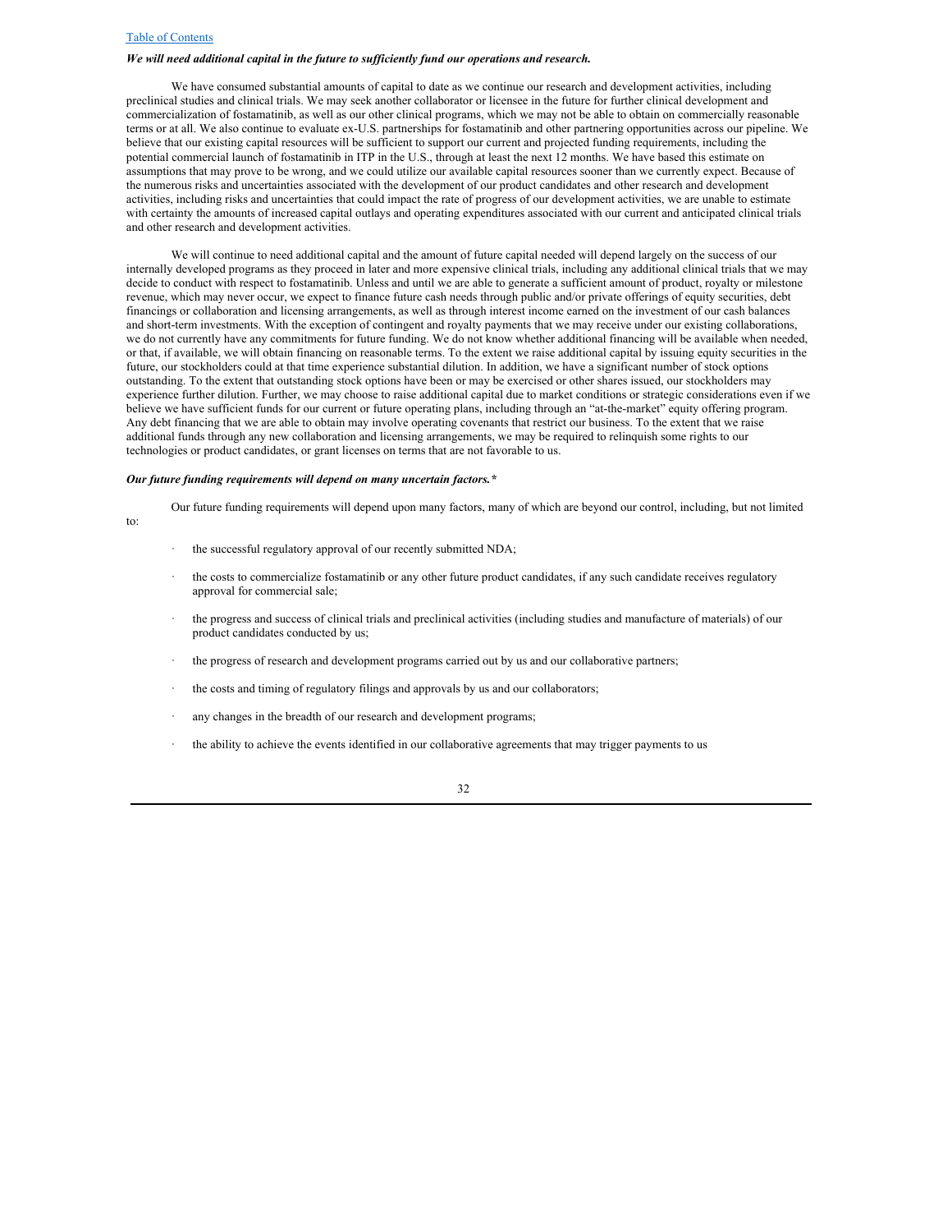# *We will need additional capital in the future to suf iciently fund our operations and research.*

We have consumed substantial amounts of capital to date as we continue our research and development activities, including preclinical studies and clinical trials. We may seek another collaborator or licensee in the future for further clinical development and commercialization of fostamatinib, as well as our other clinical programs, which we may not be able to obtain on commercially reasonable terms or at all. We also continue to evaluate ex-U.S. partnerships for fostamatinib and other partnering opportunities across our pipeline. We believe that our existing capital resources will be sufficient to support our current and projected funding requirements, including the potential commercial launch of fostamatinib in ITP in the U.S., through at least the next 12 months. We have based this estimate on assumptions that may prove to be wrong, and we could utilize our available capital resources sooner than we currently expect. Because of the numerous risks and uncertainties associated with the development of our product candidates and other research and development activities, including risks and uncertainties that could impact the rate of progress of our development activities, we are unable to estimate with certainty the amounts of increased capital outlays and operating expenditures associated with our current and anticipated clinical trials and other research and development activities.

We will continue to need additional capital and the amount of future capital needed will depend largely on the success of our internally developed programs as they proceed in later and more expensive clinical trials, including any additional clinical trials that we may decide to conduct with respect to fostamatinib. Unless and until we are able to generate a sufficient amount of product, royalty or milestone revenue, which may never occur, we expect to finance future cash needs through public and/or private offerings of equity securities, debt financings or collaboration and licensing arrangements, as well as through interest income earned on the investment of our cash balances and short-term investments. With the exception of contingent and royalty payments that we may receive under our existing collaborations, we do not currently have any commitments for future funding. We do not know whether additional financing will be available when needed, or that, if available, we will obtain financing on reasonable terms. To the extent we raise additional capital by issuing equity securities in the future, our stockholders could at that time experience substantial dilution. In addition, we have a significant number of stock options outstanding. To the extent that outstanding stock options have been or may be exercised or other shares issued, our stockholders may experience further dilution. Further, we may choose to raise additional capital due to market conditions or strategic considerations even if we believe we have sufficient funds for our current or future operating plans, including through an "at-the-market" equity offering program. Any debt financing that we are able to obtain may involve operating covenants that restrict our business. To the extent that we raise additional funds through any new collaboration and licensing arrangements, we may be required to relinquish some rights to our technologies or product candidates, or grant licenses on terms that are not favorable to us.

### *Our future funding requirements will depend on many uncertain factors.\**

Our future funding requirements will depend upon many factors, many of which are beyond our control, including, but not limited

to:

- the successful regulatory approval of our recently submitted NDA;
- the costs to commercialize fostamatinib or any other future product candidates, if any such candidate receives regulatory approval for commercial sale;
- · the progress and success of clinical trials and preclinical activities (including studies and manufacture of materials) of our product candidates conducted by us;
- the progress of research and development programs carried out by us and our collaborative partners;
- the costs and timing of regulatory filings and approvals by us and our collaborators;
- any changes in the breadth of our research and development programs;
- the ability to achieve the events identified in our collaborative agreements that may trigger payments to us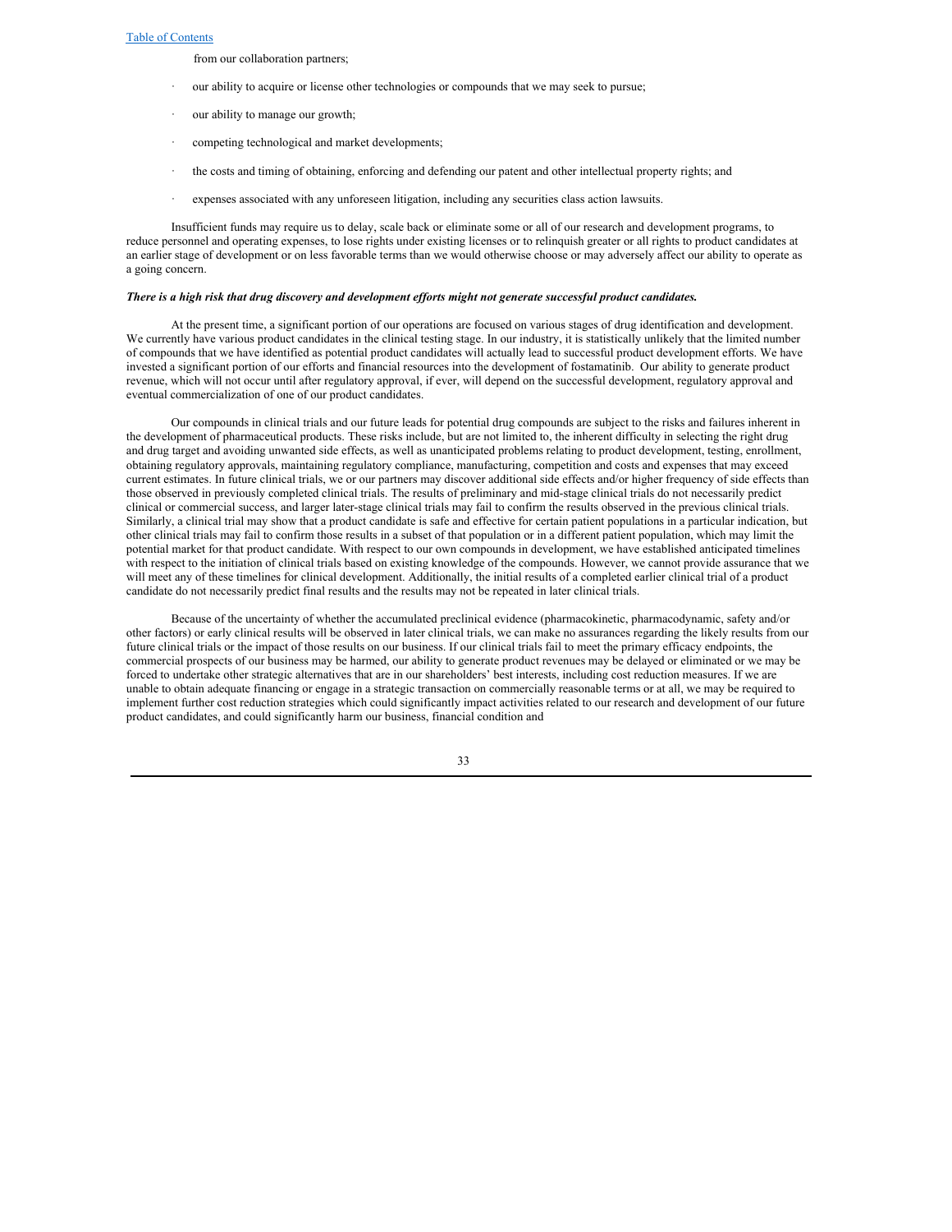from our collaboration partners;

- our ability to acquire or license other technologies or compounds that we may seek to pursue;
- our ability to manage our growth;
- competing technological and market developments;
- the costs and timing of obtaining, enforcing and defending our patent and other intellectual property rights; and
- expenses associated with any unforeseen litigation, including any securities class action lawsuits.

Insufficient funds may require us to delay, scale back or eliminate some or all of our research and development programs, to reduce personnel and operating expenses, to lose rights under existing licenses or to relinquish greater or all rights to product candidates at an earlier stage of development or on less favorable terms than we would otherwise choose or may adversely affect our ability to operate as a going concern.

# There is a high risk that drug discovery and development efforts might not generate successful product candidates.

At the present time, a significant portion of our operations are focused on various stages of drug identification and development. We currently have various product candidates in the clinical testing stage. In our industry, it is statistically unlikely that the limited number of compounds that we have identified as potential product candidates will actually lead to successful product development efforts. We have invested a significant portion of our efforts and financial resources into the development of fostamatinib. Our ability to generate product revenue, which will not occur until after regulatory approval, if ever, will depend on the successful development, regulatory approval and eventual commercialization of one of our product candidates.

Our compounds in clinical trials and our future leads for potential drug compounds are subject to the risks and failures inherent in the development of pharmaceutical products. These risks include, but are not limited to, the inherent difficulty in selecting the right drug and drug target and avoiding unwanted side effects, as well as unanticipated problems relating to product development, testing, enrollment, obtaining regulatory approvals, maintaining regulatory compliance, manufacturing, competition and costs and expenses that may exceed current estimates. In future clinical trials, we or our partners may discover additional side effects and/or higher frequency of side effects than those observed in previously completed clinical trials. The results of preliminary and mid-stage clinical trials do not necessarily predict clinical or commercial success, and larger later-stage clinical trials may fail to confirm the results observed in the previous clinical trials. Similarly, a clinical trial may show that a product candidate is safe and effective for certain patient populations in a particular indication, but other clinical trials may fail to confirm those results in a subset of that population or in a different patient population, which may limit the potential market for that product candidate. With respect to our own compounds in development, we have established anticipated timelines with respect to the initiation of clinical trials based on existing knowledge of the compounds. However, we cannot provide assurance that we will meet any of these timelines for clinical development. Additionally, the initial results of a completed earlier clinical trial of a product candidate do not necessarily predict final results and the results may not be repeated in later clinical trials.

Because of the uncertainty of whether the accumulated preclinical evidence (pharmacokinetic, pharmacodynamic, safety and/or other factors) or early clinical results will be observed in later clinical trials, we can make no assurances regarding the likely results from our future clinical trials or the impact of those results on our business. If our clinical trials fail to meet the primary efficacy endpoints, the commercial prospects of our business may be harmed, our ability to generate product revenues may be delayed or eliminated or we may be forced to undertake other strategic alternatives that are in our shareholders' best interests, including cost reduction measures. If we are unable to obtain adequate financing or engage in a strategic transaction on commercially reasonable terms or at all, we may be required to implement further cost reduction strategies which could significantly impact activities related to our research and development of our future product candidates, and could significantly harm our business, financial condition and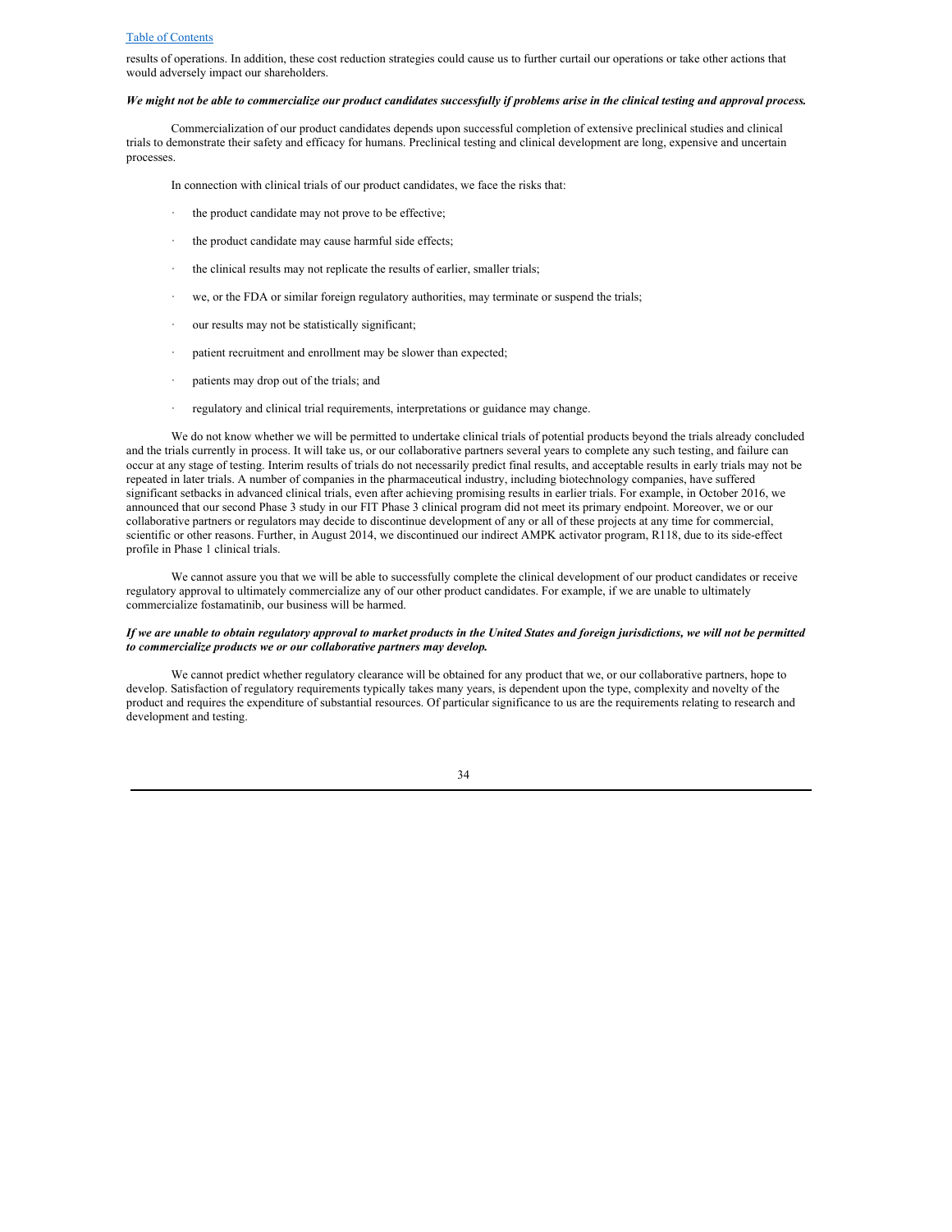results of operations. In addition, these cost reduction strategies could cause us to further curtail our operations or take other actions that would adversely impact our shareholders.

# We might not be able to commercialize our product candidates successfully if problems arise in the clinical testing and approval process.

Commercialization of our product candidates depends upon successful completion of extensive preclinical studies and clinical trials to demonstrate their safety and efficacy for humans. Preclinical testing and clinical development are long, expensive and uncertain processes.

In connection with clinical trials of our product candidates, we face the risks that:

- the product candidate may not prove to be effective;
- the product candidate may cause harmful side effects;
- the clinical results may not replicate the results of earlier, smaller trials;
- we, or the FDA or similar foreign regulatory authorities, may terminate or suspend the trials;
- our results may not be statistically significant;
- patient recruitment and enrollment may be slower than expected;
- · patients may drop out of the trials; and
- regulatory and clinical trial requirements, interpretations or guidance may change.

We do not know whether we will be permitted to undertake clinical trials of potential products beyond the trials already concluded and the trials currently in process. It will take us, or our collaborative partners several years to complete any such testing, and failure can occur at any stage of testing. Interim results of trials do not necessarily predict final results, and acceptable results in early trials may not be repeated in later trials. A number of companies in the pharmaceutical industry, including biotechnology companies, have suffered significant setbacks in advanced clinical trials, even after achieving promising results in earlier trials. For example, in October 2016, we announced that our second Phase 3 study in our FIT Phase 3 clinical program did not meet its primary endpoint. Moreover, we or our collaborative partners or regulators may decide to discontinue development of any or all of these projects at any time for commercial, scientific or other reasons. Further, in August 2014, we discontinued our indirect AMPK activator program, R118, due to its side-effect profile in Phase 1 clinical trials.

We cannot assure you that we will be able to successfully complete the clinical development of our product candidates or receive regulatory approval to ultimately commercialize any of our other product candidates. For example, if we are unable to ultimately commercialize fostamatinib, our business will be harmed.

# If we are unable to obtain regulatory approval to market products in the United States and foreign jurisdictions, we will not be permitted *to commercialize products we or our collaborative partners may develop.*

We cannot predict whether regulatory clearance will be obtained for any product that we, or our collaborative partners, hope to develop. Satisfaction of regulatory requirements typically takes many years, is dependent upon the type, complexity and novelty of the product and requires the expenditure of substantial resources. Of particular significance to us are the requirements relating to research and development and testing.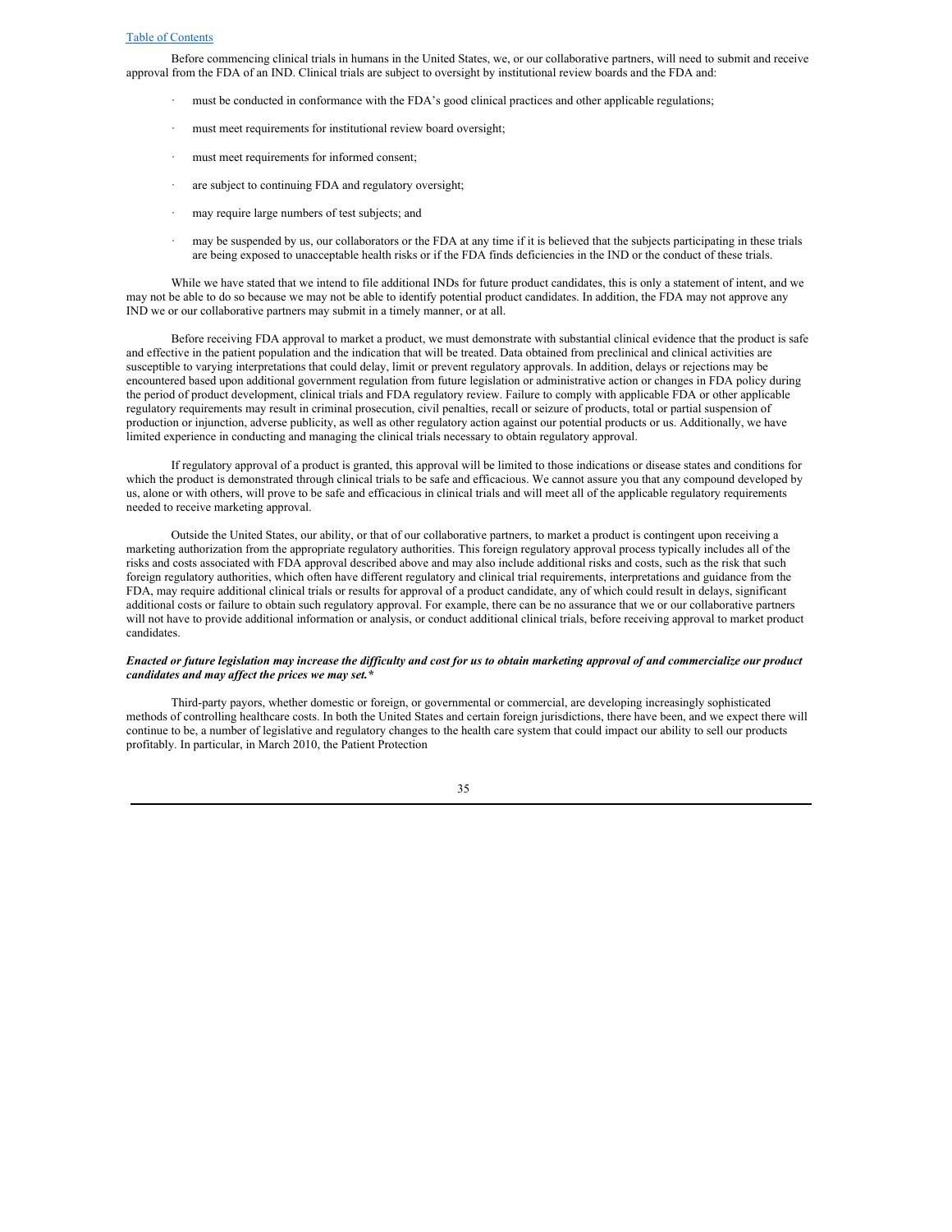Before commencing clinical trials in humans in the United States, we, or our collaborative partners, will need to submit and receive approval from the FDA of an IND. Clinical trials are subject to oversight by institutional review boards and the FDA and:

- must be conducted in conformance with the FDA's good clinical practices and other applicable regulations;
- must meet requirements for institutional review board oversight;
- must meet requirements for informed consent;
- are subject to continuing FDA and regulatory oversight;
- may require large numbers of test subjects; and
- may be suspended by us, our collaborators or the FDA at any time if it is believed that the subjects participating in these trials are being exposed to unacceptable health risks or if the FDA finds deficiencies in the IND or the conduct of these trials.

While we have stated that we intend to file additional INDs for future product candidates, this is only a statement of intent, and we may not be able to do so because we may not be able to identify potential product candidates. In addition, the FDA may not approve any IND we or our collaborative partners may submit in a timely manner, or at all.

Before receiving FDA approval to market a product, we must demonstrate with substantial clinical evidence that the product is safe and effective in the patient population and the indication that will be treated. Data obtained from preclinical and clinical activities are susceptible to varying interpretations that could delay, limit or prevent regulatory approvals. In addition, delays or rejections may be encountered based upon additional government regulation from future legislation or administrative action or changes in FDA policy during the period of product development, clinical trials and FDA regulatory review. Failure to comply with applicable FDA or other applicable regulatory requirements may result in criminal prosecution, civil penalties, recall or seizure of products, total or partial suspension of production or injunction, adverse publicity, as well as other regulatory action against our potential products or us. Additionally, we have limited experience in conducting and managing the clinical trials necessary to obtain regulatory approval.

If regulatory approval of a product is granted, this approval will be limited to those indications or disease states and conditions for which the product is demonstrated through clinical trials to be safe and efficacious. We cannot assure you that any compound developed by us, alone or with others, will prove to be safe and efficacious in clinical trials and will meet all of the applicable regulatory requirements needed to receive marketing approval.

Outside the United States, our ability, or that of our collaborative partners, to market a product is contingent upon receiving a marketing authorization from the appropriate regulatory authorities. This foreign regulatory approval process typically includes all of the risks and costs associated with FDA approval described above and may also include additional risks and costs, such as the risk that such foreign regulatory authorities, which often have different regulatory and clinical trial requirements, interpretations and guidance from the FDA, may require additional clinical trials or results for approval of a product candidate, any of which could result in delays, significant additional costs or failure to obtain such regulatory approval. For example, there can be no assurance that we or our collaborative partners will not have to provide additional information or analysis, or conduct additional clinical trials, before receiving approval to market product candidates.

### Enacted or future legislation may increase the difficulty and cost for us to obtain marketing approval of and commercialize our product *candidates and may af ect the prices we may set.\**

Third-party payors, whether domestic or foreign, or governmental or commercial, are developing increasingly sophisticated methods of controlling healthcare costs. In both the United States and certain foreign jurisdictions, there have been, and we expect there will continue to be, a number of legislative and regulatory changes to the health care system that could impact our ability to sell our products profitably. In particular, in March 2010, the Patient Protection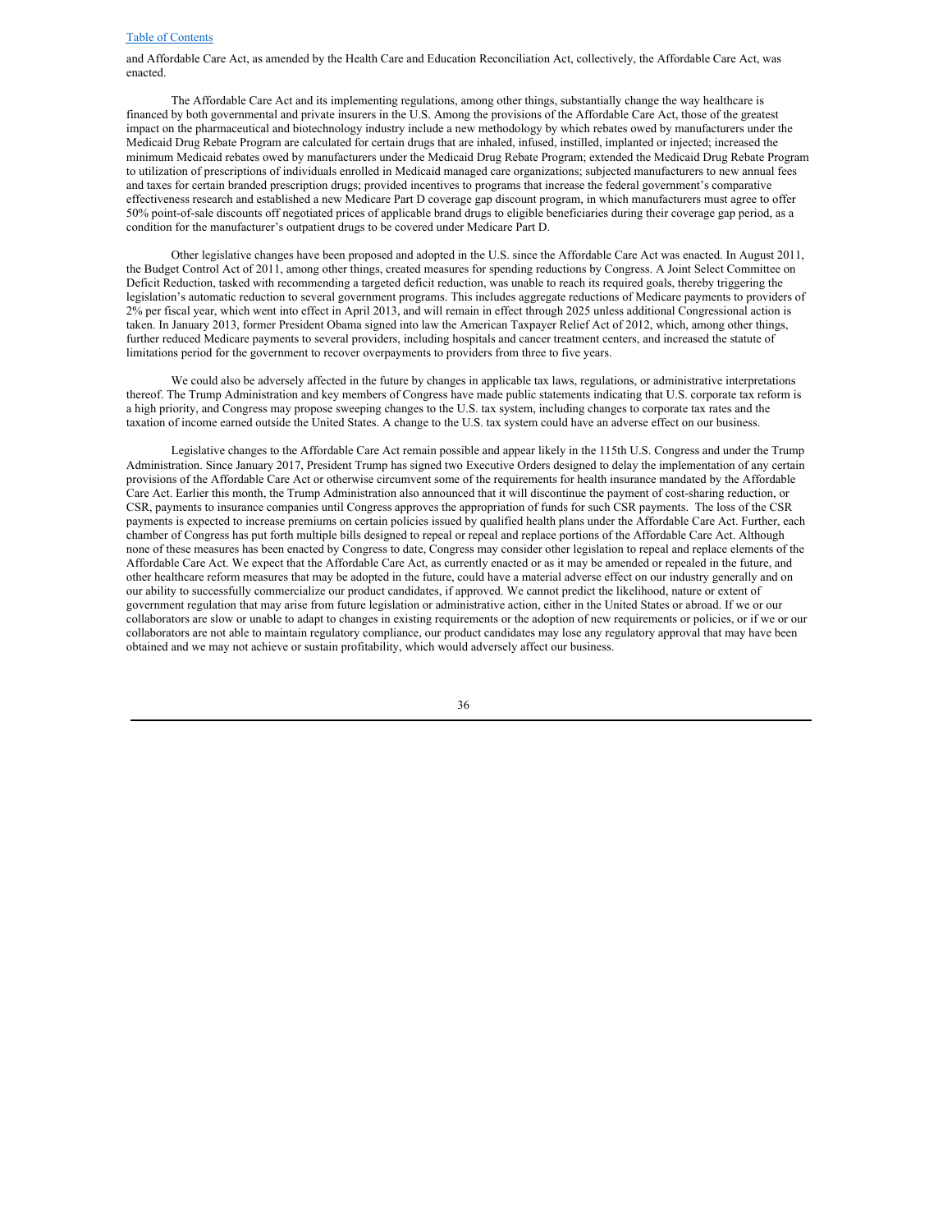and Affordable Care Act, as amended by the Health Care and Education Reconciliation Act, collectively, the Affordable Care Act, was enacted.

The Affordable Care Act and its implementing regulations, among other things, substantially change the way healthcare is financed by both governmental and private insurers in the U.S. Among the provisions of the Affordable Care Act, those of the greatest impact on the pharmaceutical and biotechnology industry include a new methodology by which rebates owed by manufacturers under the Medicaid Drug Rebate Program are calculated for certain drugs that are inhaled, infused, instilled, implanted or injected; increased the minimum Medicaid rebates owed by manufacturers under the Medicaid Drug Rebate Program; extended the Medicaid Drug Rebate Program to utilization of prescriptions of individuals enrolled in Medicaid managed care organizations; subjected manufacturers to new annual fees and taxes for certain branded prescription drugs; provided incentives to programs that increase the federal government's comparative effectiveness research and established a new Medicare Part D coverage gap discount program, in which manufacturers must agree to offer 50% point-of-sale discounts off negotiated prices of applicable brand drugs to eligible beneficiaries during their coverage gap period, as a condition for the manufacturer's outpatient drugs to be covered under Medicare Part D.

Other legislative changes have been proposed and adopted in the U.S. since the Affordable Care Act was enacted. In August 2011, the Budget Control Act of 2011, among other things, created measures for spending reductions by Congress. A Joint Select Committee on Deficit Reduction, tasked with recommending a targeted deficit reduction, was unable to reach its required goals, thereby triggering the legislation's automatic reduction to several government programs. This includes aggregate reductions of Medicare payments to providers of 2% per fiscal year, which went into effect in April 2013, and will remain in effect through 2025 unless additional Congressional action is taken. In January 2013, former President Obama signed into law the American Taxpayer Relief Act of 2012, which, among other things, further reduced Medicare payments to several providers, including hospitals and cancer treatment centers, and increased the statute of limitations period for the government to recover overpayments to providers from three to five years.

We could also be adversely affected in the future by changes in applicable tax laws, regulations, or administrative interpretations thereof. The Trump Administration and key members of Congress have made public statements indicating that U.S. corporate tax reform is a high priority, and Congress may propose sweeping changes to the U.S. tax system, including changes to corporate tax rates and the taxation of income earned outside the United States. A change to the U.S. tax system could have an adverse effect on our business.

Legislative changes to the Affordable Care Act remain possible and appear likely in the 115th U.S. Congress and under the Trump Administration. Since January 2017, President Trump has signed two Executive Orders designed to delay the implementation of any certain provisions of the Affordable Care Act or otherwise circumvent some of the requirements for health insurance mandated by the Affordable Care Act. Earlier this month, the Trump Administration also announced that it will discontinue the payment of cost-sharing reduction, or CSR, payments to insurance companies until Congress approves the appropriation of funds for such CSR payments. The loss of the CSR payments is expected to increase premiums on certain policies issued by qualified health plans under the Affordable Care Act. Further, each chamber of Congress has put forth multiple bills designed to repeal or repeal and replace portions of the Affordable Care Act. Although none of these measures has been enacted by Congress to date, Congress may consider other legislation to repeal and replace elements of the Affordable Care Act. We expect that the Affordable Care Act, as currently enacted or as it may be amended or repealed in the future, and other healthcare reform measures that may be adopted in the future, could have a material adverse effect on our industry generally and on our ability to successfully commercialize our product candidates, if approved. We cannot predict the likelihood, nature or extent of government regulation that may arise from future legislation or administrative action, either in the United States or abroad. If we or our collaborators are slow or unable to adapt to changes in existing requirements or the adoption of new requirements or policies, or if we or our collaborators are not able to maintain regulatory compliance, our product candidates may lose any regulatory approval that may have been obtained and we may not achieve or sustain profitability, which would adversely affect our business.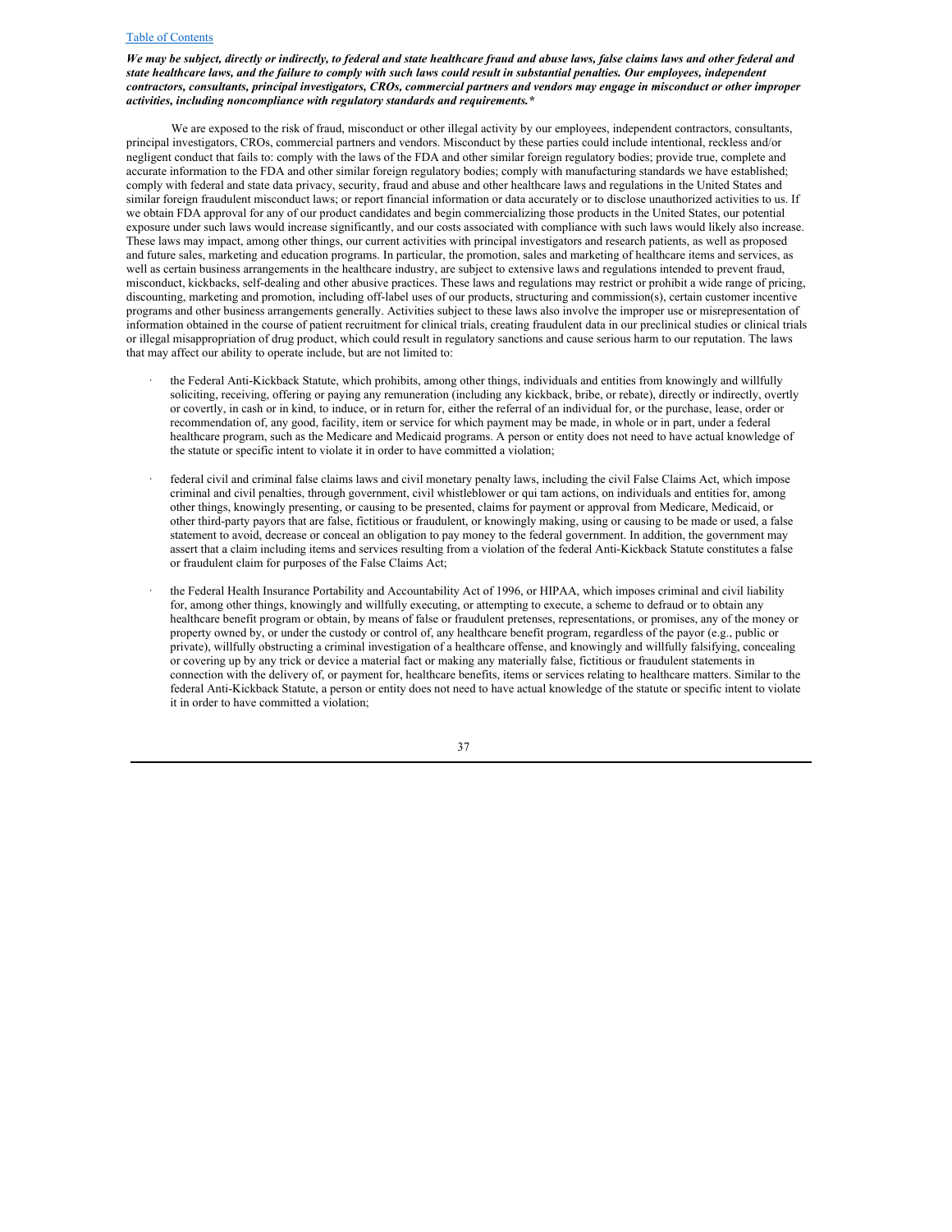We may be subject, directly or indirectly, to federal and state healthcare fraud and abuse laws, false claims laws and other federal and state healthcare laws, and the failure to comply with such laws could result in substantial penalties. Our employees, independent contractors, consultants, principal investigators, CROs, commercial partners and vendors may engage in misconduct or other improper *activities, including noncompliance with regulatory standards and requirements.\**

We are exposed to the risk of fraud, misconduct or other illegal activity by our employees, independent contractors, consultants, principal investigators, CROs, commercial partners and vendors. Misconduct by these parties could include intentional, reckless and/or negligent conduct that fails to: comply with the laws of the FDA and other similar foreign regulatory bodies; provide true, complete and accurate information to the FDA and other similar foreign regulatory bodies; comply with manufacturing standards we have established; comply with federal and state data privacy, security, fraud and abuse and other healthcare laws and regulations in the United States and similar foreign fraudulent misconduct laws; or report financial information or data accurately or to disclose unauthorized activities to us. If we obtain FDA approval for any of our product candidates and begin commercializing those products in the United States, our potential exposure under such laws would increase significantly, and our costs associated with compliance with such laws would likely also increase. These laws may impact, among other things, our current activities with principal investigators and research patients, as well as proposed and future sales, marketing and education programs. In particular, the promotion, sales and marketing of healthcare items and services, as well as certain business arrangements in the healthcare industry, are subject to extensive laws and regulations intended to prevent fraud, misconduct, kickbacks, self-dealing and other abusive practices. These laws and regulations may restrict or prohibit a wide range of pricing, discounting, marketing and promotion, including off-label uses of our products, structuring and commission(s), certain customer incentive programs and other business arrangements generally. Activities subject to these laws also involve the improper use or misrepresentation of information obtained in the course of patient recruitment for clinical trials, creating fraudulent data in our preclinical studies or clinical trials or illegal misappropriation of drug product, which could result in regulatory sanctions and cause serious harm to our reputation. The laws that may affect our ability to operate include, but are not limited to:

- the Federal Anti-Kickback Statute, which prohibits, among other things, individuals and entities from knowingly and willfully soliciting, receiving, offering or paying any remuneration (including any kickback, bribe, or rebate), directly or indirectly, overtly or covertly, in cash or in kind, to induce, or in return for, either the referral of an individual for, or the purchase, lease, order or recommendation of, any good, facility, item or service for which payment may be made, in whole or in part, under a federal healthcare program, such as the Medicare and Medicaid programs. A person or entity does not need to have actual knowledge of the statute or specific intent to violate it in order to have committed a violation;
- federal civil and criminal false claims laws and civil monetary penalty laws, including the civil False Claims Act, which impose criminal and civil penalties, through government, civil whistleblower or qui tam actions, on individuals and entities for, among other things, knowingly presenting, or causing to be presented, claims for payment or approval from Medicare, Medicaid, or other third-party payors that are false, fictitious or fraudulent, or knowingly making, using or causing to be made or used, a false statement to avoid, decrease or conceal an obligation to pay money to the federal government. In addition, the government may assert that a claim including items and services resulting from a violation of the federal Anti-Kickback Statute constitutes a false or fraudulent claim for purposes of the False Claims Act;
- the Federal Health Insurance Portability and Accountability Act of 1996, or HIPAA, which imposes criminal and civil liability for, among other things, knowingly and willfully executing, or attempting to execute, a scheme to defraud or to obtain any healthcare benefit program or obtain, by means of false or fraudulent pretenses, representations, or promises, any of the money or property owned by, or under the custody or control of, any healthcare benefit program, regardless of the payor (e.g., public or private), willfully obstructing a criminal investigation of a healthcare offense, and knowingly and willfully falsifying, concealing or covering up by any trick or device a material fact or making any materially false, fictitious or fraudulent statements in connection with the delivery of, or payment for, healthcare benefits, items or services relating to healthcare matters. Similar to the federal Anti-Kickback Statute, a person or entity does not need to have actual knowledge of the statute or specific intent to violate it in order to have committed a violation;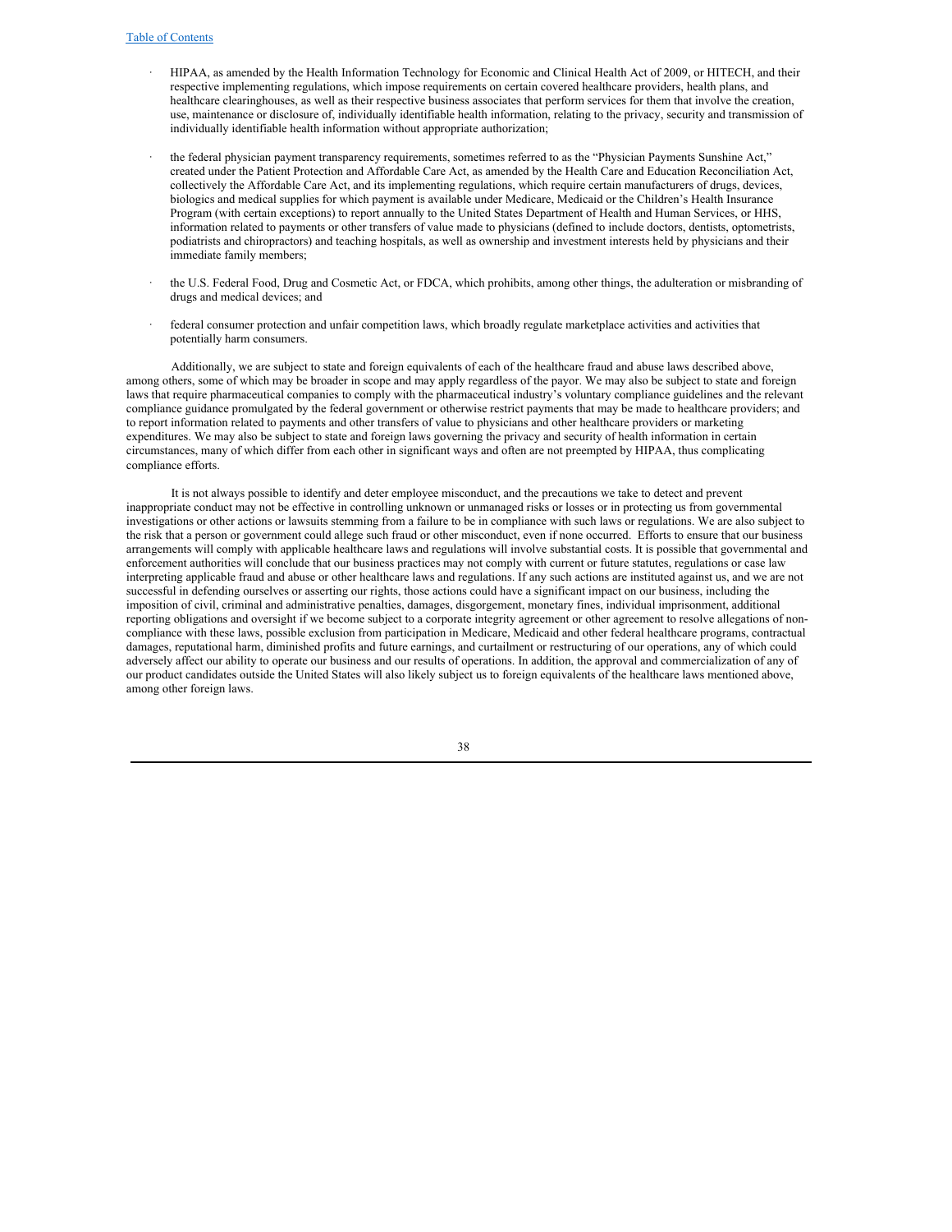- · HIPAA, as amended by the Health Information Technology for Economic and Clinical Health Act of 2009, or HITECH, and their respective implementing regulations, which impose requirements on certain covered healthcare providers, health plans, and healthcare clearinghouses, as well as their respective business associates that perform services for them that involve the creation, use, maintenance or disclosure of, individually identifiable health information, relating to the privacy, security and transmission of individually identifiable health information without appropriate authorization;
- the federal physician payment transparency requirements, sometimes referred to as the "Physician Payments Sunshine Act," created under the Patient Protection and Affordable Care Act, as amended by the Health Care and Education Reconciliation Act, collectively the Affordable Care Act, and its implementing regulations, which require certain manufacturers of drugs, devices, biologics and medical supplies for which payment is available under Medicare, Medicaid or the Children's Health Insurance Program (with certain exceptions) to report annually to the United States Department of Health and Human Services, or HHS, information related to payments or other transfers of value made to physicians (defined to include doctors, dentists, optometrists, podiatrists and chiropractors) and teaching hospitals, as well as ownership and investment interests held by physicians and their immediate family members;
- the U.S. Federal Food, Drug and Cosmetic Act, or FDCA, which prohibits, among other things, the adulteration or misbranding of drugs and medical devices; and
- federal consumer protection and unfair competition laws, which broadly regulate marketplace activities and activities that potentially harm consumers.

Additionally, we are subject to state and foreign equivalents of each of the healthcare fraud and abuse laws described above, among others, some of which may be broader in scope and may apply regardless of the payor. We may also be subject to state and foreign laws that require pharmaceutical companies to comply with the pharmaceutical industry's voluntary compliance guidelines and the relevant compliance guidance promulgated by the federal government or otherwise restrict payments that may be made to healthcare providers; and to report information related to payments and other transfers of value to physicians and other healthcare providers or marketing expenditures. We may also be subject to state and foreign laws governing the privacy and security of health information in certain circumstances, many of which differ from each other in significant ways and often are not preempted by HIPAA, thus complicating compliance efforts.

It is not always possible to identify and deter employee misconduct, and the precautions we take to detect and prevent inappropriate conduct may not be effective in controlling unknown or unmanaged risks or losses or in protecting us from governmental investigations or other actions or lawsuits stemming from a failure to be in compliance with such laws or regulations. We are also subject to the risk that a person or government could allege such fraud or other misconduct, even if none occurred. Efforts to ensure that our business arrangements will comply with applicable healthcare laws and regulations will involve substantial costs. It is possible that governmental and enforcement authorities will conclude that our business practices may not comply with current or future statutes, regulations or case law interpreting applicable fraud and abuse or other healthcare laws and regulations. If any such actions are instituted against us, and we are not successful in defending ourselves or asserting our rights, those actions could have a significant impact on our business, including the imposition of civil, criminal and administrative penalties, damages, disgorgement, monetary fines, individual imprisonment, additional reporting obligations and oversight if we become subject to a corporate integrity agreement or other agreement to resolve allegations of noncompliance with these laws, possible exclusion from participation in Medicare, Medicaid and other federal healthcare programs, contractual damages, reputational harm, diminished profits and future earnings, and curtailment or restructuring of our operations, any of which could adversely affect our ability to operate our business and our results of operations. In addition, the approval and commercialization of any of our product candidates outside the United States will also likely subject us to foreign equivalents of the healthcare laws mentioned above, among other foreign laws.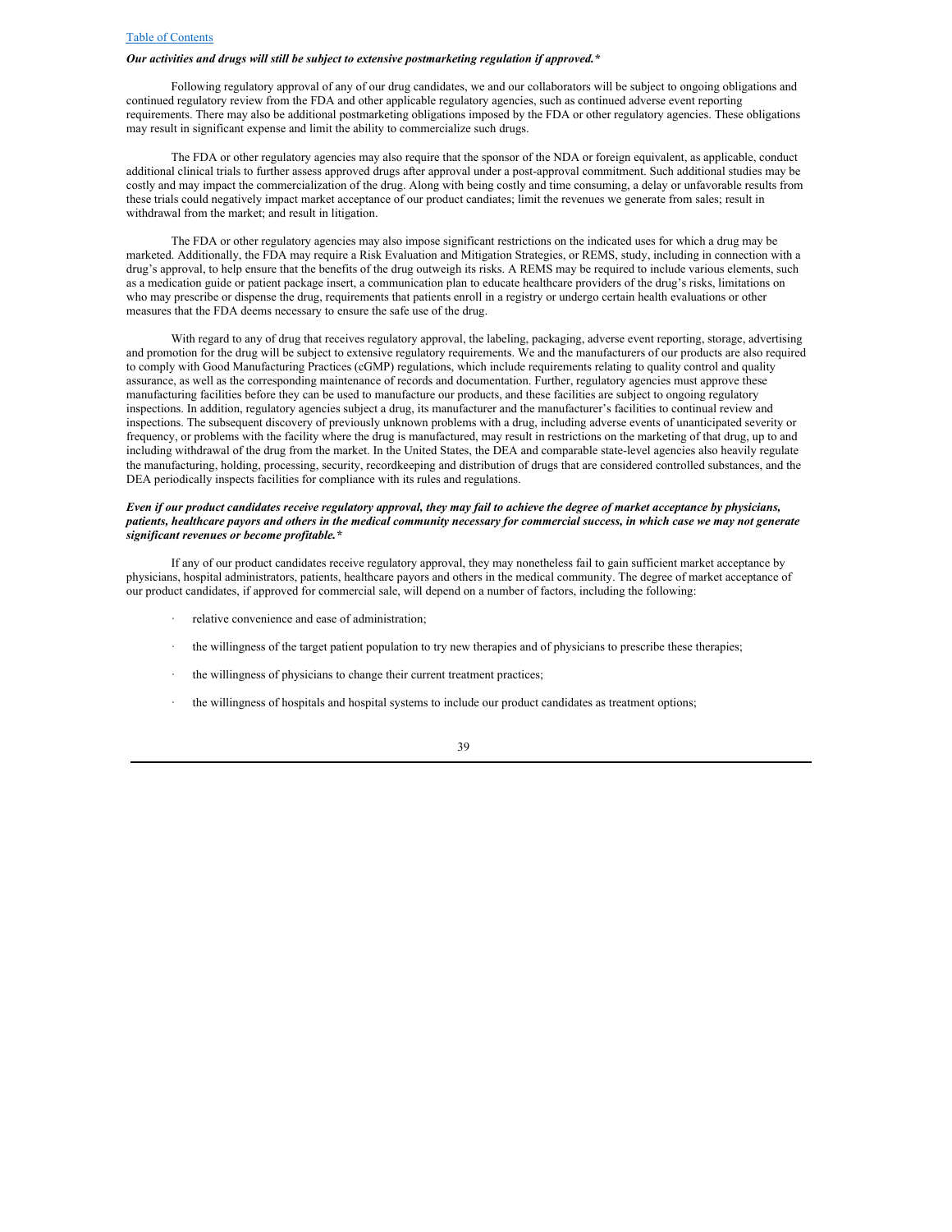# *Our activities and drugs will still be subject to extensive postmarketing regulation if approved.\**

Following regulatory approval of any of our drug candidates, we and our collaborators will be subject to ongoing obligations and continued regulatory review from the FDA and other applicable regulatory agencies, such as continued adverse event reporting requirements. There may also be additional postmarketing obligations imposed by the FDA or other regulatory agencies. These obligations may result in significant expense and limit the ability to commercialize such drugs.

The FDA or other regulatory agencies may also require that the sponsor of the NDA or foreign equivalent, as applicable, conduct additional clinical trials to further assess approved drugs after approval under a post-approval commitment. Such additional studies may be costly and may impact the commercialization of the drug. Along with being costly and time consuming, a delay or unfavorable results from these trials could negatively impact market acceptance of our product candiates; limit the revenues we generate from sales; result in withdrawal from the market; and result in litigation.

The FDA or other regulatory agencies may also impose significant restrictions on the indicated uses for which a drug may be marketed. Additionally, the FDA may require a Risk Evaluation and Mitigation Strategies, or REMS, study, including in connection with a drug's approval, to help ensure that the benefits of the drug outweigh its risks. A REMS may be required to include various elements, such as a medication guide or patient package insert, a communication plan to educate healthcare providers of the drug's risks, limitations on who may prescribe or dispense the drug, requirements that patients enroll in a registry or undergo certain health evaluations or other measures that the FDA deems necessary to ensure the safe use of the drug.

With regard to any of drug that receives regulatory approval, the labeling, packaging, adverse event reporting, storage, advertising and promotion for the drug will be subject to extensive regulatory requirements. We and the manufacturers of our products are also required to comply with Good Manufacturing Practices (cGMP) regulations, which include requirements relating to quality control and quality assurance, as well as the corresponding maintenance of records and documentation. Further, regulatory agencies must approve these manufacturing facilities before they can be used to manufacture our products, and these facilities are subject to ongoing regulatory inspections. In addition, regulatory agencies subject a drug, its manufacturer and the manufacturer's facilities to continual review and inspections. The subsequent discovery of previously unknown problems with a drug, including adverse events of unanticipated severity or frequency, or problems with the facility where the drug is manufactured, may result in restrictions on the marketing of that drug, up to and including withdrawal of the drug from the market. In the United States, the DEA and comparable state-level agencies also heavily regulate the manufacturing, holding, processing, security, recordkeeping and distribution of drugs that are considered controlled substances, and the DEA periodically inspects facilities for compliance with its rules and regulations.

### Even if our product candidates receive regulatory approval, they may fail to achieve the degree of market acceptance by physicians, patients, healthcare payors and others in the medical community necessary for commercial success, in which case we may not generate *significant revenues or become profitable.\**

If any of our product candidates receive regulatory approval, they may nonetheless fail to gain sufficient market acceptance by physicians, hospital administrators, patients, healthcare payors and others in the medical community. The degree of market acceptance of our product candidates, if approved for commercial sale, will depend on a number of factors, including the following:

- relative convenience and ease of administration;
- the willingness of the target patient population to try new therapies and of physicians to prescribe these therapies;
- the willingness of physicians to change their current treatment practices;
- the willingness of hospitals and hospital systems to include our product candidates as treatment options;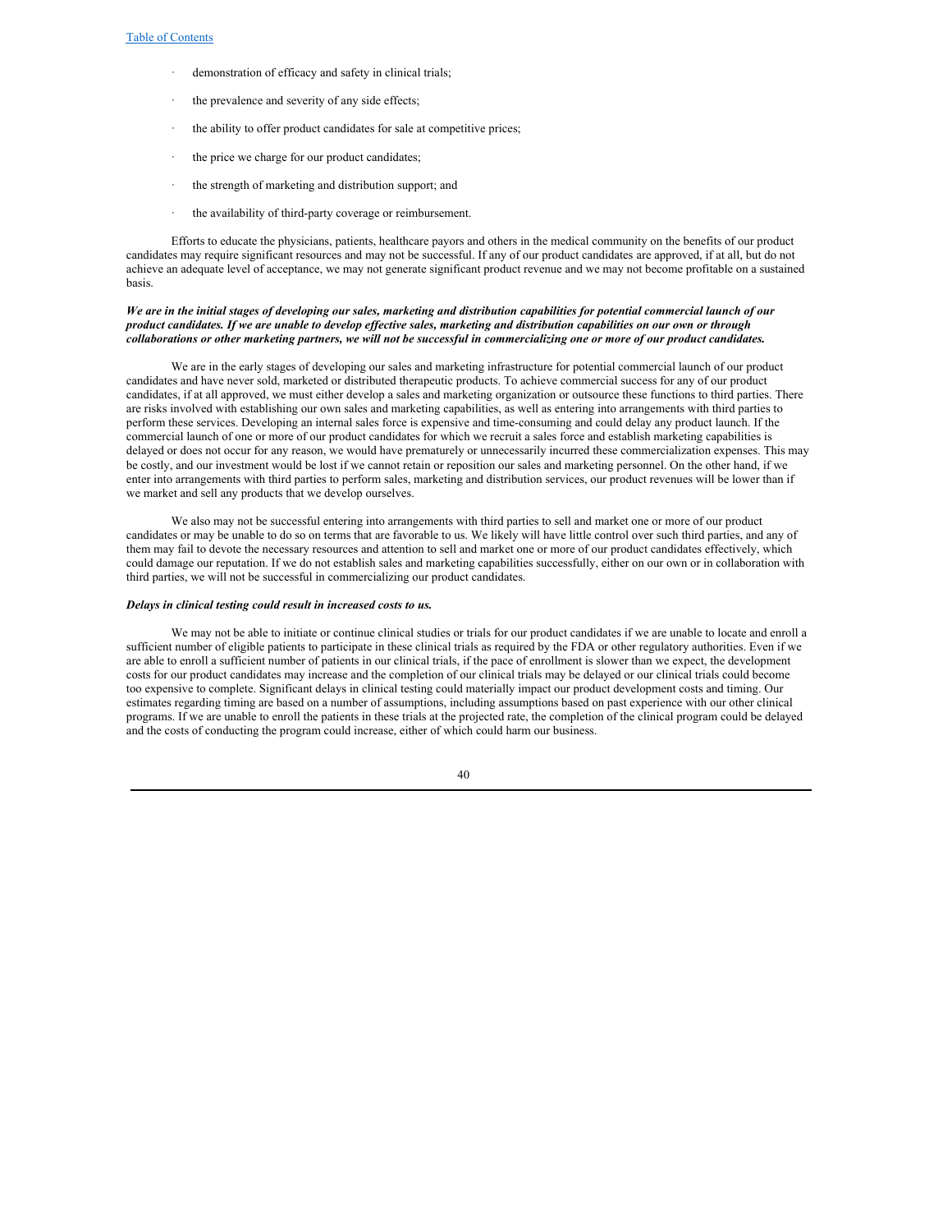- demonstration of efficacy and safety in clinical trials;
- the prevalence and severity of any side effects;
- the ability to offer product candidates for sale at competitive prices;
- the price we charge for our product candidates;
- the strength of marketing and distribution support; and
- the availability of third-party coverage or reimbursement.

Efforts to educate the physicians, patients, healthcare payors and others in the medical community on the benefits of our product candidates may require significant resources and may not be successful. If any of our product candidates are approved, if at all, but do not achieve an adequate level of acceptance, we may not generate significant product revenue and we may not become profitable on a sustained basis.

### We are in the initial stages of developing our sales, marketing and distribution capabilities for potential commercial launch of our product candidates. If we are unable to develop effective sales, marketing and distribution capabilities on our own or through collaborations or other marketing partners, we will not be successful in commercializing one or more of our product candidates.

We are in the early stages of developing our sales and marketing infrastructure for potential commercial launch of our product candidates and have never sold, marketed or distributed therapeutic products. To achieve commercial success for any of our product candidates, if at all approved, we must either develop a sales and marketing organization or outsource these functions to third parties. There are risks involved with establishing our own sales and marketing capabilities, as well as entering into arrangements with third parties to perform these services. Developing an internal sales force is expensive and time-consuming and could delay any product launch. If the commercial launch of one or more of our product candidates for which we recruit a sales force and establish marketing capabilities is delayed or does not occur for any reason, we would have prematurely or unnecessarily incurred these commercialization expenses. This may be costly, and our investment would be lost if we cannot retain or reposition our sales and marketing personnel. On the other hand, if we enter into arrangements with third parties to perform sales, marketing and distribution services, our product revenues will be lower than if we market and sell any products that we develop ourselves.

We also may not be successful entering into arrangements with third parties to sell and market one or more of our product candidates or may be unable to do so on terms that are favorable to us. We likely will have little control over such third parties, and any of them may fail to devote the necessary resources and attention to sell and market one or more of our product candidates effectively, which could damage our reputation. If we do not establish sales and marketing capabilities successfully, either on our own or in collaboration with third parties, we will not be successful in commercializing our product candidates.

### *Delays in clinical testing could result in increased costs to us.*

We may not be able to initiate or continue clinical studies or trials for our product candidates if we are unable to locate and enroll a sufficient number of eligible patients to participate in these clinical trials as required by the FDA or other regulatory authorities. Even if we are able to enroll a sufficient number of patients in our clinical trials, if the pace of enrollment is slower than we expect, the development costs for our product candidates may increase and the completion of our clinical trials may be delayed or our clinical trials could become too expensive to complete. Significant delays in clinical testing could materially impact our product development costs and timing. Our estimates regarding timing are based on a number of assumptions, including assumptions based on past experience with our other clinical programs. If we are unable to enroll the patients in these trials at the projected rate, the completion of the clinical program could be delayed and the costs of conducting the program could increase, either of which could harm our business.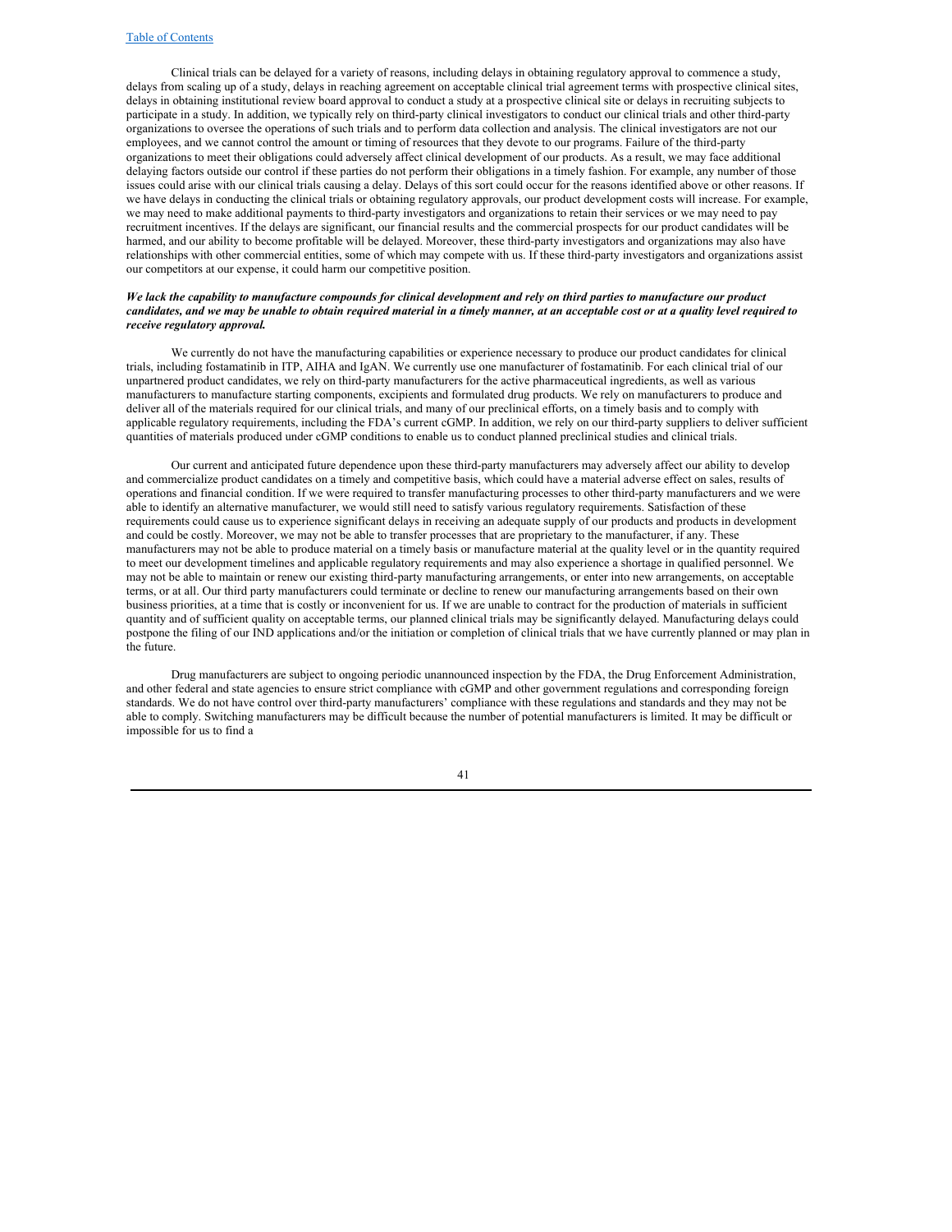Clinical trials can be delayed for a variety of reasons, including delays in obtaining regulatory approval to commence a study, delays from scaling up of a study, delays in reaching agreement on acceptable clinical trial agreement terms with prospective clinical sites, delays in obtaining institutional review board approval to conduct a study at a prospective clinical site or delays in recruiting subjects to participate in a study. In addition, we typically rely on third-party clinical investigators to conduct our clinical trials and other third-party organizations to oversee the operations of such trials and to perform data collection and analysis. The clinical investigators are not our employees, and we cannot control the amount or timing of resources that they devote to our programs. Failure of the third-party organizations to meet their obligations could adversely affect clinical development of our products. As a result, we may face additional delaying factors outside our control if these parties do not perform their obligations in a timely fashion. For example, any number of those issues could arise with our clinical trials causing a delay. Delays of this sort could occur for the reasons identified above or other reasons. If we have delays in conducting the clinical trials or obtaining regulatory approvals, our product development costs will increase. For example, we may need to make additional payments to third-party investigators and organizations to retain their services or we may need to pay recruitment incentives. If the delays are significant, our financial results and the commercial prospects for our product candidates will be harmed, and our ability to become profitable will be delayed. Moreover, these third-party investigators and organizations may also have relationships with other commercial entities, some of which may compete with us. If these third-party investigators and organizations assist our competitors at our expense, it could harm our competitive position.

# We lack the capability to manufacture compounds for clinical development and rely on third parties to manufacture our product candidates, and we may be unable to obtain required material in a timely manner, at an acceptable cost or at a quality level required to *receive regulatory approval.*

We currently do not have the manufacturing capabilities or experience necessary to produce our product candidates for clinical trials, including fostamatinib in ITP, AIHA and IgAN. We currently use one manufacturer of fostamatinib. For each clinical trial of our unpartnered product candidates, we rely on third-party manufacturers for the active pharmaceutical ingredients, as well as various manufacturers to manufacture starting components, excipients and formulated drug products. We rely on manufacturers to produce and deliver all of the materials required for our clinical trials, and many of our preclinical efforts, on a timely basis and to comply with applicable regulatory requirements, including the FDA's current cGMP. In addition, we rely on our third-party suppliers to deliver sufficient quantities of materials produced under cGMP conditions to enable us to conduct planned preclinical studies and clinical trials.

Our current and anticipated future dependence upon these third-party manufacturers may adversely affect our ability to develop and commercialize product candidates on a timely and competitive basis, which could have a material adverse effect on sales, results of operations and financial condition. If we were required to transfer manufacturing processes to other third-party manufacturers and we were able to identify an alternative manufacturer, we would still need to satisfy various regulatory requirements. Satisfaction of these requirements could cause us to experience significant delays in receiving an adequate supply of our products and products in development and could be costly. Moreover, we may not be able to transfer processes that are proprietary to the manufacturer, if any. These manufacturers may not be able to produce material on a timely basis or manufacture material at the quality level or in the quantity required to meet our development timelines and applicable regulatory requirements and may also experience a shortage in qualified personnel. We may not be able to maintain or renew our existing third-party manufacturing arrangements, or enter into new arrangements, on acceptable terms, or at all. Our third party manufacturers could terminate or decline to renew our manufacturing arrangements based on their own business priorities, at a time that is costly or inconvenient for us. If we are unable to contract for the production of materials in sufficient quantity and of sufficient quality on acceptable terms, our planned clinical trials may be significantly delayed. Manufacturing delays could postpone the filing of our IND applications and/or the initiation or completion of clinical trials that we have currently planned or may plan in the future.

Drug manufacturers are subject to ongoing periodic unannounced inspection by the FDA, the Drug Enforcement Administration, and other federal and state agencies to ensure strict compliance with cGMP and other government regulations and corresponding foreign standards. We do not have control over third-party manufacturers' compliance with these regulations and standards and they may not be able to comply. Switching manufacturers may be difficult because the number of potential manufacturers is limited. It may be difficult or impossible for us to find a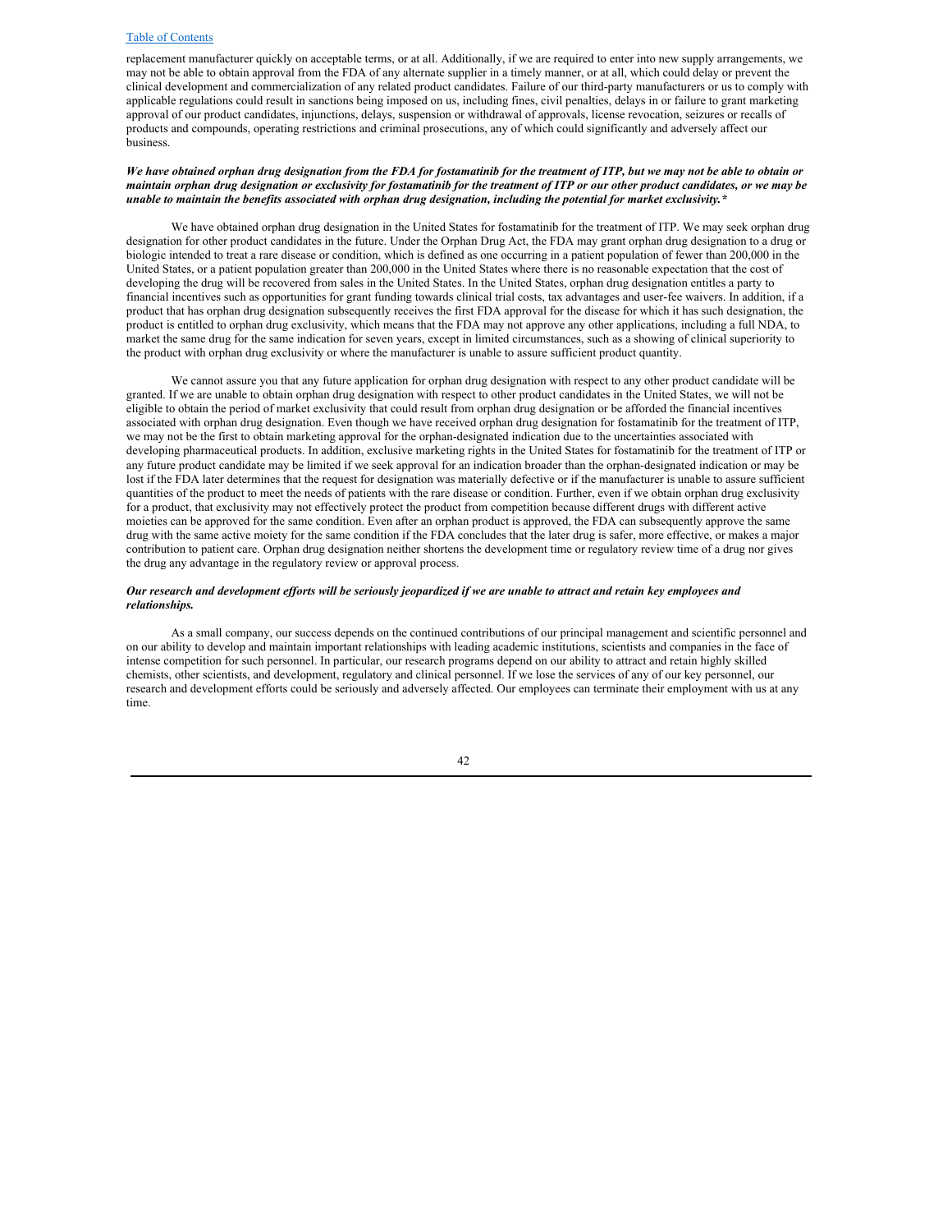replacement manufacturer quickly on acceptable terms, or at all. Additionally, if we are required to enter into new supply arrangements, we may not be able to obtain approval from the FDA of any alternate supplier in a timely manner, or at all, which could delay or prevent the clinical development and commercialization of any related product candidates. Failure of our third-party manufacturers or us to comply with applicable regulations could result in sanctions being imposed on us, including fines, civil penalties, delays in or failure to grant marketing approval of our product candidates, injunctions, delays, suspension or withdrawal of approvals, license revocation, seizures or recalls of products and compounds, operating restrictions and criminal prosecutions, any of which could significantly and adversely affect our business.

### We have obtained orphan drug designation from the FDA for fostamatinib for the treatment of ITP, but we may not be able to obtain or maintain orphan drug designation or exclusivity for fostamatinib for the treatment of ITP or our other product candidates, or we may be unable to maintain the benefits associated with orphan drug designation, including the potential for market exclusivity.\*

We have obtained orphan drug designation in the United States for fostamatinib for the treatment of ITP. We may seek orphan drug designation for other product candidates in the future. Under the Orphan Drug Act, the FDA may grant orphan drug designation to a drug or biologic intended to treat a rare disease or condition, which is defined as one occurring in a patient population of fewer than 200,000 in the United States, or a patient population greater than 200,000 in the United States where there is no reasonable expectation that the cost of developing the drug will be recovered from sales in the United States. In the United States, orphan drug designation entitles a party to financial incentives such as opportunities for grant funding towards clinical trial costs, tax advantages and user-fee waivers. In addition, if a product that has orphan drug designation subsequently receives the first FDA approval for the disease for which it has such designation, the product is entitled to orphan drug exclusivity, which means that the FDA may not approve any other applications, including a full NDA, to market the same drug for the same indication for seven years, except in limited circumstances, such as a showing of clinical superiority to the product with orphan drug exclusivity or where the manufacturer is unable to assure sufficient product quantity.

We cannot assure you that any future application for orphan drug designation with respect to any other product candidate will be granted. If we are unable to obtain orphan drug designation with respect to other product candidates in the United States, we will not be eligible to obtain the period of market exclusivity that could result from orphan drug designation or be afforded the financial incentives associated with orphan drug designation. Even though we have received orphan drug designation for fostamatinib for the treatment of ITP, we may not be the first to obtain marketing approval for the orphan-designated indication due to the uncertainties associated with developing pharmaceutical products. In addition, exclusive marketing rights in the United States for fostamatinib for the treatment of ITP or any future product candidate may be limited if we seek approval for an indication broader than the orphan-designated indication or may be lost if the FDA later determines that the request for designation was materially defective or if the manufacturer is unable to assure sufficient quantities of the product to meet the needs of patients with the rare disease or condition. Further, even if we obtain orphan drug exclusivity for a product, that exclusivity may not effectively protect the product from competition because different drugs with different active moieties can be approved for the same condition. Even after an orphan product is approved, the FDA can subsequently approve the same drug with the same active moiety for the same condition if the FDA concludes that the later drug is safer, more effective, or makes a major contribution to patient care. Orphan drug designation neither shortens the development time or regulatory review time of a drug nor gives the drug any advantage in the regulatory review or approval process.

# Our research and development efforts will be seriously jeopardized if we are unable to attract and retain key employees and *relationships.*

As a small company, our success depends on the continued contributions of our principal management and scientific personnel and on our ability to develop and maintain important relationships with leading academic institutions, scientists and companies in the face of intense competition for such personnel. In particular, our research programs depend on our ability to attract and retain highly skilled chemists, other scientists, and development, regulatory and clinical personnel. If we lose the services of any of our key personnel, our research and development efforts could be seriously and adversely affected. Our employees can terminate their employment with us at any time.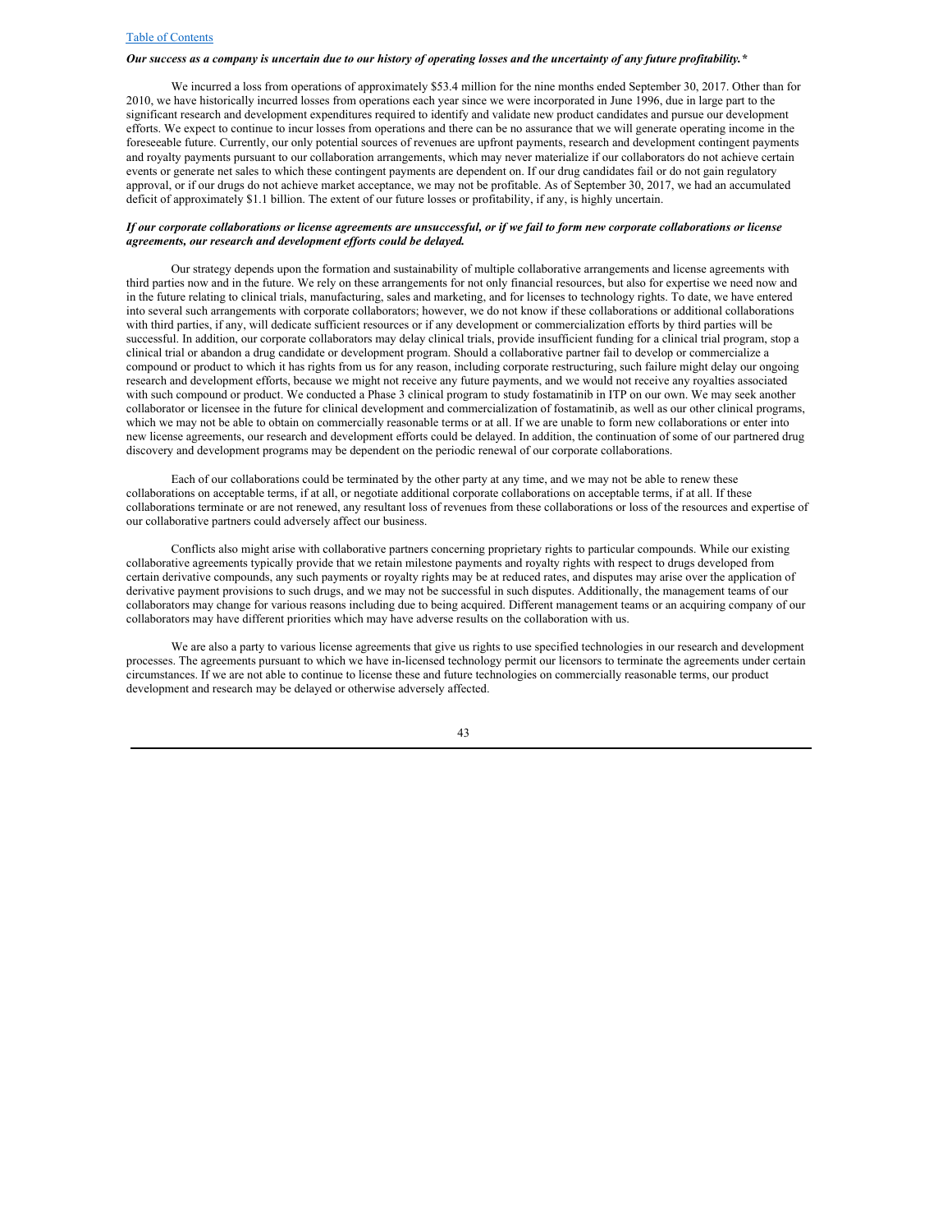### Our success as a company is uncertain due to our history of operating losses and the uncertainty of any future profitability.\*

We incurred a loss from operations of approximately \$53.4 million for the nine months ended September 30, 2017. Other than for 2010, we have historically incurred losses from operations each year since we were incorporated in June 1996, due in large part to the significant research and development expenditures required to identify and validate new product candidates and pursue our development efforts. We expect to continue to incur losses from operations and there can be no assurance that we will generate operating income in the foreseeable future. Currently, our only potential sources of revenues are upfront payments, research and development contingent payments and royalty payments pursuant to our collaboration arrangements, which may never materialize if our collaborators do not achieve certain events or generate net sales to which these contingent payments are dependent on. If our drug candidates fail or do not gain regulatory approval, or if our drugs do not achieve market acceptance, we may not be profitable. As of September 30, 2017, we had an accumulated deficit of approximately \$1.1 billion. The extent of our future losses or profitability, if any, is highly uncertain.

### If our corporate collaborations or license agreements are unsuccessful, or if we fail to form new corporate collaborations or license *agreements, our research and development ef orts could be delayed.*

Our strategy depends upon the formation and sustainability of multiple collaborative arrangements and license agreements with third parties now and in the future. We rely on these arrangements for not only financial resources, but also for expertise we need now and in the future relating to clinical trials, manufacturing, sales and marketing, and for licenses to technology rights. To date, we have entered into several such arrangements with corporate collaborators; however, we do not know if these collaborations or additional collaborations with third parties, if any, will dedicate sufficient resources or if any development or commercialization efforts by third parties will be successful. In addition, our corporate collaborators may delay clinical trials, provide insufficient funding for a clinical trial program, stop a clinical trial or abandon a drug candidate or development program. Should a collaborative partner fail to develop or commercialize a compound or product to which it has rights from us for any reason, including corporate restructuring, such failure might delay our ongoing research and development efforts, because we might not receive any future payments, and we would not receive any royalties associated with such compound or product. We conducted a Phase 3 clinical program to study fostamatinib in ITP on our own. We may seek another collaborator or licensee in the future for clinical development and commercialization of fostamatinib, as well as our other clinical programs, which we may not be able to obtain on commercially reasonable terms or at all. If we are unable to form new collaborations or enter into new license agreements, our research and development efforts could be delayed. In addition, the continuation of some of our partnered drug discovery and development programs may be dependent on the periodic renewal of our corporate collaborations.

Each of our collaborations could be terminated by the other party at any time, and we may not be able to renew these collaborations on acceptable terms, if at all, or negotiate additional corporate collaborations on acceptable terms, if at all. If these collaborations terminate or are not renewed, any resultant loss of revenues from these collaborations or loss of the resources and expertise of our collaborative partners could adversely affect our business.

Conflicts also might arise with collaborative partners concerning proprietary rights to particular compounds. While our existing collaborative agreements typically provide that we retain milestone payments and royalty rights with respect to drugs developed from certain derivative compounds, any such payments or royalty rights may be at reduced rates, and disputes may arise over the application of derivative payment provisions to such drugs, and we may not be successful in such disputes. Additionally, the management teams of our collaborators may change for various reasons including due to being acquired. Different management teams or an acquiring company of our collaborators may have different priorities which may have adverse results on the collaboration with us.

We are also a party to various license agreements that give us rights to use specified technologies in our research and development processes. The agreements pursuant to which we have in-licensed technology permit our licensors to terminate the agreements under certain circumstances. If we are not able to continue to license these and future technologies on commercially reasonable terms, our product development and research may be delayed or otherwise adversely affected.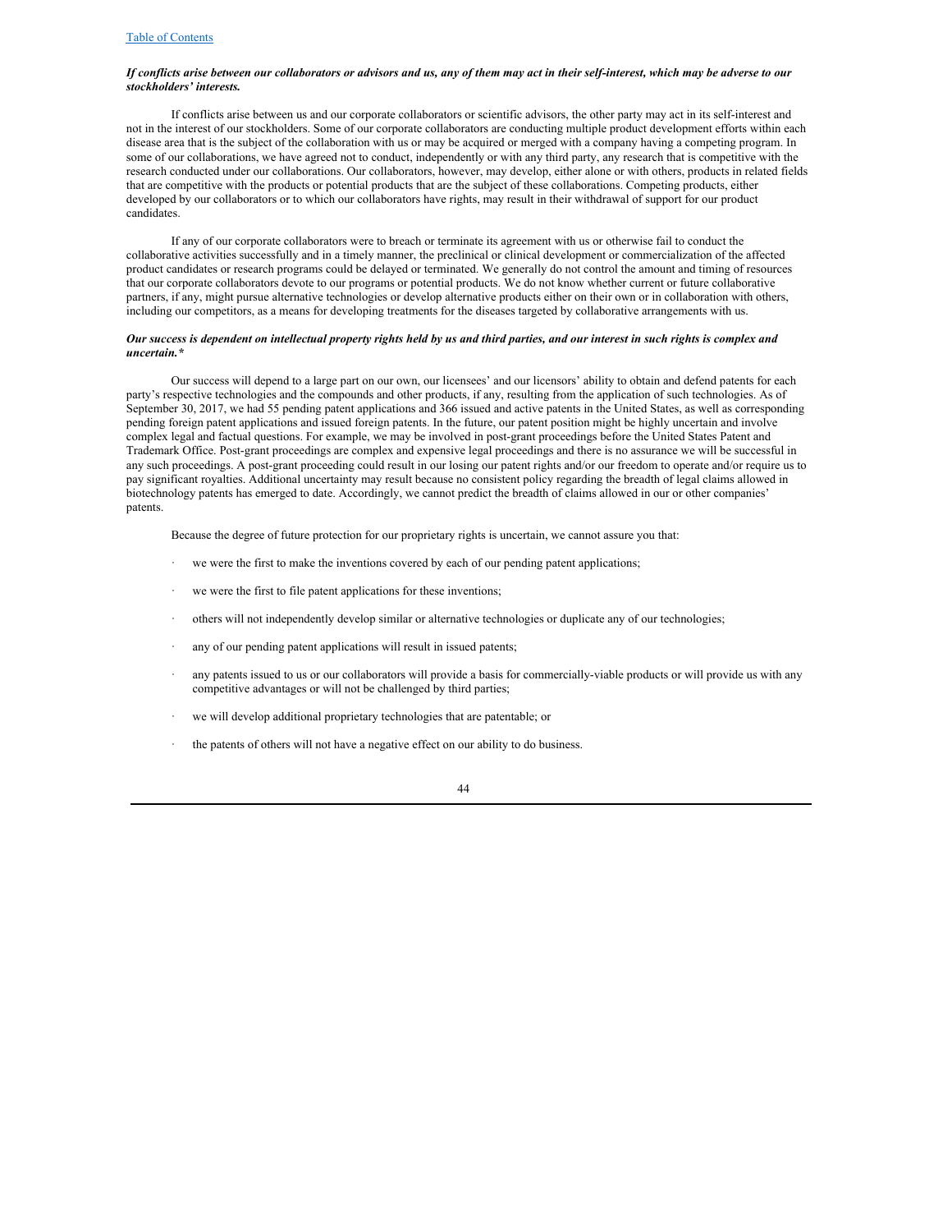### If conflicts arise between our collaborators or advisors and us, any of them may act in their self-interest, which may be adverse to our *stockholders' interests.*

If conflicts arise between us and our corporate collaborators or scientific advisors, the other party may act in its self-interest and not in the interest of our stockholders. Some of our corporate collaborators are conducting multiple product development efforts within each disease area that is the subject of the collaboration with us or may be acquired or merged with a company having a competing program. In some of our collaborations, we have agreed not to conduct, independently or with any third party, any research that is competitive with the research conducted under our collaborations. Our collaborators, however, may develop, either alone or with others, products in related fields that are competitive with the products or potential products that are the subject of these collaborations. Competing products, either developed by our collaborators or to which our collaborators have rights, may result in their withdrawal of support for our product candidates.

If any of our corporate collaborators were to breach or terminate its agreement with us or otherwise fail to conduct the collaborative activities successfully and in a timely manner, the preclinical or clinical development or commercialization of the affected product candidates or research programs could be delayed or terminated. We generally do not control the amount and timing of resources that our corporate collaborators devote to our programs or potential products. We do not know whether current or future collaborative partners, if any, might pursue alternative technologies or develop alternative products either on their own or in collaboration with others, including our competitors, as a means for developing treatments for the diseases targeted by collaborative arrangements with us.

### Our success is dependent on intellectual property rights held by us and third parties, and our interest in such rights is complex and *uncertain.\**

Our success will depend to a large part on our own, our licensees' and our licensors' ability to obtain and defend patents for each party's respective technologies and the compounds and other products, if any, resulting from the application of such technologies. As of September 30, 2017, we had 55 pending patent applications and 366 issued and active patents in the United States, as well as corresponding pending foreign patent applications and issued foreign patents. In the future, our patent position might be highly uncertain and involve complex legal and factual questions. For example, we may be involved in post-grant proceedings before the United States Patent and Trademark Office. Post-grant proceedings are complex and expensive legal proceedings and there is no assurance we will be successful in any such proceedings. A post-grant proceeding could result in our losing our patent rights and/or our freedom to operate and/or require us to pay significant royalties. Additional uncertainty may result because no consistent policy regarding the breadth of legal claims allowed in biotechnology patents has emerged to date. Accordingly, we cannot predict the breadth of claims allowed in our or other companies' patents.

Because the degree of future protection for our proprietary rights is uncertain, we cannot assure you that:

- we were the first to make the inventions covered by each of our pending patent applications;
- we were the first to file patent applications for these inventions;
- · others will not independently develop similar or alternative technologies or duplicate any of our technologies;
- any of our pending patent applications will result in issued patents;
- any patents issued to us or our collaborators will provide a basis for commercially-viable products or will provide us with any competitive advantages or will not be challenged by third parties;
- we will develop additional proprietary technologies that are patentable; or
- the patents of others will not have a negative effect on our ability to do business.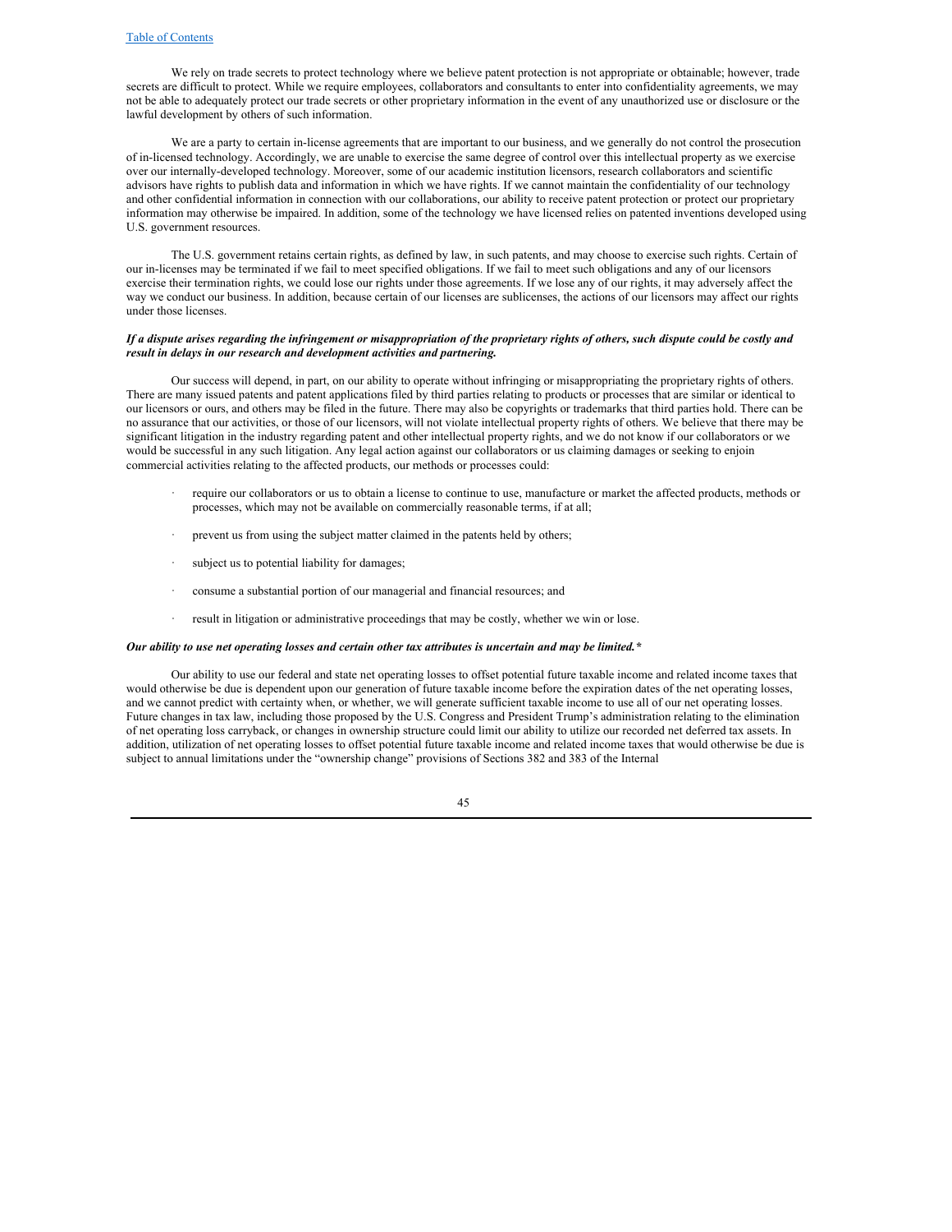We rely on trade secrets to protect technology where we believe patent protection is not appropriate or obtainable; however, trade secrets are difficult to protect. While we require employees, collaborators and consultants to enter into confidentiality agreements, we may not be able to adequately protect our trade secrets or other proprietary information in the event of any unauthorized use or disclosure or the lawful development by others of such information.

We are a party to certain in-license agreements that are important to our business, and we generally do not control the prosecution of in-licensed technology. Accordingly, we are unable to exercise the same degree of control over this intellectual property as we exercise over our internally-developed technology. Moreover, some of our academic institution licensors, research collaborators and scientific advisors have rights to publish data and information in which we have rights. If we cannot maintain the confidentiality of our technology and other confidential information in connection with our collaborations, our ability to receive patent protection or protect our proprietary information may otherwise be impaired. In addition, some of the technology we have licensed relies on patented inventions developed using U.S. government resources.

The U.S. government retains certain rights, as defined by law, in such patents, and may choose to exercise such rights. Certain of our in-licenses may be terminated if we fail to meet specified obligations. If we fail to meet such obligations and any of our licensors exercise their termination rights, we could lose our rights under those agreements. If we lose any of our rights, it may adversely affect the way we conduct our business. In addition, because certain of our licenses are sublicenses, the actions of our licensors may affect our rights under those licenses.

### If a dispute arises regarding the infringement or misappropriation of the proprietary rights of others, such dispute could be costly and *result in delays in our research and development activities and partnering.*

Our success will depend, in part, on our ability to operate without infringing or misappropriating the proprietary rights of others. There are many issued patents and patent applications filed by third parties relating to products or processes that are similar or identical to our licensors or ours, and others may be filed in the future. There may also be copyrights or trademarks that third parties hold. There can be no assurance that our activities, or those of our licensors, will not violate intellectual property rights of others. We believe that there may be significant litigation in the industry regarding patent and other intellectual property rights, and we do not know if our collaborators or we would be successful in any such litigation. Any legal action against our collaborators or us claiming damages or seeking to enjoin commercial activities relating to the affected products, our methods or processes could:

- require our collaborators or us to obtain a license to continue to use, manufacture or market the affected products, methods or processes, which may not be available on commercially reasonable terms, if at all;
- prevent us from using the subject matter claimed in the patents held by others;
- subject us to potential liability for damages;
- consume a substantial portion of our managerial and financial resources; and
- result in litigation or administrative proceedings that may be costly, whether we win or lose.

### Our ability to use net operating losses and certain other tax attributes is uncertain and may be limited.\*

Our ability to use our federal and state net operating losses to offset potential future taxable income and related income taxes that would otherwise be due is dependent upon our generation of future taxable income before the expiration dates of the net operating losses, and we cannot predict with certainty when, or whether, we will generate sufficient taxable income to use all of our net operating losses. Future changes in tax law, including those proposed by the U.S. Congress and President Trump's administration relating to the elimination of net operating loss carryback, or changes in ownership structure could limit our ability to utilize our recorded net deferred tax assets. In addition, utilization of net operating losses to offset potential future taxable income and related income taxes that would otherwise be due is subject to annual limitations under the "ownership change" provisions of Sections 382 and 383 of the Internal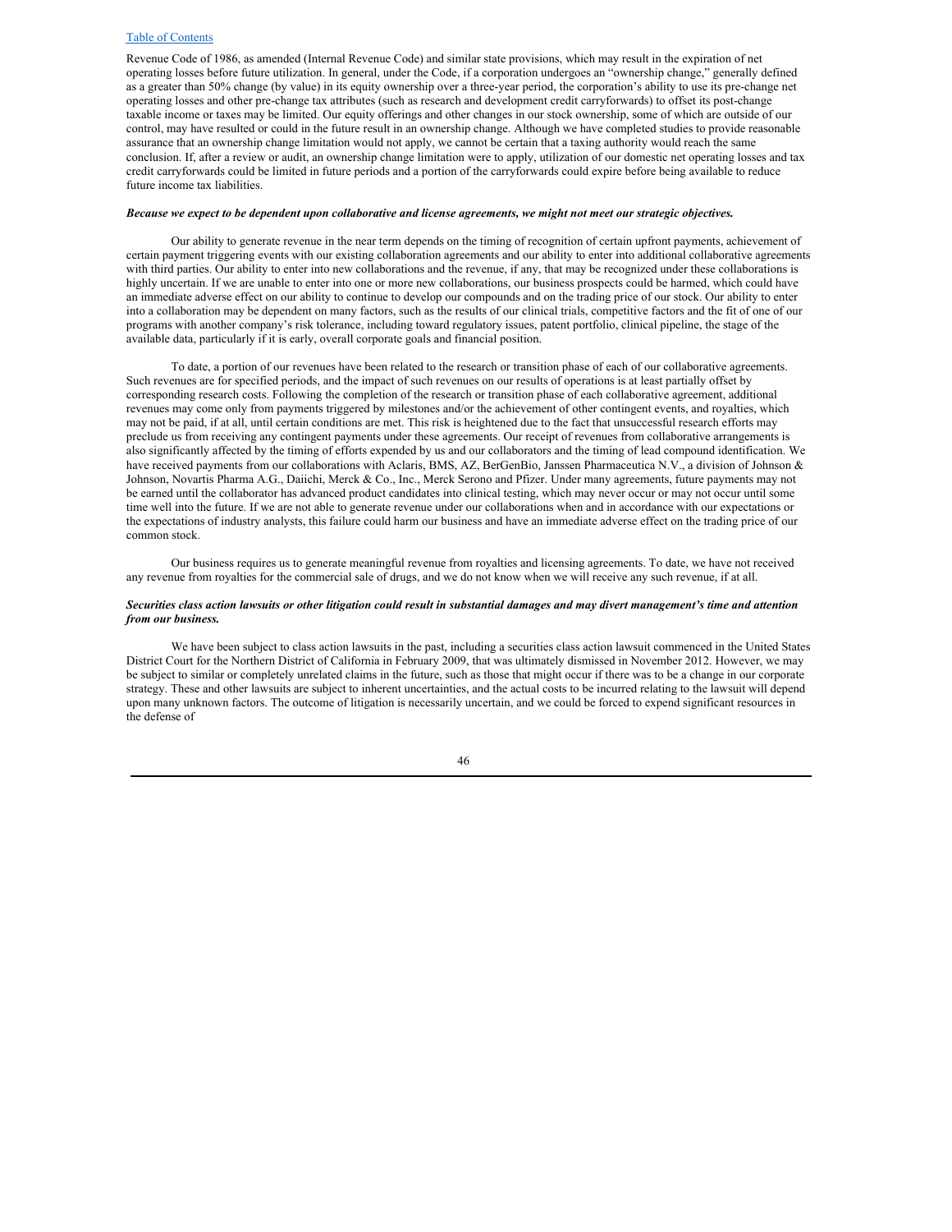Revenue Code of 1986, as amended (Internal Revenue Code) and similar state provisions, which may result in the expiration of net operating losses before future utilization. In general, under the Code, if a corporation undergoes an "ownership change," generally defined as a greater than 50% change (by value) in its equity ownership over a three-year period, the corporation's ability to use its pre-change net operating losses and other pre-change tax attributes (such as research and development credit carryforwards) to offset its post-change taxable income or taxes may be limited. Our equity offerings and other changes in our stock ownership, some of which are outside of our control, may have resulted or could in the future result in an ownership change. Although we have completed studies to provide reasonable assurance that an ownership change limitation would not apply, we cannot be certain that a taxing authority would reach the same conclusion. If, after a review or audit, an ownership change limitation were to apply, utilization of our domestic net operating losses and tax credit carryforwards could be limited in future periods and a portion of the carryforwards could expire before being available to reduce future income tax liabilities.

# Because we expect to be dependent upon collaborative and license agreements, we might not meet our strategic objectives.

Our ability to generate revenue in the near term depends on the timing of recognition of certain upfront payments, achievement of certain payment triggering events with our existing collaboration agreements and our ability to enter into additional collaborative agreements with third parties. Our ability to enter into new collaborations and the revenue, if any, that may be recognized under these collaborations is highly uncertain. If we are unable to enter into one or more new collaborations, our business prospects could be harmed, which could have an immediate adverse effect on our ability to continue to develop our compounds and on the trading price of our stock. Our ability to enter into a collaboration may be dependent on many factors, such as the results of our clinical trials, competitive factors and the fit of one of our programs with another company's risk tolerance, including toward regulatory issues, patent portfolio, clinical pipeline, the stage of the available data, particularly if it is early, overall corporate goals and financial position.

To date, a portion of our revenues have been related to the research or transition phase of each of our collaborative agreements. Such revenues are for specified periods, and the impact of such revenues on our results of operations is at least partially offset by corresponding research costs. Following the completion of the research or transition phase of each collaborative agreement, additional revenues may come only from payments triggered by milestones and/or the achievement of other contingent events, and royalties, which may not be paid, if at all, until certain conditions are met. This risk is heightened due to the fact that unsuccessful research efforts may preclude us from receiving any contingent payments under these agreements. Our receipt of revenues from collaborative arrangements is also significantly affected by the timing of efforts expended by us and our collaborators and the timing of lead compound identification. We have received payments from our collaborations with Aclaris, BMS, AZ, BerGenBio, Janssen Pharmaceutica N.V., a division of Johnson & Johnson, Novartis Pharma A.G., Daiichi, Merck & Co., Inc., Merck Serono and Pfizer. Under many agreements, future payments may not be earned until the collaborator has advanced product candidates into clinical testing, which may never occur or may not occur until some time well into the future. If we are not able to generate revenue under our collaborations when and in accordance with our expectations or the expectations of industry analysts, this failure could harm our business and have an immediate adverse effect on the trading price of our common stock.

Our business requires us to generate meaningful revenue from royalties and licensing agreements. To date, we have not received any revenue from royalties for the commercial sale of drugs, and we do not know when we will receive any such revenue, if at all.

# Securities class action lawsuits or other litigation could result in substantial damages and may divert management's time and attention *from our business.*

We have been subject to class action lawsuits in the past, including a securities class action lawsuit commenced in the United States District Court for the Northern District of California in February 2009, that was ultimately dismissed in November 2012. However, we may be subject to similar or completely unrelated claims in the future, such as those that might occur if there was to be a change in our corporate strategy. These and other lawsuits are subject to inherent uncertainties, and the actual costs to be incurred relating to the lawsuit will depend upon many unknown factors. The outcome of litigation is necessarily uncertain, and we could be forced to expend significant resources in the defense of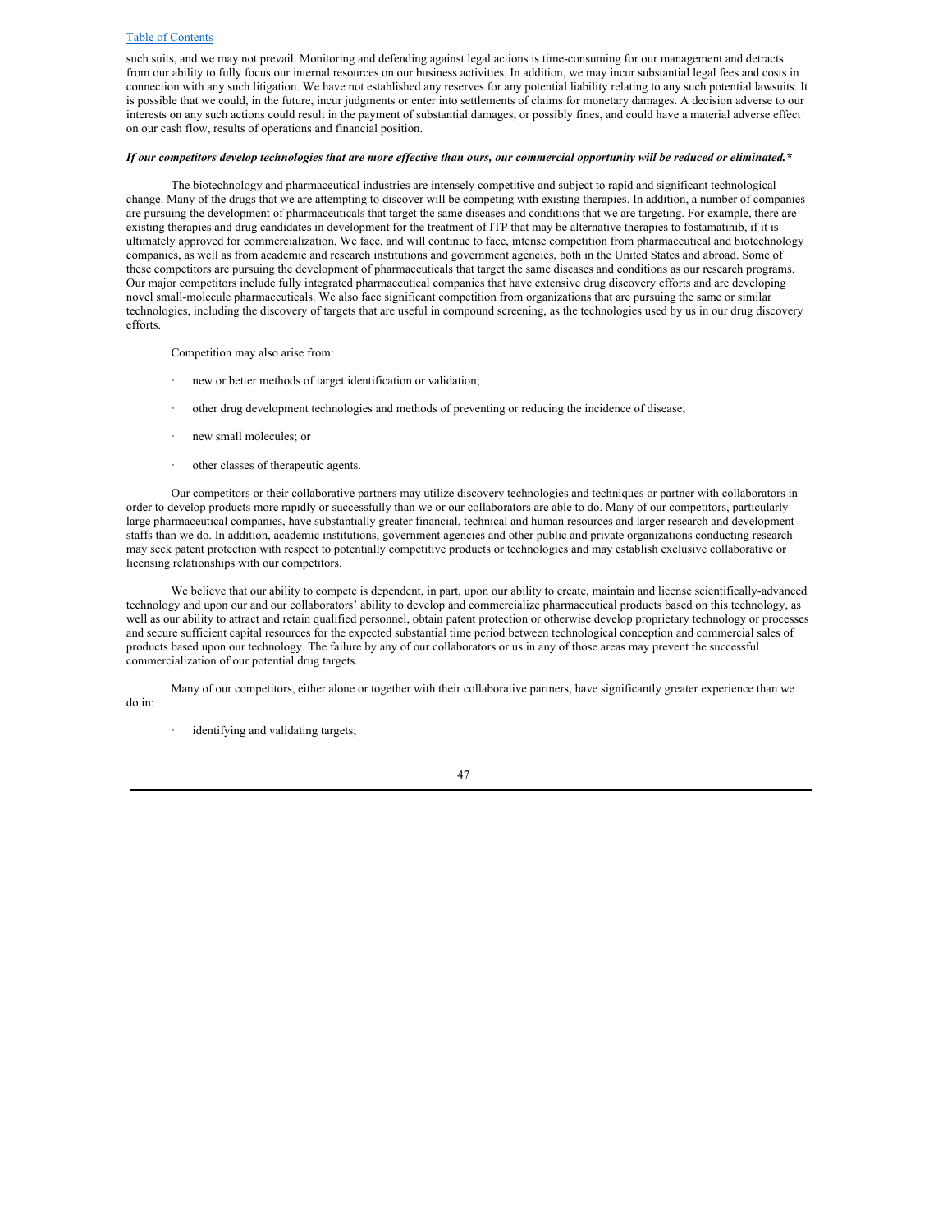such suits, and we may not prevail. Monitoring and defending against legal actions is time-consuming for our management and detracts from our ability to fully focus our internal resources on our business activities. In addition, we may incur substantial legal fees and costs in connection with any such litigation. We have not established any reserves for any potential liability relating to any such potential lawsuits. It is possible that we could, in the future, incur judgments or enter into settlements of claims for monetary damages. A decision adverse to our interests on any such actions could result in the payment of substantial damages, or possibly fines, and could have a material adverse effect on our cash flow, results of operations and financial position.

### If our competitors develop technologies that are more effective than ours, our commercial opportunity will be reduced or eliminated.\*

The biotechnology and pharmaceutical industries are intensely competitive and subject to rapid and significant technological change. Many of the drugs that we are attempting to discover will be competing with existing therapies. In addition, a number of companies are pursuing the development of pharmaceuticals that target the same diseases and conditions that we are targeting. For example, there are existing therapies and drug candidates in development for the treatment of ITP that may be alternative therapies to fostamatinib, if it is ultimately approved for commercialization. We face, and will continue to face, intense competition from pharmaceutical and biotechnology companies, as well as from academic and research institutions and government agencies, both in the United States and abroad. Some of these competitors are pursuing the development of pharmaceuticals that target the same diseases and conditions as our research programs. Our major competitors include fully integrated pharmaceutical companies that have extensive drug discovery efforts and are developing novel small-molecule pharmaceuticals. We also face significant competition from organizations that are pursuing the same or similar technologies, including the discovery of targets that are useful in compound screening, as the technologies used by us in our drug discovery efforts.

Competition may also arise from:

- new or better methods of target identification or validation;
- other drug development technologies and methods of preventing or reducing the incidence of disease;
- new small molecules; or
- other classes of therapeutic agents.

Our competitors or their collaborative partners may utilize discovery technologies and techniques or partner with collaborators in order to develop products more rapidly or successfully than we or our collaborators are able to do. Many of our competitors, particularly large pharmaceutical companies, have substantially greater financial, technical and human resources and larger research and development staffs than we do. In addition, academic institutions, government agencies and other public and private organizations conducting research may seek patent protection with respect to potentially competitive products or technologies and may establish exclusive collaborative or licensing relationships with our competitors.

We believe that our ability to compete is dependent, in part, upon our ability to create, maintain and license scientifically-advanced technology and upon our and our collaborators' ability to develop and commercialize pharmaceutical products based on this technology, as well as our ability to attract and retain qualified personnel, obtain patent protection or otherwise develop proprietary technology or processes and secure sufficient capital resources for the expected substantial time period between technological conception and commercial sales of products based upon our technology. The failure by any of our collaborators or us in any of those areas may prevent the successful commercialization of our potential drug targets.

Many of our competitors, either alone or together with their collaborative partners, have significantly greater experience than we do in:

identifying and validating targets;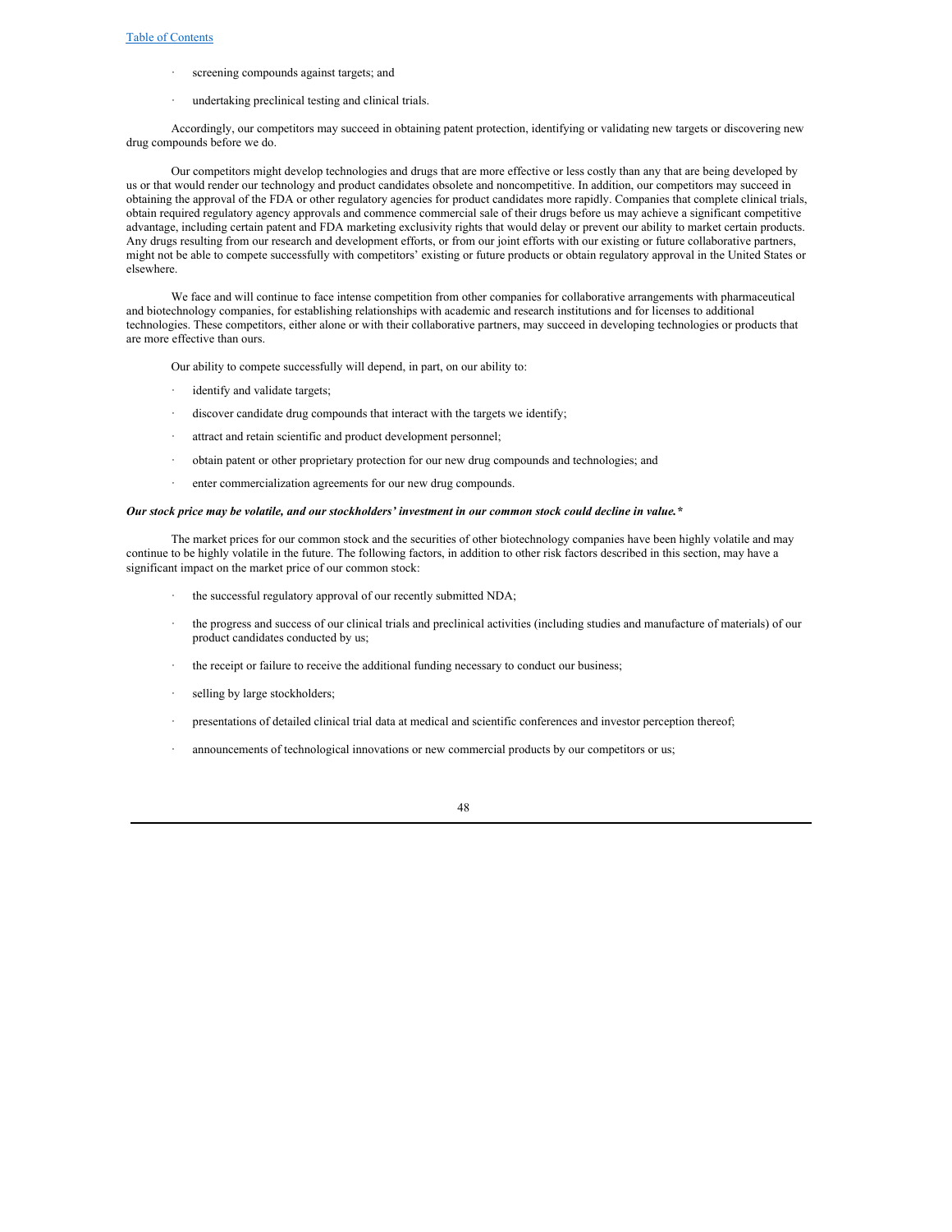- screening compounds against targets; and
- undertaking preclinical testing and clinical trials.

Accordingly, our competitors may succeed in obtaining patent protection, identifying or validating new targets or discovering new drug compounds before we do.

Our competitors might develop technologies and drugs that are more effective or less costly than any that are being developed by us or that would render our technology and product candidates obsolete and noncompetitive. In addition, our competitors may succeed in obtaining the approval of the FDA or other regulatory agencies for product candidates more rapidly. Companies that complete clinical trials, obtain required regulatory agency approvals and commence commercial sale of their drugs before us may achieve a significant competitive advantage, including certain patent and FDA marketing exclusivity rights that would delay or prevent our ability to market certain products. Any drugs resulting from our research and development efforts, or from our joint efforts with our existing or future collaborative partners, might not be able to compete successfully with competitors' existing or future products or obtain regulatory approval in the United States or elsewhere.

We face and will continue to face intense competition from other companies for collaborative arrangements with pharmaceutical and biotechnology companies, for establishing relationships with academic and research institutions and for licenses to additional technologies. These competitors, either alone or with their collaborative partners, may succeed in developing technologies or products that are more effective than ours.

Our ability to compete successfully will depend, in part, on our ability to:

- identify and validate targets;
- · discover candidate drug compounds that interact with the targets we identify;
- · attract and retain scientific and product development personnel;
- · obtain patent or other proprietary protection for our new drug compounds and technologies; and
- enter commercialization agreements for our new drug compounds.

### Our stock price may be volatile, and our stockholders' investment in our common stock could decline in value.\*

The market prices for our common stock and the securities of other biotechnology companies have been highly volatile and may continue to be highly volatile in the future. The following factors, in addition to other risk factors described in this section, may have a significant impact on the market price of our common stock:

- the successful regulatory approval of our recently submitted NDA;
- the progress and success of our clinical trials and preclinical activities (including studies and manufacture of materials) of our product candidates conducted by us;
- the receipt or failure to receive the additional funding necessary to conduct our business;
- selling by large stockholders;
- presentations of detailed clinical trial data at medical and scientific conferences and investor perception thereof;
- announcements of technological innovations or new commercial products by our competitors or us;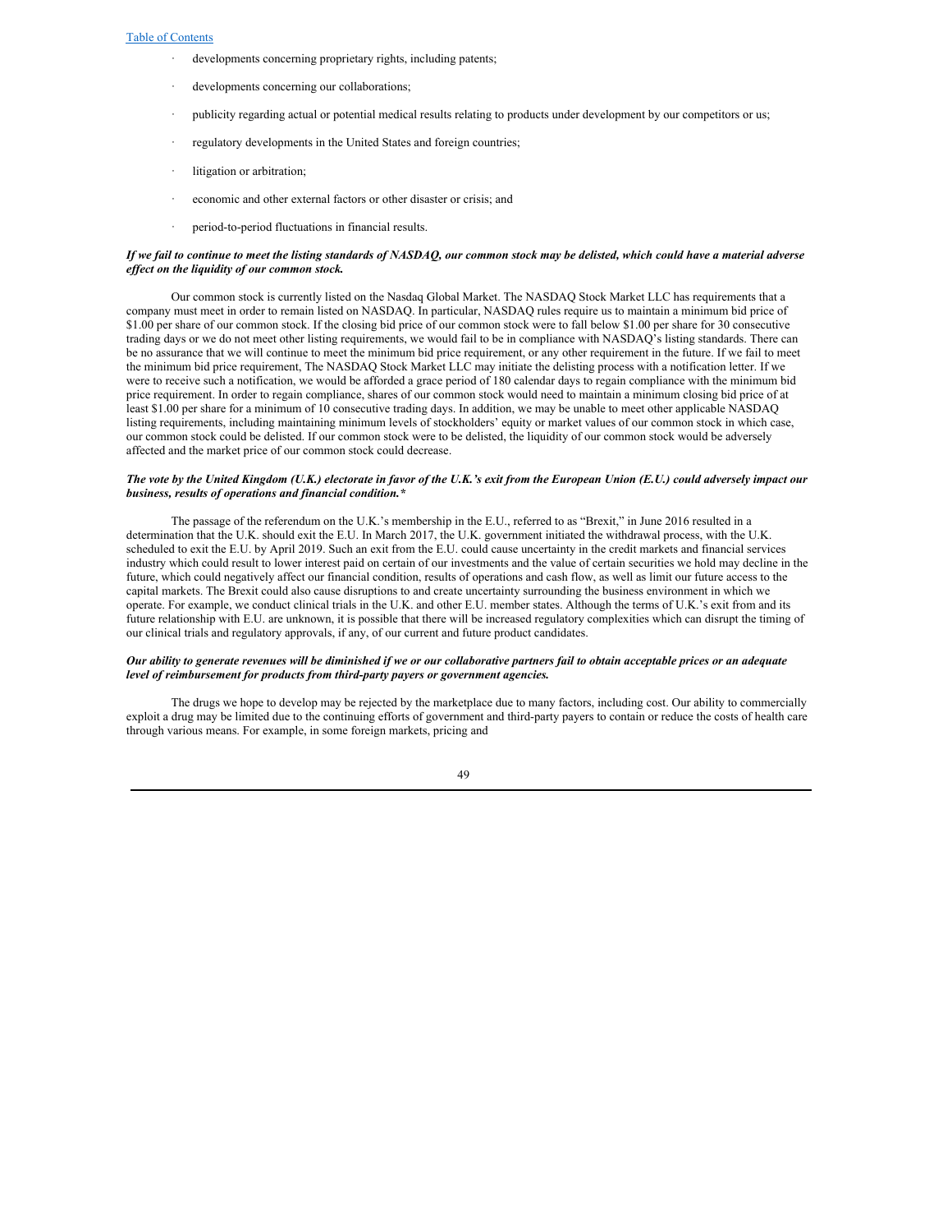- developments concerning proprietary rights, including patents;
- developments concerning our collaborations:
- publicity regarding actual or potential medical results relating to products under development by our competitors or us;
- regulatory developments in the United States and foreign countries;
- litigation or arbitration;
- economic and other external factors or other disaster or crisis; and
- period-to-period fluctuations in financial results.

# If we fail to continue to meet the listing standards of NASDAQ, our common stock may be delisted, which could have a material adverse *ef ect on the liquidity of our common stock.*

Our common stock is currently listed on the Nasdaq Global Market. The NASDAQ Stock Market LLC has requirements that a company must meet in order to remain listed on NASDAQ. In particular, NASDAQ rules require us to maintain a minimum bid price of \$1.00 per share of our common stock. If the closing bid price of our common stock were to fall below \$1.00 per share for 30 consecutive trading days or we do not meet other listing requirements, we would fail to be in compliance with NASDAQ's listing standards. There can be no assurance that we will continue to meet the minimum bid price requirement, or any other requirement in the future. If we fail to meet the minimum bid price requirement, The NASDAQ Stock Market LLC may initiate the delisting process with a notification letter. If we were to receive such a notification, we would be afforded a grace period of 180 calendar days to regain compliance with the minimum bid price requirement. In order to regain compliance, shares of our common stock would need to maintain a minimum closing bid price of at least \$1.00 per share for a minimum of 10 consecutive trading days. In addition, we may be unable to meet other applicable NASDAQ listing requirements, including maintaining minimum levels of stockholders' equity or market values of our common stock in which case, our common stock could be delisted. If our common stock were to be delisted, the liquidity of our common stock would be adversely affected and the market price of our common stock could decrease.

### The vote by the United Kingdom (U.K.) electorate in favor of the U.K.'s exit from the European Union (E.U.) could adversely impact our *business, results of operations and financial condition.\**

The passage of the referendum on the U.K.'s membership in the E.U., referred to as "Brexit," in June 2016 resulted in a determination that the U.K. should exit the E.U. In March 2017, the U.K. government initiated the withdrawal process, with the U.K. scheduled to exit the E.U. by April 2019. Such an exit from the E.U. could cause uncertainty in the credit markets and financial services industry which could result to lower interest paid on certain of our investments and the value of certain securities we hold may decline in the future, which could negatively affect our financial condition, results of operations and cash flow, as well as limit our future access to the capital markets. The Brexit could also cause disruptions to and create uncertainty surrounding the business environment in which we operate. For example, we conduct clinical trials in the U.K. and other E.U. member states. Although the terms of U.K.'s exit from and its future relationship with E.U. are unknown, it is possible that there will be increased regulatory complexities which can disrupt the timing of our clinical trials and regulatory approvals, if any, of our current and future product candidates.

# Our ability to generate revenues will be diminished if we or our collaborative partners fail to obtain acceptable prices or an adequate *level of reimbursement for products from third-party payers or government agencies.*

The drugs we hope to develop may be rejected by the marketplace due to many factors, including cost. Our ability to commercially exploit a drug may be limited due to the continuing efforts of government and third-party payers to contain or reduce the costs of health care through various means. For example, in some foreign markets, pricing and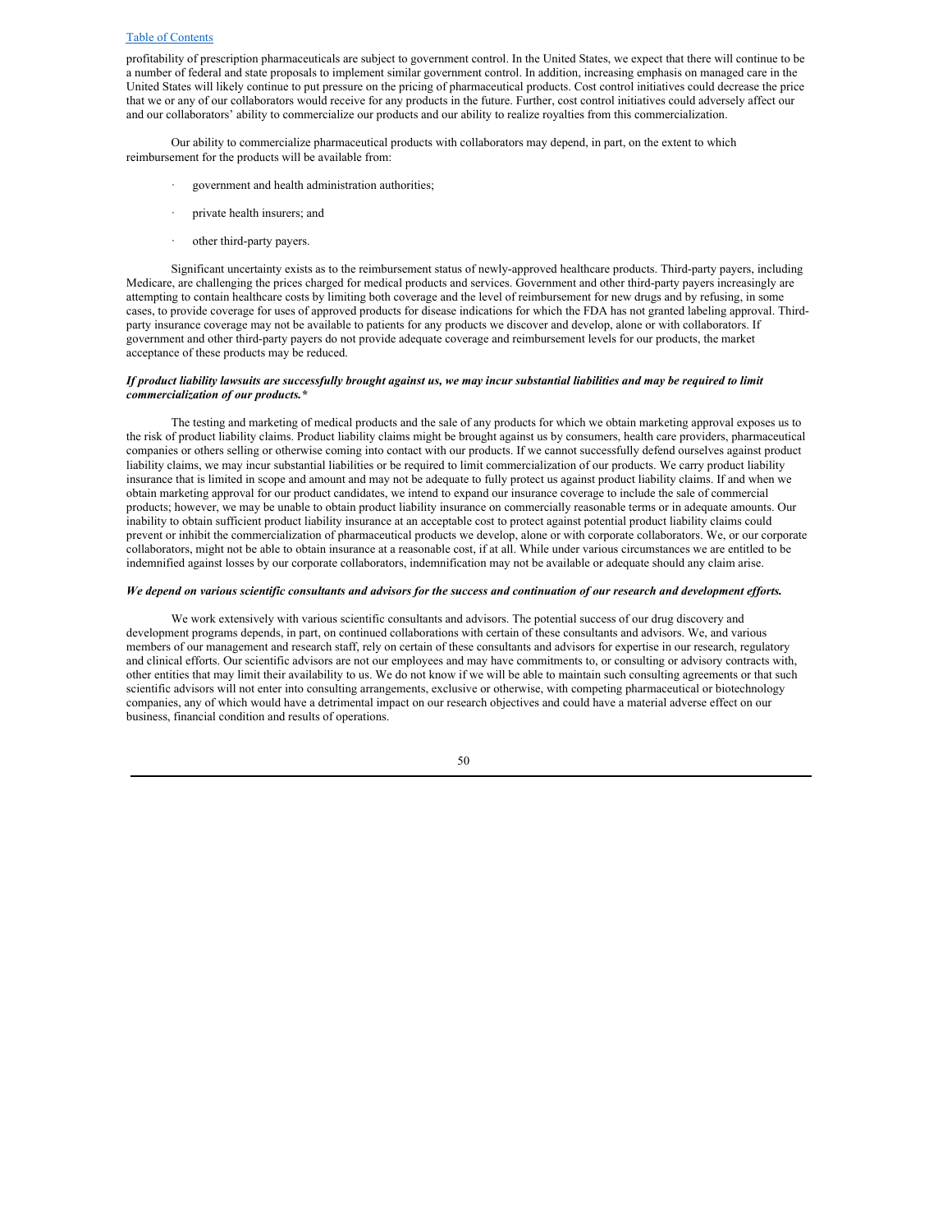profitability of prescription pharmaceuticals are subject to government control. In the United States, we expect that there will continue to be a number of federal and state proposals to implement similar government control. In addition, increasing emphasis on managed care in the United States will likely continue to put pressure on the pricing of pharmaceutical products. Cost control initiatives could decrease the price that we or any of our collaborators would receive for any products in the future. Further, cost control initiatives could adversely affect our and our collaborators' ability to commercialize our products and our ability to realize royalties from this commercialization.

Our ability to commercialize pharmaceutical products with collaborators may depend, in part, on the extent to which reimbursement for the products will be available from:

- government and health administration authorities;
- private health insurers; and
- other third-party payers.

Significant uncertainty exists as to the reimbursement status of newly-approved healthcare products. Third-party payers, including Medicare, are challenging the prices charged for medical products and services. Government and other third-party payers increasingly are attempting to contain healthcare costs by limiting both coverage and the level of reimbursement for new drugs and by refusing, in some cases, to provide coverage for uses of approved products for disease indications for which the FDA has not granted labeling approval. Thirdparty insurance coverage may not be available to patients for any products we discover and develop, alone or with collaborators. If government and other third-party payers do not provide adequate coverage and reimbursement levels for our products, the market acceptance of these products may be reduced.

### If product liability lawsuits are successfully brought against us, we may incur substantial liabilities and may be required to limit *commercialization of our products.\**

The testing and marketing of medical products and the sale of any products for which we obtain marketing approval exposes us to the risk of product liability claims. Product liability claims might be brought against us by consumers, health care providers, pharmaceutical companies or others selling or otherwise coming into contact with our products. If we cannot successfully defend ourselves against product liability claims, we may incur substantial liabilities or be required to limit commercialization of our products. We carry product liability insurance that is limited in scope and amount and may not be adequate to fully protect us against product liability claims. If and when we obtain marketing approval for our product candidates, we intend to expand our insurance coverage to include the sale of commercial products; however, we may be unable to obtain product liability insurance on commercially reasonable terms or in adequate amounts. Our inability to obtain sufficient product liability insurance at an acceptable cost to protect against potential product liability claims could prevent or inhibit the commercialization of pharmaceutical products we develop, alone or with corporate collaborators. We, or our corporate collaborators, might not be able to obtain insurance at a reasonable cost, if at all. While under various circumstances we are entitled to be indemnified against losses by our corporate collaborators, indemnification may not be available or adequate should any claim arise.

### We depend on various scientific consultants and advisors for the success and continuation of our research and development efforts.

We work extensively with various scientific consultants and advisors. The potential success of our drug discovery and development programs depends, in part, on continued collaborations with certain of these consultants and advisors. We, and various members of our management and research staff, rely on certain of these consultants and advisors for expertise in our research, regulatory and clinical efforts. Our scientific advisors are not our employees and may have commitments to, or consulting or advisory contracts with, other entities that may limit their availability to us. We do not know if we will be able to maintain such consulting agreements or that such scientific advisors will not enter into consulting arrangements, exclusive or otherwise, with competing pharmaceutical or biotechnology companies, any of which would have a detrimental impact on our research objectives and could have a material adverse effect on our business, financial condition and results of operations.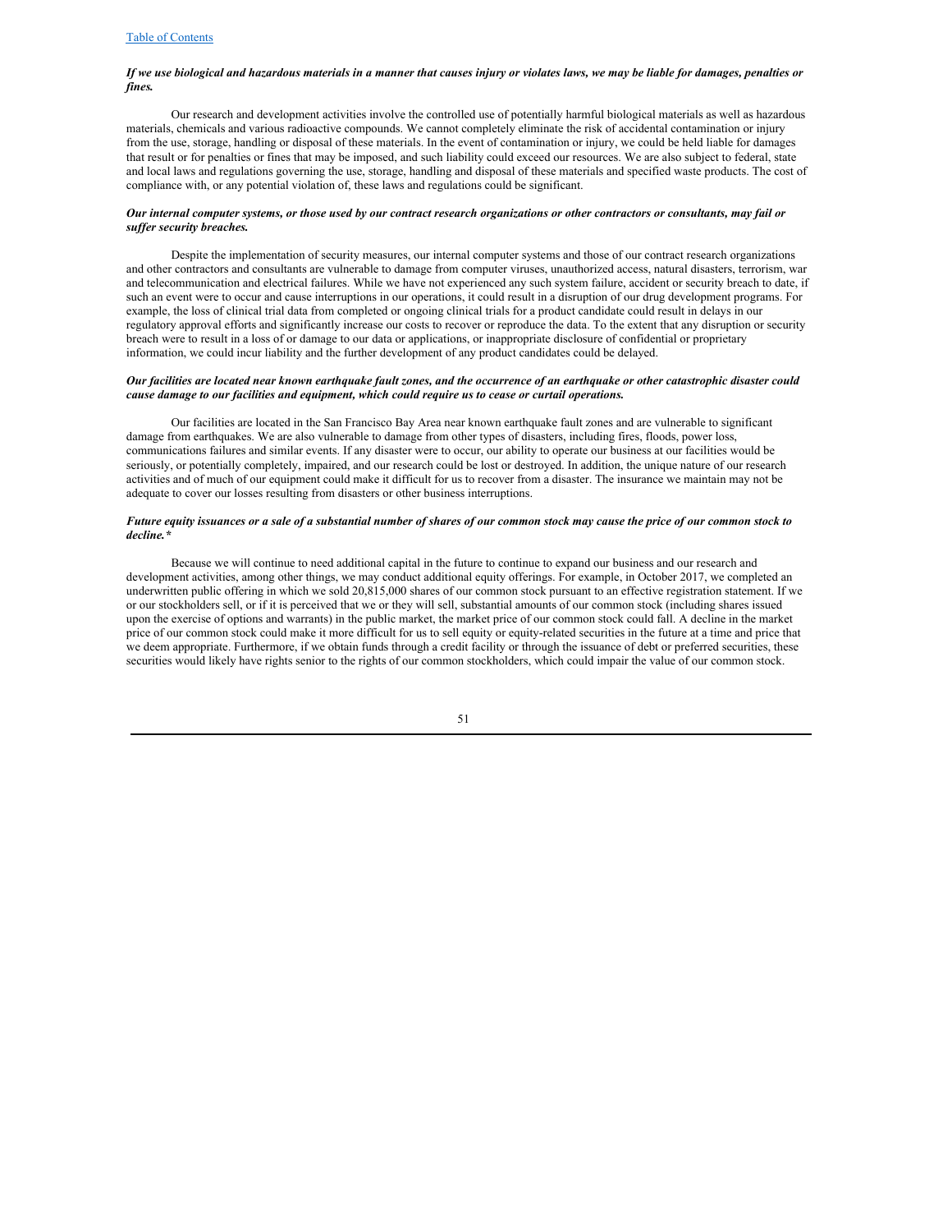# If we use biological and hazardous materials in a manner that causes injury or violates laws, we may be liable for damages, penalties or *fines.*

Our research and development activities involve the controlled use of potentially harmful biological materials as well as hazardous materials, chemicals and various radioactive compounds. We cannot completely eliminate the risk of accidental contamination or injury from the use, storage, handling or disposal of these materials. In the event of contamination or injury, we could be held liable for damages that result or for penalties or fines that may be imposed, and such liability could exceed our resources. We are also subject to federal, state and local laws and regulations governing the use, storage, handling and disposal of these materials and specified waste products. The cost of compliance with, or any potential violation of, these laws and regulations could be significant.

## Our internal computer systems, or those used by our contract research organizations or other contractors or consultants, may fail or *suf er security breaches.*

Despite the implementation of security measures, our internal computer systems and those of our contract research organizations and other contractors and consultants are vulnerable to damage from computer viruses, unauthorized access, natural disasters, terrorism, war and telecommunication and electrical failures. While we have not experienced any such system failure, accident or security breach to date, if such an event were to occur and cause interruptions in our operations, it could result in a disruption of our drug development programs. For example, the loss of clinical trial data from completed or ongoing clinical trials for a product candidate could result in delays in our regulatory approval efforts and significantly increase our costs to recover or reproduce the data. To the extent that any disruption or security breach were to result in a loss of or damage to our data or applications, or inappropriate disclosure of confidential or proprietary information, we could incur liability and the further development of any product candidates could be delayed.

### Our facilities are located near known earthquake fault zones, and the occurrence of an earthquake or other catastrophic disaster could *cause damage to our facilities and equipment, which could require us to cease or curtail operations.*

Our facilities are located in the San Francisco Bay Area near known earthquake fault zones and are vulnerable to significant damage from earthquakes. We are also vulnerable to damage from other types of disasters, including fires, floods, power loss, communications failures and similar events. If any disaster were to occur, our ability to operate our business at our facilities would be seriously, or potentially completely, impaired, and our research could be lost or destroyed. In addition, the unique nature of our research activities and of much of our equipment could make it difficult for us to recover from a disaster. The insurance we maintain may not be adequate to cover our losses resulting from disasters or other business interruptions.

### Future equity issuances or a sale of a substantial number of shares of our common stock may cause the price of our common stock to *decline.\**

Because we will continue to need additional capital in the future to continue to expand our business and our research and development activities, among other things, we may conduct additional equity offerings. For example, in October 2017, we completed an underwritten public offering in which we sold 20,815,000 shares of our common stock pursuant to an effective registration statement. If we or our stockholders sell, or if it is perceived that we or they will sell, substantial amounts of our common stock (including shares issued upon the exercise of options and warrants) in the public market, the market price of our common stock could fall. A decline in the market price of our common stock could make it more difficult for us to sell equity or equity-related securities in the future at a time and price that we deem appropriate. Furthermore, if we obtain funds through a credit facility or through the issuance of debt or preferred securities, these securities would likely have rights senior to the rights of our common stockholders, which could impair the value of our common stock.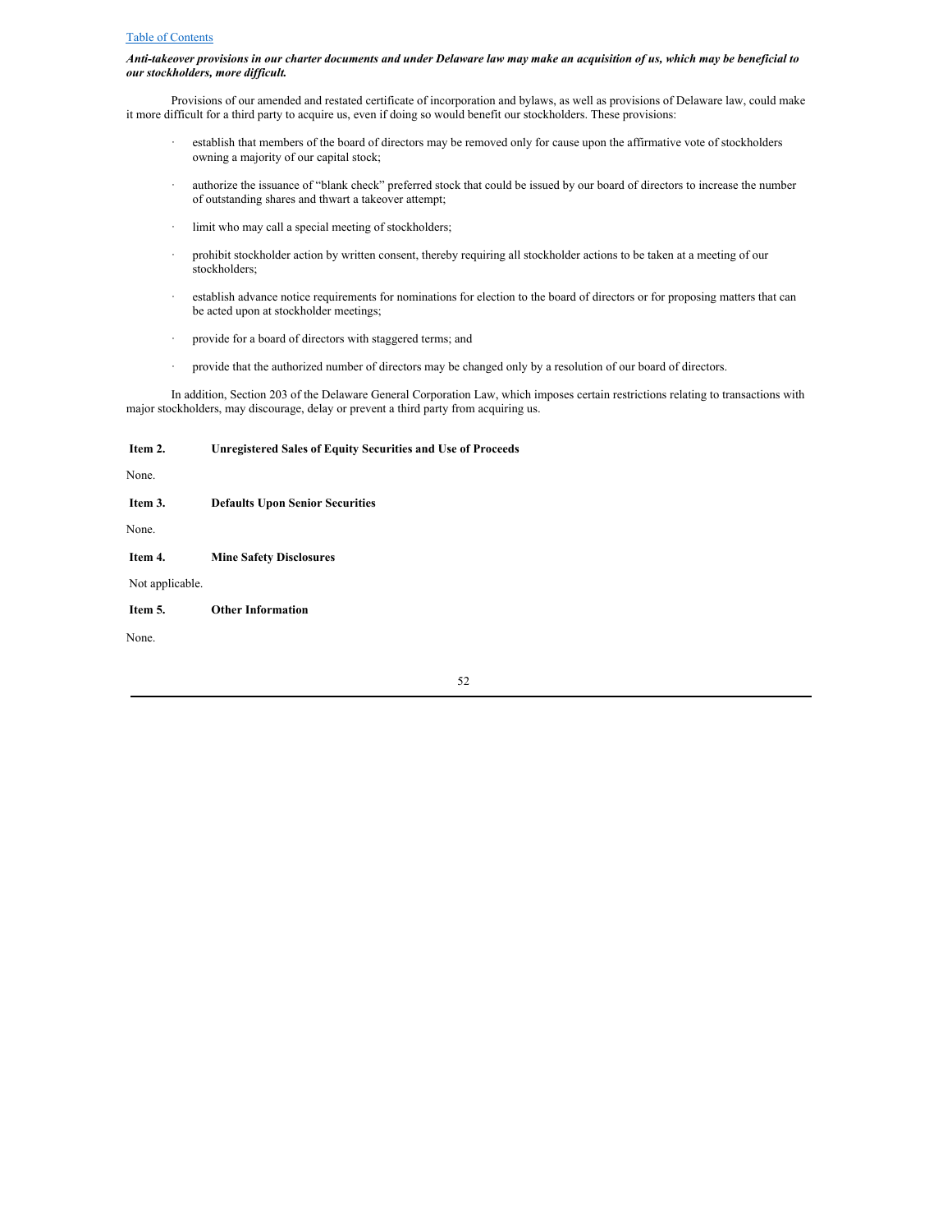# Anti-takeover provisions in our charter documents and under Delaware law may make an acquisition of us, which may be beneficial to *our stockholders, more dif icult.*

Provisions of our amended and restated certificate of incorporation and bylaws, as well as provisions of Delaware law, could make it more difficult for a third party to acquire us, even if doing so would benefit our stockholders. These provisions:

- establish that members of the board of directors may be removed only for cause upon the affirmative vote of stockholders owning a majority of our capital stock;
- authorize the issuance of "blank check" preferred stock that could be issued by our board of directors to increase the number of outstanding shares and thwart a takeover attempt;
- limit who may call a special meeting of stockholders;
- prohibit stockholder action by written consent, thereby requiring all stockholder actions to be taken at a meeting of our stockholders;
- · establish advance notice requirements for nominations for election to the board of directors or for proposing matters that can be acted upon at stockholder meetings;
- · provide for a board of directors with staggered terms; and
- provide that the authorized number of directors may be changed only by a resolution of our board of directors.

In addition, Section 203 of the Delaware General Corporation Law, which imposes certain restrictions relating to transactions with major stockholders, may discourage, delay or prevent a third party from acquiring us.

# <span id="page-51-0"></span>**Item 2. Unregistered Sales of Equity Securities and Use of Proceeds**

None.

<span id="page-51-2"></span><span id="page-51-1"></span>**Item 3. Defaults Upon Senior Securities** None. **Item 4. Mine Safety Disclosures** Not applicable. **Item 5. Other Information**

<span id="page-51-3"></span>None.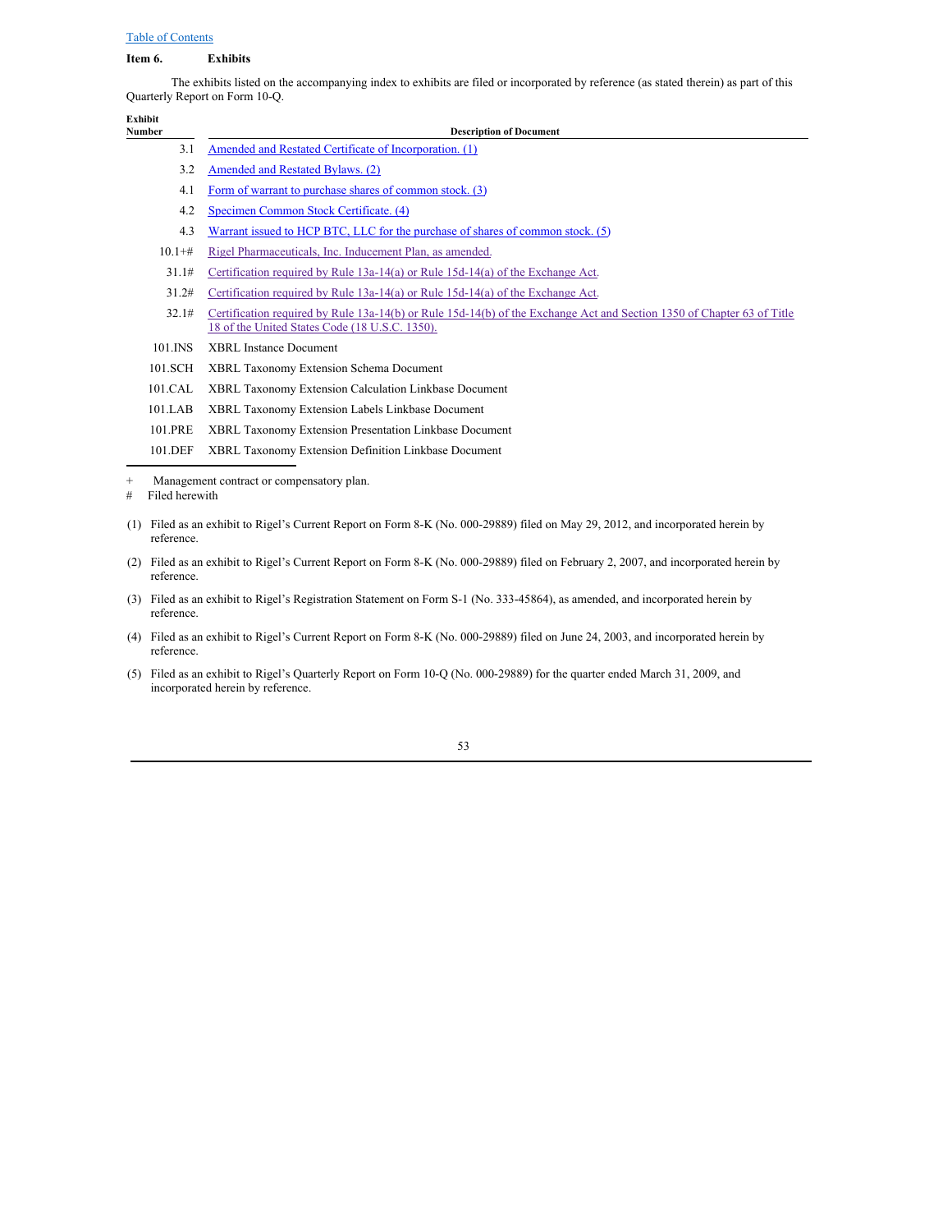# <span id="page-52-0"></span>**Item 6. Exhibits**

The exhibits listed on the accompanying index to exhibits are filed or incorporated by reference (as stated therein) as part of this Quarterly Report on Form 10-Q.

| Exhibit<br><b>Number</b> | <b>Description of Document</b>                                                                                                                                           |
|--------------------------|--------------------------------------------------------------------------------------------------------------------------------------------------------------------------|
| 3.1                      | Amended and Restated Certificate of Incorporation. (1)                                                                                                                   |
| 3.2                      | Amended and Restated Bylaws. (2)                                                                                                                                         |
| 4.1                      | Form of warrant to purchase shares of common stock. (3)                                                                                                                  |
| 4.2                      | Specimen Common Stock Certificate. (4)                                                                                                                                   |
| 4.3                      | Warrant issued to HCP BTC, LLC for the purchase of shares of common stock. (5)                                                                                           |
| $10.1 + \#$              | Rigel Pharmaceuticals, Inc. Inducement Plan, as amended.                                                                                                                 |
| 31.1#                    | Certification required by Rule 13a-14(a) or Rule 15d-14(a) of the Exchange Act.                                                                                          |
| 31.2#                    | Certification required by Rule $13a-14(a)$ or Rule $15d-14(a)$ of the Exchange Act.                                                                                      |
| 32.1#                    | Certification required by Rule 13a-14(b) or Rule 15d-14(b) of the Exchange Act and Section 1350 of Chapter 63 of Title<br>18 of the United States Code (18 U.S.C. 1350). |
| 101.INS                  | <b>XBRL</b> Instance Document                                                                                                                                            |
| 101.SCH                  | <b>XBRL Taxonomy Extension Schema Document</b>                                                                                                                           |
| 101.CAL                  | XBRL Taxonomy Extension Calculation Linkbase Document                                                                                                                    |
| 101.LAB                  | <b>XBRL Taxonomy Extension Labels Linkbase Document</b>                                                                                                                  |
| 101.PRE                  | XBRL Taxonomy Extension Presentation Linkbase Document                                                                                                                   |
| 101.DEF                  | XBRL Taxonomy Extension Definition Linkbase Document                                                                                                                     |
| $^{+}$                   | Management contract or compensatory plan.                                                                                                                                |

 $#$  Filed herewith

(1) Filed as an exhibit to Rigel's Current Report on Form 8-K (No. 000-29889) filed on May 29, 2012, and incorporated herein by reference.

- (2) Filed as an exhibit to Rigel's Current Report on Form 8-K (No. 000-29889) filed on February 2, 2007, and incorporated herein by reference.
- (3) Filed as an exhibit to Rigel's Registration Statement on Form S-1 (No. 333-45864), as amended, and incorporated herein by reference.
- (4) Filed as an exhibit to Rigel's Current Report on Form 8-K (No. 000-29889) filed on June 24, 2003, and incorporated herein by reference.
- (5) Filed as an exhibit to Rigel's Quarterly Report on Form 10-Q (No. 000-29889) for the quarter ended March 31, 2009, and incorporated herein by reference.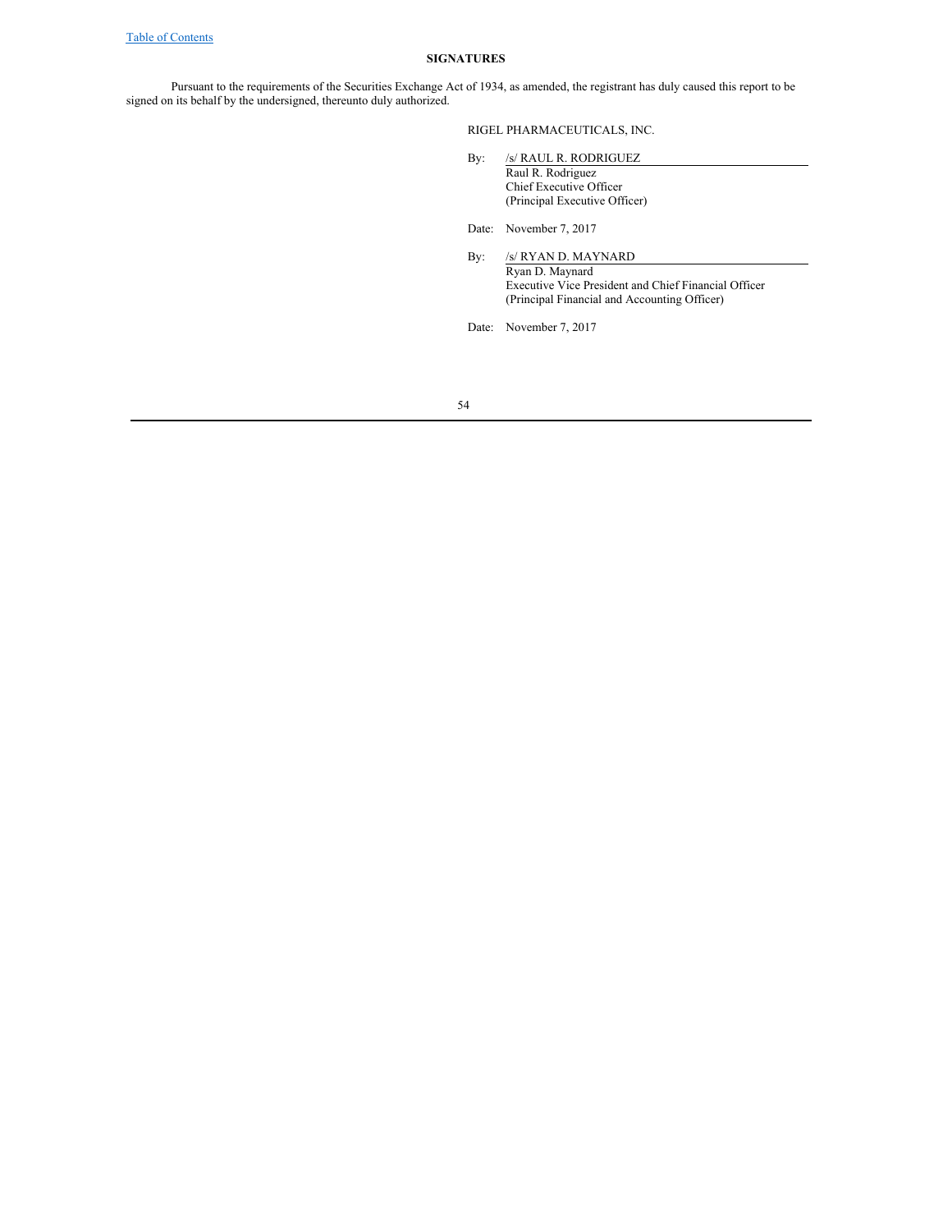# <span id="page-53-0"></span>**SIGNATURES**

Pursuant to the requirements of the Securities Exchange Act of 1934, as amended, the registrant has duly caused this report to be signed on its behalf by the undersigned, thereunto duly authorized.

RIGEL PHARMACEUTICALS, INC.

| Bv: | /s/ RAUL R. RODRIGUEZ         |
|-----|-------------------------------|
|     | Raul R. Rodriguez             |
|     | Chief Executive Officer       |
|     | (Principal Executive Officer) |
|     |                               |

- Date: November 7, 2017
- By: /s/ RYAN D. MAYNARD Ryan D. Maynard Executive Vice President and Chief Financial Officer (Principal Financial and Accounting Officer)
- Date: November 7, 2017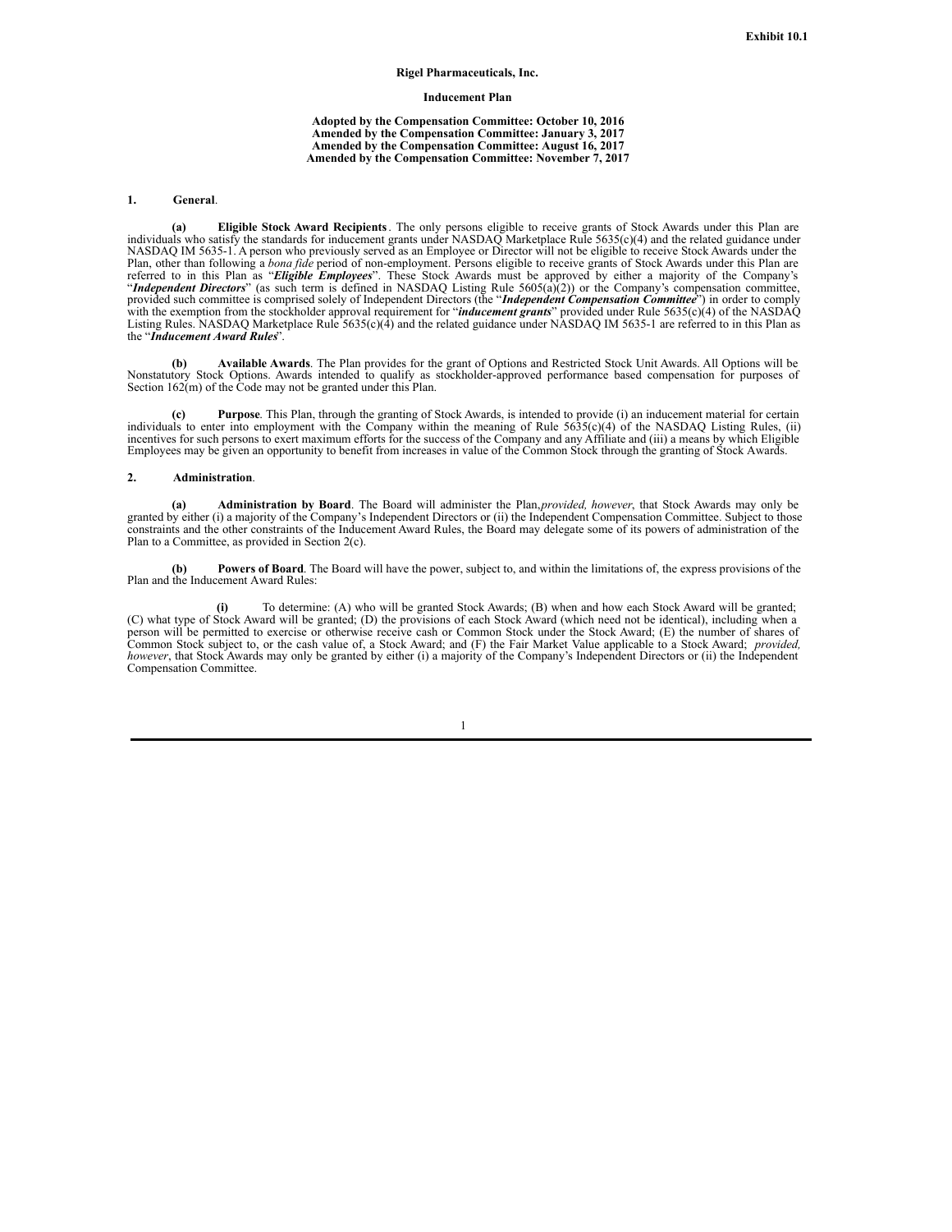### **Rigel Pharmaceuticals, Inc.**

#### **Inducement Plan**

**Adopted by the Compensation Committee: October 10, 2016 Amended by the Compensation Committee: January 3, 2017 Amended by the Compensation Committee: August 16, 2017 Amended by the Compensation Committee: November 7, 2017**

### **1. General**.

(a) Eligible Stock Award Recipients. The only persons eligible to receive grants of Stock Awards under this Plan are individuals who satisfy the standards for inducement grants under NASDAQ Marketplace Rule 5635(c)(4) and NASDAQ IM 5635-1. A person who previously served as an Employee or Director will not be eligible to receive Stock Awards under the Plan, other than following a *bona fide* period of non-employment. Persons eligible to receive grants of Stock Awards under this Plan are referred to in this Plan as "*Eligible Employees*". These Stock Awards must be approved by either a majority of the Company's "*Independent Directors*" (as such term is defined in NASDAQ Listing Rule 5605(a)(2)) or the Com with the exemption from the stockholder approval requirement for "inducement grants" provided under Rule 5635(c)(4) of the NASDAQ<br>Listing Rules. NASDAQ Marketplace Rule 5635(c)(4) and the related guidance under NASDAQ IM 5 the "*Inducement Award Rules*".

**(b) Available Awards**. The Plan provides for the grant of Options and Restricted Stock Unit Awards. All Options will be Nonstatutory Stock Options. Awards intended to qualify as stockholder-approved performance based compensation for purposes of Section  $162(m)$  of the Code may not be granted under this Plan.

(c) Purpose. This Plan, through the granting of Stock Awards, is intended to provide (i) an inducement material for certain individuals to enter into employment with the Company within the meaning of Rule 5635(c)(4) of the incentives for such persons to exert maximum efforts for the success of the Company and any Affiliate and (iii) a means by which Eligible Employees may be given an opportunity to benefit from increases in value of the Common Stock through the granting of Stock Awards.

#### **2. Administration**.

**(a) Administration by Board**. The Board will administer the Plan,*provided, however*, that Stock Awards may only be granted by either (i) a majority of the Company's Independent Directors or (ii) the Independent Compensation Committee. Subject to those constraints and the other constraints of the Inducement Award Rules, the Board may delegate some of its powers of administration of the Plan to a Committee, as provided in Section 2(c).

**(b) Powers of Board**. The Board will have the power, subject to, and within the limitations of, the express provisions of the (b) Powers of Board. T<br>Plan and the Inducement Award Rules:

**(i)** To determine: (A) who will be granted Stock Awards; (B) when and how each Stock Award will be granted; (C) what type of Stock Award will be granted; (D) the provisions of each Stock Award (which need not be identical), including when a person will be permitted to exercise or otherwise receive cash or Common Stock under the Stock Award; (E) the number of shares of Common Stock subject to, or the cash value of, a Stock Award; and (F) the Fair Market Value applicable to a Stock Award; *provided, however*, that Stock Awards may only be granted by either (i) a majority of the Company's Independent Directors or (ii) the Independent Compensation Committee.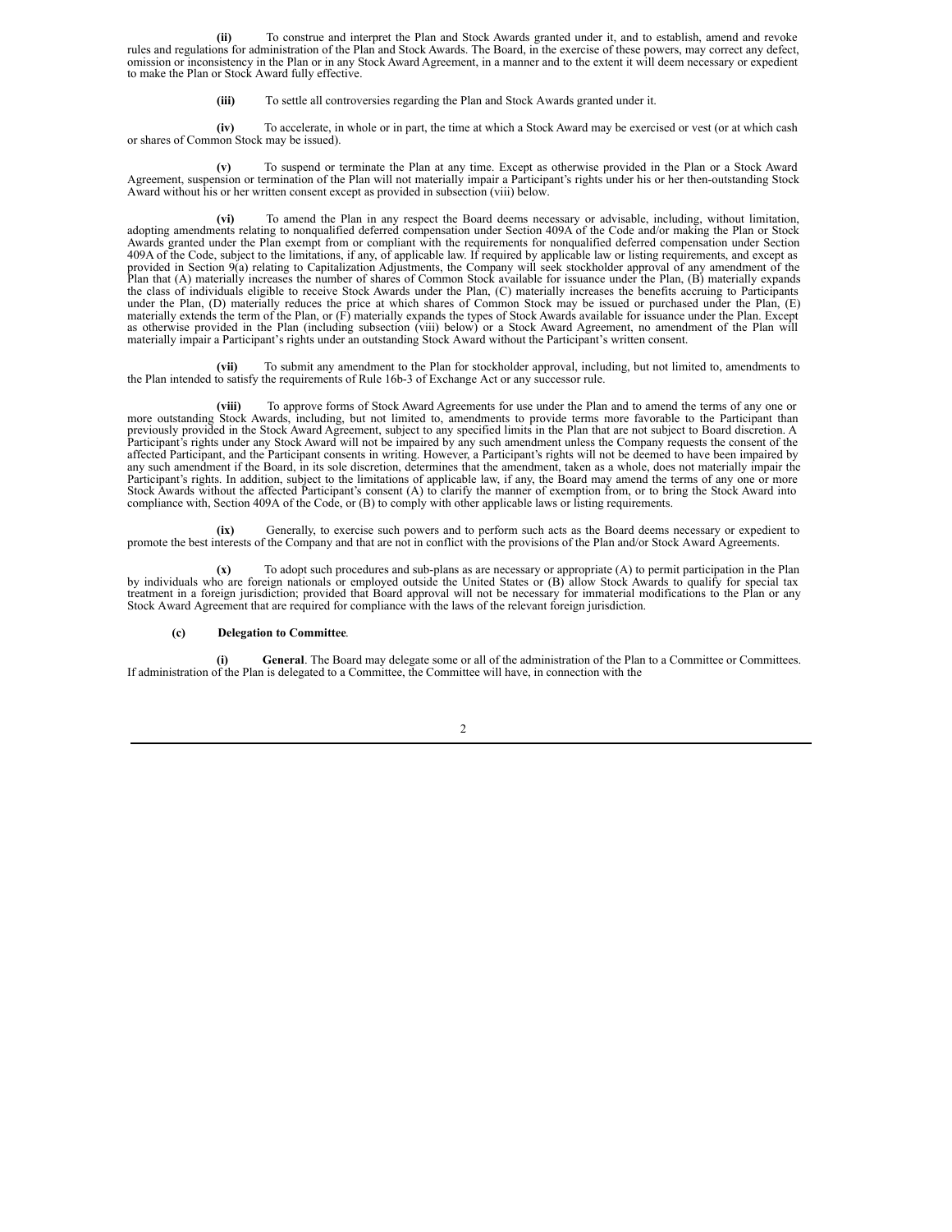**(ii)** To construe and interpret the Plan and Stock Awards granted under it, and to establish, amend and revoke rules and regulations for administration of the Plan and Stock Awards. The Board, in the exercise of these powers, may correct any defect, omission or inconsistency in the Plan or in any Stock Award Agreement, in a manner and to the extent it will deem necessary or expedient to make the Plan or Stock Award fully effective.

**(iii)** To settle all controversies regarding the Plan and Stock Awards granted under it.

**(iv)** To accelerate, in whole or in part, the time at which a Stock Award may be exercised or vest (or at which cash or shares of Common Stock may be issued).

**(v)** To suspend or terminate the Plan at any time. Except as otherwise provided in the Plan or a Stock Award Agreement, suspension or termination of the Plan will not materially impair a Participant's rights under his or her then-outstanding Stock Award without his or her written consent except as provided in subsection (viii) below.

(vi) To amend the Plan in any respect the Board deems necessary or advisable, including, without limitation, adopting amendments relating to nonqualified deferred compensation under Section 409A of the Code and/or making t Awards granted under the Plan exempt from or compliant with the requirements for nonqualified deferred compensation under Section 409A of the Code, subject to the limitations, if any, of applicable law. If required by applicable law or listing requirements, and except as provided in Section 9(a) relating to Capitalization Adjustments, the Company wil Plan that (A) materially increases the number of shares of Common Stock available for issuance under the Plan, (B) materially expands the class of individuals eligible to receive Stock Awards under the Plan, (C) materially increases the benefits accruing to Participants under the Plan, (D) materially reduces the price at which shares of Common Stock may be issued or purchased under the Plan, (E) materially extends the term of the Plan, or (F) materially expands the types of Stock Awards available for issuance under the Plan. Except as otherwise provided in the Plan (including subsection (viii) below) or a Stock Award Agreement, no amendment of the Plan will materially impair a Participant's rights under an outstanding Stock Award without the Participant's written consent.

**(vii)** To submit any amendment to the Plan for stockholder approval, including, but not limited to, amendments to the Plan intended to satisfy the requirements of Rule 16b-3 of Exchange Act or any successor rule.

**(viii)** To approve forms of Stock Award Agreements for use under the Plan and to amend the terms of any one or more outstanding Stock Awards, including, but not limited to, amendments to provide terms more favorable to the Participant than previously provided in the Stock Award Agreement, subject to any specified limits in the Plan that are not subject to Board discretion. A Participant's rights under any Stock Award will not be impaired by any such amendment unless the Company requests the consent of the affected Participant, and the Participant consents in writing. However, a Participant's rights will not be deemed to have been impaired by any such amendment if the Board, in its sole discretion, determines that the amendment, taken as a whole, does not materially impair the Participant's rights. In addition, subject to the limitations of applicable law, if any, the Board may amend the terms of any one or more Stock Awards without the affected Participant's consent (A) to clarify the manner of exemption from, or to bring the Stock Award into compliance with, Section 409A of the Code, or (B) to comply with other applicable laws or listing requirements.

**(ix)** Generally, to exercise such powers and to perform such acts as the Board deems necessary or expedient to promote the best interests of the Company and that are not in conflict with the provisions of the Plan and/or Stock Award Agreements.

(x) To adopt such procedures and sub-plans as are necessary or appropriate (A) to permit participation in the Plan<br>by individuals who are foreign nationals or employed outside the United States or (B) allow Stock Awards to Stock Award Agreement that are required for compliance with the laws of the relevant foreign jurisdiction.

# **(c) Delegation to Committee**.

General. The Board may delegate some or all of the administration of the Plan to a Committee or Committees. If administration of the Plan is delegated to a Committee, the Committee will have, in connection with the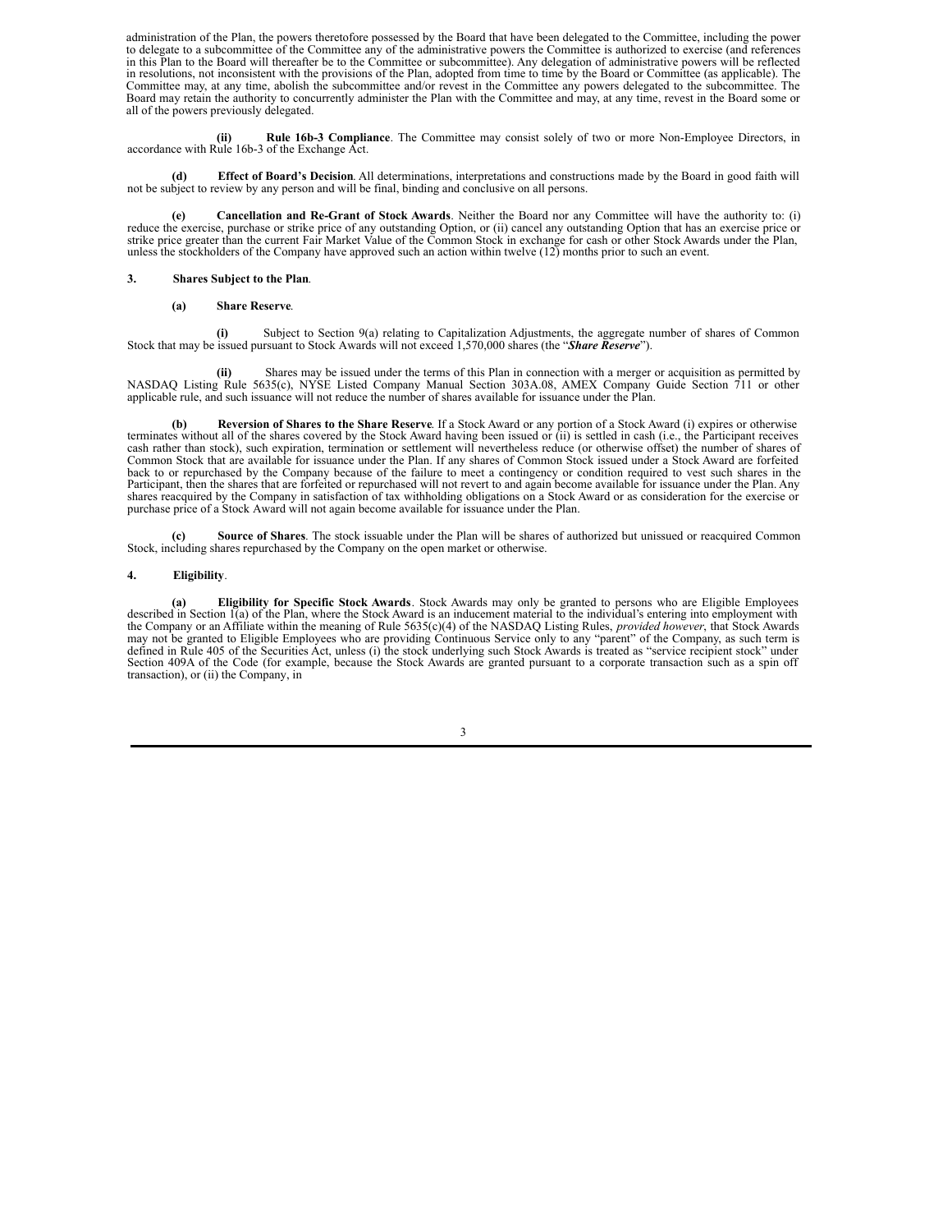administration of the Plan, the powers theretofore possessed by the Board that have been delegated to the Committee, including the power to delegate to a subcommittee of the Committee any of the administrative powers the Committee is authorized to exercise (and references in this Plan to the Board will thereafter be to the Committee or subcommittee). Any delegation of administrative powers will be reflected in resolutions, not inconsistent with the provisions of the Plan, adopted from time to time by the Board or Committee (as applicable). The Committee may, at any time, abolish the subcommittee and/or revest in the Committee any powers delegated to the subcommittee. The Board may retain the authority to concurrently administer the Plan with the Committee and may, at any time, revest in the Board some or all of the powers previously delegated.

**(ii) Rule 16b-3 Compliance**. The Committee may consist solely of two or more Non-Employee Directors, in accordance with Rule 16b-3 of the Exchange Act.

**(d) Effect of Board's Decision**. All determinations, interpretations and constructions made by the Board in good faith will not be subject to review by any person and will be final, binding and conclusive on all persons.

**(e) Cancellation and Re-Grant of Stock Awards**. Neither the Board nor any Committee will have the authority to: (i) reduce the exercise, purchase or strike price of any outstanding Option, or (ii) cancel any outstanding Option that has an exercise price or strike price greater than the current Fair Market Value of the Common Stock in exchange for cash or other Stock Awards under the Plan, unless the stockholders of the Company have approved such an action within twelve (12) months prior to such an event.

# **3. Shares Subject to the Plan**.

## **(a) Share Reserve**.

**(i)** Subject to Section 9(a) relating to Capitalization Adjustments, the aggregate number of shares of Common Stock that may be issued pursuant to Stock Awards will not exceed 1,570,000 shares (the "*Share Reserve*").

(ii) Shares may be issued under the terms of this Plan in connection with a merger or acquisition as permitted by<br>NASDAQ Listing Rule 5635(c), NYSE Listed Company Manual Section 303A.08, AMEX Company Guide Section 711 or o applicable rule, and such issuance will not reduce the number of shares available for issuance under the Plan.

**(b) Reversion of Shares to the Share Reserve**. If a Stock Award or any portion of a Stock Award (i) expires or otherwise terminates without all of the shares covered by the Stock Award having been issued or (ii) is settled in cash (i.e., the Participant receives<br>cash rather than stock), such expiration, termination or settlement will neverth Common Stock that are available for issuance under the Plan. If any shares of Common Stock issued under a Stock Award are forfeited back to or repurchased by the Company because of the failure to meet a contingency or condition required to vest such shares in the Participant, then the shares that are forfeited or repurchased will not revert to and again become available for issuance under the Plan. Any shares reacquired by the Company in satisfaction of tax withholding obligations on a Stock Award or as consideration for the exercise or purchase price of a Stock Award will not again become available for issuance under the Plan.

**(c) Source of Shares**. The stock issuable under the Plan will be shares of authorized but unissued or reacquired Common Stock, including shares repurchased by the Company on the open market or otherwise.

# **4. Eligibility**.

**(a) Eligibility for Specific Stock Awards**. Stock Awards may only be granted to persons who are Eligible Employees described in Section 1(a) of the Plan, where the Stock Award is an inducement material to the individual's entering into employment with the Company or an Affiliate within the meaning of Rule 5635(c)(4) of the NASDAQ Listing Rules, *provided however*, that Stock Awards may not be granted to Eligible Employees who are providing Continuous Service only to any "parent" of the Company, as such term is defined in Rule 405 of the Securities Act, unless (i) the stock underlying such Stock Award Section 409A of the Code (for example, because the Stock Awards are granted pursuant to a corporate transaction such as a spin off transaction), or (ii) the Company, in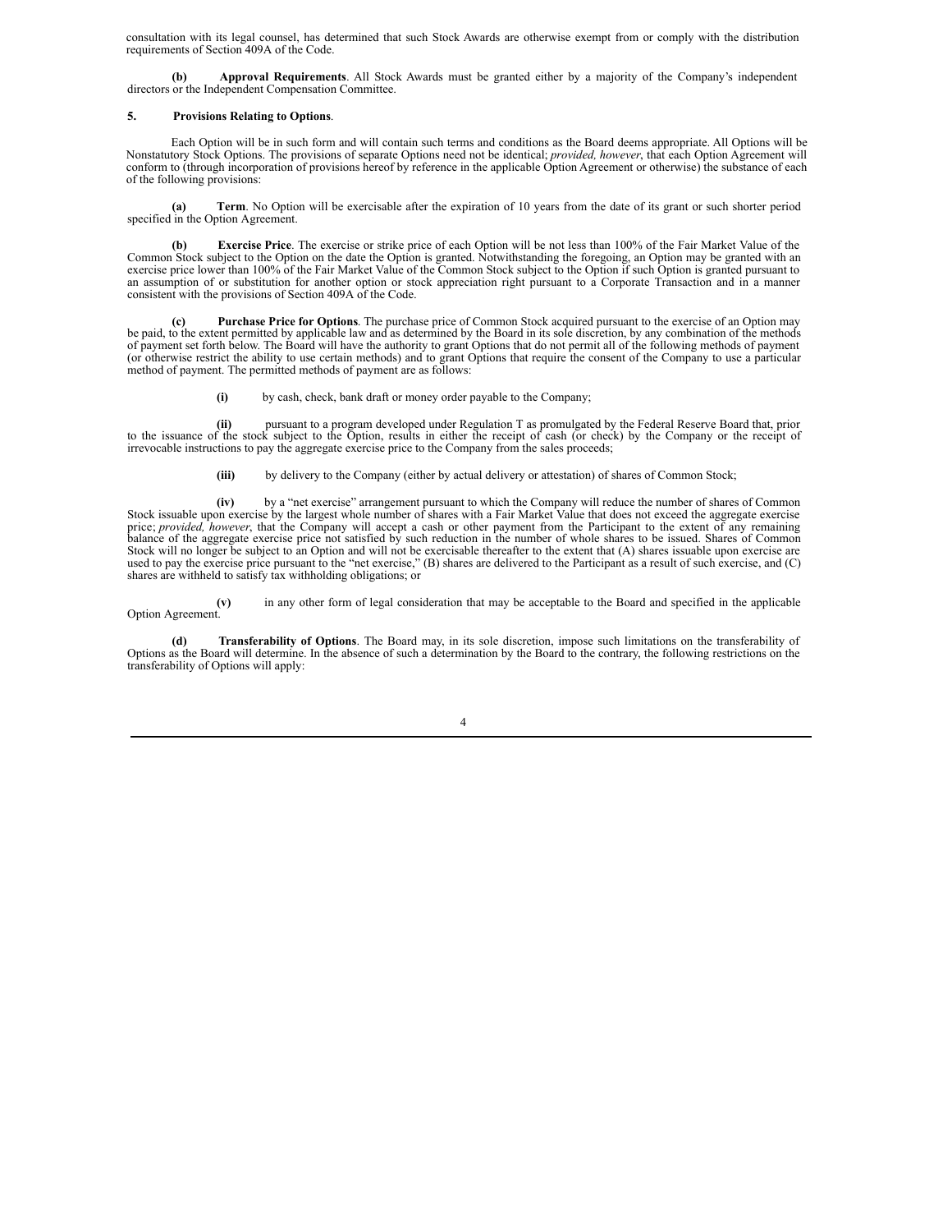consultation with its legal counsel, has determined that such Stock Awards are otherwise exempt from or comply with the distribution requirements of Section 409A of the Code.

**(b) Approval Requirements**. All Stock Awards must be granted either by a majority of the Company's independent directors or the Independent Compensation Committee.

### **5. Provisions Relating to Options**.

Each Option will be in such form and will contain such terms and conditions as the Board deems appropriate. All Options will be Nonstatutory Stock Options. The provisions of separate Options need not be identical; *provided, however*, that each Option Agreement will conform to (through incorporation of provisions hereof by reference in the applicable Option Agreement or otherwise) the substance of each of the following provisions:

**(a) Term**. No Option will be exercisable after the expiration of 10 years from the date of its grant or such shorter period specified in the Option Agreement.

**(b) Exercise Price**. The exercise or strike price of each Option will be not less than 100% of the Fair Market Value of the Common Stock subject to the Option on the date the Option is granted. Notwithstanding the foregoing, an Option may be granted with an exercise price lower than 100% of the Fair Market Value of the Common Stock subject to the Option if such Option is granted pursuant to an assumption of or substitution for another option or stock appreciation right pursuant to a Corporate Transaction and in a manner consistent with the provisions of Section 409A of the Code.

(c) Purchase Price for Options. The purchase price of Common Stock acquired pursuant to the exercise of an Option may<br>be paid, to the extent permitted by applicable law and as determined by the Board in its sole discretion of payment set forth below. The Board will have the authority to grant Options that do not permit all of the following methods of payment<br>(or otherwise restrict the ability to use certain methods) and to grant Options that method of payment. The permitted methods of payment are as follows:

**(i)** by cash, check, bank draft or money order payable to the Company;

(ii) pursuant to a program developed under Regulation T as promulgated by the Federal Reserve Board that, prior<br>to the issuance of the stock subject to the Option, results in either the receipt of cash (or check) by the Co

**(iii)** by delivery to the Company (either by actual delivery or attestation) of shares of Common Stock;

(iv) by a "net exercise" arrangement pursuant to which the Company will reduce the number of shares of Common<br>Stock issuable upon exercise by the largest whole number of shares with a Fair Market Value that does not exceed price; provided, however, that the Company will accept a cash or other payment from the Participant to the extent of any remaining<br>balance of the aggregate exercise price not satisfied by such reduction in the number of wh Stock will no longer be subject to an Option and will not be exercisable thereafter to the extent that (A) shares issuable upon exercise are used to pay the exercise price pursuant to the "net exercise," (B) shares are del shares are withheld to satisfy tax withholding obligations; or

**(v)** in any other form of legal consideration that may be acceptable to the Board and specified in the applicable Option Agreement.

**(d) Transferability of Options**. The Board may, in its sole discretion, impose such limitations on the transferability of Options as the Board will determine. In the absence of such a determination by the Board to the contrary, the following restrictions on the transferability of Options will apply: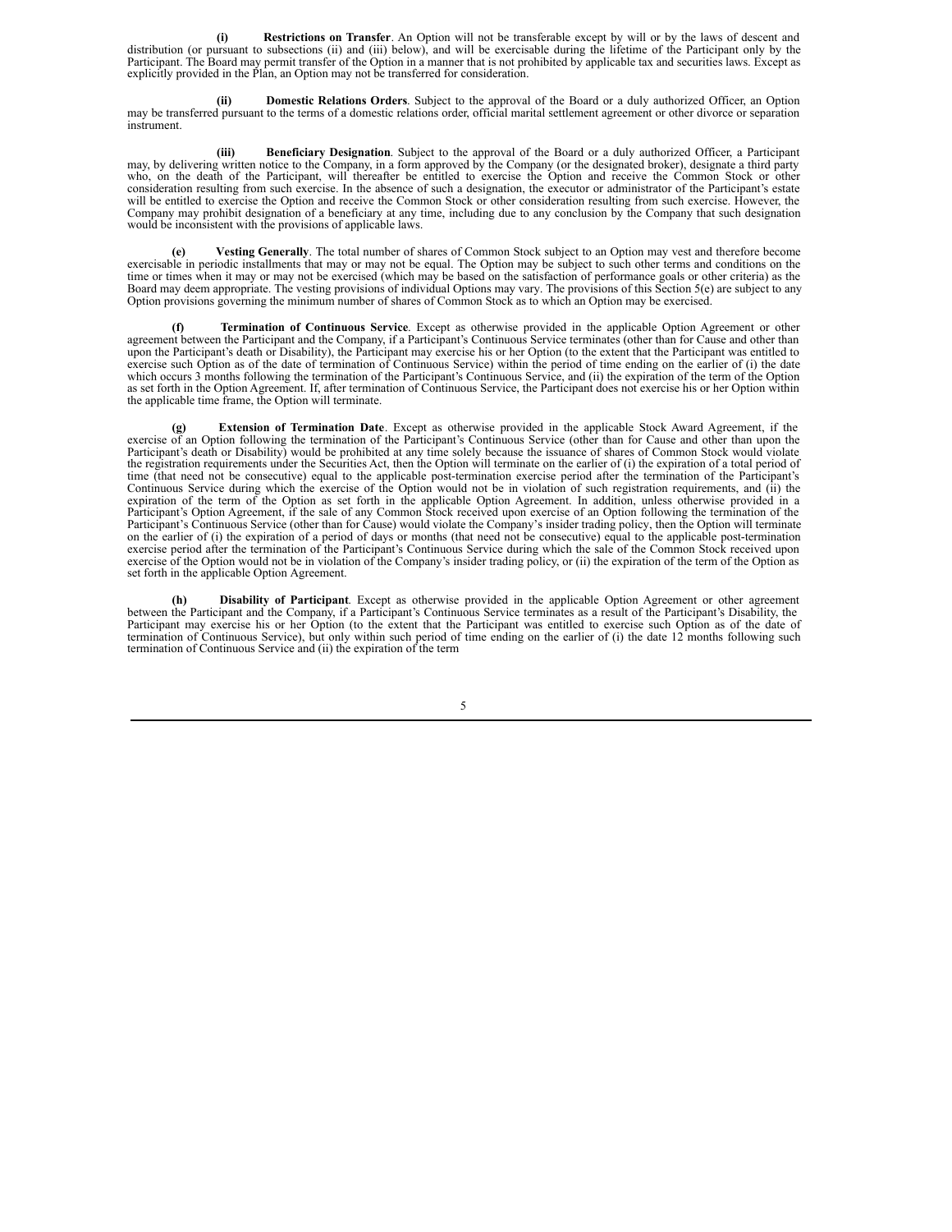**(i) Restrictions on Transfer**. An Option will not be transferable except by will or by the laws of descent and distribution (or pursuant to subsections (ii) and (iii) below), and will be exercisable during the lifetime of the Participant only by the Participant. The Board may permit transfer of the Option in a manner that is not prohibited by applicable tax and securities laws. Except as explicitly provided in the Plan, an Option may not be transferred for consideration.

**(ii) Domestic Relations Orders**. Subject to the approval of the Board or a duly authorized Officer, an Option may be transferred pursuant to the terms of a domestic relations order, official marital settlement agreement or other divorce or separation instrument.

**(iii) Beneficiary Designation**. Subject to the approval of the Board or a duly authorized Officer, a Participant may, by delivering written notice to the Company, in a form approved by the Company (or the designated broker), designate a third party who, on the death of the Participant, will thereafter be entitled to exercise the Option and receive the Common Stock or other consideration resulting from such exercise. In the absence of such a designation, the executor or administrator of the Participant's estate will be entitled to exercise the Option and receive the Common Stock or other consideration resulting from such exercise. However, the Company may prohibit designation of a beneficiary at any time, including due to any conclusion by the Company that such designation would be inconsistent with the provisions of applicable laws.

**(e) Vesting Generally**. The total number of shares of Common Stock subject to an Option may vest and therefore become exercisable in periodic installments that may or may not be equal. The Option may be subject to such other terms and conditions on the time or times when it may or may not be exercised (which may be based on the satisfacti Board may deem appropriate. The vesting provisions of individual Options may vary. The provisions of this Section 5(e) are subject to any<br>Option provisions governing the minimum number of shares of Common Stock as to which

**(f) Termination of Continuous Service**. Except as otherwise provided in the applicable Option Agreement or other agreement between the Participant and the Company, if a Participant's Continuous Service terminates (other than for Cause and other than upon the Participant's death or Disability), the Participant may exercise his or her Option (to the extent that the Participant was entitled to exercise such Option as of the date of termination of Continuous Service) within the period of time ending on the earlier of (i) the date which occurs 3 months following the termination of the Participant's Continuous Service, and (ii) the expiration of the term of the Option as set forth in the Option Agreement. If, after termination of Continuous Service, the Participant does not exercise his or her Option within the applicable time frame, the Option will terminate.

**(g) Extension of Termination Date**. Except as otherwise provided in the applicable Stock Award Agreement, if the exercise of an Option following the termination of the Participant's Continuous Service (other than for Cause and other than upon the Participant's death or Disability) would be prohibited at any time solely because the issuance of shares of Common Stock would violate the registration requirements under the Securities Act, then the Option will terminate on the earlier of (i) the expiration of a total period of time (that need not be consecutive) equal to the applicable post-termination exercise period after the termination of the Participant's Continuous Service during which the exercise of the Option would not be in violation o expiration of the term of the Option as set forth in the applicable Option Agreement. In addition, unless otherwise provided in a Participant's Option Agreement, if the sale of any Common Stock received upon exercise of an Option following the termination of the Participant's Continuous Service (other than for Cause) would violate the Company's insider trading policy, then the Option will terminate on the earlier of (i) the expiration of a period of days or months (that need not be consecutive) equal to the applicable post-termination exercise period after the termination of the Participant's Continuous Service durin exercise of the Option would not be in violation of the Company's insider trading policy, or (ii) the expiration of the term of the Option as set forth in the applicable Option Agreement.

**(h) Disability of Participant**. Except as otherwise provided in the applicable Option Agreement or other agreement between the Participant and the Company, if a Participant's Continuous Service terminates as a result of the Participant's Disability, the Participant may exercise his or her Option (to the extent that the Participant was entitled to exercise such Option as of the date of termination of Continuous Service), but only within such period of time ending on the earlier of (i) the date 12 months following such termination of Continuous Service and (ii) the expiration of the term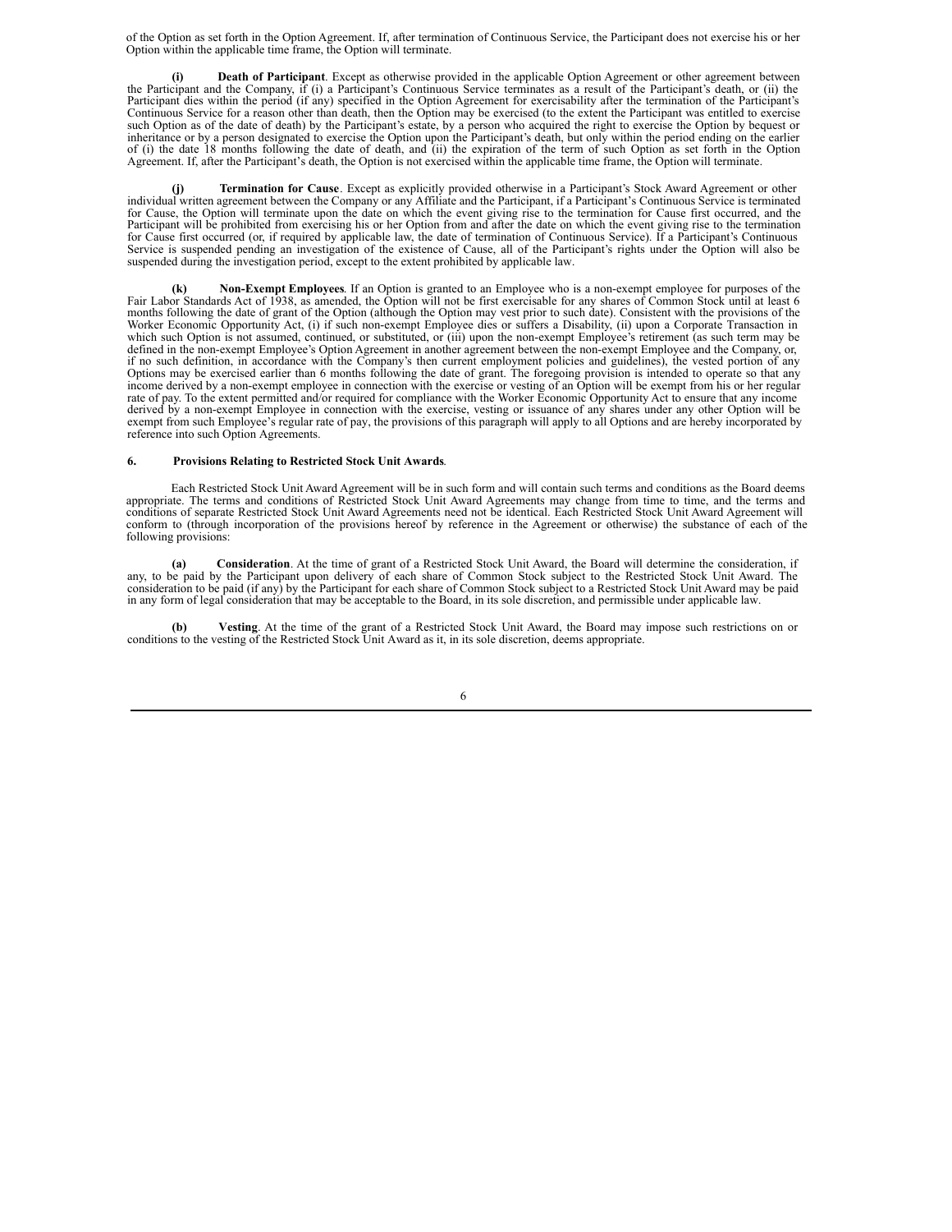of the Option as set forth in the Option Agreement. If, after termination of Continuous Service, the Participant does not exercise his or her Option within the applicable time frame, the Option will terminate.

**(i) Death of Participant**. Except as otherwise provided in the applicable Option Agreement or other agreement between the Participant and the Company, if (i) a Participant's Continuous Service terminates as a result of the Participant's death, or (ii) the Participant dies within the period (if any) specified in the Option Agreement for exercisability after the termination of the Participant's Continuous Service for a reason other than death, then the Option may be exercised (to the extent the Participant was entitled to exercise such Option as of the date of death) by the Participant's estate, by a person who acquired the right to exercise the Option by bequest or inheritance or by a person designated to exercise the Option upon the Participant's death, but only within the period ending on the earlier of (i) the date 18 months following the date of death, and (ii) the expiration of the term of such Option as set forth in the Option Agreement. If, after the Participant's death, the Option is not exercised within the applicable time frame, the Option will terminate.

**(j) Termination for Cause**. Except as explicitly provided otherwise in a Participant's Stock Award Agreement or other individual written agreement between the Company or any Affiliate and the Participant, if a Participant's Continuous Service is terminated for Cause, the Option will terminate upon the date on which the event giving rise to the termination for Cause first occurred, and the Participant will be prohibited from exercising his or her Option from and after the date on which the event giving rise to the termination for Cause first occurred (or, if required by applicable law, the date of termination of Continuous Service). If a Participant's Continuous Service is suspended pending an investigation of the existence of Cause, all of the Participant's rights under the Option will also be suspended during the investigation period, except to the extent prohibited by applicable law.

(k) Non-Exempt Employees. If an Option is granted to an Employee who is a non-exempt employee for purposes of the Fair Labor Standards Act of 1938, as amended, the Option will not be first exercisable for any shares of Com Finance of the distribution of the Option (although the Option may vest prior to such date). Consistent with the provisions of the Worker Economic Opportunity Act, (i) if such non-exempt Employee dies or suffers a Disabili which such Option is not assumed, continued, or substituted, or (iii) upon the non-exempt Employee's retirement (as such term may be defined in the non-exempt Employee's Option Agreement in another agreement between the non-exempt Employee and the Company, or, if no such definition, in accordance with the Company's then current employment policies and guidelines), the vested portion of any Options may be exercised earlier than 6 months following the date of grant. The foregoing provision is intended to operate so that any income derived by a non-exempt employee in connection with the exercise or vesting of a rate of pay. To the extent permitted and/or required for compliance with the Worker Economic Opportunity Act to ensure that any income derived by a non-exempt Employee in connection with the exercise, vesting or issuance of any shares under any other Option will be exempt from such Employee's regular rate of pay, the provisions of this paragraph will appl reference into such Option Agreements.

### **6. Provisions Relating to Restricted Stock Unit Awards**.

Each Restricted Stock Unit Award Agreement will be in such form and will contain such terms and conditions as the Board deems appropriate. The terms and conditions of Restricted Stock Unit Award Agreements may change from time to time, and the terms and conditions of separate Restricted Stock Unit Award Agreements need not be identical. Each Restricted Stock Unit Award Agreement will conform to (through incorporation of the provisions hereof by reference in the Agreement or otherwise) the substance of each of the following provisions:

**(a) Consideration**. At the time of grant of a Restricted Stock Unit Award, the Board will determine the consideration, if any, to be paid by the Participant upon delivery of each share of Common Stock subject to the Restricted Stock Unit Award. The consideration to be paid (if any) by the Participant for each share of Common Stock subject to a Restricted Stock Unit Award may be paid in any form of legal consideration that may be acceptable to the Board, in its sole discretion, and permissible under applicable law.

**(b) Vesting**. At the time of the grant of a Restricted Stock Unit Award, the Board may impose such restrictions on or conditions to the vesting of the Restricted Stock Unit Award as it, in its sole discretion, deems appropriate.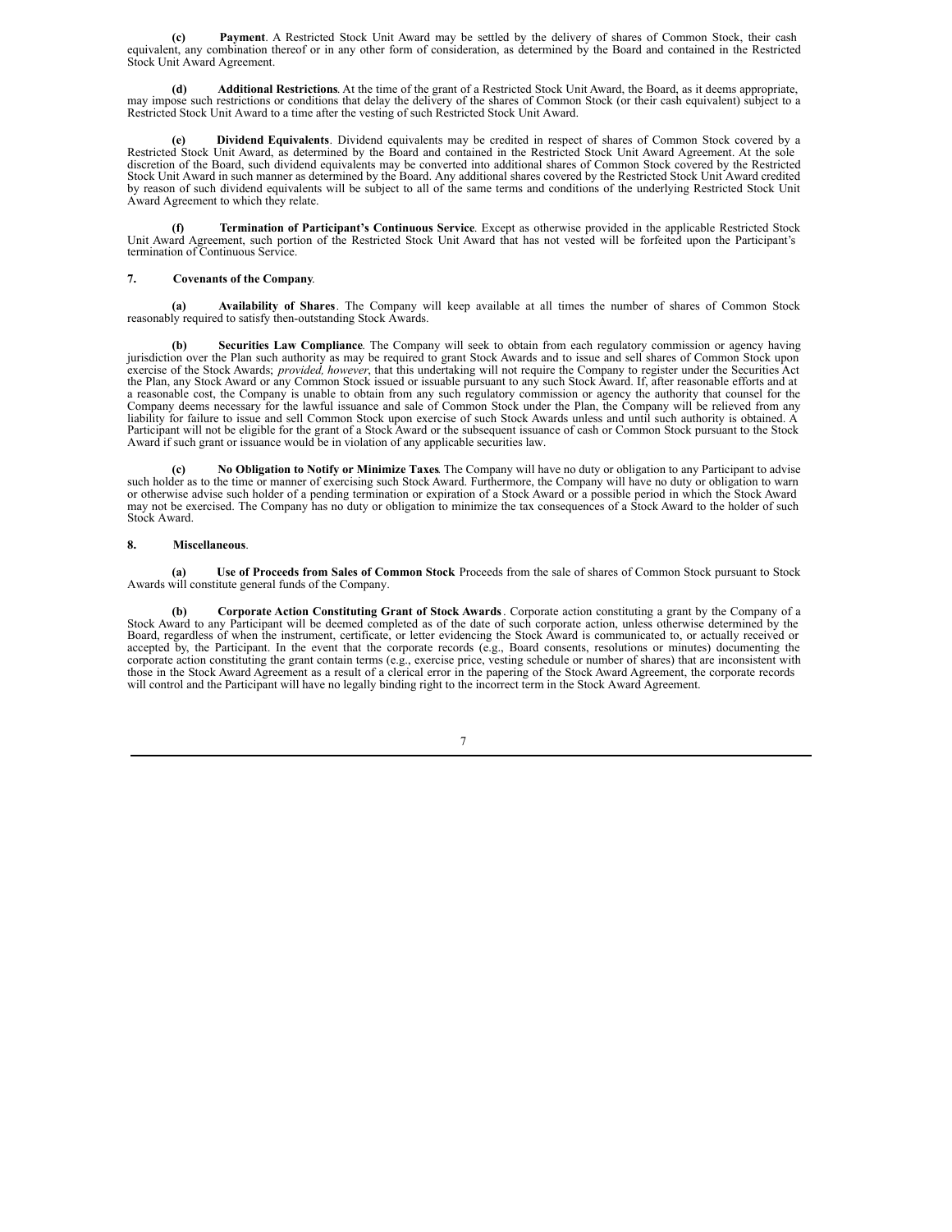<span id="page-60-0"></span>**(c) Payment**. A Restricted Stock Unit Award may be settled by the delivery of shares of Common Stock, their cash equivalent, any combination thereof or in any other form of consideration, as determined by the Board and contained in the Restricted Stock Unit Award Agreement.

**(d) Additional Restrictions**. At the time of the grant of a Restricted Stock Unit Award, the Board, as it deems appropriate, may impose such restrictions or conditions that delay the delivery of the shares of Common Stock (or their cash equivalent) subject to a Restricted Stock Unit Award to a time after the vesting of such Restricted Stock Unit Award.

(e) Dividend Equivalents. Dividend equivalents may be credited in respect of shares of Common Stock covered by a<br>Restricted Stock Unit Award, as determined by the Board and contained in the Restricted Stock Unit Award Agre discretion of the Board, such dividend equivalents may be converted into additional shares of Common Stock covered by the Restricted Stock Unit Award in such manner as determined by the Board. Any additional shares covered by the Restricted Stock Unit Award credited by reason of such dividend equivalents will be subject to all of the same terms and conditions of the underlying Restricted Stock Unit Award Agreement to which they relate.

**(f) Termination of Participant's Continuous Service**. Except as otherwise provided in the applicable Restricted Stock Unit Award Agreement, such portion of the Restricted Stock Unit Award that has not vested will be forfeited upon the Participant's termination of Continuous Service.

### **7. Covenants of the Company**.

**(a) Availability of Shares**. The Company will keep available at all times the number of shares of Common Stock reasonably required to satisfy then-outstanding Stock Awards.

**(b) Securities Law Compliance**. The Company will seek to obtain from each regulatory commission or agency having jurisdiction over the Plan such authority as may be required to grant Stock Awards and to issue and sell shares of Common Stock upon exercise of the Stock Awards; *provided, however*, that this undertaking will not require the Company to register under the Securities Act the Plan, any Stock Award or any Common Stock issued or issuable pursuant to any such Stock Award. If, after reasonable efforts and at a reasonable cost, the Company is unable to obtain from any such regulatory commission or agency the authority that counsel for the Company deems necessary for the lawful issuance and sale of Common Stock under the Plan, the Company will be relieved from any liability for failure to issue and sell Common Stock upon exercise of such Stock Awards unless and until such authority is obtained. A Participant will not be eligible for the grant of a Stock Award or the subsequent issuance of cash or Common Stock pursuant to the Stock Award if such grant or issuance would be in violation of any applicable securities law.

(c) No Obligation to Notify or Minimize Taxes. The Company will have no duty or obligation to any Participant to advise<br>such holder as to the time or manner of exercising such Stock Award. Furthermore, the Company will hav or otherwise advise such holder of a pending termination or expiration of a Stock Award or a possible period in which the Stock Award<br>may not be exercised. The Company has no duty or obligation to minimize the tax conseque Stock Award.

### **8. Miscellaneous**.

**(a) Use of Proceeds from Sales of Common Stock**. Proceeds from the sale of shares of Common Stock pursuant to Stock Awards will constitute general funds of the Company.

**(b) Corporate Action Constituting Grant of Stock Awards**. Corporate action constituting a grant by the Company of a Stock Award to any Participant will be deemed completed as of the date of such corporate action, unless otherwise determined by the Board, regardless of when the instrument, certificate, or letter evidencing the Stock Award is communicated to, or actually received or accepted by, the Participant. In the event that the corporate records (e.g., Board consents, resolutions or minutes) documenting the corporate action constituting the grant contain terms (e.g., exercise price, vesting schedule or number of shares) that are inconsistent with those in the Stock Award Agreement as a result of a clerical error in the papering of the Stock Award Agreement, the corporate records will control and the Participant will have no legally binding right to the incorrect term in the Stock Award Agreement.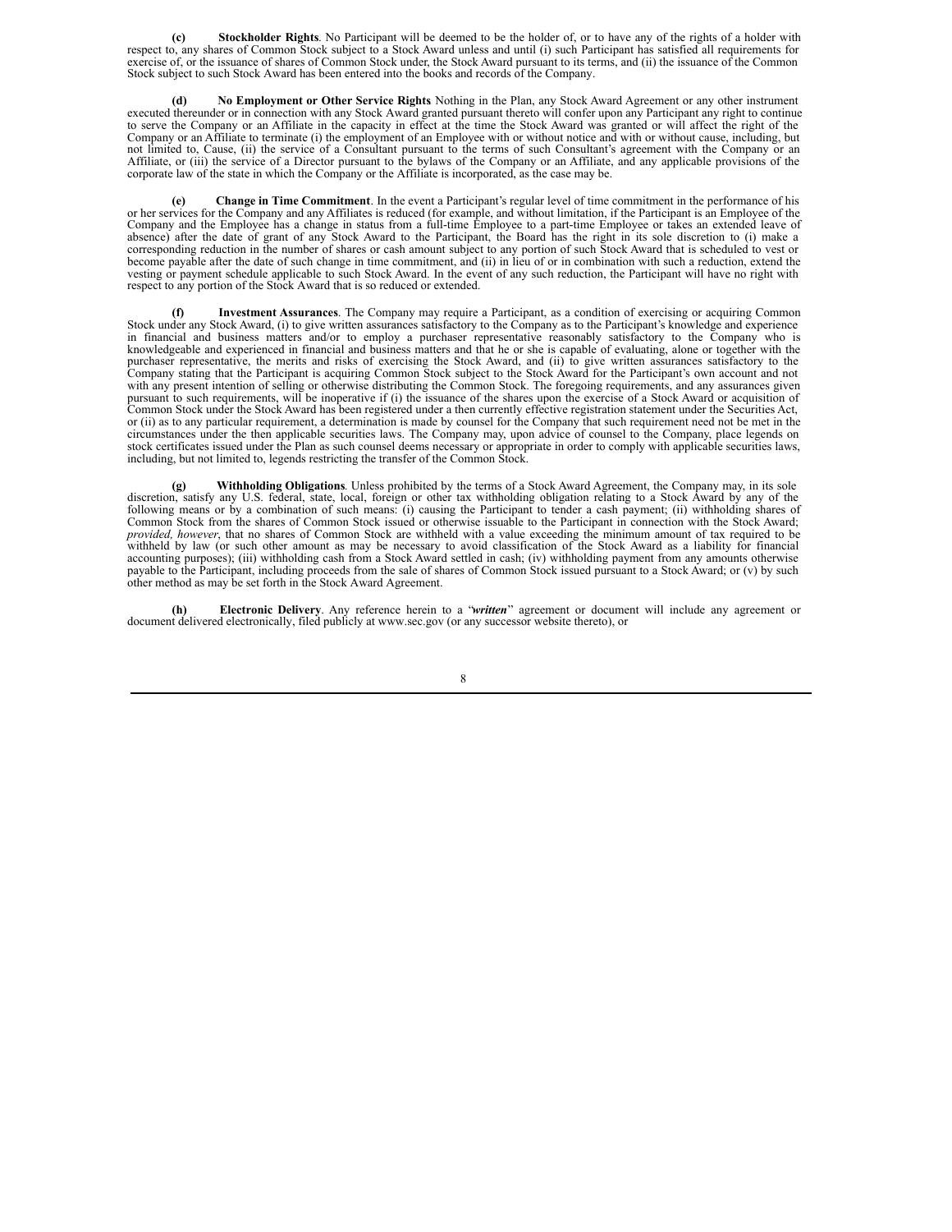**(c) Stockholder Rights**. No Participant will be deemed to be the holder of, or to have any of the rights of a holder with respect to, any shares of Common Stock subject to a Stock Award unless and until (i) such Participant has satisfied all requirements for exercise of, or the issuance of shares of Common Stock under, the Stock Award pursuant to its terms, and (ii) the issuance of the Common Stock subject to such Stock Award has been entered into the books and records of the Company.

**(d) No Employment or Other Service Rights**. Nothing in the Plan, any Stock Award Agreement or any other instrument executed thereunder or in connection with any Stock Award granted pursuant thereto will confer upon any Participant any right to continue to serve the Company or an Affiliate in the capacity in effect at the time the Stock Award was granted or will affect the right of the<br>Company or an Affiliate to terminate (i) the employment of an Employee with or without not limited to, Cause, (ii) the service of a Consultant pursuant to the terms of such Consultant's agreement with the Company or an Affiliate, or (iii) the service of a Director pursuant to the bylaws of the Company or an

**(e) Change in Time Commitment**. In the event a Participant's regular level of time commitment in the performance of his or her services for the Company and any Affiliates is reduced (for example, and without limitation, if the Participant is an Employee of the Company and the Employee has a change in status from a full-time Employee to a part-time Employee or takes an extended leave of absence) after the date of grant of any Stock Award to the Participant, the Board has the right in its sole discretion to (i) make a corresponding reduction in the number of shares or cash amount subject to any portion of such Stock Award that is scheduled to vest or become payable after the date of such change in time commitment, and (ii) in lieu of or in combination with such a reduction, extend the vesting or payment schedule applicable to such Stock Award. In the event of any such reduction, the Participant will have no right with respect to any portion of the Stock Award that is so reduced or extended.

(f) Investment Assurances. The Company may require a Participant, as a condition of exercising or acquiring Common<br>Stock under any Stock Award, (i) to give written assurances satisfactory to the Company as to the Participa in financial and business matters and/or to employ a purchaser representative reasonably satisfactory to the Company who is knowledgeable and experienced in financial and business matters and that he or she is capable of evaluating, alone or together with the purchaser representative, the merits and risks of exercising the Stock Award, and (ii) to give written assurances satisfactory to the Company stating that the Participant is acquiring Common Stock subject to the Stock Award for the Participant's own account and not with any present intention of selling or otherwise distributing the Common Stock. The foregoing requirements, and any assurances given pursuant to such requirements, will be inoperative if (i) the issuance of the shares upon the exercise of a Stock Award or acquisition of Common Stock under the Stock Award has been registered under a then currently effective registration statement under the Securities Act, or (ii) as to any particular requirement, a determination is made by counsel for the Company that such requirement need not be met in the circumstances under the then applicable securities laws. The Company may, upon advice of counsel to the Company, place legends on stock certificates issued under the Plan as such counsel deems necessary or appropriate in order to comply with applicable securities laws, including, but not limited to, legends restricting the transfer of the Common Stock.

(g) Withholding Obligations. Unless prohibited by the terms of a Stock Award Agreement, the Company may, in its sole discretion, satisfy any U.S. federal, state, local, foreign or other tax withholding obligation relating Common Stock from the shares of Common Stock issued or otherwise issuable to the Participant in connection with the Stock Award; *provided, however*, that no shares of Common Stock are withheld with a value exceeding the minimum amount of tax required to be withheld by law (or such other amount as may be necessary to avoid classification of the Stock Award as a liability for financial accounting purposes); (iii) withholding cash from a Stock Award settled in cash; (iv) withholding payment from any amounts otherwise payable to the Participant, including proceeds from the sale of shares of Common Stock issued pursuant to a Stock Award; or (v) by such other method as may be set forth in the Stock Award Agreement.

(h) Electronic Delivery. Any reference herein to a "written" agreement or document will include any agreement or document delivered electronically, filed publicly at www.sec.gov (or any successor website thereto), or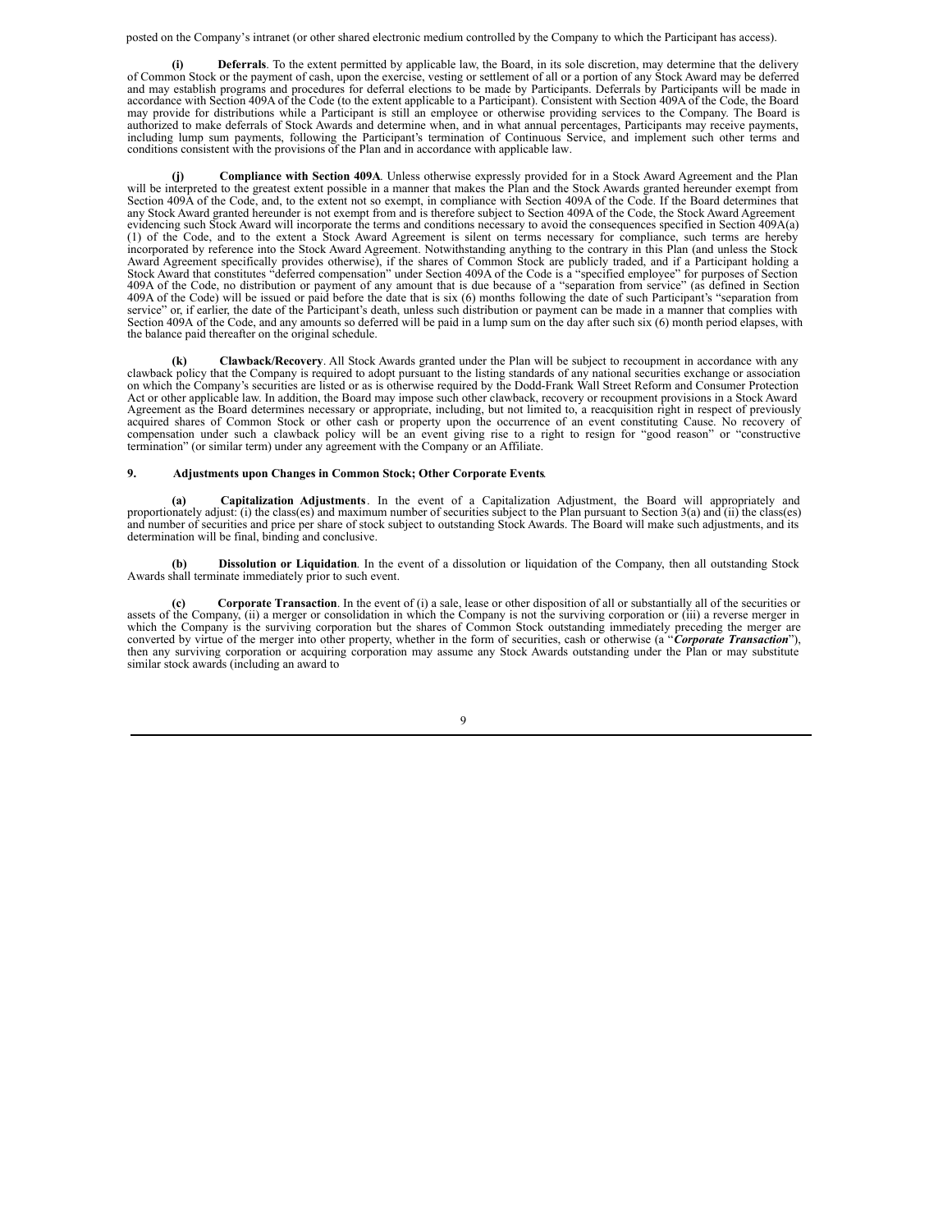posted on the Company's intranet (or other shared electronic medium controlled by the Company to which the Participant has access).

**(i) Deferrals**. To the extent permitted by applicable law, the Board, in its sole discretion, may determine that the delivery of Common Stock or the payment of cash, upon the exercise, vesting or settlement of all or a portion of any Stock Award may be deferred and may establish programs and procedures for deferral elections to be made by Participants. Deferrals by Participants will be made in accordance with Section 409A of the Code (to the extent applicable to a Participant). Consistent with Section 409A of the Code, the Board may provide for distributions while a Participant is still an employee or otherwise providing services to the Company. The Board is authorized to make deferrals of Stock Awards and determine when, and in what annual percentages, Participants may receive payments, including lump sum payments, following the Participant's termination of Continuous Service, and implement such other terms and conditions consistent with the provisions of the Plan and in accordance with applicable law.

(j) Compliance with Section 409A. Unless otherwise expressly provided for in a Stock Award Agreement and the Plan will be interpreted to the greatest extent possible in a manner that makes the Plan and the Stock Awards gra Section 409A of the Code, and, to the extent not so exempt, in compliance with Section 409A of the Code. If the Board determines that any Stock Award granted hereunder is not exempt from and is therefore subject to Section 409A of the Code, the Stock Award Agreement evidencing such Stock Award will incorporate the terms and conditions necessary to avoid the consequences specified in Section 409A(a) (1) of the Code, and to the extent a Stock Award Agreement is silent on terms necessary for compliance, such terms are hereby incorporated by reference into the Stock Award Agreement. Notwithstanding anything to the contrary in this Plan (and unless the Stock Award Agreement specifically provides otherwise), if the shares of Common Stock are publicly traded, and if a Participant holding a<br>Stock Award that constitutes "deferred compensation" under Section 409A of the Code is a " 409A of the Code) will be issued or paid before the date that is six (6) months following the date of such Participant's "separation from<br>service" or, if earlier, the date of the Participant's death, unless such distributi Section 409A of the Code, and any amounts so deferred will be paid in a lump sum on the day after such six (6) month period elapses, with the balance paid thereafter on the original schedule.

**(k) Clawback/Recovery**. All Stock Awards granted under the Plan will be subject to recoupment in accordance with any clawback policy that the Company is required to adopt pursuant to the listing standards of any national securities exchange or association<br>on which the Company's securities are listed or as is otherwise required by the Dod Act or other applicable law. In addition, the Board may impose such other clawback, recovery or recoupment provisions in a Stock Award Agreement as the Board determines necessary or appropriate, including, but not limited to, a reacquisition right in respect of previously acquired shares of Common Stock or other cash or property upon the occurrence of an event constituting Cause. No recovery of compensation under such a clawback policy will be an event giving rise to a right to resign for "good reason" or "constructive termination" (or similar term) under any agreement with the Company or an Affiliate.

# **9. Adjustments upon Changes in Common Stock; Other Corporate Events**.

**(a) Capitalization Adjustments**. In the event of a Capitalization Adjustment, the Board will appropriately and proportionately adjust: (i) the class(es) and maximum number of securities subject to the Plan pursuant to Section 3(a) and (ii) the class(es) and number of securities and price per share of stock subject to outstanding Stock Awards. The Board will make such adjustments, and its determination will be final, binding and conclusive.

**(b) Dissolution or Liquidation**. In the event of a dissolution or liquidation of the Company, then all outstanding Stock Awards shall terminate immediately prior to such event.

**(c) Corporate Transaction**. In the event of (i) a sale, lease or other disposition of all or substantially all of the securities or assets of the Company, (ii) a merger or consolidation in which the Company is not the surviving corporation or (iii) a reverse merger in which the Company is the surviving corporation but the shares of Common Stock outstanding immediately preceding the merger are converted by virtue of the merger into other property, whether in the form of securities, cash then any surviving corporation or acquiring corporation may assume any Stock Awards outstanding under the Plan or may substitute similar stock awards (including an award to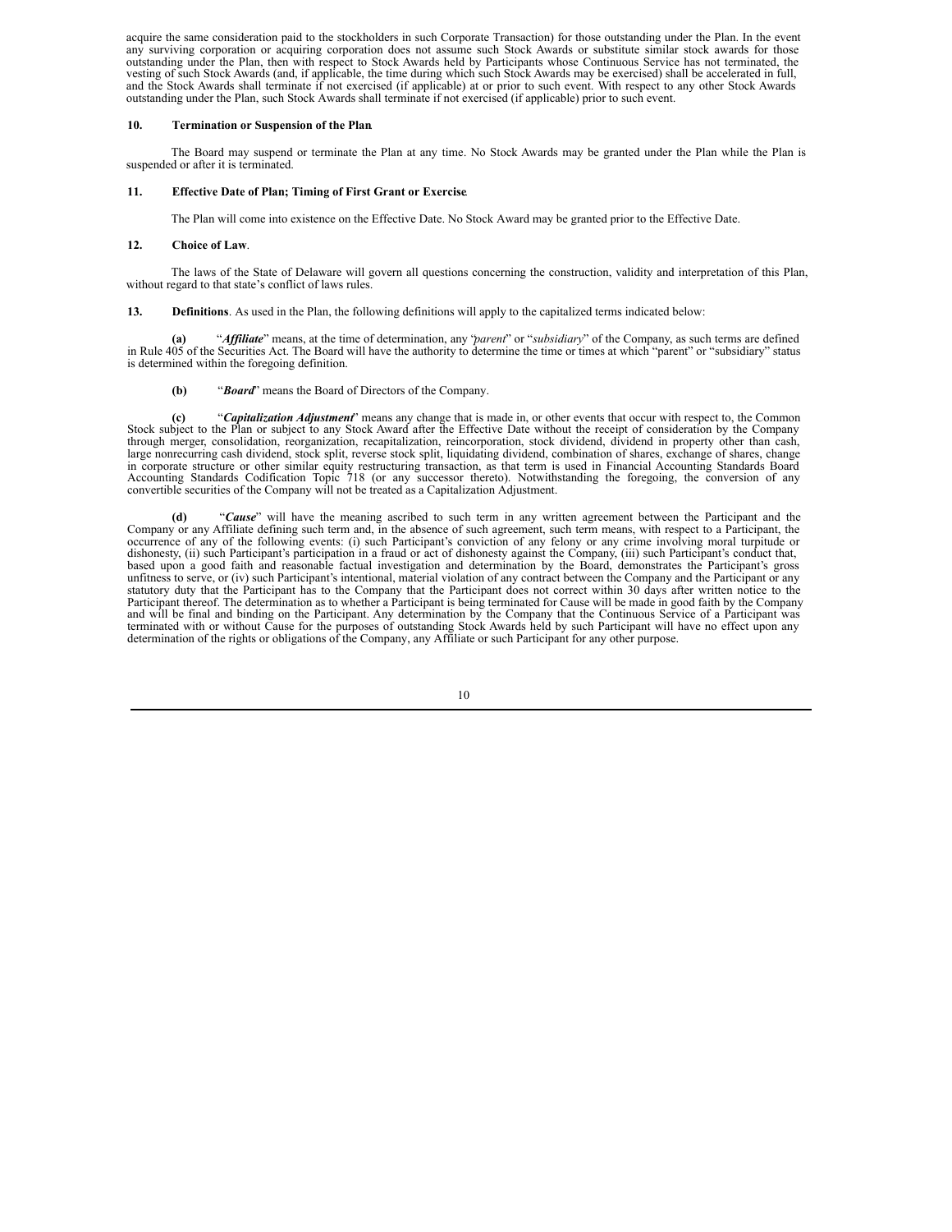acquire the same consideration paid to the stockholders in such Corporate Transaction) for those outstanding under the Plan. In the event any surviving corporation or acquiring corporation does not assume such Stock Awards or substitute similar stock awards for those outstanding under the Plan, then with respect to Stock Awards held by Participants whose Continuous Service has not terminated, the vesting of such Stock Awards (and, if applicable, the time during which such Stock Awards may be exercised) shall be accelerated in full, and the Stock Awards shall terminate if not exercised (if applicable) at or prior to such event. With respect to any other Stock Awards outstanding under the Plan, such Stock Awards shall terminate if not exercised (if applicable) prior to such event.

### **10. Termination or Suspension of the Plan**.

The Board may suspend or terminate the Plan at any time. No Stock Awards may be granted under the Plan while the Plan is suspended or after it is terminated.

### **11. Effective Date of Plan; Timing of First Grant or Exercise**.

The Plan will come into existence on the Effective Date. No Stock Award may be granted prior to the Effective Date.

# **12. Choice of Law**.

The laws of the State of Delaware will govern all questions concerning the construction, validity and interpretation of this Plan, without regard to that state's conflict of laws rules.

### **13. Definitions**. As used in the Plan, the following definitions will apply to the capitalized terms indicated below:

(a) "*Affiliate*" means, at the time of determination, any "*parent*" or "*subsidiary*" of the Company, as such terms are defined in Rule 405 of the Securities Act. The Board will have the authority to determine the time o is determined within the foregoing definition.

# **(b)** "*Board*" means the Board of Directors of the Company.

**(c)** "*Capitalization Adjustment*" means any change that is made in, or other events that occur with respect to, the Common Stock subject to the Plan or subject to any Stock Award after the Effective Date without the receipt of consideration by the Company through merger, consolidation, reorganization, recapitalization, reincorporation, stock dividend, dividend in property other than cash, large nonrecurring cash dividend, stock split, reverse stock split, liquidating dividend, combination of shares, exchange of shares, change in corporate structure or other similar equity restructuring transaction, as that term is used in Financial Accounting Standards Board<br>Accounting Standards Codification Topic 718 (or any successor thereto). Notwithstanding convertible securities of the Company will not be treated as a Capitalization Adjustment.

**(d)** "*Cause*" will have the meaning ascribed to such term in any written agreement between the Participant and the Company or any Affiliate defining such term and, in the absence of such agreement, such term means, with respect to a Participant, the occurrence of any of the following events: (i) such Participant's conviction of any felony or any crime involving moral turpitude or dishonesty, (ii) such Participant's participation in a fraud or act of dishonesty against the Company, (iii) such Participant's conduct that, based upon a good faith and reasonable factual investigation and determination b unfitness to serve, or (iv) such Participant's intentional, material violation of any contract between the Company and the Participant or any statutory duty that the Participant has to the Company that the Participant does not correct within 30 days after written notice to the Participant thereof. The determination as to whether a Participant is being terminated for Cause will be made in good faith by the Company and will be final and binding on the Participant. Any determination by the Company that the Continuous Service of a Participant was<br>terminated with or without Cause for the purposes of outstanding Stock Awards held by such determination of the rights or obligations of the Company, any Affiliate or such Participant for any other purpose.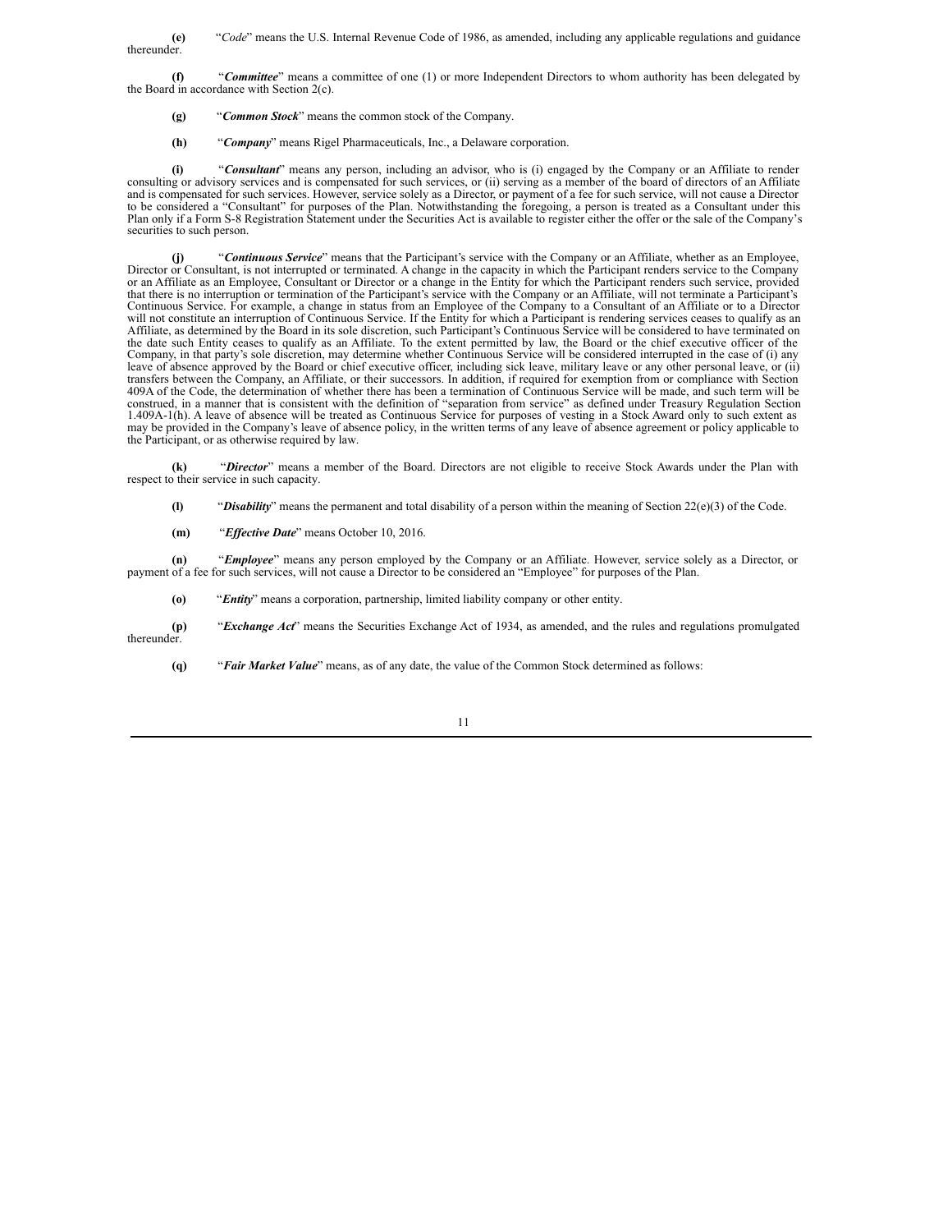**(e)** "*Code*" means the U.S. Internal Revenue Code of 1986, as amended, including any applicable regulations and guidance thereunder.

**(f)** "*Committee*" means a committee of one (1) or more Independent Directors to whom authority has been delegated by the Board in accordance with Section 2(c).

- **(g)** "*Common Stock*" means the common stock of the Company.
- **(h)** "*Company*" means Rigel Pharmaceuticals, Inc., a Delaware corporation.

**(i)** "*Consultant*" means any person, including an advisor, who is (i) engaged by the Company or an Affiliate to render consulting or advisory services and is compensated for such services, or (ii) serving as a member of the board of directors of an Affiliate and is compensated for such services. However, service solely as a Director, or payment of a fee for such service, will not cause a Director<br>to be considered a "Consultant" for purposes of the Plan. Notwithstanding the for Plan only if a Form S-8 Registration Statement under the Securities Act is available to register either the offer or the sale of the Company's securities to such person.

**(j)** "*Continuous Service*" means that the Participant's service with the Company or an Affiliate, whether as an Employee, Director or Consultant, is not interrupted or terminated. A change in the capacity in which the Participant renders service to the Company or an Affiliate as an Employee, Consultant or Director or a change in the Entity for which the Participant renders such service, provided that there is no interruption or termination of the Participant's service with the Company or an Affiliate, will not terminate a Participant's Continuous Service. For example, a change in status from an Employee of the Company to a Consultant of an Affiliate or to a Director will not constitute an interruption of Continuous Service. If the Entity for which a Participant is rendering services ceases to qualify as an Affiliate, as determined by the Board in its sole discretion, such Participant's Continuous Service will be considered to have terminated on the date such Entity ceases to qualify as an Affiliate. To the extent permitted by law, the Board or the chief executive officer of the Company, in that party's sole discretion, may determine whether Continuous Service will be considered interrupted in the case of (i) any leave of absence approved by the Board or chief executive officer, including sick leave, military leave or any other personal leave, or (ii) transfers between the Company, an Affiliate, or their successors. In addition, if required for exemption from or compliance with Section 409A of the Code, the determination of whether there has been a termination of Continuous Service will be made, and such term will be construed, in a manner that is consistent with the definition of "separation from servic 1.409A-1(h). A leave of absence will be treated as Continuous Service for purposes of vesting in a Stock Award only to such extent as may be provided in the Company's leave of absence policy, in the written terms of any leave of absence agreement or policy applicable to the Participant, or as otherwise required by law.

**(k)** "*Director*" means a member of the Board. Directors are not eligible to receive Stock Awards under the Plan with respect to their service in such capacity.

- **(l)** "*Disability*" means the permanent and total disability of a person within the meaning of Section 22(e)(3) of the Code.
- **(m)** "*Ef ective Date*" means October 10, 2016.

(n) "*Employee*" means any person employed by the Company or an Affiliate. However, service solely as a Director, or payment of a fee for such services, will not cause a Director to be considered an "Employee" for purposes

- **(o)** "*Entity*" means a corporation, partnership, limited liability company or other entity.
- **(p)** "*Exchange Act*" means the Securities Exchange Act of 1934, as amended, and the rules and regulations promulgated thereunder.
	- **(q)** "*Fair Market Value*" means, as of any date, the value of the Common Stock determined as follows: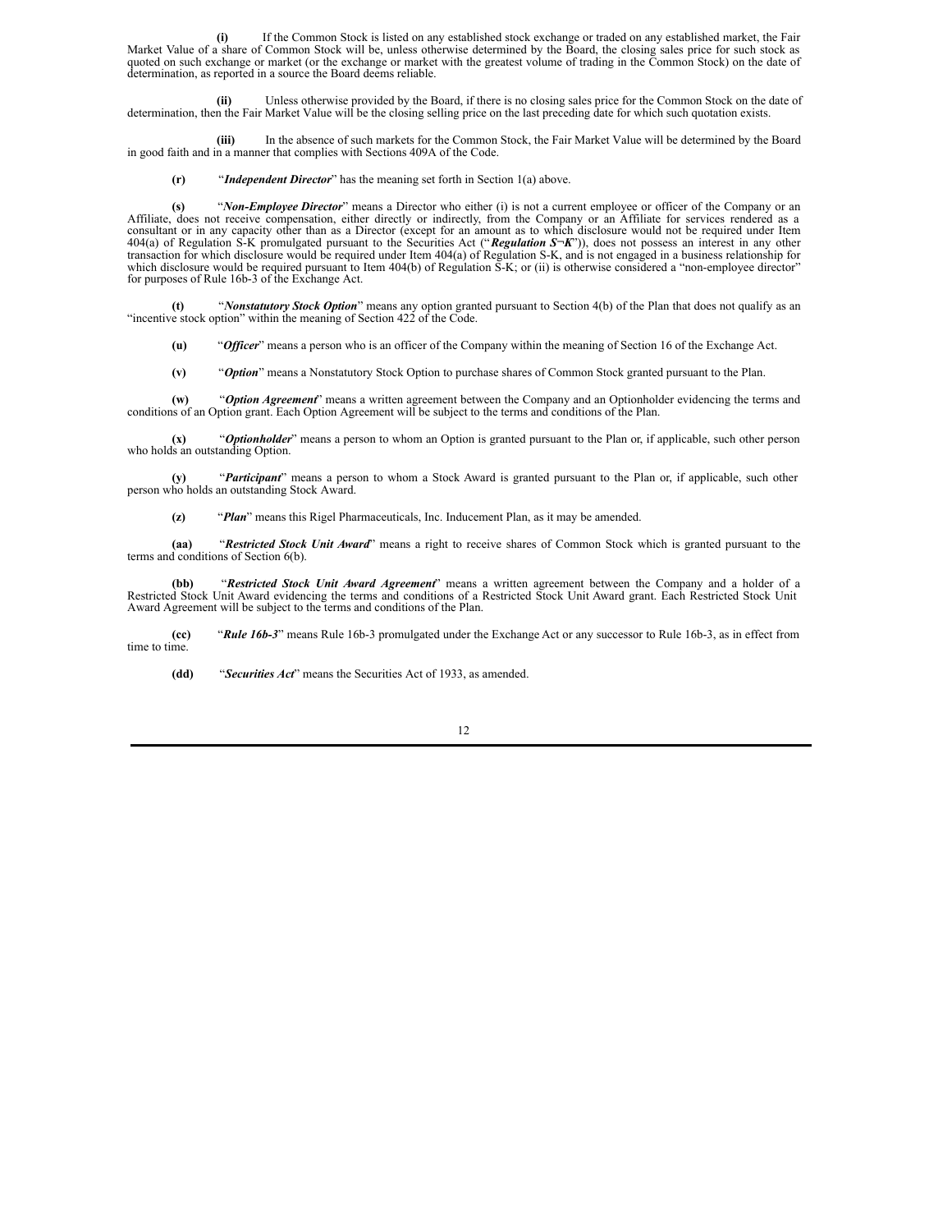(i) If the Common Stock is listed on any established stock exchange or traded on any established market, the Fair<br>Market Value of a share of Common Stock will be, unless otherwise determined by the Board, the closing sales determination, as reported in a source the Board deems reliable.

(ii) Unless otherwise provided by the Board, if there is no closing sales price for the Common Stock on the date of determination, then the Fair Market Value will be the closing selling price on the last preceding date for

**(iii)** In the absence of such markets for the Common Stock, the Fair Market Value will be determined by the Board in good faith and in a manner that complies with Sections 409A of the Code.

**(r)** "*Independent Director*" has the meaning set forth in Section 1(a) above.

**(s)** "*Non-Employee Director*" means a Director who either (i) is not a current employee or officer of the Company or an Affiliate, does not receive compensation, either directly or indirectly, from the Company or an Affiliate for services rendered as a<br>consultant or in any capacity other than as a Director (except for an amount as to which 404(a) of Regulation S-K promulgated pursuant to the Securities Act ("*Regulation*  $S-K$ ")), does not possess an interest in any other transaction for which disclosure would be required under Item 404(a) of Regulation Sfor purposes of Rule 16b-3 of the Exchange Act.

**(t)** "*Nonstatutory Stock Option*" means any option granted pursuant to Section 4(b) of the Plan that does not qualify as an "incentive stock option" within the meaning of Section 422 of the Code.

**(u)** "*Of icer*" means a person who is an officer of the Company within the meaning of Section 16 of the Exchange Act.

**(v)** "*Option*" means a Nonstatutory Stock Option to purchase shares of Common Stock granted pursuant to the Plan.

(w) "Option Agreement" means a written agreement between the Company and an Optionholder evidencing the terms and conditions of an Option grant. Each Option Agreement will be subject to the terms and conditions of the Plan

**(x)** "*Optionholder*" means a person to whom an Option is granted pursuant to the Plan or, if applicable, such other person who holds an outstanding Option.

**(y)** "*Participant*" means a person to whom a Stock Award is granted pursuant to the Plan or, if applicable, such other person who holds an outstanding Stock Award.

**(z)** "*Plan*" means this Rigel Pharmaceuticals, Inc. Inducement Plan, as it may be amended.

**(aa)** "*Restricted Stock Unit Award*" means a right to receive shares of Common Stock which is granted pursuant to the terms and conditions of Section 6(b).

(bb) "Restricted Stock Unit Award Agreement" means a written agreement between the Company and a holder of a Restricted Stock Unit Award evidencing the terms and conditions of a Restricted Stock Unit Award grant. Each Rest Award Agreement will be subject to the terms and conditions of the Plan.

**(cc)** "*Rule 16b-3*" means Rule 16b-3 promulgated under the Exchange Act or any successor to Rule 16b-3, as in effect from time to time.

**(dd)** "*Securities Act*" means the Securities Act of 1933, as amended.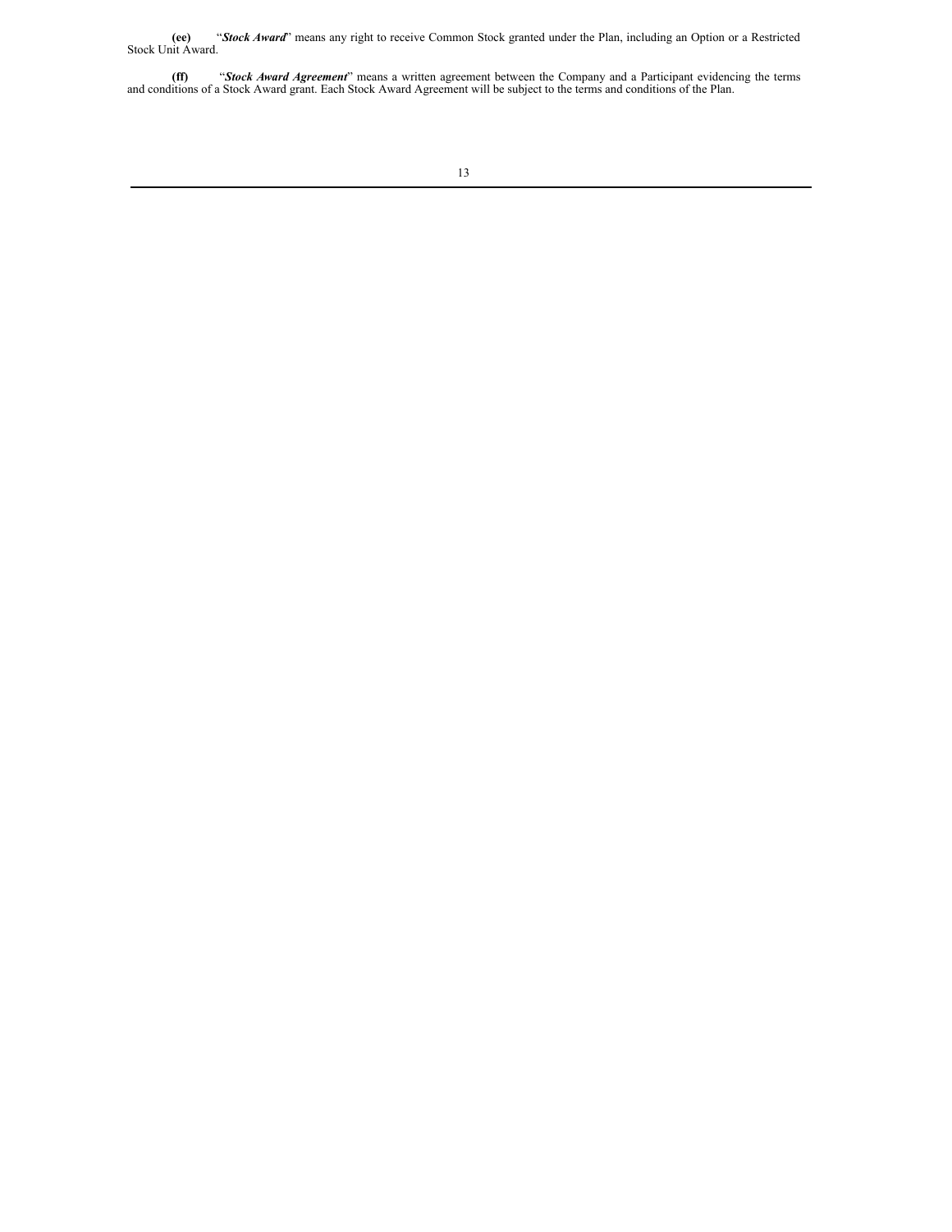**(ee)** "*Stock Award*" means any right to receive Common Stock granted under the Plan, including an Option or a Restricted Stock Unit Award.

(ff) "Stock Award Agreement" means a written agreement between the Company and a Participant evidencing the terms<br>and conditions of a Stock Award grant. Each Stock Award Agreement will be subject to the terms and condition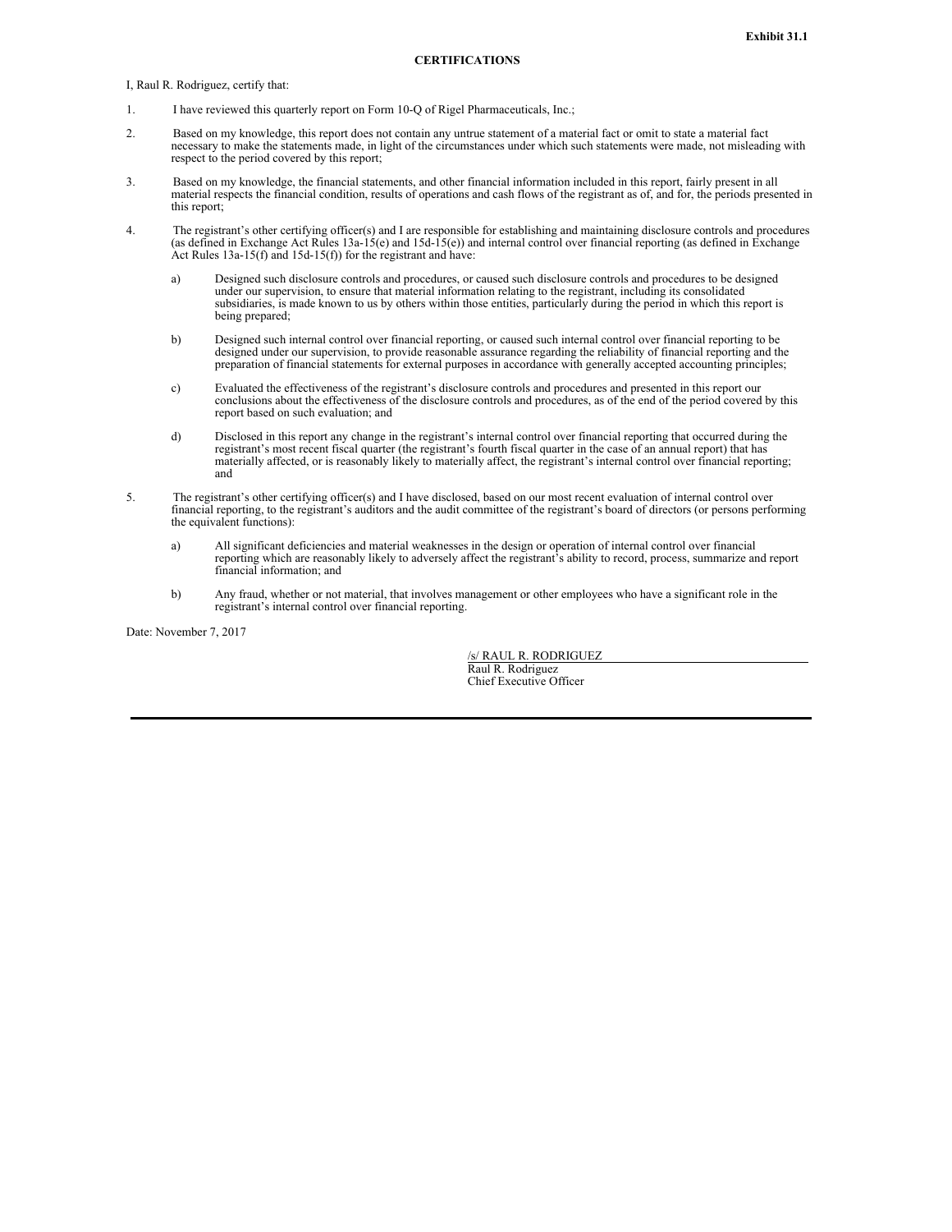<span id="page-67-0"></span>I, Raul R. Rodriguez, certify that:

- 1. I have reviewed this quarterly report on Form 10-Q of Rigel Pharmaceuticals, Inc.;
- 2. Based on my knowledge, this report does not contain any untrue statement of a material fact or omit to state a material fact necessary to make the statements made, in light of the circumstances under which such statements were made, not misleading with respect to the period covered by this report;
- 3. Based on my knowledge, the financial statements, and other financial information included in this report, fairly present in all material respects the financial condition, results of operations and cash flows of the regi this report;
- 4. The registrant's other certifying officer(s) and I are responsible for establishing and maintaining disclosure controls and procedures (as defined in Exchange Act Rules 13a-15(e) and 15d-15(e)) and internal control over financial reporting (as defined in Exchange Act Rules 13a-15(f) and 15d-15(f)) for the registrant and have:
	- a) Designed such disclosure controls and procedures, or caused such disclosure controls and procedures to be designed under our supervision, to ensure that material information relating to the registrant, including its consolidated subsidiaries, is made known to us by others within those entities, particularly during the period in which this report is being prepared;
	- b) Designed such internal control over financial reporting, or caused such internal control over financial reporting to be designed under our supervision, to provide reasonable assurance regarding the reliability of financial reporting and the preparation of financial statements for external purposes in accordance with generally accepted accounting principles;
	- c) Evaluated the effectiveness of the registrant's disclosure controls and procedures and presented in this report our conclusions about the effectiveness of the disclosure controls and procedures, as of the end of the period covered by this report based on such evaluation; and
	- d) Disclosed in this report any change in the registrant's internal control over financial reporting that occurred during the registrant's most recent fiscal quarter (the registrant's fourth fiscal quarter in the case of a materially affected, or is reasonably likely to materially affect, the registrant's internal control over financial reporting; and
- 5. The registrant's other certifying officer(s) and I have disclosed, based on our most recent evaluation of internal control over financial reporting, to the registrant's auditors and the audit committee of the registrant's board of directors (or persons performing the equivalent functions):
	- a) All significant deficiencies and material weaknesses in the design or operation of internal control over financial reporting which are reasonably likely to adversely affect the registrant's ability to record, process, summarize and report financial information; and
	- b) Any fraud, whether or not material, that involves management or other employees who have a significant role in the registrant's internal control over financial reporting.

Date: November 7, 2017

/s/ RAUL R. RODRIGUEZ Raul R. Rodriguez Chief Executive Officer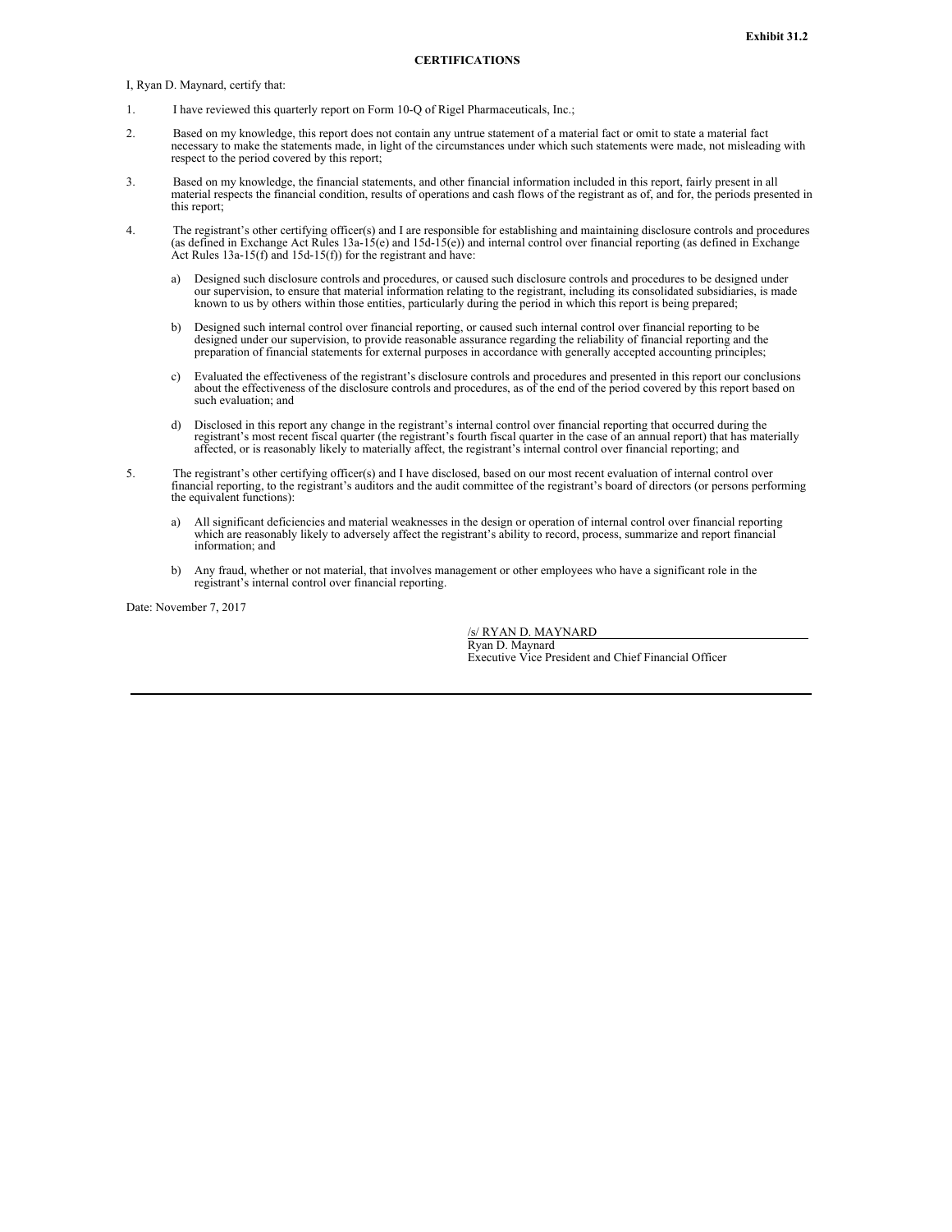# **CERTIFICATIONS**

<span id="page-68-0"></span>I, Ryan D. Maynard, certify that:

- 1. I have reviewed this quarterly report on Form 10-Q of Rigel Pharmaceuticals, Inc.;
- 2. Based on my knowledge, this report does not contain any untrue statement of a material fact or omit to state a material fact necessary to make the statements made, in light of the circumstances under which such statements were made, not misleading with respect to the period covered by this report;
- 3. Based on my knowledge, the financial statements, and other financial information included in this report, fairly present in all material respects the financial condition, results of operations and cash flows of the regi this report;
- 4. The registrant's other certifying officer(s) and I are responsible for establishing and maintaining disclosure controls and procedures (as defined in Exchange Act Rules 13a-15(e) and 15d-15(e)) and internal control over financial reporting (as defined in Exchange Act Rules 13a-15(f) and 15d-15(f)) for the registrant and have:
	- a) Designed such disclosure controls and procedures, or caused such disclosure controls and procedures to be designed under our supervision, to ensure that material information relating to the registrant, including its consolidated subsidiaries, is made known to us by others within those entities, particularly during the period in which this report is being prepared;
	- b) Designed such internal control over financial reporting, or caused such internal control over financial reporting to be designed under our supervision, to provide reasonable assurance regarding the reliability of financial reporting and the preparation of financial statements for external purposes in accordance with generally accepted accounting principles;
	- c) Evaluated the effectiveness of the registrant's disclosure controls and procedures and presented in this report our conclusions about the effectiveness of the disclosure controls and procedures, as of the end of the period covered by this report based on such evaluation; and
	- d) Disclosed in this report any change in the registrant's internal control over financial reporting that occurred during the registrant's most recent fiscal quarter (the registrant's fourth fiscal quarter in the case of an annual report) that has materially affected, or is reasonably likely to materially affect, the registrant's internal control
- 5. The registrant's other certifying officer(s) and I have disclosed, based on our most recent evaluation of internal control over financial reporting, to the registrant's auditors and the audit committee of the registrant's board of directors (or persons performing the equivalent functions):
	- a) All significant deficiencies and material weaknesses in the design or operation of internal control over financial reporting which are reasonably likely to adversely affect the registrant's ability to record, process, summarize and report financial information; and
	- b) Any fraud, whether or not material, that involves management or other employees who have a significant role in the registrant's internal control over financial reporting.

Date: November 7, 2017

/s/ RYAN D. MAYNARD Ryan D. Maynard Executive Vice President and Chief Financial Officer